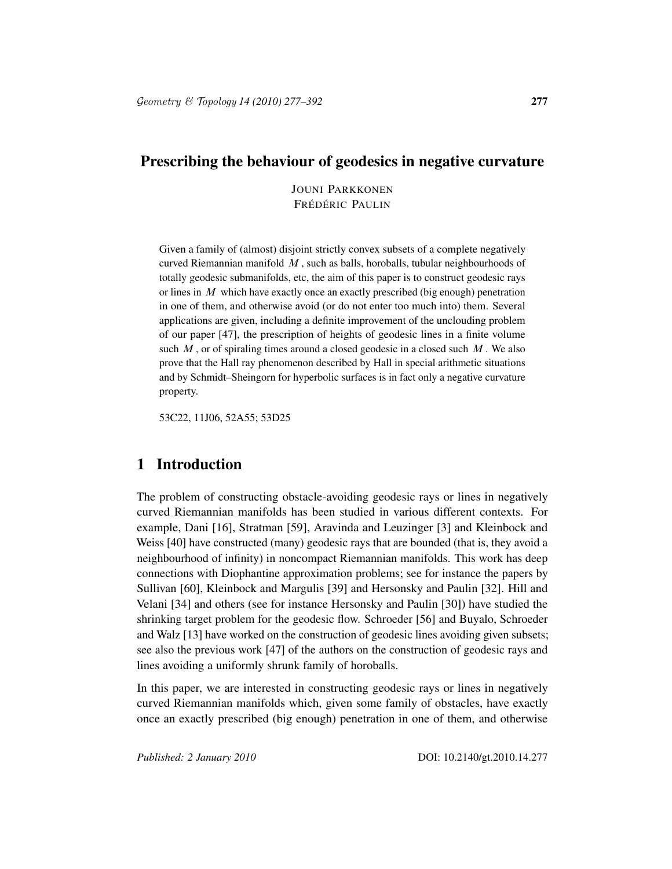### Prescribing the behaviour of geodesics in negative curvature

JOUNI PARKKONEN FRÉDÉRIC PAULIN

Given a family of (almost) disjoint strictly convex subsets of a complete negatively curved Riemannian manifold  $M$ , such as balls, horoballs, tubular neighbourhoods of totally geodesic submanifolds, etc, the aim of this paper is to construct geodesic rays or lines in  $M$  which have exactly once an exactly prescribed (big enough) penetration in one of them, and otherwise avoid (or do not enter too much into) them. Several applications are given, including a definite improvement of the unclouding problem of our paper [47], the prescription of heights of geodesic lines in a finite volume such  $M$ , or of spiraling times around a closed geodesic in a closed such  $M$ . We also prove that the Hall ray phenomenon described by Hall in special arithmetic situations and by Schmidt–Sheingorn for hyperbolic surfaces is in fact only a negative curvature property.

53C22, 11J06, 52A55; 53D25

# 1 Introduction

The problem of constructing obstacle-avoiding geodesic rays or lines in negatively curved Riemannian manifolds has been studied in various different contexts. For example, Dani [16], Stratman [59], Aravinda and Leuzinger [3] and Kleinbock and Weiss [40] have constructed (many) geodesic rays that are bounded (that is, they avoid a neighbourhood of infinity) in noncompact Riemannian manifolds. This work has deep connections with Diophantine approximation problems; see for instance the papers by Sullivan [60], Kleinbock and Margulis [39] and Hersonsky and Paulin [32]. Hill and Velani [34] and others (see for instance Hersonsky and Paulin [30]) have studied the shrinking target problem for the geodesic flow. Schroeder [56] and Buyalo, Schroeder and Walz [13] have worked on the construction of geodesic lines avoiding given subsets; see also the previous work [47] of the authors on the construction of geodesic rays and lines avoiding a uniformly shrunk family of horoballs.

In this paper, we are interested in constructing geodesic rays or lines in negatively curved Riemannian manifolds which, given some family of obstacles, have exactly once an exactly prescribed (big enough) penetration in one of them, and otherwise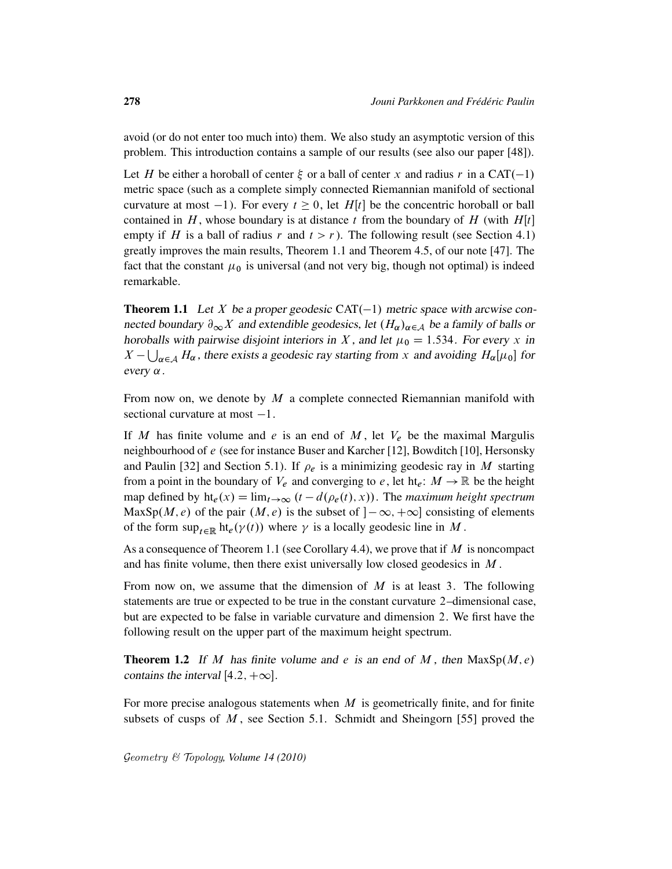avoid (or do not enter too much into) them. We also study an asymptotic version of this problem. This introduction contains a sample of our results (see also our paper [48]).

Let H be either a horoball of center  $\xi$  or a ball of center x and radius r in a CAT(-1) metric space (such as a complete simply connected Riemannian manifold of sectional curvature at most  $-1$ ). For every  $t \ge 0$ , let H[t] be the concentric horoball or ball contained in H, whose boundary is at distance t from the boundary of H (with  $H[t]$ empty if H is a ball of radius r and  $t > r$ ). The following result (see Section 4.1) greatly improves the main results, Theorem 1.1 and Theorem 4.5, of our note [47]. The fact that the constant  $\mu_0$  is universal (and not very big, though not optimal) is indeed remarkable.

**Theorem 1.1** Let X be a proper geodesic  $CAT(-1)$  metric space with arcwise connected boundary  $\partial_{\infty}X$  and extendible geodesics, let  $(H_{\alpha})_{\alpha \in A}$  be a family of balls or horoballs with pairwise disjoint interiors in X, and let  $\mu_0 = 1.534$ . For every x in  $X - \bigcup_{\alpha \in A} H_{\alpha}$ , there exists a geodesic ray starting from x and avoiding  $H_{\alpha}[\mu_0]$  for every  $\alpha$ .

From now on, we denote by  $M$  a complete connected Riemannian manifold with sectional curvature at most  $-1$ .

If M has finite volume and e is an end of M, let  $V_e$  be the maximal Margulis neighbourhood of e (see for instance Buser and Karcher [12], Bowditch [10], Hersonsky and Paulin [32] and Section 5.1). If  $\rho_e$  is a minimizing geodesic ray in M starting from a point in the boundary of  $V_e$  and converging to e, let ht<sub>e</sub>:  $M \to \mathbb{R}$  be the height map defined by  $\text{ht}_e(x) = \lim_{t \to \infty} (t - d(\rho_e(t), x))$ . The *maximum height spectrum* MaxSp $(M, e)$  of the pair  $(M, e)$  is the subset of  $]-\infty, +\infty]$  consisting of elements of the form  $\sup_{t\in\mathbb{R}}$  ht<sub>e</sub> $(\gamma(t))$  where  $\gamma$  is a locally geodesic line in M.

As a consequence of Theorem 1.1 (see Corollary 4.4), we prove that if  $M$  is noncompact and has finite volume, then there exist universally low closed geodesics in M .

From now on, we assume that the dimension of  $M$  is at least 3. The following statements are true or expected to be true in the constant curvature 2–dimensional case, but are expected to be false in variable curvature and dimension 2. We first have the following result on the upper part of the maximum height spectrum.

**Theorem 1.2** If M has finite volume and e is an end of M, then  $MaxSp(M, e)$ contains the interval [4.2,  $+\infty$ ].

For more precise analogous statements when  $M$  is geometrically finite, and for finite subsets of cusps of  $M$ , see Section 5.1. Schmidt and Sheingorn [55] proved the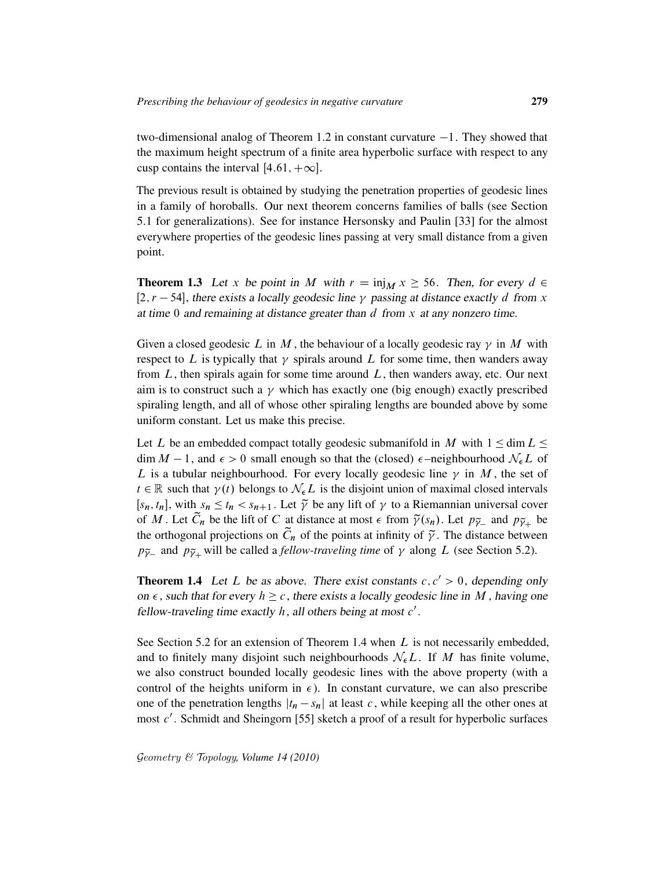two-dimensional analog of Theorem 1.2 in constant curvature  $-1$ . They showed that the maximum height spectrum of a finite area hyperbolic surface with respect to any cusp contains the interval  $[4.61, +\infty]$ .

The previous result is obtained by studying the penetration properties of geodesic lines in a family of horoballs. Our next theorem concerns families of balls (see Section 5.1 for generalizations). See for instance Hersonsky and Paulin [33] for the almost everywhere properties of the geodesic lines passing at very small distance from a given point.

**Theorem 1.3** Let x be point in M with  $r = \text{inj}_M x \ge 56$ . Then, for every  $d \in$ [2, r – 54], there exists a locally geodesic line  $\gamma$  passing at distance exactly d from x at time  $0$  and remaining at distance greater than  $d$  from  $x$  at any nonzero time.

Given a closed geodesic L in M, the behaviour of a locally geodesic ray  $\gamma$  in M with respect to L is typically that  $\gamma$  spirals around L for some time, then wanders away from  $L$ , then spirals again for some time around  $L$ , then wanders away, etc. Our next aim is to construct such a  $\gamma$  which has exactly one (big enough) exactly prescribed spiraling length, and all of whose other spiraling lengths are bounded above by some uniform constant. Let us make this precise.

Let L be an embedded compact totally geodesic submanifold in M with  $1 \le \dim L \le$  $\dim M - 1$ , and  $\epsilon > 0$  small enough so that the (closed)  $\epsilon$ -neighbourhood  $\mathcal{N}_{\epsilon}L$  of L is a tubular neighbourhood. For every locally geodesic line  $\gamma$  in M, the set of  $t \in \mathbb{R}$  such that  $\gamma(t)$  belongs to  $\mathcal{N}_{\epsilon}L$  is the disjoint union of maximal closed intervals [ $s_n$ ,  $t_n$ ], with  $s_n \le t_n < s_{n+1}$ . Let  $\tilde{\gamma}$  be any lift of  $\gamma$  to a Riemannian universal cover of M. Let  $\tilde{C}_n$  be the lift of C at distance at most  $\epsilon$  from  $\tilde{\gamma}(s_n)$ . Let  $p_{\tilde{\gamma}_-}$  and  $p_{\tilde{\gamma}_+}$  be the orthogonal projections on  $\tilde{C}_n$  of the points at infinity of  $\tilde{\gamma}$ . The distance between  $p_{\tilde{\gamma}_-}$  and  $p_{\tilde{\gamma}_+}$  will be called a *fellow-traveling time* of  $\gamma$  along L (see Section 5.2).

**Theorem 1.4** Let L be as above. There exist constants  $c, c' > 0$ , depending only on  $\epsilon$ , such that for every  $h \geq c$ , there exists a locally geodesic line in M, having one fellow-traveling time exactly  $h$ , all others being at most  $c'$ .

See Section 5.2 for an extension of Theorem 1.4 when  $L$  is not necessarily embedded, and to finitely many disjoint such neighbourhoods  $\mathcal{N}_{\epsilon}L$ . If M has finite volume, we also construct bounded locally geodesic lines with the above property (with a control of the heights uniform in  $\epsilon$ ). In constant curvature, we can also prescribe one of the penetration lengths  $|t_n - s_n|$  at least c, while keeping all the other ones at most c'. Schmidt and Sheingorn [55] sketch a proof of a result for hyperbolic surfaces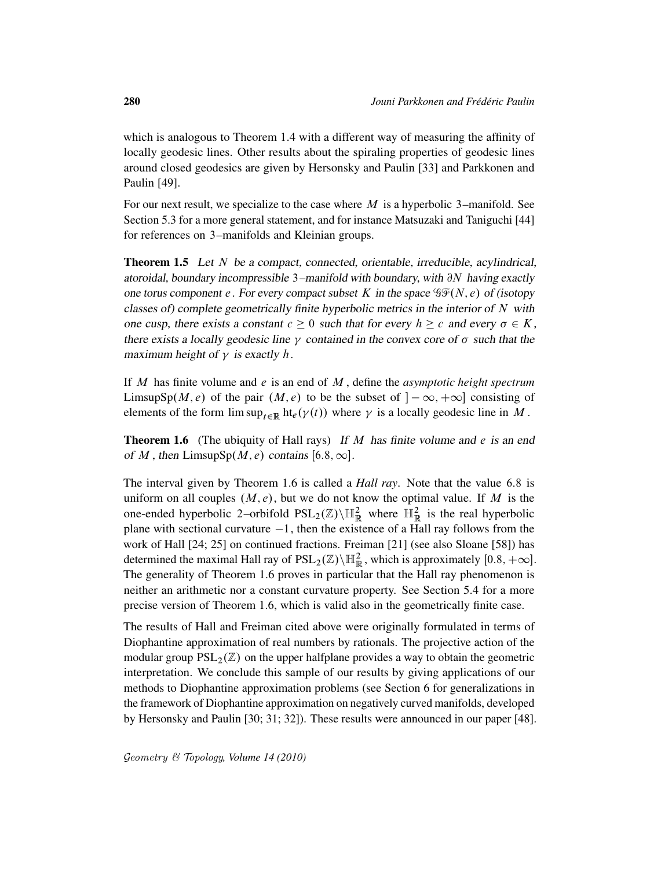which is analogous to Theorem 1.4 with a different way of measuring the affinity of locally geodesic lines. Other results about the spiraling properties of geodesic lines around closed geodesics are given by Hersonsky and Paulin [33] and Parkkonen and Paulin [49].

For our next result, we specialize to the case where  $M$  is a hyperbolic 3–manifold. See Section 5.3 for a more general statement, and for instance Matsuzaki and Taniguchi [44] for references on 3–manifolds and Kleinian groups.

Theorem 1.5 Let N be a compact, connected, orientable, irreducible, acylindrical, atoroidal, boundary incompressible 3–manifold with boundary, with  $\partial N$  having exactly one torus component e. For every compact subset K in the space  $\mathcal{GF}(N, e)$  of (isotopy classes of) complete geometrically finite hyperbolic metrics in the interior of  $N$  with one cusp, there exists a constant  $c \geq 0$  such that for every  $h \geq c$  and every  $\sigma \in K$ , there exists a locally geodesic line  $\gamma$  contained in the convex core of  $\sigma$  such that the maximum height of  $\gamma$  is exactly h.

If M has finite volume and e is an end of M , define the *asymptotic height spectrum* LimsupSp $(M, e)$  of the pair  $(M, e)$  to be the subset of  $[-\infty, +\infty]$  consisting of elements of the form  $\limsup_{t\in\mathbb{R}}$  ht<sub>e</sub> $(\gamma(t))$  where  $\gamma$  is a locally geodesic line in M.

**Theorem 1.6** (The ubiquity of Hall rays) If M has finite volume and e is an end of M, then LimsupSp $(M, e)$  contains [6.8,  $\infty$ ].

The interval given by Theorem 1.6 is called a *Hall ray*. Note that the value 6:8 is uniform on all couples  $(M, e)$ , but we do not know the optimal value. If M is the one-ended hyperbolic 2-orbifold  $PSL_2(\mathbb{Z})\backslash \mathbb{H}^2_{\mathbb{R}}$  where  $\mathbb{H}^2_{\mathbb{R}}$  is the real hyperbolic plane with sectional curvature  $-1$ , then the existence of a Hall ray follows from the work of Hall [24; 25] on continued fractions. Freiman [21] (see also Sloane [58]) has determined the maximal Hall ray of  $PSL_2(\mathbb{Z})\backslash \mathbb{H}^2_{\mathbb{R}}$ , which is approximately  $[0.8, +\infty]$ . The generality of Theorem 1.6 proves in particular that the Hall ray phenomenon is neither an arithmetic nor a constant curvature property. See Section 5.4 for a more precise version of Theorem 1.6, which is valid also in the geometrically finite case.

The results of Hall and Freiman cited above were originally formulated in terms of Diophantine approximation of real numbers by rationals. The projective action of the modular group  $PSL_2(\mathbb{Z})$  on the upper halfplane provides a way to obtain the geometric interpretation. We conclude this sample of our results by giving applications of our methods to Diophantine approximation problems (see Section 6 for generalizations in the framework of Diophantine approximation on negatively curved manifolds, developed by Hersonsky and Paulin [30; 31; 32]). These results were announced in our paper [48].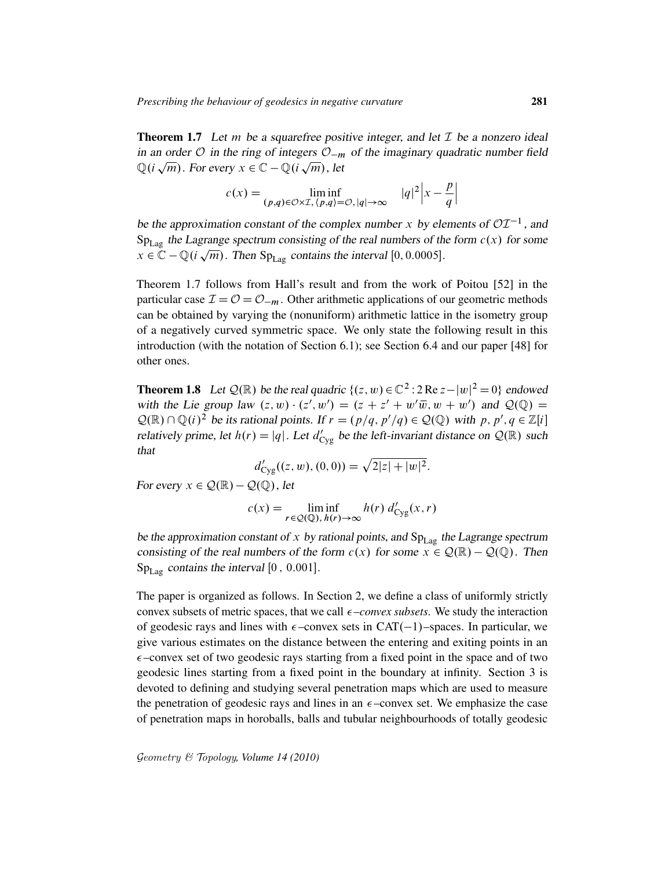**Theorem 1.7** Let m be a squarefree positive integer, and let  $\mathcal{I}$  be a nonzero ideal in an order  $\mathcal O$  in the ring of integers  $\mathcal O_{-m}$  of the imaginary quadratic number field  $\mathbb{Q}(i\sqrt{m})$ . For every  $x \in \mathbb{C} - \mathbb{Q}(i\sqrt{m})$ , let

$$
c(x) = \liminf_{(p,q)\in\mathcal{O}\times\mathcal{I}, (p,q)\in\mathcal{O}, |q|\to\infty} |q|^2 |x - \frac{p}{q}|
$$

be the approximation constant of the complex number x by elements of  $OT^{-1}$ , and  $Sp_{Lag}$  the Lagrange spectrum consisting of the real numbers of the form  $c(x)$  for some  $x \in \mathbb{C} - \mathbb{Q}(i\sqrt{m})$ . Then Sp<sub>Lag</sub> contains the interval [0, 0.0005].

Theorem 1.7 follows from Hall's result and from the work of Poitou [52] in the particular case  $\mathcal{I} = \mathcal{O} = \mathcal{O}_{-m}$ . Other arithmetic applications of our geometric methods can be obtained by varying the (nonuniform) arithmetic lattice in the isometry group of a negatively curved symmetric space. We only state the following result in this introduction (with the notation of Section 6.1); see Section 6.4 and our paper [48] for other ones.

**Theorem 1.8** Let  $\mathcal{Q}(\mathbb{R})$  be the real quadric  $\{(z, w) \in \mathbb{C}^2 : 2 \text{Re } z - |w|^2 = 0\}$  endowed with the Lie group law  $(z, w) \cdot (z', w') = (z + z' + w'\overline{w}, w + w')$  and  $\mathcal{Q}(\mathbb{Q}) =$  $\mathcal{Q}(\mathbb{R}) \cap \mathbb{Q}(i)^2$  be its rational points. If  $r = (p/q, p'/q) \in \mathcal{Q}(\mathbb{Q})$  with p,  $p', q \in \mathbb{Z}[i]$ relatively prime, let  $h(r) = |q|$ . Let  $d'_{\text{Cyg}}$  be the left-invariant distance on  $\mathcal{Q}(\mathbb{R})$  such that

$$
d'_{\text{Cyg}}((z, w), (0, 0)) = \sqrt{2|z| + |w|^2}.
$$

For every  $x \in \mathcal{Q}(\mathbb{R}) - \mathcal{Q}(\mathbb{Q})$ , let

$$
c(x) = \liminf_{r \in \mathcal{Q}(\mathbb{Q}), h(r) \to \infty} h(r) d'_{\text{Cyg}}(x, r)
$$

be the approximation constant of x by rational points, and  $Sp_{Lag}$  the Lagrange spectrum consisting of the real numbers of the form  $c(x)$  for some  $x \in \mathcal{Q}(\mathbb{R}) - \mathcal{Q}(\mathbb{Q})$ . Then  $Sp_{Lag}$  contains the interval [0, 0.001].

The paper is organized as follows. In Section 2, we define a class of uniformly strictly convex subsets of metric spaces, that we call  $\epsilon$ –*convex subsets*. We study the interaction of geodesic rays and lines with  $\epsilon$ -convex sets in CAT(-1)-spaces. In particular, we give various estimates on the distance between the entering and exiting points in an  $\epsilon$ –convex set of two geodesic rays starting from a fixed point in the space and of two geodesic lines starting from a fixed point in the boundary at infinity. Section 3 is devoted to defining and studying several penetration maps which are used to measure the penetration of geodesic rays and lines in an  $\epsilon$ -convex set. We emphasize the case of penetration maps in horoballs, balls and tubular neighbourhoods of totally geodesic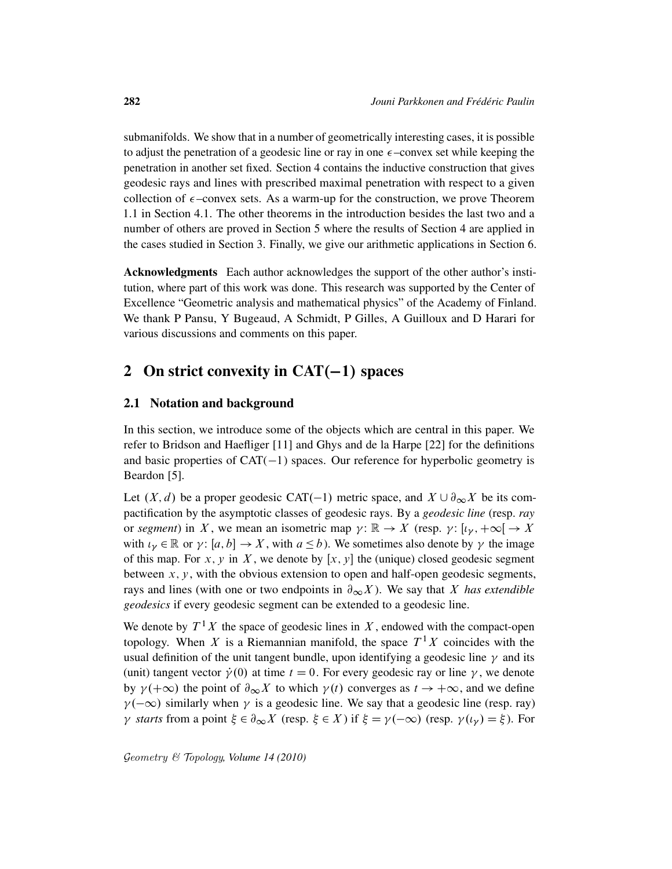submanifolds. We show that in a number of geometrically interesting cases, it is possible to adjust the penetration of a geodesic line or ray in one  $\epsilon$ -convex set while keeping the penetration in another set fixed. Section 4 contains the inductive construction that gives geodesic rays and lines with prescribed maximal penetration with respect to a given collection of  $\epsilon$ -convex sets. As a warm-up for the construction, we prove Theorem 1.1 in Section 4.1. The other theorems in the introduction besides the last two and a number of others are proved in Section 5 where the results of Section 4 are applied in the cases studied in Section 3. Finally, we give our arithmetic applications in Section 6.

Acknowledgments Each author acknowledges the support of the other author's institution, where part of this work was done. This research was supported by the Center of Excellence "Geometric analysis and mathematical physics" of the Academy of Finland. We thank P Pansu, Y Bugeaud, A Schmidt, P Gilles, A Guilloux and D Harari for various discussions and comments on this paper.

# 2 On strict convexity in  $CAT(-1)$  spaces

### 2.1 Notation and background

In this section, we introduce some of the objects which are central in this paper. We refer to Bridson and Haefliger [11] and Ghys and de la Harpe [22] for the definitions and basic properties of  $CAT(-1)$  spaces. Our reference for hyperbolic geometry is Beardon [5].

Let  $(X, d)$  be a proper geodesic CAT(-1) metric space, and  $X \cup \partial_{\infty} X$  be its compactification by the asymptotic classes of geodesic rays. By a *geodesic line* (resp. *ray* or *segment*) in X, we mean an isometric map  $\gamma: \mathbb{R} \to X$  (resp.  $\gamma: [\iota_{\gamma}, +\infty] \to X$ with  $\iota_{\nu} \in \mathbb{R}$  or  $\gamma: [a, b] \to X$ , with  $a \leq b$ ). We sometimes also denote by  $\gamma$  the image of this map. For x, y in X, we denote by  $[x, y]$  the (unique) closed geodesic segment between  $x, y$ , with the obvious extension to open and half-open geodesic segments, rays and lines (with one or two endpoints in  $\partial_{\infty} X$ ). We say that X *has extendible geodesics* if every geodesic segment can be extended to a geodesic line.

We denote by  $T^1 X$  the space of geodesic lines in X, endowed with the compact-open topology. When X is a Riemannian manifold, the space  $T<sup>1</sup>X$  coincides with the usual definition of the unit tangent bundle, upon identifying a geodesic line  $\gamma$  and its (unit) tangent vector  $\dot{\gamma}(0)$  at time  $t = 0$ . For every geodesic ray or line  $\gamma$ , we denote by  $\gamma(+\infty)$  the point of  $\partial_{\infty} X$  to which  $\gamma(t)$  converges as  $t \to +\infty$ , and we define  $\gamma(-\infty)$  similarly when  $\gamma$  is a geodesic line. We say that a geodesic line (resp. ray)  $\gamma$  starts from a point  $\xi \in \partial_{\infty} X$  (resp.  $\xi \in X$ ) if  $\xi = \gamma(-\infty)$  (resp.  $\gamma(\iota_{\gamma}) = \xi$ ). For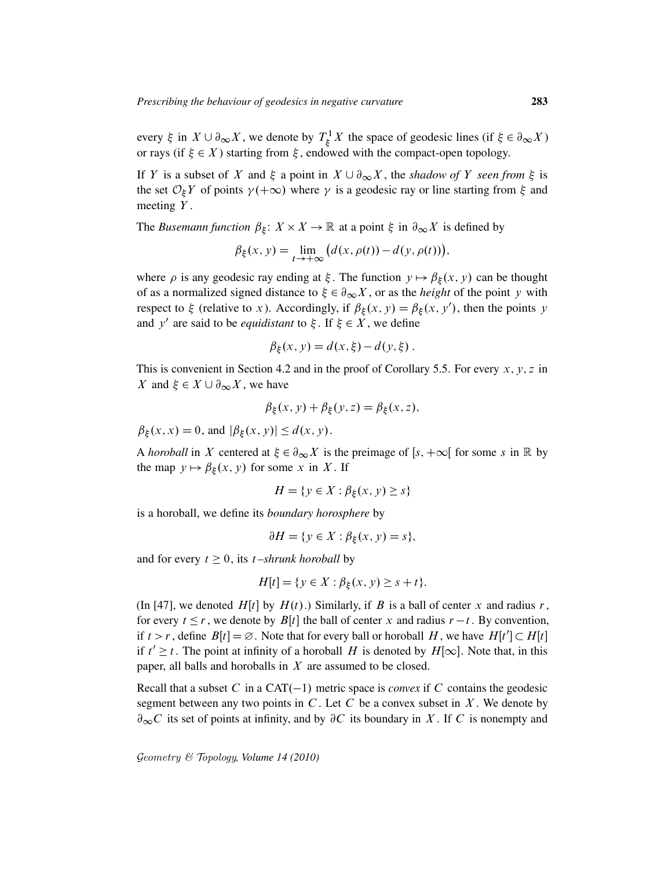every  $\xi$  in  $X \cup \partial_{\infty} X$ , we denote by  $T_{\xi}^1$  $\chi^1 \chi^1$  the space of geodesic lines (if  $\xi \in \partial_{\infty} X$ ) or rays (if  $\xi \in X$ ) starting from  $\xi$ , endowed with the compact-open topology.

If Y is a subset of X and  $\xi$  a point in  $X \cup \partial_{\infty} X$ , the *shadow of* Y *seen from*  $\xi$  is the set  $\mathcal{O}_\xi Y$  of points  $\gamma(+\infty)$  where  $\gamma$  is a geodesic ray or line starting from  $\xi$  and meeting  $Y$ .

The *Busemann function*  $\beta_{\xi}$ :  $X \times X \to \mathbb{R}$  at a point  $\xi$  in  $\partial_{\infty} X$  is defined by

$$
\beta_{\xi}(x, y) = \lim_{t \to +\infty} (d(x, \rho(t)) - d(y, \rho(t))),
$$

where  $\rho$  is any geodesic ray ending at  $\xi$ . The function  $y \mapsto \beta_{\xi}(x, y)$  can be thought of as a normalized signed distance to  $\xi \in \partial_{\infty} X$ , or as the *height* of the point y with respect to  $\xi$  (relative to x). Accordingly, if  $\beta_{\xi}(x, y) = \beta_{\xi}(x, y')$ , then the points y and y' are said to be *equidistant* to  $\xi$ . If  $\xi \in X$ , we define

$$
\beta_{\xi}(x, y) = d(x, \xi) - d(y, \xi).
$$

This is convenient in Section 4.2 and in the proof of Corollary 5.5. For every  $x, y, z$  in X and  $\xi \in X \cup \partial_{\infty} X$ , we have

$$
\beta_{\xi}(x, y) + \beta_{\xi}(y, z) = \beta_{\xi}(x, z),
$$

 $\beta_{\xi}(x, x) = 0$ , and  $|\beta_{\xi}(x, y)| \le d(x, y)$ .

A *horoball* in X centered at  $\xi \in \partial_{\infty} X$  is the preimage of  $[s, +\infty[$  for some s in R by the map  $y \mapsto \beta_{\xi}(x, y)$  for some x in X. If

$$
H = \{ y \in X : \beta_{\xi}(x, y) \ge s \}
$$

is a horoball, we define its *boundary horosphere* by

$$
\partial H = \{ y \in X : \beta_{\xi}(x, y) = s \},
$$

and for every  $t \geq 0$ , its *t*–shrunk horoball by

$$
H[t] = \{ y \in X : \beta_{\xi}(x, y) \ge s + t \}.
$$

(In [47], we denoted  $H[t]$  by  $H(t)$ .) Similarly, if B is a ball of center x and radius r, for every  $t \le r$ , we denote by  $B[t]$  the ball of center x and radius  $r - t$ . By convention, if  $t > r$ , define  $B[t] = \emptyset$ . Note that for every ball or horoball H, we have  $H[t'] \subset H[t]$ if  $t' \geq t$ . The point at infinity of a horoball H is denoted by  $H[\infty]$ . Note that, in this paper, all balls and horoballs in  $X$  are assumed to be closed.

Recall that a subset C in a  $CAT(-1)$  metric space is *convex* if C contains the geodesic segment between any two points in C. Let C be a convex subset in  $X$ . We denote by  $\partial_{\infty}C$  its set of points at infinity, and by  $\partial C$  its boundary in X. If C is nonempty and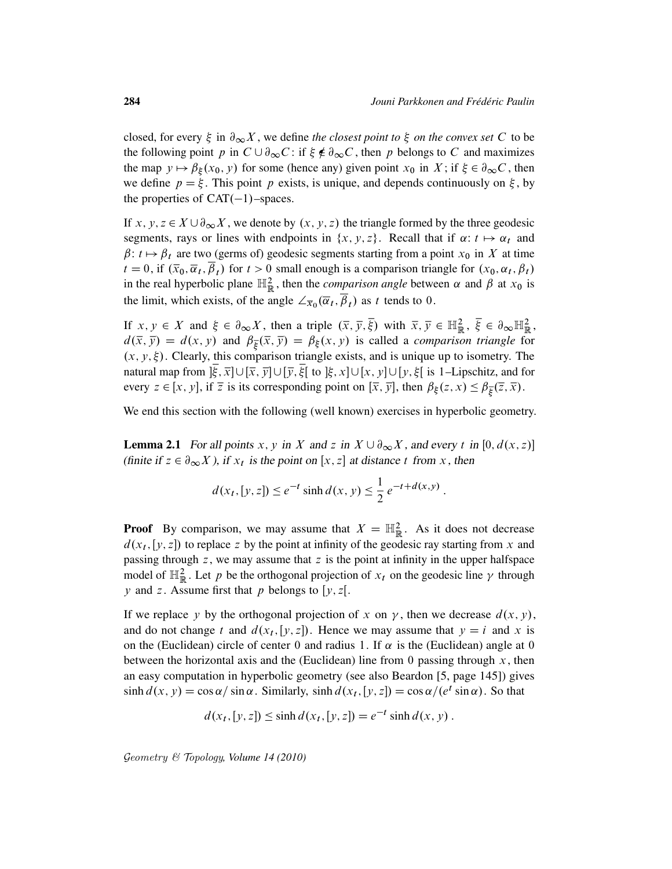closed, for every  $\xi$  in  $\partial_{\infty} X$ , we define *the closest point to*  $\xi$  *on the convex set* C to be the following point p in  $C \cup \partial_{\infty} C$ : if  $\xi \notin \partial_{\infty} C$ , then p belongs to C and maximizes the map  $y \mapsto \beta_{\xi}(x_0, y)$  for some (hence any) given point  $x_0$  in  $X$ ; if  $\xi \in \partial_{\infty} C$ , then we define  $p = \xi$ . This point p exists, is unique, and depends continuously on  $\xi$ , by the properties of  $CAT(-1)$ –spaces.

If x, y,  $z \in X \cup \partial_{\infty} X$ , we denote by  $(x, y, z)$  the triangle formed by the three geodesic segments, rays or lines with endpoints in  $\{x, y, z\}$ . Recall that if  $\alpha: t \mapsto \alpha_t$  and  $\beta: t \mapsto \beta_t$  are two (germs of) geodesic segments starting from a point  $x_0$  in X at time  $t = 0$ , if  $(\overline{x}_0, \overline{\alpha}_t, \overline{\beta}_t)$  for  $t > 0$  small enough is a comparison triangle for  $(x_0, \alpha_t, \beta_t)$ in the real hyperbolic plane  $\mathbb{H}^2_{\mathbb{R}}$ , then the *comparison angle* between  $\alpha$  and  $\beta$  at  $x_0$  is the limit, which exists, of the angle  $\angle_{\overline{x}_0}(\overline{\alpha}_t, \overline{\beta}_t)$  as t tends to 0.

If  $x, y \in X$  and  $\xi \in \partial_{\infty} X$ , then a triple  $(\overline{x}, \overline{y}, \overline{\xi})$  with  $\overline{x}, \overline{y} \in \mathbb{H}^2_{\mathbb{R}}, \overline{\xi} \in \partial_{\infty} \mathbb{H}^2_{\mathbb{R}},$  $d(\bar{x}, \bar{y}) = d(x, y)$  and  $\beta_{\bar{\xi}}(\bar{x}, \bar{y}) = \beta_{\xi}(x, y)$  is called a *comparison triangle* for  $(x, y, \xi)$ . Clearly, this comparison triangle exists, and is unique up to isometry. The natural map from  $\xi$ ,  $\overline{x}$ ] $\cup$ [ $\overline{x}$ ,  $\overline{y}$ ] $\cup$ [ $\overline{y}$ ,  $\xi$ [ to ] $\xi$ ,  $x$ ] $\cup$ [ $x$ ,  $y$ ] $\cup$ [ $y$ ,  $\xi$ [ is 1–Lipschitz, and for every  $z \in [x, y]$ , if  $\overline{z}$  is its corresponding point on  $[\overline{x}, \overline{y}]$ , then  $\beta_{\xi}(z, x) \leq \beta_{\overline{\xi}}(\overline{z}, \overline{x})$ .

We end this section with the following (well known) exercises in hyperbolic geometry.

**Lemma 2.1** For all points x, y in X and z in  $X \cup \partial_{\infty} X$ , and every t in [0,  $d(x, z)$ ] (finite if  $z \in \partial_{\infty} X$ ), if  $x_t$  is the point on [x, z] at distance t from x, then

$$
d(x_t, [y, z]) \le e^{-t} \sinh d(x, y) \le \frac{1}{2} e^{-t + d(x, y)}.
$$

**Proof** By comparison, we may assume that  $X = \mathbb{H}_{\mathbb{R}}^2$ . As it does not decrease  $d(x_t, [y, z])$  to replace z by the point at infinity of the geodesic ray starting from x and passing through  $z$ , we may assume that  $z$  is the point at infinity in the upper halfspace model of  $\mathbb{H}^2_{\mathbb{R}}$ . Let p be the orthogonal projection of  $x_t$  on the geodesic line  $\gamma$  through y and z. Assume first that p belongs to [y, z[.

If we replace y by the orthogonal projection of x on  $\gamma$ , then we decrease  $d(x, y)$ , and do not change t and  $d(x_t, [y, z])$ . Hence we may assume that  $y = i$  and x is on the (Euclidean) circle of center 0 and radius 1. If  $\alpha$  is the (Euclidean) angle at 0 between the horizontal axis and the (Euclidean) line from 0 passing through  $x$ , then an easy computation in hyperbolic geometry (see also Beardon [5, page 145]) gives  $\sinh d(x, y) = \cos \alpha / \sin \alpha$ . Similarly,  $\sinh d(x_t, [y, z]) = \cos \alpha / (e^t \sin \alpha)$ . So that

$$
d(x_t, [y, z]) \le \sinh d(x_t, [y, z]) = e^{-t} \sinh d(x, y).
$$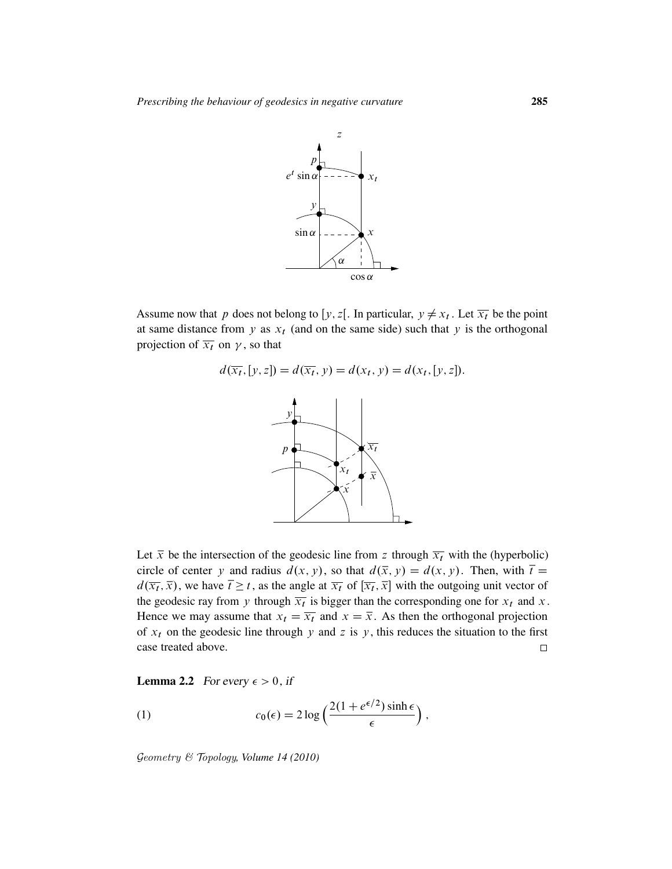

Assume now that p does not belong to [y, z[. In particular,  $y \neq x_t$ . Let  $\overline{x_t}$  be the point at same distance from y as  $x_t$  (and on the same side) such that y is the orthogonal projection of  $\overline{x_t}$  on  $\gamma$ , so that

$$
d(\overline{x_t}, [y, z]) = d(\overline{x_t}, y) = d(x_t, y) = d(x_t, [y, z]).
$$



Let  $\bar{x}$  be the intersection of the geodesic line from z through  $\bar{x}$  with the (hyperbolic) circle of center y and radius  $d(x, y)$ , so that  $d(\bar{x}, y) = d(x, y)$ . Then, with  $\bar{t} =$  $d(\overline{x_t}, \overline{x})$ , we have  $\overline{t} \ge t$ , as the angle at  $\overline{x_t}$  of  $[\overline{x_t}, \overline{x}]$  with the outgoing unit vector of the geodesic ray from y through  $\overline{x_t}$  is bigger than the corresponding one for  $x_t$  and x. Hence we may assume that  $x_t = \overline{x_t}$  and  $x = \overline{x}$ . As then the orthogonal projection of  $x_t$  on the geodesic line through y and z is y, this reduces the situation to the first case treated above.  $\Box$ 

**Lemma 2.2** For every  $\epsilon > 0$ , if

(1) 
$$
c_0(\epsilon) = 2 \log \left( \frac{2(1 + e^{\epsilon/2}) \sinh \epsilon}{\epsilon} \right),
$$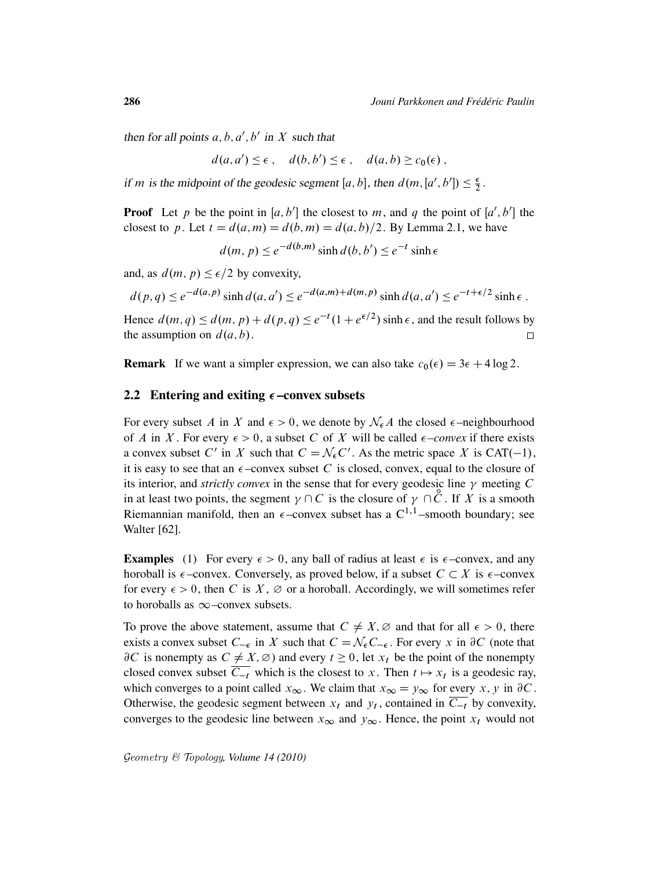then for all points  $a, b, a', b'$  in X such that

$$
d(a,a') \leq \epsilon \,, \quad d(b,b') \leq \epsilon \,, \quad d(a,b) \geq c_0(\epsilon) \,,
$$

if *m* is the midpoint of the geodesic segment [a, b], then  $d(m, [a', b']) \leq \frac{\epsilon}{2}$  $\frac{\epsilon}{2}$ .

**Proof** Let p be the point in [a, b'] the closest to m, and q the point of [a', b'] the closest to p. Let  $t = d(a, m) = d(b, m) = d(a, b)/2$ . By Lemma 2.1, we have

 $d(m, p) \leq e^{-d(b,m)} \sinh d(b, b') \leq e^{-t} \sinh e$ 

and, as  $d(m, p) \leq \epsilon/2$  by convexity,

$$
d(p,q) \le e^{-d(a,p)} \sinh d(a,a') \le e^{-d(a,m)+d(m,p)} \sinh d(a,a') \le e^{-t+\epsilon/2} \sinh \epsilon
$$
.

Hence  $d(m, q) \leq d(m, p) + d(p, q) \leq e^{-t}(1 + e^{\epsilon/2}) \sinh \epsilon$ , and the result follows by the assumption on  $d(a, b)$ .  $\Box$ 

**Remark** If we want a simpler expression, we can also take  $c_0(\epsilon) = 3\epsilon + 4 \log 2$ .

#### 2.2 Entering and exiting  $\epsilon$  –convex subsets

For every subset A in X and  $\epsilon > 0$ , we denote by  $\mathcal{N}_{\epsilon}A$  the closed  $\epsilon$ -neighbourhood of A in X. For every  $\epsilon > 0$ , a subset C of X will be called  $\epsilon$ -convex if there exists a convex subset C' in X such that  $C = \mathcal{N}_{\epsilon} C'$ . As the metric space X is CAT(-1), it is easy to see that an  $\epsilon$ -convex subset C is closed, convex, equal to the closure of its interior, and *strictly convex* in the sense that for every geodesic line  $\gamma$  meeting C in at least two points, the segment  $\gamma \cap C$  is the closure of  $\gamma \cap C$ . If X is a smooth Riemannian manifold, then an  $\epsilon$ -convex subset has a  $C^{1,1}$ -smooth boundary; see Walter [62].

**Examples** (1) For every  $\epsilon > 0$ , any ball of radius at least  $\epsilon$  is  $\epsilon$ -convex, and any horoball is  $\epsilon$ -convex. Conversely, as proved below, if a subset  $C \subset X$  is  $\epsilon$ -convex for every  $\epsilon > 0$ , then C is X,  $\varnothing$  or a horoball. Accordingly, we will sometimes refer to horoballs as  $\infty$ –convex subsets.

To prove the above statement, assume that  $C \neq X, \emptyset$  and that for all  $\epsilon > 0$ , there exists a convex subset  $C_{-\epsilon}$  in X such that  $C = \mathcal{N}_{\epsilon} C_{-\epsilon}$ . For every x in  $\partial C$  (note that  $\partial C$  is nonempty as  $C \neq X, \emptyset$  and every  $t \geq 0$ , let  $x_t$  be the point of the nonempty closed convex subset  $\overline{C_{-t}}$  which is the closest to x. Then  $t \mapsto x_t$  is a geodesic ray, which converges to a point called  $x_{\infty}$ . We claim that  $x_{\infty} = y_{\infty}$  for every x, y in  $\partial C$ . Otherwise, the geodesic segment between  $x_t$  and  $y_t$ , contained in  $C_{-t}$  by convexity, converges to the geodesic line between  $x_{\infty}$  and  $y_{\infty}$ . Hence, the point  $x_t$  would not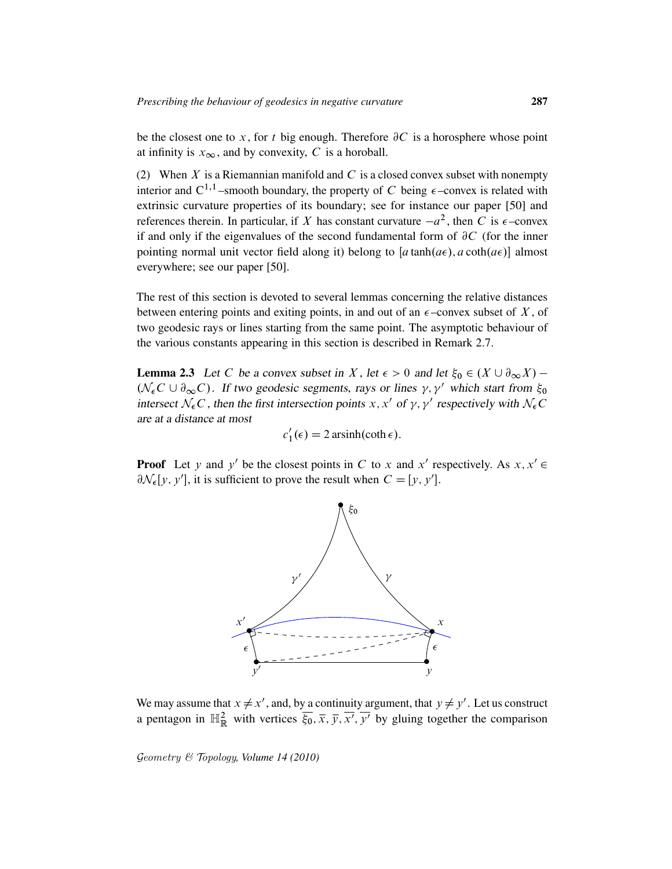be the closest one to x, for t big enough. Therefore  $\partial C$  is a horosphere whose point at infinity is  $x_{\infty}$ , and by convexity, C is a horoball.

(2) When X is a Riemannian manifold and C is a closed convex subset with nonempty interior and  $C^{1,1}$ -smooth boundary, the property of C being  $\epsilon$ -convex is related with extrinsic curvature properties of its boundary; see for instance our paper [50] and references therein. In particular, if X has constant curvature  $-a^2$ , then C is  $\epsilon$ -convex if and only if the eigenvalues of the second fundamental form of  $\partial C$  (for the inner pointing normal unit vector field along it) belong to [ $a \tanh(a\epsilon)$ ,  $a \coth(a\epsilon)$ ] almost everywhere; see our paper [50].

The rest of this section is devoted to several lemmas concerning the relative distances between entering points and exiting points, in and out of an  $\epsilon$ -convex subset of X, of two geodesic rays or lines starting from the same point. The asymptotic behaviour of the various constants appearing in this section is described in Remark 2.7.

**Lemma 2.3** Let C be a convex subset in X, let  $\epsilon > 0$  and let  $\xi_0 \in (X \cup \partial_{\infty} X)$  –  $(\mathcal{N}_{\epsilon}C \cup \partial_{\infty}C)$ . If two geodesic segments, rays or lines  $\gamma$ ,  $\gamma'$  which start from  $\xi_0$ intersect  $\mathcal{N}_{\epsilon}C$ , then the first intersection points x, x' of  $\gamma$ ,  $\gamma'$  respectively with  $\mathcal{N}_{\epsilon}C$ are at a distance at most

$$
c_1'(\epsilon) = 2 \operatorname{arsinh}(\coth \epsilon).
$$

**Proof** Let y and y' be the closest points in C to x and x' respectively. As  $x, x' \in$  $\partial \mathcal{N}_{\epsilon}[y, y']$ , it is sufficient to prove the result when  $C = [y, y']$ .



We may assume that  $x \neq x'$ , and, by a continuity argument, that  $y \neq y'$ . Let us construct a pentagon in  $\mathbb{H}^2_{\mathbb{R}}$  with vertices  $\overline{\xi_0}, \overline{x}, \overline{y}, \overline{x'}, \overline{y'}$  by gluing together the comparison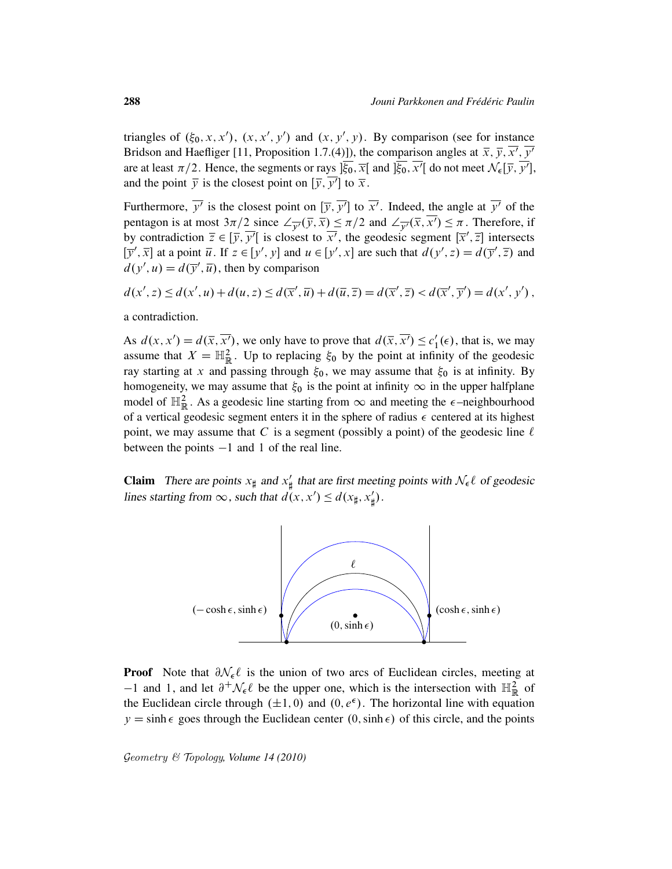triangles of  $(\xi_0, x, x')$ ,  $(x, x', y')$  and  $(x, y', y)$ . By comparison (see for instance Bridson and Haefliger [11, Proposition 1.7.(4)]), the comparison angles at  $\bar{x}, \bar{y}, \bar{x'}, \bar{y'}$ are at least  $\pi/2$ . Hence, the segments or rays  $\overline{\xi_0}$ ,  $\overline{x}$  and  $\overline{\xi_0}$ ,  $\overline{x'}$  do not meet  $\mathcal{N}_{\epsilon}[\overline{y}, \overline{y'}]$ , and the point  $\overline{y}$  is the closest point on  $[\overline{y}, \overline{y'}]$  to  $\overline{x}$ .

Furthermore,  $\overline{y'}$  is the closest point on  $[\overline{y}, \overline{y'}]$  to  $\overline{x'}$ . Indeed, the angle at  $\overline{y'}$  of the pentagon is at most  $3\pi/2$  since  $\angle_{\overline{y'}}(\overline{y}, \overline{x}) \leq \pi/2$  and  $\angle_{\overline{y'}}(\overline{x}, \overline{x'}) \leq \pi$ . Therefore, if by contradiction  $\overline{z} \in [\overline{y}, \overline{y'}]$  is closest to  $\overline{x'}$ , the geodesic segment  $[\overline{x}', \overline{z}]$  intersects  $[\overline{y}', \overline{x}]$  at a point  $\overline{u}$ . If  $z \in [y', y]$  and  $u \in [y', x]$  are such that  $d(y', z) = d(\overline{y}', \overline{z})$  and  $d(y', u) = d(\overline{y}', \overline{u})$ , then by comparison

$$
d(x', z) \le d(x', u) + d(u, z) \le d(\overline{x}', \overline{u}) + d(\overline{u}, \overline{z}) = d(\overline{x}', \overline{z}) < d(\overline{x}', \overline{y}') = d(x', y'),
$$

a contradiction.

As  $d(x, x') = d(\overline{x}, \overline{x'})$ , we only have to prove that  $d(\overline{x}, \overline{x'}) \leq c_1'$  $l_1'(\epsilon)$ , that is, we may assume that  $X = \mathbb{H}^2_{\mathbb{R}}$ . Up to replacing  $\xi_0$  by the point at infinity of the geodesic ray starting at x and passing through  $\xi_0$ , we may assume that  $\xi_0$  is at infinity. By homogeneity, we may assume that  $\xi_0$  is the point at infinity  $\infty$  in the upper halfplane model of  $\mathbb{H}^2_{\mathbb{R}}$ . As a geodesic line starting from  $\infty$  and meeting the  $\epsilon$ -neighbourhood of a vertical geodesic segment enters it in the sphere of radius  $\epsilon$  centered at its highest point, we may assume that C is a segment (possibly a point) of the geodesic line  $\ell$ between the points  $-1$  and 1 of the real line.

**Claim** There are points  $x_{\sharp}$  and  $x'_{\sharp}$  $\frac{1}{\#}$  that are first meeting points with  $\mathcal{N}_{\epsilon} \ell$  of geodesic lines starting from  $\infty$ , such that  $d(x, x') \leq d(x_{\sharp}, x'_{\sharp})$ ] /.



**Proof** Note that  $\partial \mathcal{N}_{\epsilon} \ell$  is the union of two arcs of Euclidean circles, meeting at  $-1$  and 1, and let  $\partial^+ \mathcal{N}_\epsilon \ell$  be the upper one, which is the intersection with  $\mathbb{H}^2_{\mathbb{R}}$  of the Euclidean circle through  $(\pm 1, 0)$  and  $(0, e^{\epsilon})$ . The horizontal line with equation  $y = \sinh \epsilon$  goes through the Euclidean center  $(0, \sinh \epsilon)$  of this circle, and the points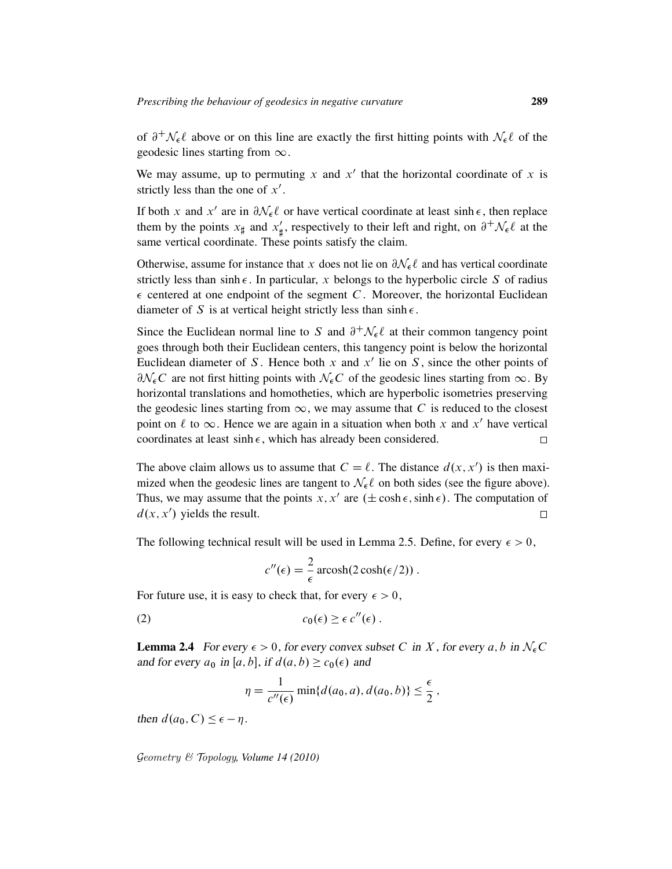of  $\partial^+ \mathcal{N}_\epsilon \ell$  above or on this line are exactly the first hitting points with  $\mathcal{N}_\epsilon \ell$  of the geodesic lines starting from  $\infty$ .

We may assume, up to permuting x and  $x'$  that the horizontal coordinate of x is strictly less than the one of  $x'$ .

If both x and x' are in  $\partial \mathcal{N}_{\epsilon} \ell$  or have vertical coordinate at least sinh  $\epsilon$ , then replace them by the points  $x_{\sharp}$  and  $x'_{\sharp}$  $\psi_{\sharp}$ , respectively to their left and right, on  $\partial^{+} \mathcal{N}_{\epsilon} \ell$  at the same vertical coordinate. These points satisfy the claim.

Otherwise, assume for instance that x does not lie on  $\partial \mathcal{N}_{\epsilon}\ell$  and has vertical coordinate strictly less than sinh  $\epsilon$ . In particular, x belongs to the hyperbolic circle S of radius  $\epsilon$  centered at one endpoint of the segment C. Moreover, the horizontal Euclidean diameter of S is at vertical height strictly less than  $sinh \epsilon$ .

Since the Euclidean normal line to S and  $\partial^+ \mathcal{N}_\epsilon \ell$  at their common tangency point goes through both their Euclidean centers, this tangency point is below the horizontal Euclidean diameter of S. Hence both x and  $x'$  lie on S, since the other points of  $\partial \mathcal{N}_{\epsilon} C$  are not first hitting points with  $\mathcal{N}_{\epsilon} C$  of the geodesic lines starting from  $\infty$ . By horizontal translations and homotheties, which are hyperbolic isometries preserving the geodesic lines starting from  $\infty$ , we may assume that C is reduced to the closest point on  $\ell$  to  $\infty$ . Hence we are again in a situation when both x and x' have vertical coordinates at least sinh  $\epsilon$ , which has already been considered.  $\Box$ 

The above claim allows us to assume that  $C = \ell$ . The distance  $d(x, x')$  is then maximized when the geodesic lines are tangent to  $\mathcal{N}_{\epsilon} \ell$  on both sides (see the figure above). Thus, we may assume that the points  $x, x'$  are  $(\pm \cosh \epsilon, \sinh \epsilon)$ . The computation of  $d(x, x')$  yields the result.  $\Box$ 

The following technical result will be used in Lemma 2.5. Define, for every  $\epsilon > 0$ ,

$$
c''(\epsilon) = \frac{2}{\epsilon} \operatorname{arcosh}(2 \cosh(\epsilon/2)) .
$$

For future use, it is easy to check that, for every  $\epsilon > 0$ ,

(2) 
$$
c_0(\epsilon) \geq \epsilon c''(\epsilon).
$$

**Lemma 2.4** For every  $\epsilon > 0$ , for every convex subset C in X, for every a, b in  $\mathcal{N}_{\epsilon}C$ and for every  $a_0$  in [a, b], if  $d(a, b) \ge c_0(\epsilon)$  and

$$
\eta = \frac{1}{c''(\epsilon)} \min\{d(a_0, a), d(a_0, b)\} \le \frac{\epsilon}{2},
$$

then  $d(a_0, C) \leq \epsilon - \eta$ .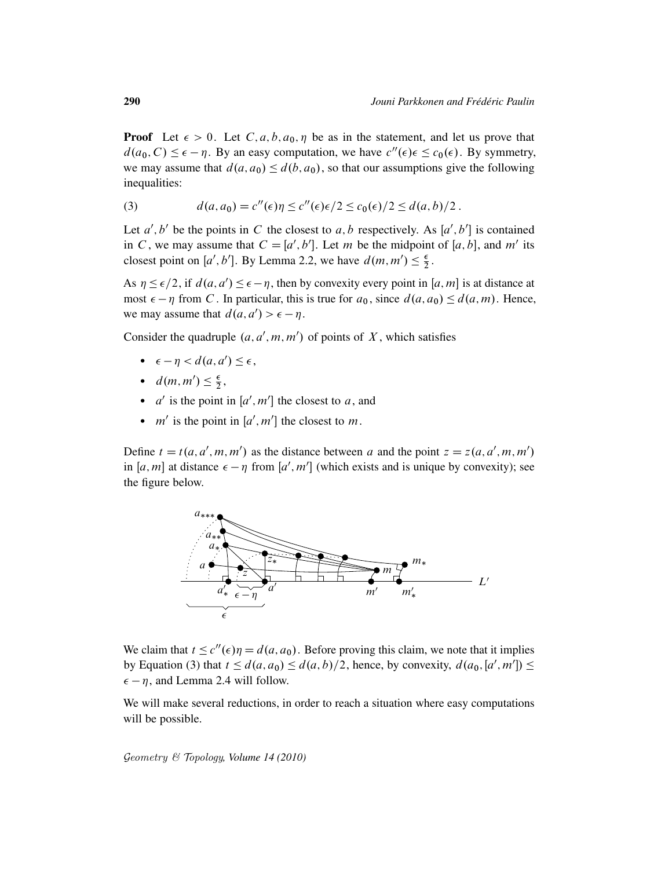**Proof** Let  $\epsilon > 0$ . Let  $C, a, b, a_0, \eta$  be as in the statement, and let us prove that  $d(a_0, C) \leq \epsilon - \eta$ . By an easy computation, we have  $c''(\epsilon) \epsilon \leq c_0(\epsilon)$ . By symmetry, we may assume that  $d(a, a_0) \leq d(b, a_0)$ , so that our assumptions give the following inequalities:

(3) 
$$
d(a, a_0) = c''(\epsilon)\eta \le c''(\epsilon)\epsilon/2 \le c_0(\epsilon)/2 \le d(a, b)/2.
$$

Let  $a', b'$  be the points in C the closest to a, b respectively. As  $[a', b']$  is contained in C, we may assume that  $C = [a', b']$ . Let m be the midpoint of [a, b], and m' its closest point on [a', b']. By Lemma 2.2, we have  $d(m, m') \leq \frac{\epsilon}{2}$  $\frac{\epsilon}{2}$ .

As  $\eta \leq \epsilon/2$ , if  $d(a, a') \leq \epsilon - \eta$ , then by convexity every point in [a, m] is at distance at most  $\epsilon - \eta$  from C. In particular, this is true for  $a_0$ , since  $d(a, a_0) \leq d(a, m)$ . Hence, we may assume that  $d(a, a') > \epsilon - \eta$ .

Consider the quadruple  $(a, a', m, m')$  of points of X, which satisfies

- $\epsilon \eta < d(a, a') \leq \epsilon$ ,
- $d(m, m') \leq \frac{\epsilon}{2}$  $\frac{\epsilon}{2}$ ,
- $a'$  is the point in  $[a', m']$  the closest to a, and
- $m'$  is the point in [a', m'] the closest to m.

Define  $t = t(a, a', m, m')$  as the distance between a and the point  $z = z(a, a', m, m')$ in [a, m] at distance  $\epsilon - \eta$  from [a', m'] (which exists and is unique by convexity); see the figure below.



We claim that  $t \leq c''(\epsilon)\eta = d(a, a_0)$ . Before proving this claim, we note that it implies by Equation (3) that  $t \leq d(a, a_0) \leq d(a, b)/2$ , hence, by convexity,  $d(a_0, [a', m']) \leq$  $\epsilon - \eta$ , and Lemma 2.4 will follow.

We will make several reductions, in order to reach a situation where easy computations will be possible.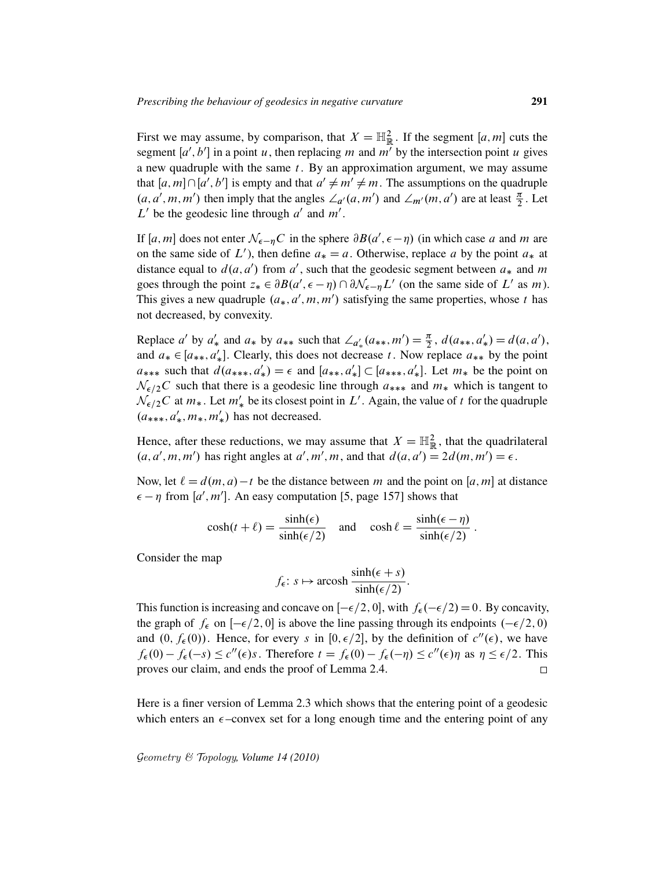First we may assume, by comparison, that  $X = \mathbb{H}^2_{\mathbb{R}}$ . If the segment  $[a, m]$  cuts the segment  $[a', b']$  in a point u, then replacing m and  $m'$  by the intersection point u gives a new quadruple with the same  $t$ . By an approximation argument, we may assume that  $[a, m] \cap [a', b']$  is empty and that  $a' \neq m' \neq m$ . The assumptions on the quadruple  $(a, a', m, m')$  then imply that the angles  $\angle_{a'}(a, m')$  and  $\angle_{m'}(m, a')$  are at least  $\frac{\pi}{2}$ . Let  $L'$  be the geodesic line through  $a'$  and  $m'$ .

If [a, m] does not enter  $\mathcal{N}_{\epsilon-\eta}C$  in the sphere  $\partial B(a', \epsilon-\eta)$  (in which case a and m are on the same side of  $L'$ ), then define  $a_* = a$ . Otherwise, replace a by the point  $a_*$  at distance equal to  $d(a, a')$  from a', such that the geodesic segment between  $a_*$  and m goes through the point  $z_* \in \partial B(a', \epsilon - \eta) \cap \partial \mathcal{N}_{\epsilon - \eta} L'$  (on the same side of L' as m). This gives a new quadruple  $(a_*, a', m, m')$  satisfying the same properties, whose t has not decreased, by convexity.

Replace *a'* by  $a'_*$  and  $a_*$  by  $a_{**}$  such that  $\angle_{a'_*}(a_{**}, m') = \frac{\pi}{2}$ ,  $d(a_{**}, a'_*) = d(a, a')$ , and  $a_* \in [a_{**}, a'_*]$ . Clearly, this does not decrease t. Now replace  $a_{**}$  by the point  $a_{***}$  such that  $d(a_{***}, a'_{*}) = \epsilon$  and  $[a_{**}, a'_{*}] \subset [a_{***}, a'_{*}]$ . Let  $m_{*}$  be the point on  $\mathcal{N}_{\epsilon/2}C$  such that there is a geodesic line through  $a_{***}$  and  $m_{*}$  which is tangent to  $\mathcal{N}_{\epsilon/2}C$  at  $m_*$ . Let  $m'_*$  be its closest point in  $L'$ . Again, the value of t for the quadruple  $(a_{***}, a'_{*}, m_{*}, m'_{*})$  has not decreased.

Hence, after these reductions, we may assume that  $X = \mathbb{H}^2_{\mathbb{R}}$ , that the quadrilateral  $(a, a', m, m')$  has right angles at  $a', m', m$ , and that  $d(a, a') = 2d(m, m') = \epsilon$ .

Now, let  $\ell = d(m, a) - t$  be the distance between m and the point on [a, m] at distance  $\epsilon - \eta$  from [a', m']. An easy computation [5, page 157] shows that

$$
\cosh(t+\ell) = \frac{\sinh(\epsilon)}{\sinh(\epsilon/2)} \quad \text{and} \quad \cosh\ell = \frac{\sinh(\epsilon-\eta)}{\sinh(\epsilon/2)} \, .
$$

Consider the map

$$
f_{\epsilon}: s \mapsto \operatorname{arcosh} \frac{\sinh(\epsilon + s)}{\sinh(\epsilon/2)}
$$
.

This function is increasing and concave on  $[-\epsilon/2, 0]$ , with  $f_{\epsilon}(-\epsilon/2) = 0$ . By concavity, the graph of  $f_{\epsilon}$  on  $[-\epsilon/2, 0]$  is above the line passing through its endpoints  $(-\epsilon/2, 0)$ and  $(0, f_{\epsilon}(0))$ . Hence, for every s in  $[0, \epsilon/2]$ , by the definition of  $c''(\epsilon)$ , we have  $f_{\epsilon}(0) - f_{\epsilon}(-s) \leq c''(\epsilon)s$ . Therefore  $t = f_{\epsilon}(0) - f_{\epsilon}(-\eta) \leq c''(\epsilon)\eta$  as  $\eta \leq \epsilon/2$ . This proves our claim, and ends the proof of Lemma 2.4.  $\Box$ 

Here is a finer version of Lemma 2.3 which shows that the entering point of a geodesic which enters an  $\epsilon$ -convex set for a long enough time and the entering point of any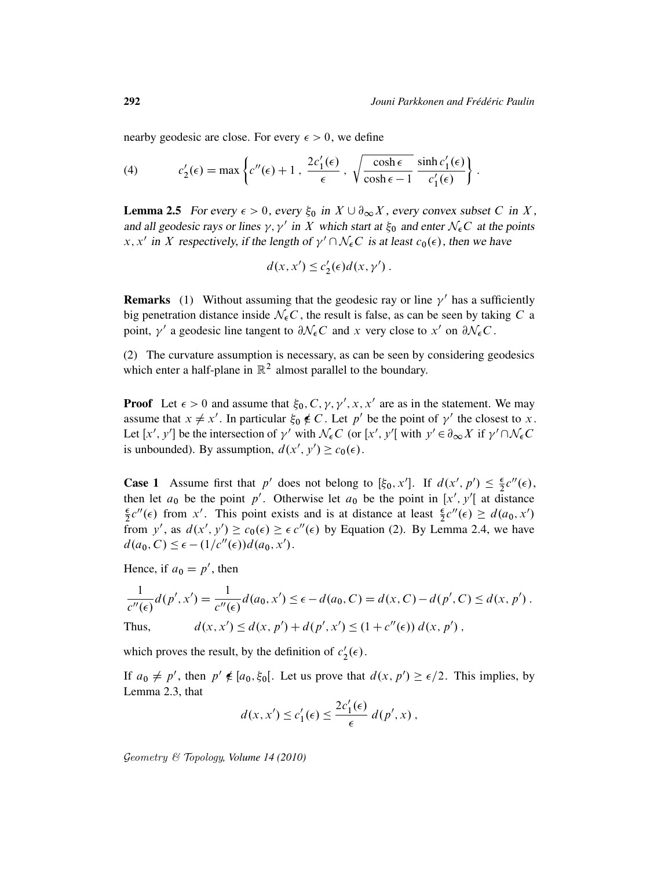nearby geodesic are close. For every  $\epsilon > 0$ , we define

(4) 
$$
c'_2(\epsilon) = \max \left\{ c''(\epsilon) + 1, \frac{2c'_1(\epsilon)}{\epsilon}, \sqrt{\frac{\cosh \epsilon}{\cosh \epsilon - 1}} \frac{\sinh c'_1(\epsilon)}{c'_1(\epsilon)} \right\}.
$$

**Lemma 2.5** For every  $\epsilon > 0$ , every  $\xi_0$  in  $X \cup \partial_\infty X$ , every convex subset C in X, and all geodesic rays or lines  $\gamma$ ,  $\gamma'$  in X which start at  $\xi_0$  and enter  $\mathcal{N}_{\epsilon}C$  at the points x, x' in X respectively, if the length of  $\gamma' \cap \mathcal{N}_{\epsilon}C$  is at least  $c_0(\epsilon)$ , then we have

$$
d(x, x') \le c_2'(\epsilon) d(x, \gamma').
$$

**Remarks** (1) Without assuming that the geodesic ray or line  $\gamma'$  has a sufficiently big penetration distance inside  $N_{\epsilon}C$ , the result is false, as can be seen by taking C a point,  $\gamma'$  a geodesic line tangent to  $\partial \mathcal{N}_{\epsilon} C$  and x very close to x' on  $\partial \mathcal{N}_{\epsilon} C$ .

(2) The curvature assumption is necessary, as can be seen by considering geodesics which enter a half-plane in  $\mathbb{R}^2$  almost parallel to the boundary.

**Proof** Let  $\epsilon > 0$  and assume that  $\xi_0$ , C,  $\gamma$ ,  $\gamma'$ , x, x' are as in the statement. We may assume that  $x \neq x'$ . In particular  $\xi_0 \notin C$ . Let p' be the point of  $\gamma'$  the closest to x. Let  $[x', y']$  be the intersection of  $\gamma'$  with  $\mathcal{N}_{\epsilon}C$  (or  $[x', y']$  with  $y' \in \partial_{\infty} X$  if  $\gamma' \cap \mathcal{N}_{\epsilon}C$ is unbounded). By assumption,  $d(x', y') \geq c_0(\epsilon)$ .

**Case 1** Assume first that p' does not belong to  $[\xi_0, x']$ . If  $d(x', p') \leq \frac{\epsilon}{2}$  $\frac{\epsilon}{2}c''(\epsilon),$ then let  $a_0$  be the point p'. Otherwise let  $a_0$  be the point in [x', y'[ at distance  $\epsilon$  $\frac{\epsilon}{2}c''(\epsilon)$  from x'. This point exists and is at distance at least  $\frac{\epsilon}{2}c''(\epsilon) \geq d(a_0, x')$ from y', as  $d(x', y') \geq c_0(\epsilon) \geq \epsilon c''(\epsilon)$  by Equation (2). By Lemma 2.4, we have  $d(a_0, C) \leq \epsilon - (1/c''(\epsilon))d(a_0, x').$ 

Hence, if  $a_0 = p'$ , then

$$
\frac{1}{c''(\epsilon)}d(p',x') = \frac{1}{c''(\epsilon)}d(a_0,x') \le \epsilon - d(a_0,C) = d(x,C) - d(p',C) \le d(x,p').
$$
  
Thus, 
$$
d(x,x') \le d(x,p') + d(p',x') \le (1+c''(\epsilon)) d(x,p'),
$$

which proves the result, by the definition of  $c_2$  $2'(\epsilon)$ .

If  $a_0 \neq p'$ , then  $p' \notin [a_0, \xi_0]$ . Let us prove that  $d(x, p') \geq \epsilon/2$ . This implies, by Lemma 2.3, that

$$
d(x, x') \le c'_1(\epsilon) \le \frac{2c'_1(\epsilon)}{\epsilon} d(p', x) ,
$$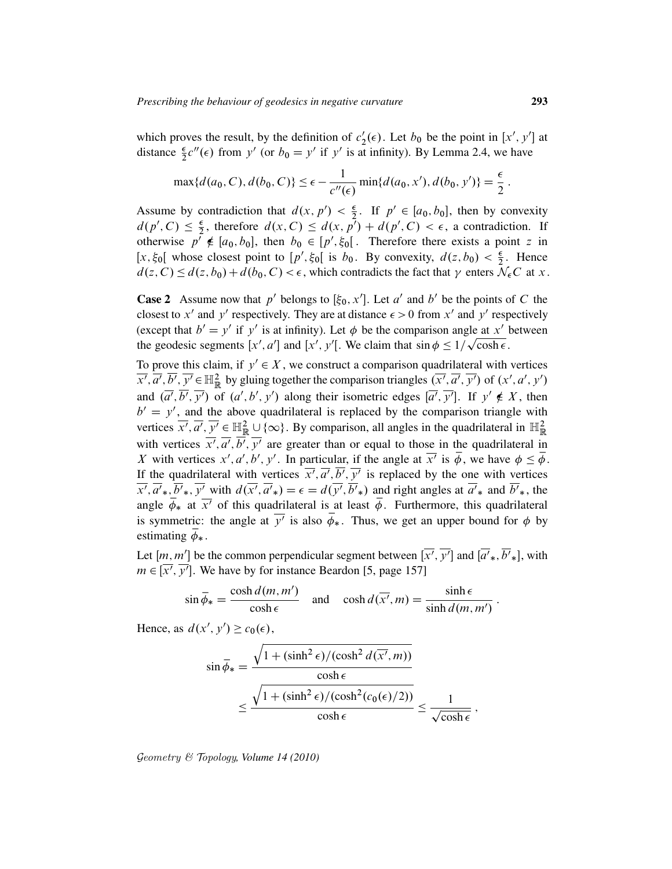which proves the result, by the definition of  $c_2$  $y_2'(\epsilon)$ . Let  $b_0$  be the point in [x', y'] at distance  $\frac{\epsilon}{2}c''(\epsilon)$  from y' (or  $b_0 = y'$  if y' is at infinity). By Lemma 2.4, we have

$$
\max\{d(a_0, C), d(b_0, C)\} \le \epsilon - \frac{1}{c''(\epsilon)} \min\{d(a_0, x'), d(b_0, y')\} = \frac{\epsilon}{2}.
$$

Assume by contradiction that  $d(x, p') < \frac{\epsilon}{2}$ . If  $p' \in [a_0, b_0]$ , then by convexity  $d(p', C) \leq \frac{\epsilon}{2}$  $\frac{\epsilon}{2}$ , therefore  $d(x, C) \leq d(x, p') + d(p', C) < \epsilon$ , a contradiction. If otherwise  $p^{\prime} \notin [a_0, b_0]$ , then  $b_0 \in [p', \xi_0]$ . Therefore there exists a point z in [x,  $\xi_0$ [ whose closest point to  $[p', \xi_0]$  is  $b_0$ . By convexity,  $d(z, b_0) < \frac{\epsilon}{2}$ . Hence  $d(z, C) \leq d(z, b_0) + d(b_0, C) < \epsilon$ , which contradicts the fact that  $\gamma$  enters  $\mathcal{N}_{\epsilon}C$  at x.

**Case 2** Assume now that p' belongs to  $[\xi_0, x']$ . Let a' and b' be the points of C the closest to x' and y' respectively. They are at distance  $\epsilon > 0$  from x' and y' respectively (except that  $b' = y'$  if y' is at infinity). Let  $\phi$  be the comparison angle at x' between the geodesic segments  $[x', a']$  and  $[x', y']$ . We claim that  $\sin \phi \leq 1/\sqrt{\cosh \epsilon}$ .

To prove this claim, if  $y' \in X$ , we construct a comparison quadrilateral with vertices  $\overline{x'}, \overline{a'}, \overline{b'}, \overline{y'} \in \mathbb{H}_{\mathbb{R}}^2$  by gluing together the comparison triangles  $(\overline{x'}, \overline{a'}, \overline{y'})$  of  $(x', a', y')$ and  $(\overline{a'}, \overline{b'}, \overline{y'})$  of  $(a', b', y')$  along their isometric edges  $[\overline{a'}, \overline{y'}]$ . If  $y' \notin X$ , then  $b' = y'$ , and the above quadrilateral is replaced by the comparison triangle with vertices  $\overline{x'}, \overline{a'}, \overline{y'} \in \mathbb{H}_{\mathbb{R}}^2 \cup {\infty}$ . By comparison, all angles in the quadrilateral in  $\mathbb{H}_{\mathbb{R}}^2$ with vertices  $\overline{x'}, \overline{a'}, \overline{b'}, \overline{y'}$  are greater than or equal to those in the quadrilateral in X with vertices  $x', a', b', y'$ . In particular, if the angle at  $\overline{x'}$  is  $\overline{\phi}$ , we have  $\phi \leq \overline{\phi}$ . If the quadrilateral with vertices  $\overline{x'}$ ,  $\overline{a'}$ ,  $\overline{b'}$ ,  $\overline{y'}$  is replaced by the one with vertices  $\overline{x'}, \overline{a'}_*, \overline{b'}_*, \overline{y'}$  with  $d(\overline{x'}, \overline{a'}_*) = \epsilon = d(\overline{y'}, \overline{b'}_*)$  and right angles at  $\overline{a'}_*$  and  $\overline{b'}_*$ , the angle  $\overline{\phi}_*$  at  $\overline{x'}$  of this quadrilateral is at least  $\overline{\phi}$ . Furthermore, this quadrilateral is symmetric: the angle at  $\overline{y'}$  is also  $\overline{\phi}_*$ . Thus, we get an upper bound for  $\phi$  by estimating  $\bar{\phi}_*$ .

Let  $[m, m']$  be the common perpendicular segment between  $\overline{[x', y']}$  and  $\overline{[a', b', k]}$ , with  $m \in [\overline{x'}, \overline{y'}]$ . We have by for instance Beardon [5, page 157]

$$
\sin \overline{\phi}_* = \frac{\cosh d(m, m')}{\cosh \epsilon} \quad \text{and} \quad \cosh d(\overline{x'}, m) = \frac{\sinh \epsilon}{\sinh d(m, m')} \, .
$$

Hence, as  $d(x', y') \geq c_0(\epsilon)$ ,

$$
\sin \overline{\phi}_* = \frac{\sqrt{1 + (\sinh^2 \epsilon) / (\cosh^2 d(\overline{x'}, m))}}{\cosh \epsilon}
$$

$$
\leq \frac{\sqrt{1 + (\sinh^2 \epsilon) / (\cosh^2(c_0(\epsilon)/2))}}{\cosh \epsilon} \leq \frac{1}{\sqrt{\cosh \epsilon}},
$$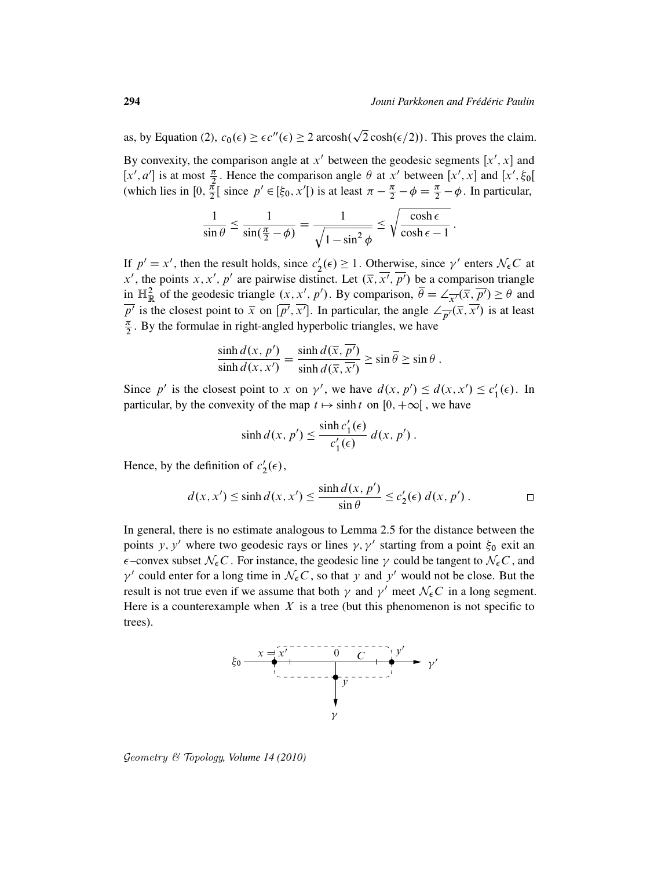as, by Equation (2),  $c_0(\epsilon) \ge \epsilon c''(\epsilon) \ge 2 \arosh(\sqrt{2} \cosh(\epsilon/2))$ . This proves the claim.

p

By convexity, the comparison angle at  $x'$  between the geodesic segments  $[x', x]$  and [x', a'] is at most  $\frac{\pi}{2}$ . Hence the comparison angle  $\theta$  at x' between [x', x] and [x',  $\xi_0$ [ (which lies in  $[0, \frac{\pi}{2}]$  $\frac{\pi}{2}$ [ since  $p' \in [\xi_0, x']$  is at least  $\pi - \frac{\pi}{2} - \phi = \frac{\pi}{2} - \phi$ . In particular,

$$
\frac{1}{\sin \theta} \le \frac{1}{\sin(\frac{\pi}{2} - \phi)} = \frac{1}{\sqrt{1 - \sin^2 \phi}} \le \sqrt{\frac{\cosh \epsilon}{\cosh \epsilon - 1}}.
$$

If  $p' = x'$ , then the result holds, since  $c'_2$  $\gamma_2'(\epsilon) \geq 1$ . Otherwise, since  $\gamma'$  enters  $\mathcal{N}_{\epsilon}C$  at x', the points x, x', p' are pairwise distinct. Let  $(\overline{x}, \overline{x'}, \overline{p'})$  be a comparison triangle in  $\mathbb{H}^2_{\mathbb{R}}$  of the geodesic triangle  $(x, x', p')$ . By comparison,  $\overline{\theta} = \angle_{\overline{x'}}(\overline{x}, \overline{p'}) \ge \theta$  and  $\overline{p'}$  is the closest point to  $\overline{x}$  on  $[\overline{p'}, \overline{x'}]$ . In particular, the angle  $\angle_{\overline{p'}}(\overline{x}, \overline{x'})$  is at least  $\pi$  $\frac{\pi}{2}$ . By the formulae in right-angled hyperbolic triangles, we have

$$
\frac{\sinh d(x, p')}{\sinh d(x, x')} = \frac{\sinh d(\overline{x}, \overline{p'})}{\sinh d(\overline{x}, \overline{x'})} \ge \sin \overline{\theta} \ge \sin \theta.
$$

Since p' is the closest point to x on  $\gamma'$ , we have  $d(x, p') \leq d(x, x') \leq c_1'$  $i_1'(\epsilon)$ . In particular, by the convexity of the map  $t \mapsto \sinh t$  on  $[0, +\infty[$ , we have

$$
\sinh d(x, p') \le \frac{\sinh c'_1(\epsilon)}{c'_1(\epsilon)} d(x, p').
$$

Hence, by the definition of  $c'_2$  $'_2(\epsilon),$ 

$$
d(x, x') \le \sinh d(x, x') \le \frac{\sinh d(x, p')}{\sin \theta} \le c'_2(\epsilon) d(x, p') . \qquad \Box
$$

In general, there is no estimate analogous to Lemma 2.5 for the distance between the points y, y' where two geodesic rays or lines  $\gamma$ ,  $\gamma'$  starting from a point  $\xi_0$  exit an  $\epsilon$ –convex subset  $\mathcal{N}_{\epsilon}C$ . For instance, the geodesic line  $\gamma$  could be tangent to  $\mathcal{N}_{\epsilon}C$ , and  $\gamma'$  could enter for a long time in  $\mathcal{N}_{\epsilon}C$ , so that y and y' would not be close. But the result is not true even if we assume that both  $\gamma$  and  $\gamma'$  meet  $\mathcal{N}_{\epsilon}C$  in a long segment. Here is a counterexample when  $X$  is a tree (but this phenomenon is not specific to trees).



Geometry & Topology*, Volume 14 (2010)*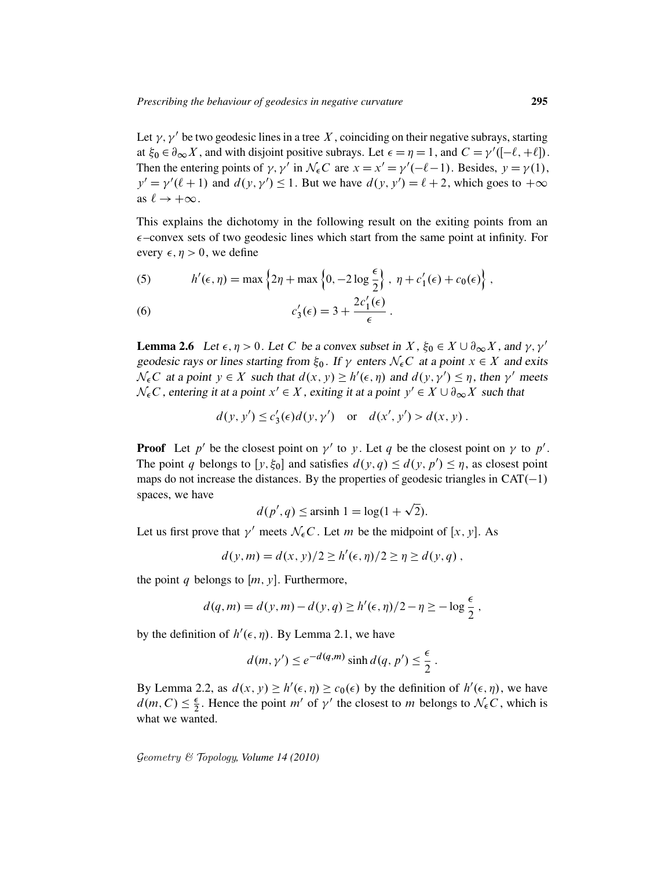Let  $\gamma$ ,  $\gamma'$  be two geodesic lines in a tree X, coinciding on their negative subrays, starting at  $\xi_0 \in \partial_{\infty} X$ , and with disjoint positive subrays. Let  $\epsilon = \eta = 1$ , and  $C = \gamma'([-\ell, +\ell])$ . Then the entering points of  $\gamma$ ,  $\gamma'$  in  $\mathcal{N}_{\epsilon}C$  are  $x = x' = \gamma'(-\ell - 1)$ . Besides,  $y = \gamma(1)$ ,  $y' = \gamma'(\ell+1)$  and  $d(y, \gamma') \le 1$ . But we have  $d(y, y') = \ell + 2$ , which goes to  $+\infty$ as  $\ell \to +\infty$ .

This explains the dichotomy in the following result on the exiting points from an  $\epsilon$ –convex sets of two geodesic lines which start from the same point at infinity. For every  $\epsilon$ ,  $\eta > 0$ , we define

(5) 
$$
h'(\epsilon, \eta) = \max \left\{ 2\eta + \max \left\{ 0, -2 \log \frac{\epsilon}{2} \right\}, \eta + c'_1(\epsilon) + c_0(\epsilon) \right\},
$$

(6) 
$$
c'_3(\epsilon) = 3 + \frac{2c'_1(\epsilon)}{\epsilon}.
$$

**Lemma 2.6** Let  $\epsilon, \eta > 0$ . Let C be a convex subset in X,  $\xi_0 \in X \cup \partial_{\infty} X$ , and  $\gamma, \gamma'$ geodesic rays or lines starting from  $\xi_0$ . If  $\gamma$  enters  $\mathcal{N}_{\epsilon}C$  at a point  $x \in X$  and exits  $\mathcal{N}_{\epsilon}C$  at a point  $y \in X$  such that  $d(x, y) \ge h'(\epsilon, \eta)$  and  $d(y, y') \le \eta$ , then  $\gamma'$  meets  $\mathcal{N}_{\epsilon}C$ , entering it at a point  $x' \in X$ , exiting it at a point  $y' \in X \cup \partial_{\infty}X$  such that

$$
d(y, y') \le c_3'(\epsilon) d(y, y') \quad \text{or} \quad d(x', y') > d(x, y) .
$$

**Proof** Let p' be the closest point on  $\gamma'$  to y. Let q be the closest point on  $\gamma$  to p'. The point q belongs to  $[y, \xi_0]$  and satisfies  $d(y, q) \le d(y, p') \le \eta$ , as closest point maps do not increase the distances. By the properties of geodesic triangles in  $CAT(-1)$ spaces, we have p

$$
d(p', q) \le \text{arsinh } 1 = \log(1 + \sqrt{2}).
$$

Let us first prove that  $\gamma'$  meets  $\mathcal{N}_{\epsilon}C$ . Let m be the midpoint of [x, y]. As

$$
d(y,m) = d(x, y)/2 \ge h'(\epsilon, \eta)/2 \ge \eta \ge d(y, q) ,
$$

the point q belongs to  $[m, y]$ . Furthermore,

$$
d(q,m) = d(y,m) - d(y,q) \ge h'(\epsilon, \eta)/2 - \eta \ge -\log \frac{\epsilon}{2},
$$

by the definition of  $h'(\epsilon, \eta)$ . By Lemma 2.1, we have

$$
d(m, \gamma') \le e^{-d(q,m)} \sinh d(q, p') \le \frac{\epsilon}{2}.
$$

By Lemma 2.2, as  $d(x, y) \ge h'(\epsilon, \eta) \ge c_0(\epsilon)$  by the definition of  $h'(\epsilon, \eta)$ , we have  $d(m, C) \leq \frac{\epsilon}{2}$  $\frac{\epsilon}{2}$ . Hence the point m' of  $\gamma'$  the closest to m belongs to  $\mathcal{N}_{\epsilon}C$ , which is what we wanted.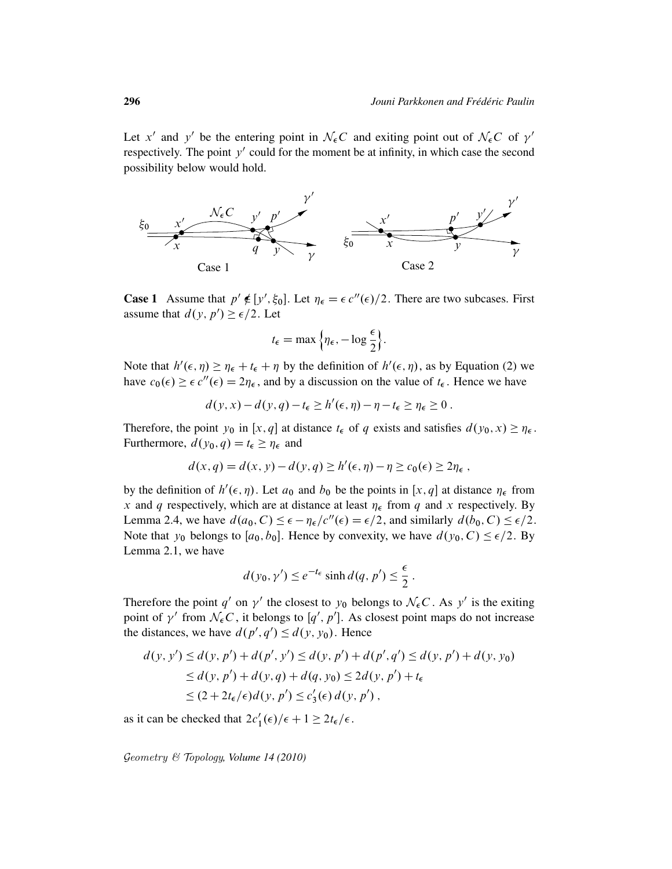Let x' and y' be the entering point in  $\mathcal{N}_{\epsilon}C$  and exiting point out of  $\mathcal{N}_{\epsilon}C$  of  $\gamma'$ respectively. The point  $y'$  could for the moment be at infinity, in which case the second possibility below would hold.



**Case 1** Assume that  $p' \notin [y', \xi_0]$ . Let  $\eta_{\epsilon} = \epsilon c''(\epsilon)/2$ . There are two subcases. First assume that  $d(y, p') \geq \epsilon/2$ . Let

$$
t_{\epsilon} = \max\left\{\eta_{\epsilon}, -\log\frac{\epsilon}{2}\right\}.
$$

Note that  $h'(\epsilon, \eta) \geq \eta_{\epsilon} + t_{\epsilon} + \eta$  by the definition of  $h'(\epsilon, \eta)$ , as by Equation (2) we have  $c_0(\epsilon) \geq \epsilon c''(\epsilon) = 2\eta_{\epsilon}$ , and by a discussion on the value of  $t_{\epsilon}$ . Hence we have

$$
d(y, x) - d(y, q) - t_{\epsilon} \ge h'(\epsilon, \eta) - \eta - t_{\epsilon} \ge \eta_{\epsilon} \ge 0.
$$

Therefore, the point  $y_0$  in  $[x, q]$  at distance  $t_{\epsilon}$  of q exists and satisfies  $d(y_0, x) \geq \eta_{\epsilon}$ . Furthermore,  $d(y_0, q) = t_{\epsilon} \ge \eta_{\epsilon}$  and

$$
d(x,q) = d(x,y) - d(y,q) \ge h'(\epsilon, \eta) - \eta \ge c_0(\epsilon) \ge 2\eta_{\epsilon},
$$

by the definition of  $h'(\epsilon, \eta)$ . Let  $a_0$  and  $b_0$  be the points in [x, q] at distance  $\eta_{\epsilon}$  from x and q respectively, which are at distance at least  $\eta_{\epsilon}$  from q and x respectively. By Lemma 2.4, we have  $d(a_0, C) \leq \epsilon - \eta_{\epsilon}/c''(\epsilon) = \epsilon/2$ , and similarly  $d(b_0, C) \leq \epsilon/2$ . Note that  $y_0$  belongs to  $[a_0, b_0]$ . Hence by convexity, we have  $d(y_0, C) \leq \epsilon/2$ . By Lemma 2.1, we have

$$
d(y_0, \gamma') \le e^{-t_{\epsilon}} \sinh d(q, p') \le \frac{\epsilon}{2}.
$$

Therefore the point q' on  $\gamma'$  the closest to  $y_0$  belongs to  $\mathcal{N}_{\epsilon}C$ . As y' is the exiting point of  $\gamma'$  from  $\mathcal{N}_{\epsilon}C$ , it belongs to [q', p']. As closest point maps do not increase the distances, we have  $d(p', q') \leq d(y, y_0)$ . Hence

$$
d(y, y') \le d(y, p') + d(p', y') \le d(y, p') + d(p', q') \le d(y, p') + d(y, y_0)
$$
  
\n
$$
\le d(y, p') + d(y, q) + d(q, y_0) \le 2d(y, p') + t_{\epsilon}
$$
  
\n
$$
\le (2 + 2t_{\epsilon}/\epsilon) d(y, p') \le c'_3(\epsilon) d(y, p'),
$$

as it can be checked that  $2c'_1(\epsilon)/\epsilon + 1 \ge 2t_{\epsilon}/\epsilon$ .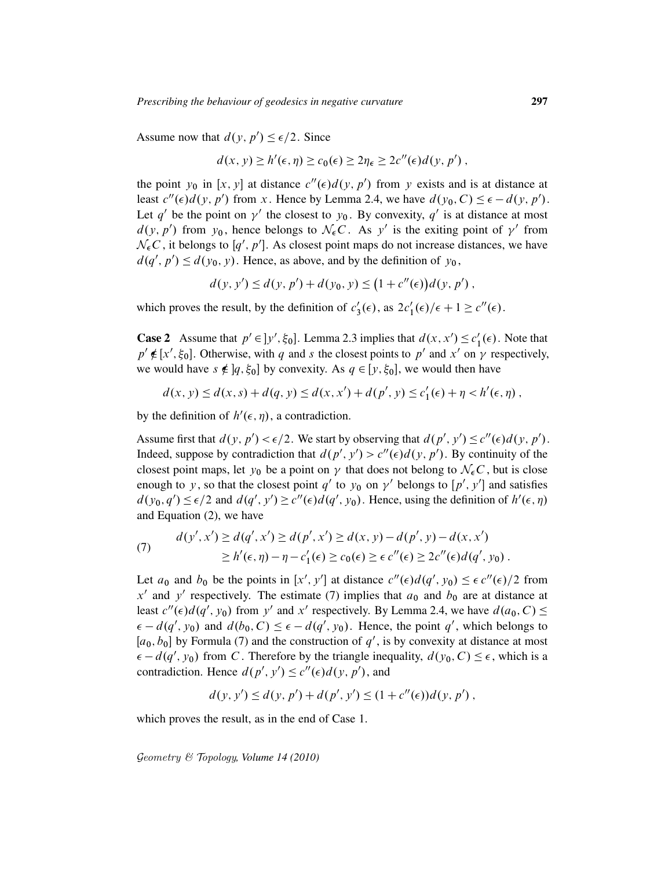Assume now that  $d(y, p') \leq \epsilon/2$ . Since

$$
d(x, y) \ge h'(\epsilon, \eta) \ge c_0(\epsilon) \ge 2\eta_{\epsilon} \ge 2c''(\epsilon) d(y, p'),
$$

the point  $y_0$  in [x, y] at distance  $c''(\epsilon)d(y, p')$  from y exists and is at distance at least  $c''(\epsilon)d(y, p')$  from x. Hence by Lemma 2.4, we have  $d(y_0, C) \leq \epsilon - d(y, p')$ . Let q' be the point on  $\gamma'$  the closest to  $y_0$ . By convexity, q' is at distance at most  $d(y, p')$  from  $y_0$ , hence belongs to  $\mathcal{N}_{\epsilon}C$ . As y' is the exiting point of  $\gamma'$  from  $\mathcal{N}_{\epsilon}C$ , it belongs to [q', p']. As closest point maps do not increase distances, we have  $d(q', p') \leq d(y_0, y)$ . Hence, as above, and by the definition of  $y_0$ ,

$$
d(y, y') \le d(y, p') + d(y_0, y) \le (1 + c''(\epsilon))d(y, p'),
$$

which proves the result, by the definition of  $c_3$  $2c'_1(\epsilon)$ , as  $2c'_1(\epsilon)/\epsilon + 1 \ge c''(\epsilon)$ .

**Case 2** Assume that  $p' \in ]y', \xi_0]$ . Lemma 2.3 implies that  $d(x, x') \leq c'_1$  $l_1'(\epsilon)$ . Note that  $p' \notin [x', \xi_0]$ . Otherwise, with q and s the closest points to p' and x' on  $\gamma$  respectively, we would have  $s \notin [q, \xi_0]$  by convexity. As  $q \in [y, \xi_0]$ , we would then have

$$
d(x, y) \le d(x, s) + d(q, y) \le d(x, x') + d(p', y) \le c'_1(\epsilon) + \eta < h'(\epsilon, \eta) \,,
$$

by the definition of  $h'(\epsilon, \eta)$ , a contradiction.

Assume first that  $d(y, p') < \epsilon/2$ . We start by observing that  $d(p', y') \leq c''(\epsilon) d(y, p')$ . Indeed, suppose by contradiction that  $d(p', y') > c''(\epsilon) d(y, p')$ . By continuity of the closest point maps, let  $y_0$  be a point on  $\gamma$  that does not belong to  $\mathcal{N}_{\epsilon}C$ , but is close enough to y, so that the closest point q' to y<sub>0</sub> on  $\gamma'$  belongs to [p', y'] and satisfies  $d(y_0, q') \leq \epsilon/2$  and  $d(q', y') \geq c''(\epsilon) d(q', y_0)$ . Hence, using the definition of  $h'(\epsilon, \eta)$ and Equation (2), we have

(7) 
$$
d(y', x') \ge d(q', x') \ge d(p', x') \ge d(x, y) - d(p', y) - d(x, x') \ge h'(\epsilon, \eta) - \eta - c'_1(\epsilon) \ge c_0(\epsilon) \ge \epsilon c''(\epsilon) \ge 2c''(\epsilon) d(q', y_0).
$$

Let  $a_0$  and  $b_0$  be the points in [x', y'] at distance  $c''(\epsilon)d(q', y_0) \leq \epsilon c''(\epsilon)/2$  from x' and y' respectively. The estimate (7) implies that  $a_0$  and  $b_0$  are at distance at least  $c''(\epsilon)d(q', y_0)$  from y' and x' respectively. By Lemma 2.4, we have  $d(a_0, C) \le$  $\epsilon - d(q', y_0)$  and  $d(b_0, C) \leq \epsilon - d(q', y_0)$ . Hence, the point q', which belongs to  $[a_0, b_0]$  by Formula (7) and the construction of  $q'$ , is by convexity at distance at most  $\epsilon - d(q', y_0)$  from C. Therefore by the triangle inequality,  $d(y_0, C) \leq \epsilon$ , which is a contradiction. Hence  $d(p', y') \leq c''(\epsilon) d(y, p')$ , and

$$
d(y, y') \le d(y, p') + d(p', y') \le (1 + c''(\epsilon))d(y, p'),
$$

which proves the result, as in the end of Case 1.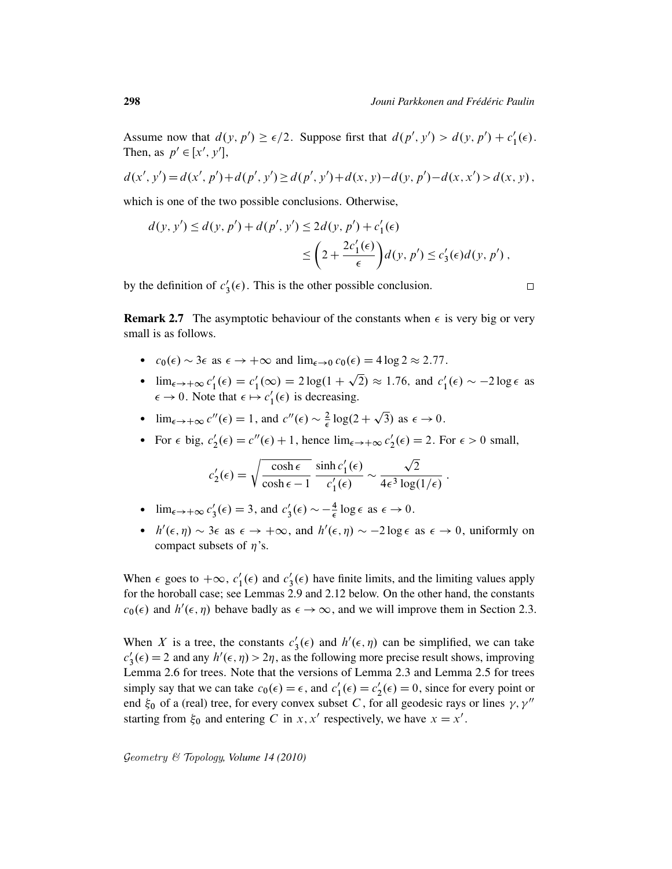Assume now that  $d(y, p') \ge \epsilon/2$ . Suppose first that  $d(p', y') > d(y, p') + c_1'$  $_1'(\epsilon)$ . Then, as  $p' \in [x', y']$ ,

$$
d(x', y') = d(x', p') + d(p', y') \ge d(p', y') + d(x, y) - d(y, p') - d(x, x') > d(x, y),
$$

which is one of the two possible conclusions. Otherwise,

$$
d(y, y') \le d(y, p') + d(p', y') \le 2d(y, p') + c'_1(\epsilon)
$$
  
\$\le \left(2 + \frac{2c'\_1(\epsilon)}{\epsilon}\right) d(y, p') \le c'\_3(\epsilon) d(y, p')\$,

by the definition of  $c_3$  $\zeta_3(\epsilon)$ . This is the other possible conclusion.

**Remark 2.7** The asymptotic behaviour of the constants when  $\epsilon$  is very big or very small is as follows.

- $c_0(\epsilon) \sim 3\epsilon$  as  $\epsilon \to +\infty$  and  $\lim_{\epsilon \to 0} c_0(\epsilon) = 4 \log 2 \approx 2.77$ .  $\ddot{\phantom{0}}$
- $\lim_{\epsilon \to +\infty} c_1'$  $i'_1(\epsilon) = c'_1$  $l'_1(\infty) = 2 \log(1 +$  $\overline{2}$ )  $\approx$  1.76, and  $c_1'$  $l'_1(\epsilon) \sim -2 \log \epsilon$  as  $\epsilon \to 0$ . Note that  $\epsilon \mapsto c_1'$  $'_{1}(\epsilon)$  is decreasing. p
- $\lim_{\epsilon \to +\infty} c''(\epsilon) = 1$ , and  $c''(\epsilon) \sim \frac{2}{\epsilon}$  $\frac{2}{\epsilon} \log(2 + \sqrt{3})$  as  $\epsilon \to 0$ .
- For  $\epsilon$  big,  $c'_2$  $2'_{2}(\epsilon) = c''(\epsilon) + 1$ , hence  $\lim_{\epsilon \to +\infty} c'_{2}$  $y_2'(\epsilon) = 2$ . For  $\epsilon > 0$  small,

$$
c'_2(\epsilon) = \sqrt{\frac{\cosh \epsilon}{\cosh \epsilon - 1}} \frac{\sinh c'_1(\epsilon)}{c'_1(\epsilon)} \sim \frac{\sqrt{2}}{4\epsilon^3 \log(1/\epsilon)}.
$$

- $\lim_{\epsilon \to +\infty} c'_1$  $s'_3(\epsilon) = 3$ , and  $c'_3$  $\frac{1}{3}(\epsilon) \sim -\frac{4}{\epsilon}$  $\frac{4}{\epsilon} \log \epsilon \text{ as } \epsilon \to 0.$
- $h'(\epsilon, \eta) \sim 3\epsilon$  as  $\epsilon \to +\infty$ , and  $h'(\epsilon, \eta) \sim -2\log \epsilon$  as  $\epsilon \to 0$ , uniformly on compact subsets of  $\eta$ 's.

When  $\epsilon$  goes to  $+\infty$ ,  $c_1$  $\frac{1}{1}(\epsilon)$  and  $c_3'$  $\zeta_3(\epsilon)$  have finite limits, and the limiting values apply for the horoball case; see Lemmas 2.9 and 2.12 below. On the other hand, the constants  $c_0(\epsilon)$  and  $h'(\epsilon, \eta)$  behave badly as  $\epsilon \to \infty$ , and we will improve them in Section 2.3.

When X is a tree, the constants  $c_3$  $s'_3(\epsilon)$  and  $h'(\epsilon, \eta)$  can be simplified, we can take  $c_1'$  $S_3(\epsilon) = 2$  and any  $h'(\epsilon, \eta) > 2\eta$ , as the following more precise result shows, improving Lemma 2.6 for trees. Note that the versions of Lemma 2.3 and Lemma 2.5 for trees simply say that we can take  $c_0(\epsilon) = \epsilon$ , and  $c'_1$  $i_1'(\epsilon) = c_2'$  $2<sub>2</sub>(\epsilon) = 0$ , since for every point or end  $\xi_0$  of a (real) tree, for every convex subset C, for all geodesic rays or lines  $\gamma$ ,  $\gamma''$ starting from  $\xi_0$  and entering C in x, x' respectively, we have  $x = x'$ .

Geometry & Topology*, Volume 14 (2010)*

 $\Box$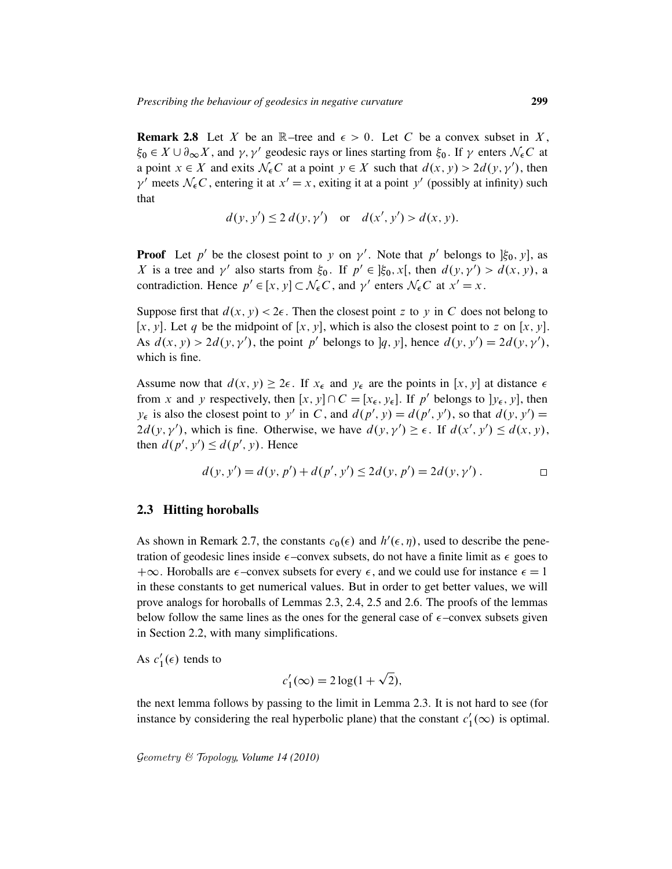**Remark 2.8** Let X be an  $\mathbb{R}$ –tree and  $\epsilon > 0$ . Let C be a convex subset in X,  $\xi_0 \in X \cup \partial_{\infty} X$ , and  $\gamma$ ,  $\gamma'$  geodesic rays or lines starting from  $\xi_0$ . If  $\gamma$  enters  $\mathcal{N}_\epsilon C$  at a point  $x \in X$  and exits  $\mathcal{N}_{\epsilon}C$  at a point  $y \in X$  such that  $d(x, y) > 2d(y, y')$ , then  $\gamma'$  meets  $\mathcal{N}_{\epsilon}C$ , entering it at  $x' = x$ , exiting it at a point y' (possibly at infinity) such that

$$
d(y, y') \le 2 d(y, y')
$$
 or  $d(x', y') > d(x, y)$ .

**Proof** Let p' be the closest point to y on  $\gamma'$ . Note that p' belongs to  $[\xi_0, y]$ , as X is a tree and  $\gamma'$  also starts from  $\xi_0$ . If  $p' \in \xi_0$ , x[, then  $d(y, \gamma') > d(x, y)$ , a contradiction. Hence  $p' \in [x, y] \subset \mathcal{N}_{\epsilon}C$ , and  $\gamma'$  enters  $\mathcal{N}_{\epsilon}C$  at  $x' = x$ .

Suppose first that  $d(x, y) < 2\epsilon$ . Then the closest point z to y in C does not belong to  $[x, y]$ . Let q be the midpoint of  $[x, y]$ , which is also the closest point to z on  $[x, y]$ . As  $d(x, y) > 2d(y, y')$ , the point p' belongs to |q, y|, hence  $d(y, y') = 2d(y, y')$ , which is fine.

Assume now that  $d(x, y) \ge 2\epsilon$ . If  $x_{\epsilon}$  and  $y_{\epsilon}$  are the points in [x, y] at distance  $\epsilon$ from x and y respectively, then  $[x, y] \cap C = [x_{\epsilon}, y_{\epsilon}]$ . If p' belongs to  $[y_{\epsilon}, y]$ , then  $y_{\epsilon}$  is also the closest point to y' in C, and  $d(p', y) = d(p', y')$ , so that  $d(y, y') =$  $2d(y, y')$ , which is fine. Otherwise, we have  $d(y, y') \ge \epsilon$ . If  $d(x', y') \le d(x, y)$ , then  $d(p', y') \leq d(p', y)$ . Hence

$$
d(y, y') = d(y, p') + d(p', y') \le 2d(y, p') = 2d(y, \gamma').
$$

#### 2.3 Hitting horoballs

As shown in Remark 2.7, the constants  $c_0(\epsilon)$  and  $h'(\epsilon, \eta)$ , used to describe the penetration of geodesic lines inside  $\epsilon$ -convex subsets, do not have a finite limit as  $\epsilon$  goes to  $+\infty$ . Horoballs are  $\epsilon$ -convex subsets for every  $\epsilon$ , and we could use for instance  $\epsilon = 1$ in these constants to get numerical values. But in order to get better values, we will prove analogs for horoballs of Lemmas 2.3, 2.4, 2.5 and 2.6. The proofs of the lemmas below follow the same lines as the ones for the general case of  $\epsilon$ -convex subsets given in Section 2.2, with many simplifications.

As  $c_1'$  $_1'(\epsilon)$  tends to

$$
c_1'(\infty) = 2\log(1+\sqrt{2}),
$$

p

the next lemma follows by passing to the limit in Lemma 2.3. It is not hard to see (for instance by considering the real hyperbolic plane) that the constant  $c_1$  $l'_1(\infty)$  is optimal.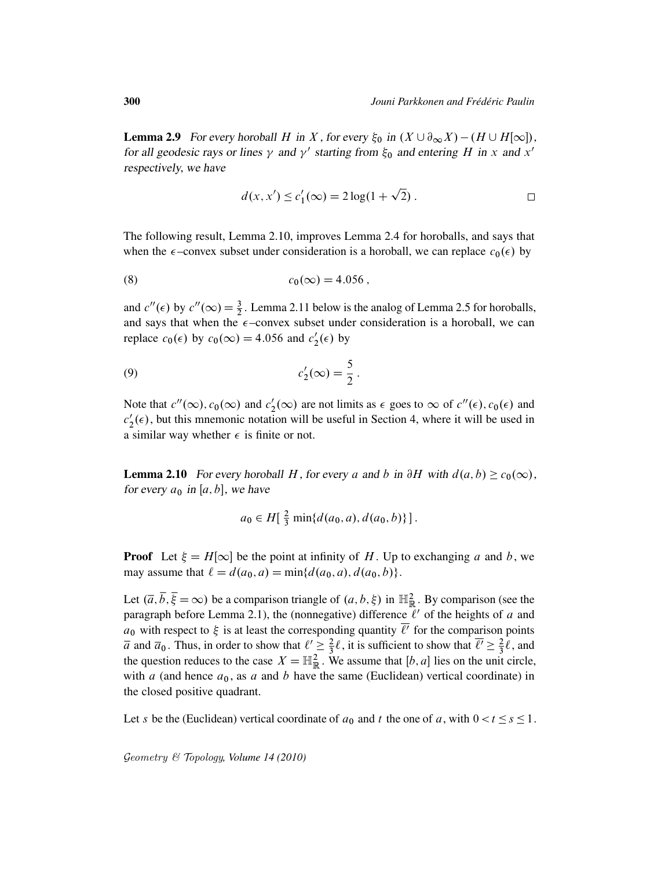**Lemma 2.9** For every horoball H in X, for every  $\xi_0$  in  $(X \cup \partial_\infty X) - (H \cup H[\infty])$ , for all geodesic rays or lines  $\gamma$  and  $\gamma'$  starting from  $\xi_0$  and entering H in x and x' respectively, we have

$$
d(x, x') \le c'_1(\infty) = 2\log(1 + \sqrt{2}).
$$

p

The following result, Lemma 2.10, improves Lemma 2.4 for horoballs, and says that when the  $\epsilon$ -convex subset under consideration is a horoball, we can replace  $c_0(\epsilon)$  by

(8) 
$$
c_0(\infty) = 4.056
$$
,

and  $c''(\epsilon)$  by  $c''(\infty) = \frac{3}{2}$ . Lemma 2.11 below is the analog of Lemma 2.5 for horoballs, and says that when the  $\epsilon$ -convex subset under consideration is a horoball, we can replace  $c_0(\epsilon)$  by  $c_0(\infty) = 4.056$  and  $c'_2$  $y_2'(\epsilon)$  by

$$
c_2'(\infty) = \frac{5}{2}.
$$

Note that  $c''(\infty)$ ,  $c_0(\infty)$  and  $c'_2$  $2'_{2}(\infty)$  are not limits as  $\epsilon$  goes to  $\infty$  of  $c''(\epsilon)$ ,  $c_0(\epsilon)$  and  $c_2'$  $2<sub>2</sub>(\epsilon)$ , but this mnemonic notation will be useful in Section 4, where it will be used in a similar way whether  $\epsilon$  is finite or not.

**Lemma 2.10** For every horoball H, for every a and b in  $\partial H$  with  $d(a, b) \geq c_0(\infty)$ , for every  $a_0$  in [a, b], we have

$$
a_0 \in H[\frac{2}{3} \min\{d(a_0, a), d(a_0, b)\}].
$$

**Proof** Let  $\xi = H[\infty]$  be the point at infinity of H. Up to exchanging a and b, we may assume that  $\ell = d(a_0, a) = \min\{d(a_0, a), d(a_0, b)\}.$ 

Let  $(\overline{a}, \overline{b}, \overline{\xi} = \infty)$  be a comparison triangle of  $(a, b, \xi)$  in  $\mathbb{H}^2_{\mathbb{R}}$ . By comparison (see the paragraph before Lemma 2.1), the (nonnegative) difference  $\ell'$  of the heights of a and  $a_0$  with respect to  $\xi$  is at least the corresponding quantity  $\overline{\ell'}$  for the comparison points  $\overline{a}$  and  $\overline{a}_0$ . Thus, in order to show that  $\ell' \geq \frac{2}{3}$  $\frac{2}{3}$ l, it is sufficient to show that  $\overline{\ell'} \geq \frac{2}{3}$  $\frac{2}{3}\ell$ , and the question reduces to the case  $X = \mathbb{H}^2_{\mathbb{R}}$ . We assume that  $[b, a]$  lies on the unit circle, with a (and hence  $a_0$ , as a and b have the same (Euclidean) vertical coordinate) in the closed positive quadrant.

Let s be the (Euclidean) vertical coordinate of  $a_0$  and t the one of a, with  $0 < t \leq s \leq 1$ .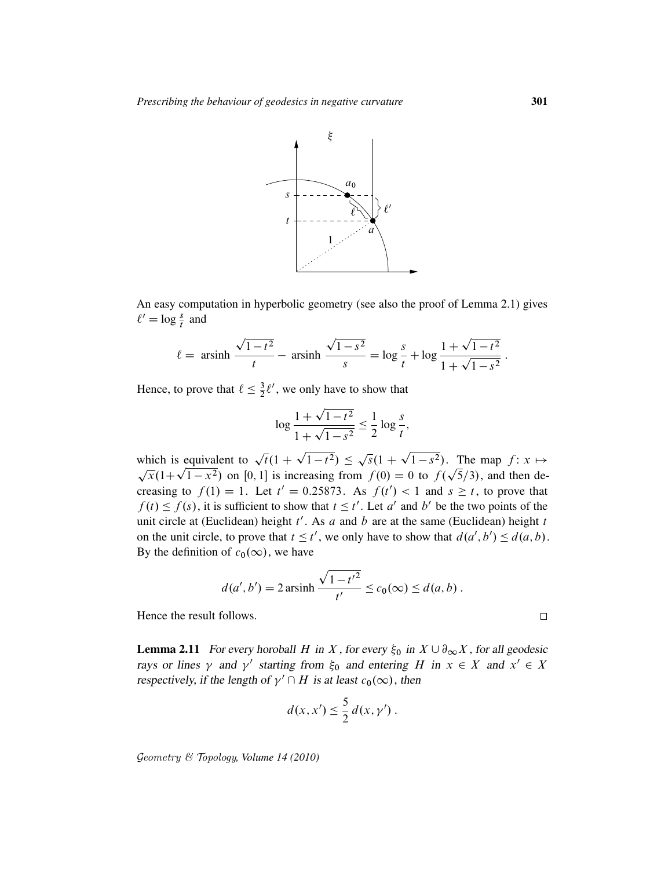

An easy computation in hyperbolic geometry (see also the proof of Lemma 2.1) gives  $\ell' = \log \frac{s}{t}$  and

$$
\ell = \operatorname{arsinh} \frac{\sqrt{1 - t^2}}{t} - \operatorname{arsinh} \frac{\sqrt{1 - s^2}}{s} = \log \frac{s}{t} + \log \frac{1 + \sqrt{1 - t^2}}{1 + \sqrt{1 - s^2}}.
$$

Hence, to prove that  $\ell \leq \frac{3}{2}$  $\frac{3}{2}l'$ , we only have to show that

$$
\log \frac{1 + \sqrt{1 - t^2}}{1 + \sqrt{1 - s^2}} \le \frac{1}{2} \log \frac{s}{t},
$$

which is equivalent to  $\sqrt{t}(1 +$  $\overline{1-t^2}$ )  $\leq$ p  $\overline{s}(1 +$ which is equivalent to  $\sqrt{t}(1+\sqrt{1-t^2}) \leq \sqrt{s}(1+\sqrt{1-s^2})$ . The map  $f: x \mapsto$ nich is equivalent to  $\sqrt{t(1 + \sqrt{1 - t^2})} \le \sqrt{s(1 + \sqrt{1 - s^2})}$ . The map  $f: x \mapsto \overline{x(1 + \sqrt{1 - x^2})}$  on [0, 1] is increasing from  $f(0) = 0$  to  $f(\sqrt{5}/3)$ , and then decreasing to  $f(1) = 1$ . Let  $t' = 0.25873$ . As  $f(t') < 1$  and  $s \ge t$ , to prove that  $f(t) \le f(s)$ , it is sufficient to show that  $t \le t'$ . Let a' and b' be the two points of the unit circle at (Euclidean) height  $t'$ . As a and b are at the same (Euclidean) height t on the unit circle, to prove that  $t \le t'$ , we only have to show that  $d(a', b') \le d(a, b)$ . By the definition of  $c_0(\infty)$ , we have

$$
d(a', b') = 2 \operatorname{arsinh} \frac{\sqrt{1 - t'^2}}{t'} \le c_0(\infty) \le d(a, b) .
$$

Hence the result follows.

**Lemma 2.11** For every horoball H in X, for every  $\xi_0$  in  $X \cup \partial_\infty X$ , for all geodesic rays or lines  $\gamma$  and  $\gamma'$  starting from  $\xi_0$  and entering H in  $x \in X$  and  $x' \in X$ respectively, if the length of  $\gamma' \cap H$  is at least  $c_0(\infty)$ , then

$$
d(x, x') \leq \frac{5}{2} d(x, \gamma').
$$

Geometry & Topology*, Volume 14 (2010)*

 $\Box$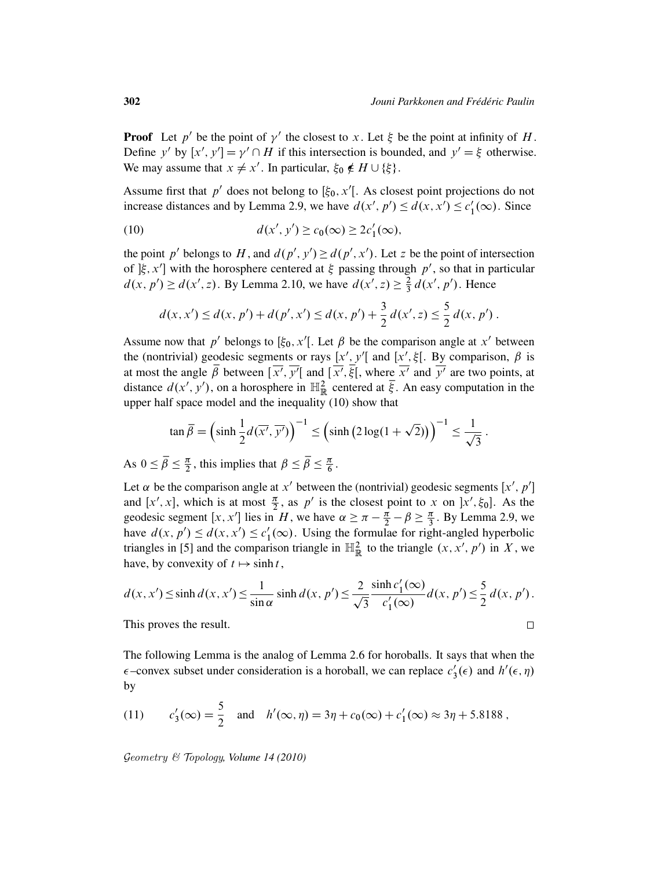**Proof** Let p' be the point of  $\gamma'$  the closest to x. Let  $\xi$  be the point at infinity of H. Define y' by  $[x', y'] = \gamma' \cap H$  if this intersection is bounded, and  $y' = \xi$  otherwise. We may assume that  $x \neq x'$ . In particular,  $\xi_0 \notin H \cup \{\xi\}$ .

Assume first that  $p'$  does not belong to  $[\xi_0, x']$ . As closest point projections do not increase distances and by Lemma 2.9, we have  $d(x', p') \leq d(x, x') \leq c_1'$  $i_1'(\infty)$ . Since

(10) 
$$
d(x', y') \ge c_0(\infty) \ge 2c'_1(\infty),
$$

the point p' belongs to H, and  $d(p', y') \geq d(p', x')$ . Let z be the point of intersection of  $[\xi, x']$  with the horosphere centered at  $\xi$  passing through p', so that in particular  $d(x, p') \geq d(x', z)$ . By Lemma 2.10, we have  $d(x', z) \geq \frac{2}{3}$  $\frac{2}{3}d(x', p')$ . Hence

$$
d(x, x') \le d(x, p') + d(p', x') \le d(x, p') + \frac{3}{2} d(x', z) \le \frac{5}{2} d(x, p') .
$$

Assume now that p' belongs to  $[\xi_0, x']$ . Let  $\beta$  be the comparison angle at x' between the (nontrivial) geodesic segments or rays [x', y'[ and [x',  $\xi$ [. By comparison,  $\beta$  is at most the angle  $\overline{\beta}$  between  $\overline{[x', y']}$  and  $\overline{[x', \overline{\xi}]}$ , where  $\overline{x'}$  and  $\overline{y'}$  are two points, at distance  $d(x', y')$ , on a horosphere in  $\mathbb{H}^2_{\mathbb{R}}$  centered at  $\overline{\xi}$ . An easy computation in the upper half space model and the inequality (10) show that

$$
\tan \overline{\beta} = \left(\sinh \frac{1}{2} d(\overline{x'}, \overline{y'})\right)^{-1} \le \left(\sinh \left(2 \log(1 + \sqrt{2})\right)\right)^{-1} \le \frac{1}{\sqrt{3}}.
$$

As  $0 \leq \overline{\beta} \leq \frac{\pi}{2}$  $\frac{\pi}{2}$ , this implies that  $\beta \leq \overline{\beta} \leq \frac{\pi}{6}$  $\frac{\pi}{6}$  .

Let  $\alpha$  be the comparison angle at  $x'$  between the (nontrivial) geodesic segments  $[x', p']$ and  $[x', x]$ , which is at most  $\frac{\pi}{2}$ , as p' is the closest point to x on  $[x', \xi_0]$ . As the geodesic segment [x, x'] lies in H, we have  $\alpha \ge \pi - \frac{\pi}{2} - \beta \ge \frac{\pi}{3}$  $\frac{\pi}{3}$ . By Lemma 2.9, we have  $d(x, p') \leq d(x, x') \leq c'_1$  $l_1'(\infty)$ . Using the formulae for right-angled hyperbolic triangles in [5] and the comparison triangle in  $\mathbb{H}^2_{\mathbb{R}}$  to the triangle  $(x, x', p')$  in X, we have, by convexity of  $t \mapsto \sinh t$ ,

$$
d(x, x') \le \sinh d(x, x') \le \frac{1}{\sin \alpha} \sinh d(x, p') \le \frac{2}{\sqrt{3}} \frac{\sinh c'_1(\infty)}{c'_1(\infty)} d(x, p') \le \frac{5}{2} d(x, p').
$$
  
This proves the result.

This proves the result.

The following Lemma is the analog of Lemma 2.6 for horoballs. It says that when the  $\epsilon$ -convex subset under consideration is a horoball, we can replace  $c_3$  $y'_3(\epsilon)$  and  $h'(\epsilon, \eta)$ by

(11) 
$$
c'_3(\infty) = \frac{5}{2}
$$
 and  $h'(\infty, \eta) = 3\eta + c_0(\infty) + c'_1(\infty) \approx 3\eta + 5.8188$ ,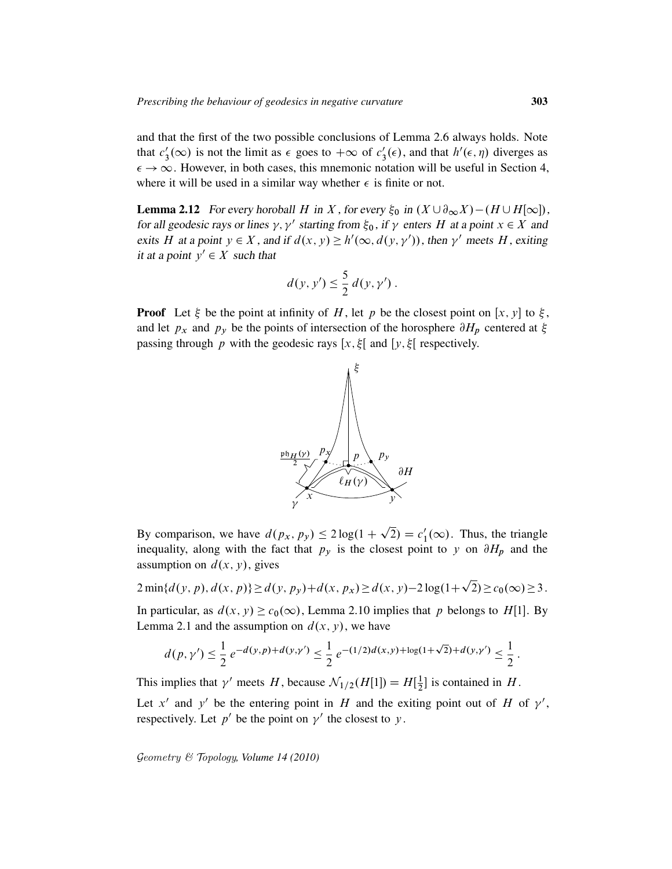and that the first of the two possible conclusions of Lemma 2.6 always holds. Note that  $c_3'$  $s'_3(\infty)$  is not the limit as  $\epsilon$  goes to  $+\infty$  of  $c'_3$  $s'_3(\epsilon)$ , and that  $h'(\epsilon, \eta)$  diverges as  $\epsilon \to \infty$ . However, in both cases, this mnemonic notation will be useful in Section 4, where it will be used in a similar way whether  $\epsilon$  is finite or not.

**Lemma 2.12** For every horoball H in X, for every  $\xi_0$  in  $(X \cup \partial_\infty X) - (H \cup H[\infty])$ , for all geodesic rays or lines  $\gamma$ ,  $\gamma'$  starting from  $\xi_0$ , if  $\gamma$  enters H at a point  $x \in X$  and exits H at a point  $y \in X$ , and if  $d(x, y) \ge h'(\infty, d(y, \gamma'))$ , then  $\gamma'$  meets H, exiting it at a point  $y' \in X$  such that

$$
d(y, y') \leq \frac{5}{2} d(y, y').
$$

**Proof** Let  $\xi$  be the point at infinity of H, let p be the closest point on [x, y] to  $\xi$ , and let  $p_x$  and  $p_y$  be the points of intersection of the horosphere  $\partial H_p$  centered at  $\xi$ passing through p with the geodesic rays  $[x, \xi]$  and  $[y, \xi]$  respectively.



By comparison, we have  $d(p_x, p_y) \le 2 \log(1 + \sqrt{2}) = c_1'$  $l'_1(\infty)$ . Thus, the triangle inequality, along with the fact that  $p_y$  is the closest point to y on  $\partial H_p$  and the assumption on  $d(x, y)$ , gives p

 $2 \min\{d(y, p), d(x, p)\}\geq d(y, p_y)+d(x, p_x)\geq d(x, y)-2\log(1+\frac{1}{2})$  $\overline{2}) \geq c_0(\infty) \geq 3$ .

In particular, as  $d(x, y) \ge c_0(\infty)$ , Lemma 2.10 implies that p belongs to H[1]. By Lemma 2.1 and the assumption on  $d(x, y)$ , we have

$$
d(p,\gamma') \leq \frac{1}{2} e^{-d(y,p)+d(y,\gamma')} \leq \frac{1}{2} e^{-(1/2)d(x,y)+\log(1+\sqrt{2})+d(y,\gamma')} \leq \frac{1}{2}.
$$

This implies that  $\gamma'$  meets H, because  $\mathcal{N}_{1/2}(H[1]) = H[\frac{1}{2}]$  $\frac{1}{2}$  is contained in H.

Let x' and y' be the entering point in H and the exiting point out of H of  $\gamma'$ , respectively. Let  $p'$  be the point on  $\gamma'$  the closest to y.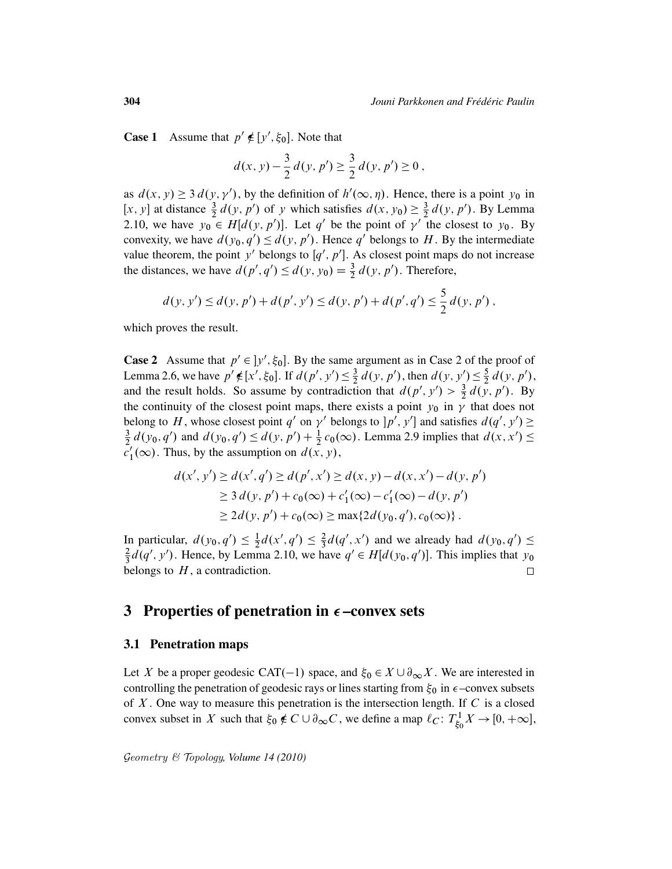**Case 1** Assume that  $p' \notin [y', \xi_0]$ . Note that

$$
d(x, y) - \frac{3}{2} d(y, p') \ge \frac{3}{2} d(y, p') \ge 0,
$$

as  $d(x, y) \ge 3 d(y, y')$ , by the definition of  $h'(\infty, \eta)$ . Hence, there is a point  $y_0$  in [x, y] at distance  $\frac{3}{2}d(y, p')$  of y which satisfies  $d(x, y_0) \geq \frac{3}{2}$  $\frac{3}{2} d(y, p')$ . By Lemma 2.10, we have  $y_0 \in H[d(y, p')]$ . Let q' be the point of  $\gamma'$  the closest to  $y_0$ . By convexity, we have  $d(y_0, q') \leq d(y, p')$ . Hence q' belongs to H. By the intermediate value theorem, the point y' belongs to  $[q', p']$ . As closest point maps do not increase the distances, we have  $d(p', q') \leq d(y, y_0) = \frac{3}{2} d(y, p')$ . Therefore,

$$
d(y, y') \le d(y, p') + d(p', y') \le d(y, p') + d(p', q') \le \frac{5}{2} d(y, p'),
$$

which proves the result.

**Case 2** Assume that  $p' \in ]y', \xi_0]$ . By the same argument as in Case 2 of the proof of Lemma 2.6, we have  $p' \notin [x', \xi_0]$ . If  $d(p', y') \leq \frac{3}{2}$  $\frac{3}{2}d(y, p')$ , then  $d(y, y') \leq \frac{5}{2}$  $\frac{5}{2}d(y, p'),$ and the result holds. So assume by contradiction that  $d(p', y') > \frac{3}{2} d(y, p')$ . By the continuity of the closest point maps, there exists a point  $y_0$  in  $\gamma$  that does not belong to H, whose closest point q' on  $\gamma'$  belongs to  $[p', y']$  and satisfies  $d(q', y') \ge$ 3  $\frac{3}{2}d(y_0, q')$  and  $d(y_0, q') \leq d(y, p') + \frac{1}{2}c_0(\infty)$ . Lemma 2.9 implies that  $d(x, x') \leq$  $\tilde{c}'_1$  $j_1'(\infty)$ . Thus, by the assumption on  $d(x, y)$ ,

$$
d(x', y') \ge d(x', q') \ge d(p', x') \ge d(x, y) - d(x, x') - d(y, p')
$$
  
\n
$$
\ge 3 d(y, p') + c_0(\infty) + c'_1(\infty) - c'_1(\infty) - d(y, p')
$$
  
\n
$$
\ge 2 d(y, p') + c_0(\infty) \ge \max\{2 d(y_0, q'), c_0(\infty)\}.
$$

In particular,  $d(y_0, q') \leq \frac{1}{2}$  $\frac{1}{2}d(x', q') \leq \frac{2}{3}$  $\frac{2}{3}d(q', x')$  and we already had  $d(y_0, q') \leq$  $\frac{2}{3}d(q', y')$ . Hence, by Lemma 2.10, we have  $q' \in H[d(y_0, q')]$ . This implies that  $y_0$ 2 belongs to  $H$ , a contradiction.  $\Box$ 

# 3 Properties of penetration in  $\epsilon$ -convex sets

### 3.1 Penetration maps

Let X be a proper geodesic CAT(-1) space, and  $\xi_0 \in X \cup \partial_{\infty} X$ . We are interested in controlling the penetration of geodesic rays or lines starting from  $\xi_0$  in  $\epsilon$ -convex subsets of  $X$ . One way to measure this penetration is the intersection length. If  $C$  is a closed convex subset in X such that  $\xi_0 \notin C \cup \partial_{\infty} C$ , we define a map  $\ell_C : T^1_{\xi_0}$  $\chi^1_{\xi_0} X \to [0, +\infty],$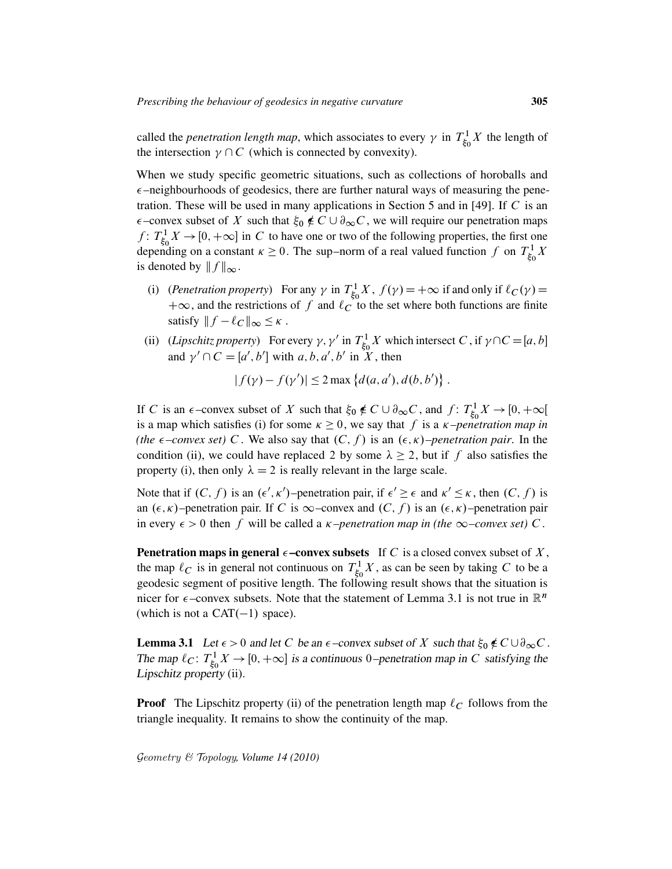called the *penetration length map*, which associates to every  $\gamma$  in  $T_{\xi_0}^1$  $\frac{1}{60}$  X the length of the intersection  $\gamma \cap C$  (which is connected by convexity).

When we study specific geometric situations, such as collections of horoballs and  $\epsilon$ –neighbourhoods of geodesics, there are further natural ways of measuring the penetration. These will be used in many applications in Section 5 and in [49]. If C is an  $\epsilon$ –convex subset of X such that  $\xi_0 \notin C \cup \partial_{\infty} C$ , we will require our penetration maps  $f: T_{\varepsilon}^1$  $\int_{\xi_0}^{1} X \to [0, +\infty]$  in C to have one or two of the following properties, the first one depending on a constant  $\kappa \geq 0$ . The sup–norm of a real valued function f on  $T_{\xi_{\kappa}}^1$  $\frac{1}{\xi_0}X$ is denoted by  $|| f ||_{\infty}$ .

- (i) (*Penetration property*) For any  $\gamma$  in  $T_{\xi_c}^1$  $f_{\xi_0}^{1} X$ ,  $f(\gamma) = +\infty$  if and only if  $\ell_C(\gamma) =$  $+\infty$ , and the restrictions of f and  $\ell_{\mathcal{C}}^{\mathcal{C}}$  to the set where both functions are finite satisfy  $|| f - \ell_C ||_{\infty} \leq \kappa$ .
- (ii) (*Lipschitz property*) For every  $\gamma$ ,  $\gamma'$  in  $T_{\xi_0}^1$  $\sum_{\xi_0}^1 X$  which intersect C, if  $\gamma \cap C = [a, b]$ and  $\gamma' \cap C = [a', b']$  with a, b, a', b' in X, then

$$
|f(\gamma) - f(\gamma')| \le 2 \max \{ d(a, a'), d(b, b') \}.
$$

If C is an  $\epsilon$ -convex subset of X such that  $\xi_0 \notin C \cup \partial_{\infty} C$ , and  $f: T^1_{\xi_0}$  $\chi^1_{\xi_0} X \to [0, +\infty[$ is a map which satisfies (i) for some  $\kappa \geq 0$ , we say that f is a  $\kappa$ -penetration map in *(the*  $\epsilon$ -convex set) C. We also say that  $(C, f)$  is an  $(\epsilon, \kappa)$ -penetration pair. In the condition (ii), we could have replaced 2 by some  $\lambda \geq 2$ , but if f also satisfies the property (i), then only  $\lambda = 2$  is really relevant in the large scale.

Note that if  $(C, f)$  is an  $(\epsilon', \kappa')$ -penetration pair, if  $\epsilon' \geq \epsilon$  and  $\kappa' \leq \kappa$ , then  $(C, f)$  is an  $(\epsilon, \kappa)$ –penetration pair. If C is  $\infty$ –convex and  $(C, f)$  is an  $(\epsilon, \kappa)$ –penetration pair in every  $\epsilon > 0$  then f will be called a *k*-penetration map in (the  $\infty$ -convex set) C.

**Penetration maps in general**  $\epsilon$ **-convex subsets** If C is a closed convex subset of X, the map  $\ell_C$  is in general not continuous on  $T_{\xi_c}^1$  $\int_{\xi_0}^1 X$ , as can be seen by taking C to be a geodesic segment of positive length. The following result shows that the situation is nicer for  $\epsilon$ -convex subsets. Note that the statement of Lemma 3.1 is not true in  $\mathbb{R}^n$ (which is not a  $CAT(-1)$  space).

**Lemma 3.1** Let  $\epsilon > 0$  and let C be an  $\epsilon$ -convex subset of X such that  $\xi_0 \notin C \cup \partial_{\infty} C$ . The map  $\ell_C$ :  $T_{\xi_c}^1$  $S_{\xi_0}^{1} X \rightarrow [0, +\infty]$  is a continuous 0–penetration map in C satisfying the Lipschitz property (ii).

**Proof** The Lipschitz property (ii) of the penetration length map  $\ell_C$  follows from the triangle inequality. It remains to show the continuity of the map.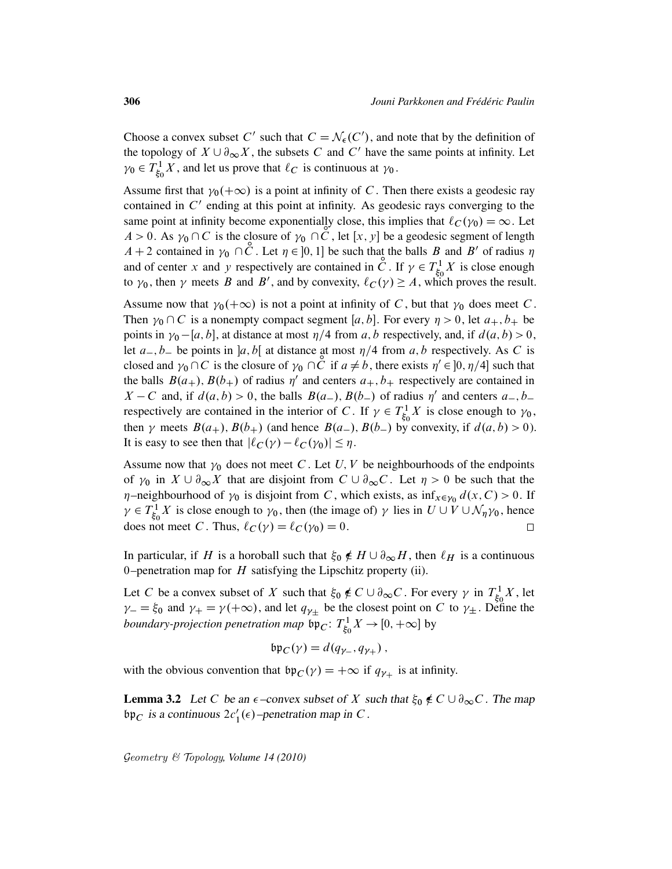Choose a convex subset C' such that  $C = \mathcal{N}_{\epsilon}(C')$ , and note that by the definition of the topology of  $X \cup \partial_{\infty} X$ , the subsets C and C' have the same points at infinity. Let  $\gamma_0 \in T^1_{\xi_0}$  $\zeta_5^1$  X, and let us prove that  $\ell_C$  is continuous at  $\gamma_0$ .

Assume first that  $\gamma_0(+\infty)$  is a point at infinity of C. Then there exists a geodesic ray contained in  $C'$  ending at this point at infinity. As geodesic rays converging to the same point at infinity become exponentially close, this implies that  $\ell_C(\gamma_0) = \infty$ . Let  $A > 0$ . As  $\gamma_0 \cap C$  is the closure of  $\gamma_0 \cap C$ , let  $[x, y]$  be a geodesic segment of length  $A + 2$  contained in  $\gamma_0 \cap \mathcal{C}$ . Let  $\eta \in ]0, 1]$  be such that the balls B and B' of radius  $\eta$ and of center x and y respectively are contained in  $\check{C}$ . If  $\gamma \in T_{\xi}^1$  $\zeta_0^1$  is close enough to  $\gamma_0$ , then  $\gamma$  meets B and B', and by convexity,  $\ell_C(\gamma) \geq A$ , which proves the result.

Assume now that  $\gamma_0(+\infty)$  is not a point at infinity of C, but that  $\gamma_0$  does meet C. Then  $\gamma_0 \cap C$  is a nonempty compact segment [a, b]. For every  $\eta > 0$ , let  $a_+, b_+$  be points in  $\gamma_0 - [a, b]$ , at distance at most  $\eta/4$  from a, b respectively, and, if  $d(a, b) > 0$ , let  $a_-, b_-$  be points in  $]a, b[$  at distance at most  $\eta/4$  from  $a, b$  respectively. As C is closed and  $\gamma_0 \cap C$  is the closure of  $\gamma_0 \cap C$  if  $a \neq b$ , there exists  $\eta' \in ]0, \eta/4]$  such that the balls  $B(a_+)$ ,  $B(b_+)$  of radius  $\eta'$  and centers  $a_+, b_+$  respectively are contained in  $X - C$  and, if  $d(a, b) > 0$ , the balls  $B(a_-)$ ,  $B(b_-)$  of radius  $\eta'$  and centers  $a_-, b_$ respectively are contained in the interior of C. If  $\gamma \in T_{\xi_c}^1$  $\zeta_0^1$  *X* is close enough to  $\gamma_0$ , then  $\gamma$  meets  $B(a_+), B(b_+)$  (and hence  $B(a_-), B(b_-)$  by convexity, if  $d(a, b) > 0$ ). It is easy to see then that  $|\ell_C(\gamma) - \ell_C(\gamma_0)| \leq \eta$ .

Assume now that  $\gamma_0$  does not meet C. Let U, V be neighbourhoods of the endpoints of  $\gamma_0$  in  $X \cup \partial_{\infty} X$  that are disjoint from  $C \cup \partial_{\infty} C$ . Let  $\eta > 0$  be such that the  $\eta$ -neighbourhood of  $\gamma_0$  is disjoint from C, which exists, as  $\inf_{x \in \gamma_0} d(x, C) > 0$ . If  $\gamma \in T_{\varepsilon}^1$  $\chi^1_{\xi_0} X$  is close enough to  $\gamma_0$ , then (the image of)  $\gamma$  lies in  $U \cup V \cup \mathcal{N}_{\eta} \gamma_0$ , hence does not meet C. Thus,  $\ell_C(\gamma) = \ell_C(\gamma_0) = 0$ .  $\Box$ 

In particular, if H is a horoball such that  $\xi_0 \notin H \cup \partial_\infty H$ , then  $\ell_H$  is a continuous 0–penetration map for  $H$  satisfying the Lipschitz property (ii).

Let C be a convex subset of X such that  $\xi_0 \notin C \cup \partial_{\infty} C$ . For every  $\gamma$  in  $T_{\xi_c}^1$  $\zeta_0^1$  X, let  $\gamma = \xi_0$  and  $\gamma_+ = \gamma(+\infty)$ , and let  $q_{\gamma_+}$  be the closest point on C to  $\gamma_{\pm}$ . Define the *boundary-projection penetration map*  $\overline{\mathfrak{bp}}_C$ :  $T_{\xi_C}^1$  $\chi^1_{\xi_0} X \to [0, +\infty]$  by

$$
\mathfrak{bp}_C(\gamma) = d(q_{\gamma_-}, q_{\gamma_+}),
$$

with the obvious convention that  $bp_C(\gamma) = +\infty$  if  $q_{\gamma+}$  is at infinity.

**Lemma 3.2** Let C be an  $\epsilon$ -convex subset of X such that  $\xi_0 \notin C \cup \partial_{\infty} C$ . The map bp<sub>C</sub> is a continuous  $2c'_1(\epsilon)$ -penetration map in C.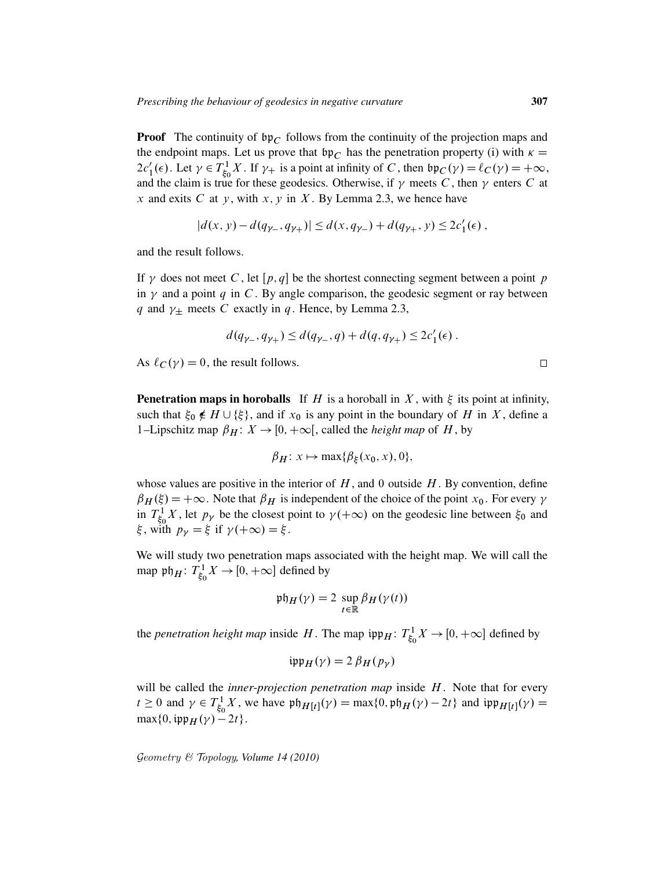**Proof** The continuity of  $bp_C$  follows from the continuity of the projection maps and the endpoint maps. Let us prove that  $\mathfrak{bp}_C$  has the penetration property (i) with  $\kappa =$  $2c'_1(\epsilon)$ . Let  $\gamma \in T_{\xi_0}^1$  $\oint_{\xi_0}^{1} X$ . If  $\gamma_+$  is a point at infinity of C, then  $\mathfrak{bp}_C(\gamma) = \ell_C(\gamma) = +\infty$ , and the claim is true for these geodesics. Otherwise, if  $\gamma$  meets C, then  $\gamma$  enters C at x and exits C at y, with x, y in X. By Lemma 2.3, we hence have

$$
|d(x, y) - d(q_{\gamma_-}, q_{\gamma_+})| \le d(x, q_{\gamma_-}) + d(q_{\gamma_+}, y) \le 2c'_1(\epsilon),
$$

and the result follows.

If  $\gamma$  does not meet C, let  $[p,q]$  be the shortest connecting segment between a point p in  $\gamma$  and a point q in C. By angle comparison, the geodesic segment or ray between q and  $\gamma_{\pm}$  meets C exactly in q. Hence, by Lemma 2.3,

$$
d(q_{\gamma_-}, q_{\gamma_+}) \leq d(q_{\gamma_-}, q) + d(q, q_{\gamma_+}) \leq 2c'_1(\epsilon) .
$$

As  $\ell_C(\gamma) = 0$ , the result follows.

**Penetration maps in horoballs** If H is a horoball in X, with  $\xi$  its point at infinity, such that  $\xi_0 \notin H \cup {\xi}$ , and if  $x_0$  is any point in the boundary of H in X, define a 1–Lipschitz map  $\beta_H: X \to [0, +\infty]$ , called the *height map* of H, by

$$
\beta_H: x \mapsto \max\{\beta_\xi(x_0, x), 0\},\
$$

whose values are positive in the interior of  $H$ , and 0 outside  $H$ . By convention, define  $\beta_H(\xi) = +\infty$ . Note that  $\beta_H$  is independent of the choice of the point  $x_0$ . For every  $\gamma$ in  $T_{\xi}^1$  $\zeta_5^1$ , let  $p_\gamma$  be the closest point to  $\gamma(+\infty)$  on the geodesic line between  $\xi_0$  and  $\xi$ , with  $p_{\gamma} = \xi$  if  $\gamma(+\infty) = \xi$ .

We will study two penetration maps associated with the height map. We will call the map  $\mathfrak{p}\mathfrak{h}_H$ :  $T^1_{\xi_0}$  $\chi^1_{\xi_0} X \to [0, +\infty]$  defined by

$$
\mathfrak{p}\mathfrak{h}_H(\gamma) = 2 \sup_{t \in \mathbb{R}} \beta_H(\gamma(t))
$$

the *penetration height map* inside H. The map  $\mathfrak{ipp}_H$ :  $T^1_{\xi_0}$  $\chi^1_{\xi_0} X \to [0, +\infty]$  defined by

$$
i\mathfrak{p}\mathfrak{p}_H(\gamma) = 2 \,\beta_H(p_\gamma)
$$

will be called the *inner-projection penetration map* inside H. Note that for every  $t \geq 0$  and  $\gamma \in T_{\xi_0}^1$  $\oint_{\xi_0}^1 X$ , we have  $\mathfrak{ph}_{H[t]}(\gamma) = \max\{0, \mathfrak{ph}_H(\gamma) - 2t\}$  and  $\mathfrak{ipp}_{H[t]}(\gamma) =$  $\max\{0, \mathrm{ipp}_H(\gamma) - 2t\}.$ 

Geometry & Topology*, Volume 14 (2010)*

 $\Box$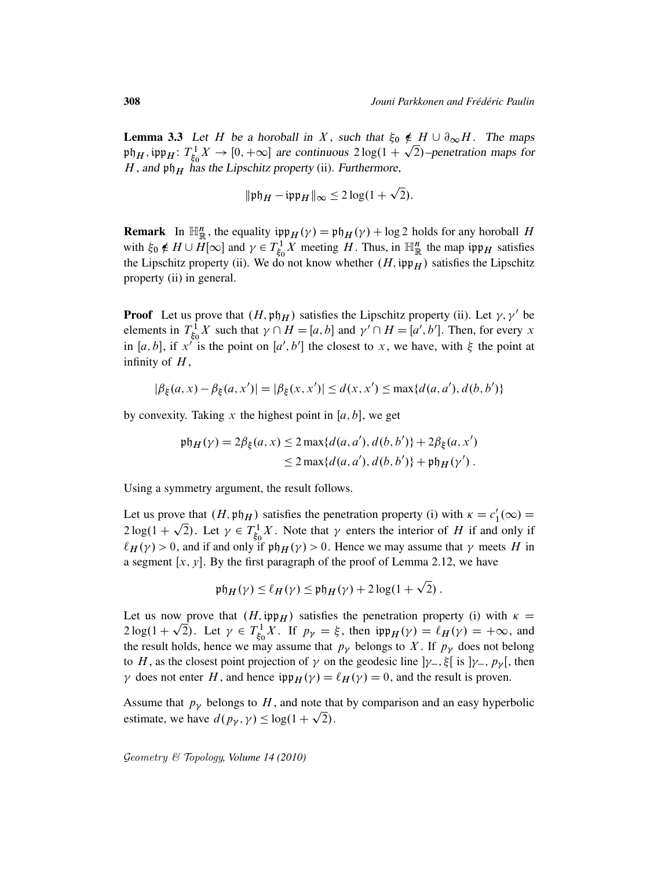**Lemma 3.3** Let H be a horoball in X, such that  $\xi_0 \notin H \cup \partial_{\infty}H$ . The maps ph $_H$ , ipp $_H$ :  $T_{\xi_0}^1$  $\chi^1_{\xi_0} X \to [0, +\infty]$  are continuous  $2 \log(1 + \sqrt{2})$ -penetration maps for H, and  $\mathfrak{ph}_H$  has the Lipschitz property (ii). Furthermore,

$$
\|\mathfrak{p}\mathfrak{h}_H - \mathfrak{ipp}_H\|_{\infty} \le 2\log(1+\sqrt{2}).
$$

p

**Remark** In  $\mathbb{H}_{\mathbb{R}}^n$ , the equality  $\mathfrak{inp}_H(\gamma) = \mathfrak{ph}_H(\gamma) + \log 2$  holds for any horoball H with  $\xi_0 \notin H \cup \overline{H}[\infty]$  and  $\gamma \in T^1_{\xi_0}$  $\int_{\xi_0}^1 X$  meeting H. Thus, in  $\mathbb{H}_{\mathbb{R}}^n$  the map ipp<sub>H</sub> satisfies the Lipschitz property (ii). We do not know whether  $(H, \mathfrak{ipp}_H)$  satisfies the Lipschitz property (ii) in general.

**Proof** Let us prove that  $(H, \mathfrak{ph}_H)$  satisfies the Lipschitz property (ii). Let  $\gamma$ ,  $\gamma'$  be elements in  $T_{\xi_c}^1$  $\chi_{\xi_0}^1$  if  $X$  such that  $\gamma \cap H = [a, b]$  and  $\gamma' \cap H = [a', b']$ . Then, for every x in [a, b], if x<sup>50</sup> is the point on [a', b'] the closest to x, we have, with  $\xi$  the point at infinity of  $H$ ,

$$
|\beta_{\xi}(a, x) - \beta_{\xi}(a, x')| = |\beta_{\xi}(x, x')| \le d(x, x') \le \max\{d(a, a'), d(b, b')\}
$$

by convexity. Taking x the highest point in  $[a, b]$ , we get

$$
\begin{aligned} \mathfrak{ph}_H(\gamma) &= 2\beta_\xi(a, x) \le 2 \max\{d(a, a'), d(b, b')\} + 2\beta_\xi(a, x') \\ &\le 2 \max\{d(a, a'), d(b, b')\} + \mathfrak{ph}_H(\gamma') \,. \end{aligned}
$$

Using a symmetry argument, the result follows.

Let us prove that  $(H, \mathfrak{ph}_H)$  satisfies the penetration property (i) with  $\kappa = c_1$ we that  $(H, \mathfrak{p}\mathfrak{h}_H)$  satisfies the penetration property (i) with  $\kappa = c'_1(\infty) =$  $2\log(1+\sqrt{2})$ . Let  $\gamma \in T_{\xi_c}^1$  $\int_{\xi_0}^1 X$ . Note that  $\gamma$  enters the interior of H if and only if  $\ell_H(\gamma) > 0$ , and if and only if  $\mathfrak{ph}_H(\gamma) > 0$ . Hence we may assume that  $\gamma$  meets H in a segment  $[x, y]$ . By the first paragraph of the proof of Lemma 2.12, we have

$$
\mathfrak{ph}_H(\gamma) \leq \ell_H(\gamma) \leq \mathfrak{ph}_H(\gamma) + 2\log(1+\sqrt{2}).
$$

p

Let us now prove that  $(H, \text{inp}_H)$  satisfies the penetration property (i) with  $\kappa =$  $2\log(1+\sqrt{2})$ . Let  $\gamma \in T_{\xi_c}^1$  $\oint_{\xi_0}^{1} X$ . If  $p_{\gamma} = \xi$ , then  $\text{ipp}_H(\gamma) = \ell_H(\gamma) = +\infty$ , and the result holds, hence we may assume that  $p<sub>y</sub>$  belongs to X. If  $p<sub>y</sub>$  does not belong to H, as the closest point projection of  $\gamma$  on the geodesic line  $]\gamma_{-}, \xi$  is  $]\gamma_{-}, p_{\gamma}$ , then  $\gamma$  does not enter H, and hence  $\text{hyp}_H(\gamma) = \ell_H(\gamma) = 0$ , and the result is proven.

Assume that  $p<sub>y</sub>$  belongs to H, and note that by comparison and an easy hyperbolic estimate, we have  $d(p_{\gamma}, \gamma) \leq \log(1 + \sqrt{2})$ .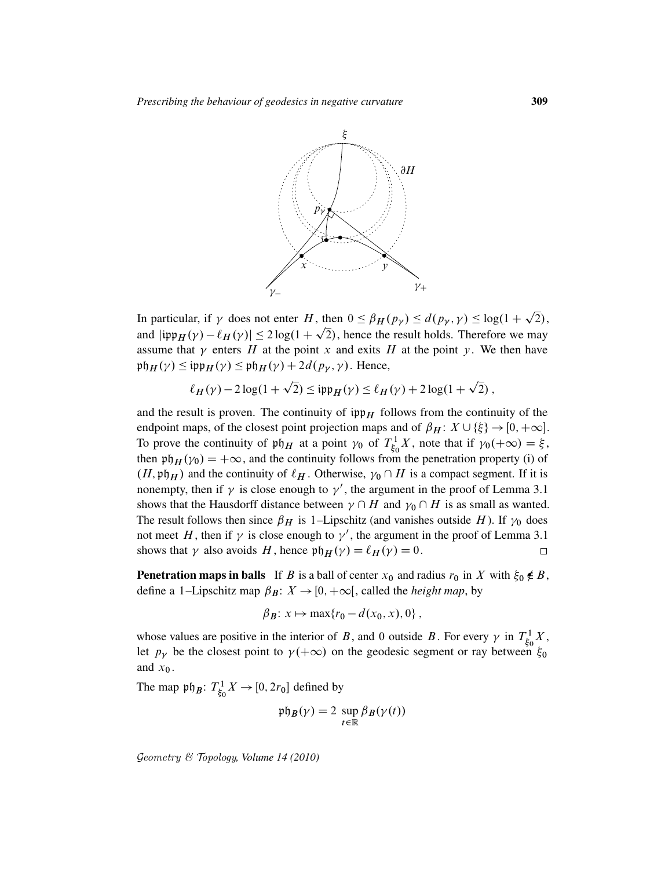

In particular, if  $\gamma$  does not enter H, then  $0 \leq \beta_H(p_\gamma) \leq d(p_\gamma, \gamma) \leq \log(1 + \gamma)$ , then  $0 \leq \beta_H(p_\gamma) \leq d(p_\gamma, \gamma) \leq \log(1 + \sqrt{2}),$ and  $|\text{ipp}_H(\gamma) - \ell_H(\gamma)| \le 2 \log(1 + \sqrt{2})$ , hence the result holds. Therefore we may assume that  $\gamma$  enters H at the point x and exits H at the point y. We then have  $\operatorname{pt}_H(\gamma) \leq \operatorname{ipp}_H(\gamma) \leq \operatorname{pt}_H(\gamma) + 2d(p_\gamma, \gamma)$ . Hence, p p

$$
\ell_H(\gamma) - 2\log(1+\sqrt{2}) \le \mathfrak{ipp}_H(\gamma) \le \ell_H(\gamma) + 2\log(1+\sqrt{2})\,,
$$

and the result is proven. The continuity of  $\operatorname{ipp}_H$  follows from the continuity of the endpoint maps, of the closest point projection maps and of  $\beta_H: X \cup \{\xi\} \rightarrow [0, +\infty]$ . To prove the continuity of  $\mathfrak{ph}_H$  at a point  $\gamma_0$  of  $T_{\xi_0}^1$  $\zeta_6^1 X$ , note that if  $\gamma_0(+\infty) = \xi$ , then  $\mathfrak{p}_{H}(\gamma_{0}) = +\infty$ , and the continuity follows from the penetration property (i) of  $(H, \mathfrak{ph}_H)$  and the continuity of  $\ell_H$ . Otherwise,  $\gamma_0 \cap H$  is a compact segment. If it is nonempty, then if  $\gamma$  is close enough to  $\gamma'$ , the argument in the proof of Lemma 3.1 shows that the Hausdorff distance between  $\gamma \cap H$  and  $\gamma_0 \cap H$  is as small as wanted. The result follows then since  $\beta_H$  is 1–Lipschitz (and vanishes outside H). If  $\gamma_0$  does not meet H, then if  $\gamma$  is close enough to  $\gamma'$ , the argument in the proof of Lemma 3.1 shows that  $\gamma$  also avoids H, hence  $\mathfrak{ph}_H(\gamma) = \ell_H(\gamma) = 0$ .  $\Box$ 

**Penetration maps in balls** If B is a ball of center  $x_0$  and radius  $r_0$  in X with  $\xi_0 \notin B$ , define a 1–Lipschitz map  $\beta_B: X \to [0, +\infty]$ , called the *height map*, by

$$
\beta_B: x \mapsto \max\{r_0 - d(x_0, x), 0\}\,,
$$

whose values are positive in the interior of B, and 0 outside B. For every  $\gamma$  in  $T_{\xi_{\alpha}}^1$  $\zeta^1_0X,$ let  $p_{\gamma}$  be the closest point to  $\gamma(+\infty)$  on the geodesic segment or ray between  $\xi_0$ and  $x_0$ .

The map  $\mathfrak{ph}_B$ :  $T_{\xi_0}^1$  $\chi^1_{\xi_0} X \rightarrow [0, 2r_0]$  defined by

$$
\mathfrak{ph}_B(\gamma) = 2 \sup_{t \in \mathbb{R}} \beta_B(\gamma(t))
$$

Geometry & Topology*, Volume 14 (2010)*

p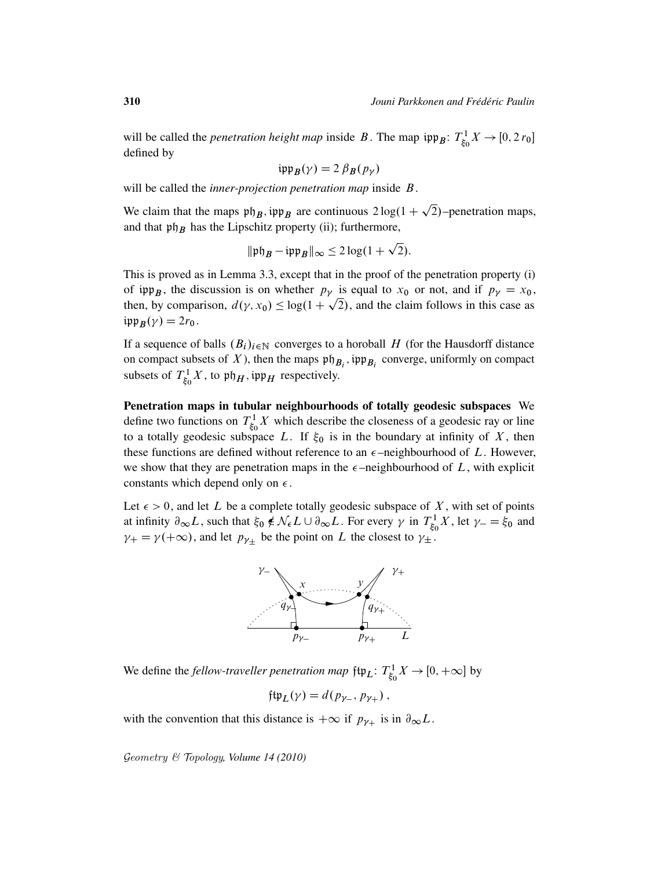p

will be called the *penetration height map* inside B. The map  $\{ \mathfrak{sp}_B : T^1_{\xi_0} \}$  $\zeta_0^1 X \to [0, 2 r_0]$ defined by

$$
i\mathfrak{pp}_B(\gamma) = 2 \beta_B(p_\gamma)
$$

will be called the *inner-projection penetration map* inside B.

We claim that the maps  $\mathfrak{ph}_B$ ,  $\mathfrak{inp}_B$  are continuous  $2\log(1+\sqrt{2})$ -penetration maps, and that  $\mathfrak{ph}_B$  has the Lipschitz property (ii); furthermore,

$$
\|\mathfrak{p}\mathfrak{h}_B - \mathfrak{ipp}_B\|_{\infty} \le 2\log(1+\sqrt{2}).
$$

This is proved as in Lemma 3.3, except that in the proof of the penetration property (i) of  $\[\mathfrak{sp}_B\]$ , the discussion is on whether  $p_\gamma$  is equal to  $x_0$  or not, and if  $p_\gamma = x_0$ , then, by comparison,  $d(\gamma, x_0) \leq \log(1 + \sqrt{2})$ , and the claim follows in this case as  $i\mathfrak{pp}_B(\gamma) = 2r_0$ .

If a sequence of balls  $(B_i)_{i\in\mathbb{N}}$  converges to a horoball H (for the Hausdorff distance on compact subsets of X), then the maps  $\mathfrak{ph}_{B_i}$ ,  $\mathfrak{ipp}_{B_i}$  converge, uniformly on compact subsets of  $T_{\xi_0}^1$  $\zeta_5^1$  X, to  $\mathfrak{ph}_H$ , ipp<sub>H</sub> respectively.

Penetration maps in tubular neighbourhoods of totally geodesic subspaces We define two functions on  $T_{\xi_0}^1$  $\int_{\xi_0}^1 X$  which describe the closeness of a geodesic ray or line to a totally geodesic subspace L. If  $\xi_0$  is in the boundary at infinity of X, then these functions are defined without reference to an  $\epsilon$ -neighbourhood of L. However, we show that they are penetration maps in the  $\epsilon$ -neighbourhood of L, with explicit constants which depend only on  $\epsilon$ .

Let  $\epsilon > 0$ , and let L be a complete totally geodesic subspace of X, with set of points at infinity  $\partial_{\infty}L$ , such that  $\xi_0 \notin \mathcal{N}_{\epsilon}L \cup \partial_{\infty}L$ . For every  $\gamma$  in  $T_{\xi_0}^1$  $\zeta_0^1 X$ , let  $\gamma_-=\xi_0$  and  $\gamma_+ = \gamma(+\infty)$ , and let  $p_{\gamma_+}$  be the point on L the closest to  $\gamma_+$ .



We define the *fellow-traveller penetration map*  $\mathfrak{ftp}_L$ :  $T^1_{\xi_0}$  $\chi^1_{\xi_0} X \to [0, +\infty]$  by

$$
\mathfrak{ftp}_L(\gamma) = d(p_{\gamma_-}, p_{\gamma_+}),
$$

with the convention that this distance is  $+\infty$  if  $p_{\gamma_+}$  is in  $\partial_{\infty}L$ .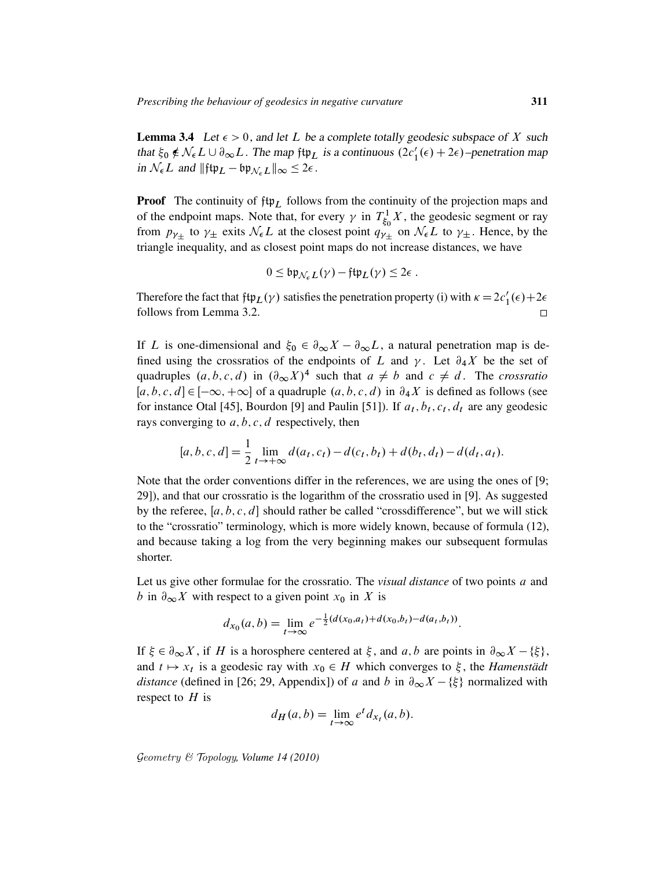**Lemma 3.4** Let  $\epsilon > 0$ , and let L be a complete totally geodesic subspace of X such that  $\xi_0 \notin \mathcal{N}_{\epsilon} L \cup \partial_{\infty} L$ . The map  $\sharp \sharp_L$  is a continuous  $(2c'_1(\epsilon) + 2\epsilon)$ -penetration map in  $\mathcal{N}_{\epsilon}L$  and  $\|\mathfrak{ftp}_L - \mathfrak{bp}_{\mathcal{N}_{\epsilon}L}\|_{\infty} \leq 2\epsilon$ .

**Proof** The continuity of  $ftp_L$  follows from the continuity of the projection maps and of the endpoint maps. Note that, for every  $\gamma$  in  $T_{\xi_0}^1$  $\zeta_5^1$  X, the geodesic segment or ray from  $p_{\gamma_{\pm}}$  to  $\gamma_{\pm}$  exits  $\mathcal{N}_{\epsilon}L$  at the closest point  $q_{\gamma_{\pm}}$  on  $\mathcal{N}_{\epsilon}L$  to  $\gamma_{\pm}$ . Hence, by the triangle inequality, and as closest point maps do not increase distances, we have

$$
0 \leq \mathfrak{bp}_{\mathcal{N}_{\epsilon}L}(\gamma) - \mathfrak{ftp}_{L}(\gamma) \leq 2\epsilon.
$$

Therefore the fact that  $\oint f \psi_L(\gamma)$  satisfies the penetration property (i) with  $\kappa = 2c'_1(\epsilon) + 2\epsilon$ follows from Lemma 3.2.  $\Box$ 

If L is one-dimensional and  $\xi_0 \in \partial_{\infty} X - \partial_{\infty} L$ , a natural penetration map is defined using the crossratios of the endpoints of L and  $\gamma$ . Let  $\partial_4 X$  be the set of quadruples  $(a, b, c, d)$  in  $(\partial_{\infty} X)^4$  such that  $a \neq b$  and  $c \neq d$ . The *crossratio*  $[a, b, c, d] \in [-\infty, +\infty]$  of a quadruple  $(a, b, c, d)$  in  $\partial_4 X$  is defined as follows (see for instance Otal [45], Bourdon [9] and Paulin [51]). If  $a_t, b_t, c_t, d_t$  are any geodesic rays converging to  $a, b, c, d$  respectively, then

$$
[a, b, c, d] = \frac{1}{2} \lim_{t \to +\infty} d(a_t, c_t) - d(c_t, b_t) + d(b_t, d_t) - d(d_t, a_t).
$$

Note that the order conventions differ in the references, we are using the ones of [9; 29]), and that our crossratio is the logarithm of the crossratio used in [9]. As suggested by the referee,  $[a, b, c, d]$  should rather be called "crossdifference", but we will stick to the "crossratio" terminology, which is more widely known, because of formula (12), and because taking a log from the very beginning makes our subsequent formulas shorter.

Let us give other formulae for the crossratio. The *visual distance* of two points a and b in  $\partial_{\infty} X$  with respect to a given point  $x_0$  in X is

$$
d_{x_0}(a,b) = \lim_{t \to \infty} e^{-\frac{1}{2}(d(x_0,a_t) + d(x_0,b_t) - d(a_t,b_t))}.
$$

If  $\xi \in \partial_{\infty} X$ , if H is a horosphere centered at  $\xi$ , and  $a, b$  are points in  $\partial_{\infty} X - {\xi}$ , and  $t \mapsto x_t$  is a geodesic ray with  $x_0 \in H$  which converges to  $\xi$ , the *Hamenstadt distance* (defined in [26; 29, Appendix]) of a and b in  $\partial_{\infty}X - \{\xi\}$  normalized with respect to  $H$  is

$$
d_H(a,b) = \lim_{t \to \infty} e^t d_{x_t}(a,b).
$$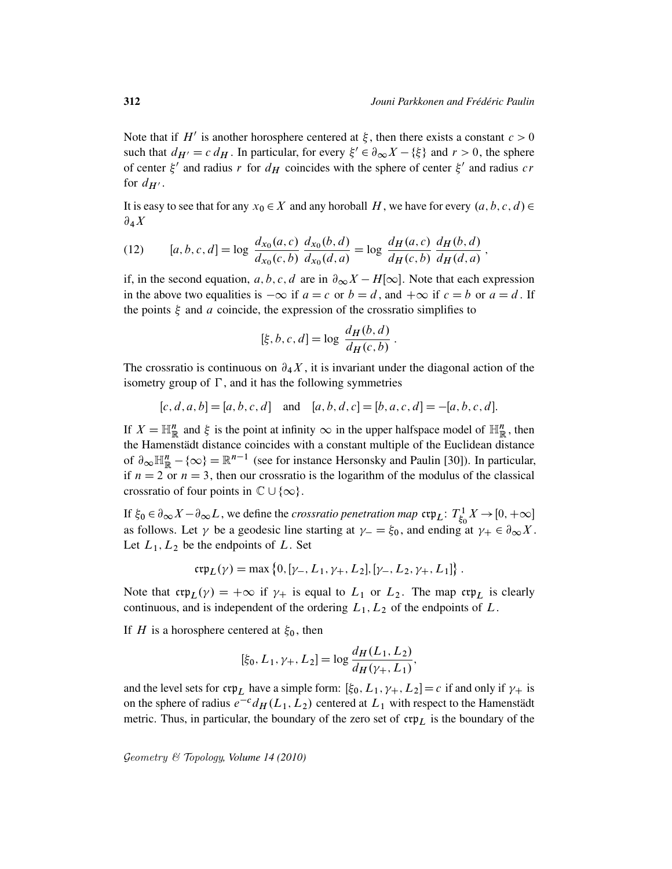Note that if H<sup>t</sup> is another horosphere centered at  $\xi$ , then there exists a constant  $c > 0$ such that  $d_{H'} = c d_H$ . In particular, for every  $\xi' \in \partial_{\infty} X - {\xi}$  and  $r > 0$ , the sphere of center  $\xi'$  and radius r for  $d_H$  coincides with the sphere of center  $\xi'$  and radius cr for  $d_{H'}$ .

It is easy to see that for any  $x_0 \in X$  and any horoball H, we have for every  $(a, b, c, d) \in$  $\partial_4 X$ 

(12) 
$$
[a, b, c, d] = \log \frac{d_{x_0}(a, c)}{d_{x_0}(c, b)} \frac{d_{x_0}(b, d)}{d_{x_0}(d, a)} = \log \frac{d_H(a, c)}{d_H(c, b)} \frac{d_H(b, d)}{d_H(d, a)},
$$

if, in the second equation, a, b, c, d are in  $\partial_{\infty}X - H[\infty]$ . Note that each expression in the above two equalities is  $-\infty$  if  $a = c$  or  $b = d$ , and  $+\infty$  if  $c = b$  or  $a = d$ . If the points  $\xi$  and a coincide, the expression of the crossratio simplifies to

$$
[\xi, b, c, d] = \log \frac{d_H(b, d)}{d_H(c, b)}.
$$

The crossratio is continuous on  $\partial_4 X$ , it is invariant under the diagonal action of the isometry group of  $\Gamma$ , and it has the following symmetries

$$
[c, d, a, b] = [a, b, c, d]
$$
 and  $[a, b, d, c] = [b, a, c, d] = -[a, b, c, d].$ 

If  $X = \mathbb{H}_{\mathbb{R}}^n$  and  $\xi$  is the point at infinity  $\infty$  in the upper halfspace model of  $\mathbb{H}_{\mathbb{R}}^n$ , then the Hamenstädt distance coincides with a constant multiple of the Euclidean distance of  $\partial_{\infty} \mathbb{H}_{\mathbb{R}}^n - \{\infty\} = \mathbb{R}^{n-1}$  (see for instance Hersonsky and Paulin [30]). In particular, if  $n = 2$  or  $n = 3$ , then our crossratio is the logarithm of the modulus of the classical crossratio of four points in  $\mathbb{C} \cup \{\infty\}.$ 

If  $\xi_0 \in \partial_\infty X - \partial_\infty L$ , we define the *crossratio penetration map*  $\mathfrak{exp}_L$ :  $T^1_{\xi_0}$  $\chi^1_{\xi_0} X \to [0, +\infty]$ as follows. Let  $\gamma$  be a geodesic line starting at  $\gamma = \xi_0$ , and ending at  $\gamma_+ \in \partial_{\infty} X$ . Let  $L_1, L_2$  be the endpoints of L. Set

$$
\mathfrak{crp}_L(\gamma) = \max\left\{0, [\gamma_-, L_1, \gamma_+, L_2], [\gamma_-, L_2, \gamma_+, L_1]\right\}.
$$

Note that  $\operatorname{ctp}_L(\gamma) = +\infty$  if  $\gamma_+$  is equal to  $L_1$  or  $L_2$ . The map  $\operatorname{ctp}_L$  is clearly continuous, and is independent of the ordering  $L_1, L_2$  of the endpoints of  $L$ .

If H is a horosphere centered at  $\xi_0$ , then

$$
[\xi_0, L_1, \gamma_+, L_2] = \log \frac{d_H(L_1, L_2)}{d_H(\gamma_+, L_1)},
$$

and the level sets for  $\mathfrak{crp}_L$  have a simple form:  $[\xi_0, L_1, \gamma_+, L_2] = c$  if and only if  $\gamma_+$  is on the sphere of radius  $e^{-c}d_H(L_1, L_2)$  centered at  $L_1$  with respect to the Hamenstädt metric. Thus, in particular, the boundary of the zero set of  $\mathfrak{crp}_L$  is the boundary of the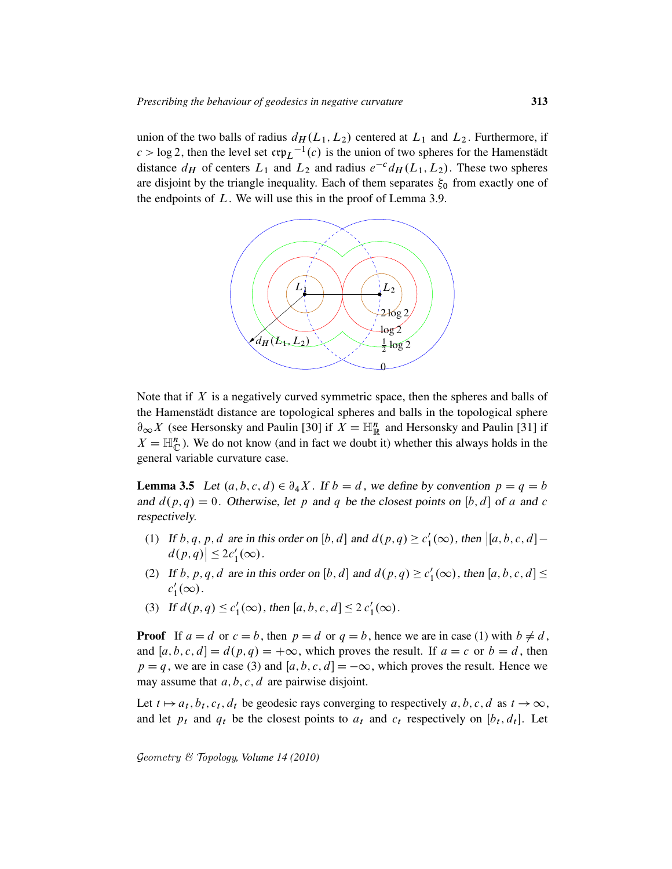union of the two balls of radius  $d_H(L_1, L_2)$  centered at  $L_1$  and  $L_2$ . Furthermore, if  $c > \log 2$ , then the level set  $\mathfrak{crp}_L^{-1}(c)$  is the union of two spheres for the Hamenstädt distance  $d_H$  of centers  $L_1$  and  $L_2$  and radius  $e^{-c}d_H(L_1, L_2)$ . These two spheres are disjoint by the triangle inequality. Each of them separates  $\xi_0$  from exactly one of the endpoints of  $L$ . We will use this in the proof of Lemma 3.9.



Note that if  $X$  is a negatively curved symmetric space, then the spheres and balls of the Hamenstädt distance are topological spheres and balls in the topological sphere  $\partial_{\infty} X$  (see Hersonsky and Paulin [30] if  $X = \mathbb{H}^n_{\mathbb{R}}$  and Hersonsky and Paulin [31] if  $X = \mathbb{H}_{\mathbb{C}}^n$ ). We do not know (and in fact we doubt it) whether this always holds in the general variable curvature case.

**Lemma 3.5** Let  $(a, b, c, d) \in \partial_4 X$ . If  $b = d$ , we define by convention  $p = q = b$ and  $d(p, q) = 0$ . Otherwise, let p and q be the closest points on [b, d] of a and c respectively.

- (1) If b, q, p, d are in this order on [b, d] and  $d(p, q) \ge c_1'$  $\int_1'(\infty)$ , then  $\left[ [a, b, c, d] - \right]$  $d(p,q)\leq 2c'_1(\infty).$
- (2) If b, p, q, d are in this order on [b, d] and  $d(p, q) \ge c_1'$  $l'_1(\infty)$ , then  $[a, b, c, d] \leq$  $c_1'$  $\frac{1}{1}(\infty)$ .
- (3) If  $d(p, q) \leq c'_1$  $l'_1(\infty)$ , then  $[a, b, c, d] \leq 2 c'_1(\infty)$ .

**Proof** If  $a = d$  or  $c = b$ , then  $p = d$  or  $q = b$ , hence we are in case (1) with  $b \neq d$ , and  $[a, b, c, d] = d(p, q) = +\infty$ , which proves the result. If  $a = c$  or  $b = d$ , then  $p = q$ , we are in case (3) and [a, b, c, d] =  $-\infty$ , which proves the result. Hence we may assume that  $a, b, c, d$  are pairwise disjoint.

Let  $t \mapsto a_t, b_t, c_t, d_t$  be geodesic rays converging to respectively  $a, b, c, d$  as  $t \to \infty$ , and let  $p_t$  and  $q_t$  be the closest points to  $a_t$  and  $c_t$  respectively on  $[b_t, d_t]$ . Let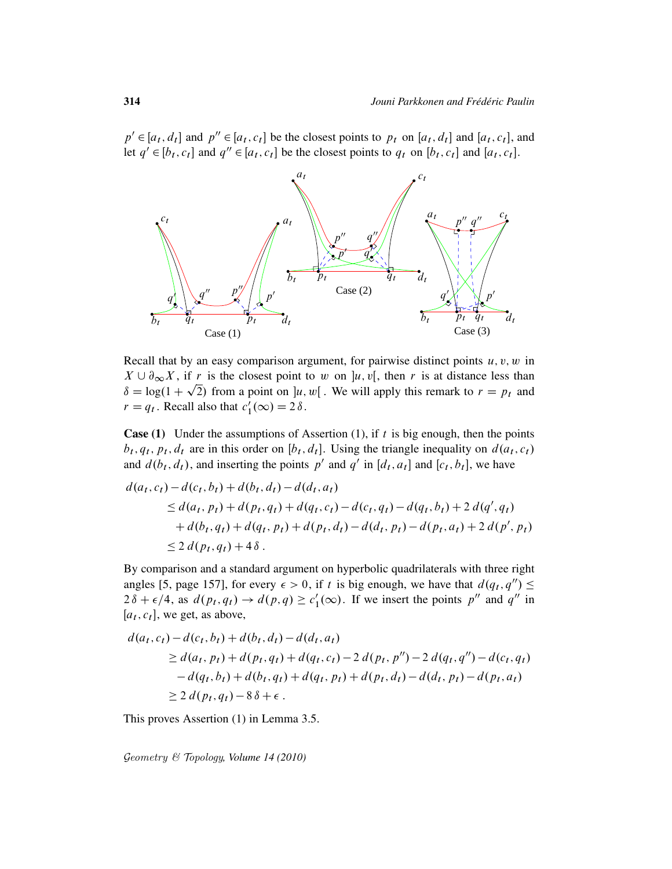$p' \in [a_t, d_t]$  and  $p'' \in [a_t, c_t]$  be the closest points to  $p_t$  on  $[a_t, d_t]$  and  $[a_t, c_t]$ , and let  $q' \in [b_t, c_t]$  and  $q'' \in [a_t, c_t]$  be the closest points to  $q_t$  on  $[b_t, c_t]$  and  $[a_t, c_t]$ .



Recall that by an easy comparison argument, for pairwise distinct points  $u, v, w$  in  $X \cup \partial_{\infty} X$ , if r is the closest point to w on  $]u, v[$ , then r is at distance less than  $\delta = \log(1 + \sqrt{2})$  from a point on  $]u, w[$ . We will apply this remark to  $r = p_t$  and  $r = q_t$ . Recall also that  $c_1'$  $l'_1(\infty) = 2 \delta$ .

**Case (1)** Under the assumptions of Assertion (1), if  $t$  is big enough, then the points  $b_t, q_t, p_t, d_t$  are in this order on  $[b_t, d_t]$ . Using the triangle inequality on  $d(a_t, c_t)$ and  $d(b_t, d_t)$ , and inserting the points p' and q' in [ $d_t$ ,  $a_t$ ] and [ $c_t$ ,  $b_t$ ], we have

$$
d(a_t, c_t) - d(c_t, b_t) + d(b_t, d_t) - d(d_t, a_t)
$$
  
\n
$$
\leq d(a_t, p_t) + d(p_t, q_t) + d(q_t, c_t) - d(c_t, q_t) - d(q_t, b_t) + 2 d(q', q_t)
$$
  
\n
$$
+ d(b_t, q_t) + d(q_t, p_t) + d(p_t, d_t) - d(d_t, p_t) - d(p_t, a_t) + 2 d(p', p_t)
$$
  
\n
$$
\leq 2 d(p_t, q_t) + 4 \delta.
$$

By comparison and a standard argument on hyperbolic quadrilaterals with three right angles [5, page 157], for every  $\epsilon > 0$ , if t is big enough, we have that  $d(q_t, q'') \leq$  $2\delta + \epsilon/4$ , as  $d(p_t, q_t) \rightarrow d(p, q) \geq c_1'$  $n'_1(\infty)$ . If we insert the points p'' and q'' in  $[a_t, c_t]$ , we get, as above,

$$
d(a_t, c_t) - d(c_t, b_t) + d(b_t, d_t) - d(d_t, a_t)
$$
  
\n
$$
\geq d(a_t, p_t) + d(p_t, q_t) + d(q_t, c_t) - 2 d(p_t, p'') - 2 d(q_t, q'') - d(c_t, q_t)
$$
  
\n
$$
- d(q_t, b_t) + d(b_t, q_t) + d(q_t, p_t) + d(p_t, d_t) - d(d_t, p_t) - d(p_t, a_t)
$$
  
\n
$$
\geq 2 d(p_t, q_t) - 8 \delta + \epsilon.
$$

This proves Assertion (1) in Lemma 3.5.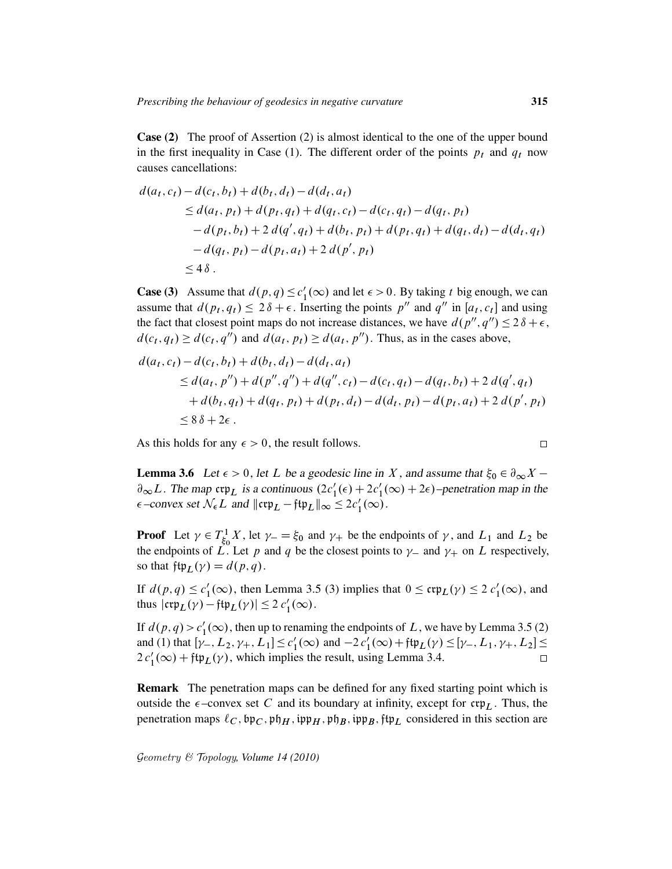Case (2) The proof of Assertion (2) is almost identical to the one of the upper bound in the first inequality in Case (1). The different order of the points  $p_t$  and  $q_t$  now causes cancellations:

$$
d(a_t, c_t) - d(c_t, b_t) + d(b_t, d_t) - d(d_t, a_t)
$$
  
\n
$$
\leq d(a_t, p_t) + d(p_t, q_t) + d(q_t, c_t) - d(c_t, q_t) - d(q_t, p_t)
$$
  
\n
$$
- d(p_t, b_t) + 2 d(q', q_t) + d(b_t, p_t) + d(p_t, q_t) + d(q_t, d_t) - d(d_t, q_t)
$$
  
\n
$$
- d(q_t, p_t) - d(p_t, a_t) + 2 d(p', p_t)
$$
  
\n
$$
\leq 4 \delta.
$$

**Case (3)** Assume that  $d(p, q) \leq c_1'$  $l_1'(\infty)$  and let  $\epsilon > 0$ . By taking t big enough, we can assume that  $d(p_t, q_t) \leq 2\delta + \epsilon$ . Inserting the points p'' and q'' in [a<sub>t</sub>, c<sub>t</sub>] and using the fact that closest point maps do not increase distances, we have  $d(p'', q'') \leq 2\delta + \epsilon$ ,  $d(c_t, q_t) \geq d(c_t, q'')$  and  $d(a_t, p_t) \geq d(a_t, p'')$ . Thus, as in the cases above,

$$
d(a_t, c_t) - d(c_t, b_t) + d(b_t, d_t) - d(d_t, a_t)
$$
  
\n
$$
\leq d(a_t, p'') + d(p'', q'') + d(q'', c_t) - d(c_t, q_t) - d(q_t, b_t) + 2 d(q', q_t)
$$
  
\n
$$
+ d(b_t, q_t) + d(q_t, p_t) + d(p_t, d_t) - d(d_t, p_t) - d(p_t, a_t) + 2 d(p', p_t)
$$
  
\n
$$
\leq 8 \delta + 2\epsilon.
$$

As this holds for any  $\epsilon > 0$ , the result follows.

$$
\Box
$$

**Lemma 3.6** Let  $\epsilon > 0$ , let L be a geodesic line in X, and assume that  $\xi_0 \in \partial_{\infty} X$  –  $\partial_{\infty}L$ . The map crp<sub>L</sub> is a continuous  $(2c'_1(\epsilon) + 2c'_1(\infty) + 2\epsilon)$ -penetration map in the  $\epsilon$ -convex set  $\mathcal{N}_{\epsilon} L$  and  $\|\mathfrak{crp}_L - \mathfrak{ftp}_L\|_{\infty} \leq 2c'_1(\infty)$ .

**Proof** Let  $\gamma \in T_{\xi_c}^1$  $\zeta_5^1$ , let  $\gamma = \zeta_0$  and  $\gamma_+$  be the endpoints of  $\gamma$ , and  $L_1$  and  $L_2$  be the endpoints of L. Let p and q be the closest points to  $\gamma$  and  $\gamma$  on L respectively, so that  $\operatorname{ftp}_L(\gamma) = d(p, q)$ .

If  $d(p,q) \leq c'_1$  $\mathcal{L}_1'(\infty)$ , then Lemma 3.5 (3) implies that  $0 \leq \mathfrak{crp}_L(\gamma) \leq 2 c_1'(\infty)$ , and thus  $|\mathfrak{crp}_L(\gamma) - \mathfrak{ftp}_L(\gamma)| \leq 2 c'_1(\infty)$ .

If  $d(p, q) > c'_1$  $\frac{1}{1}(\infty)$ , then up to renaming the endpoints of L, we have by Lemma 3.5 (2) and (1) that  $[\gamma_-, L_2, \gamma_+, L_1] \le c_1'$  $I'_1(\infty)$  and  $-2c'_1(\infty) + \text{ftp}_L(\gamma) \leq [\gamma_-, L_1, \gamma_+, L_2] \leq$  $2c'_1(\infty) + \text{ftp}_L(\gamma)$ , which implies the result, using Lemma 3.4.

Remark The penetration maps can be defined for any fixed starting point which is outside the  $\epsilon$ -convex set C and its boundary at infinity, except for crp<sub>L</sub>. Thus, the penetration maps  $\ell_C$ ,  $\mathfrak{sp}_C$ ,  $\mathfrak{sp}_H$ ,  $\mathfrak{sp}_H$ ,  $\mathfrak{sp}_B$ ,  $\mathfrak{sp}_B$ ,  $\mathfrak{fp}_L$  considered in this section are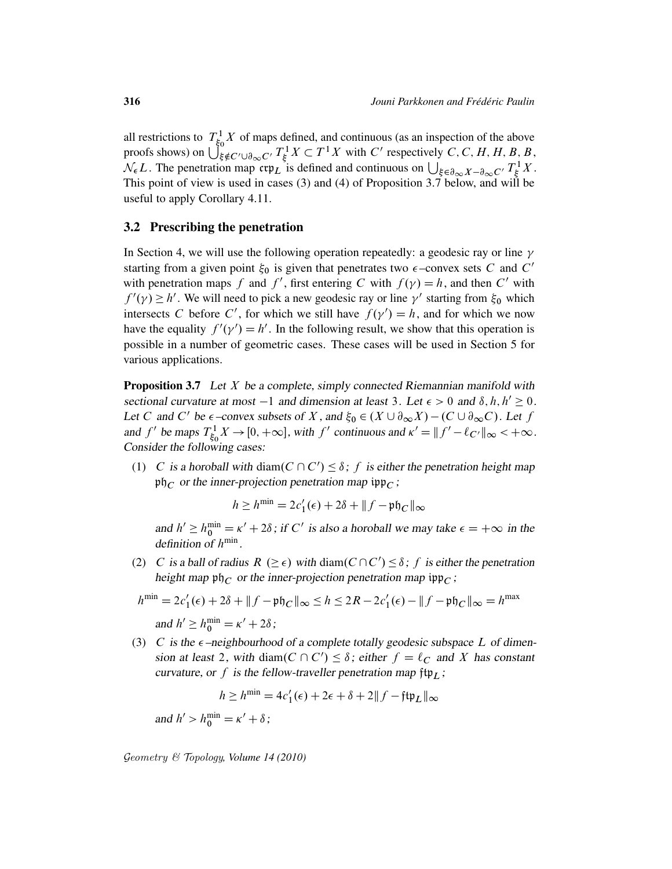all restrictions to  $T_{\xi_c}^1$  $\frac{1}{50}$  X of maps defined, and continuous (as an inspection of the above proofs shows) on  $\bigcup_{\xi \notin C' \cup \partial_{\infty} C'}^{\infty} T_{\xi}^1$  $\mathcal{E}_{\xi}^{1} X \subset T^{1} X$  with C' respectively C, C, H, H, B, B,  $\mathcal{N}_{\epsilon}L$ . The penetration map  $\exp_{L}$  is defined and continuous on  $\bigcup_{\xi \in \partial_{\infty}X - \partial_{\infty}C'} T_{\xi}^{1}$  $_{\xi}^{\prime 1}X.$ This point of view is used in cases (3) and (4) of Proposition 3.7 below, and will be useful to apply Corollary 4.11.

## 3.2 Prescribing the penetration

In Section 4, we will use the following operation repeatedly: a geodesic ray or line  $\gamma$ starting from a given point  $\xi_0$  is given that penetrates two  $\epsilon$ -convex sets C and C' with penetration maps f and f', first entering C with  $f(\gamma) = h$ , and then C' with  $f'(\gamma) \ge h'$ . We will need to pick a new geodesic ray or line  $\gamma'$  starting from  $\xi_0$  which intersects C before C', for which we still have  $f(\gamma') = h$ , and for which we now have the equality  $f'(\gamma') = h'$ . In the following result, we show that this operation is possible in a number of geometric cases. These cases will be used in Section 5 for various applications.

**Proposition 3.7** Let  $X$  be a complete, simply connected Riemannian manifold with sectional curvature at most  $-1$  and dimension at least 3. Let  $\epsilon > 0$  and  $\delta, h, h' \ge 0$ . Let C and C' be  $\epsilon$ -convex subsets of X, and  $\xi_0 \in (X \cup \partial_{\infty} X) - (C \cup \partial_{\infty} C)$ . Let f and f' be maps  $T_{\xi_c}^1$  $\int_{\xi_0}^{1} X \to [0, +\infty]$ , with f' continuous and  $\kappa' = ||f' - \ell_{C'}||_{\infty} < +\infty$ . Consider the following cases:

(1) C is a horoball with diam( $C \cap C'$ )  $\leq \delta$ ; f is either the penetration height map  $\mathfrak{ph}_C$  or the inner-projection penetration map  $\mathfrak{ipp}_C$ ;

$$
h \ge h^{\min} = 2c'_1(\epsilon) + 2\delta + ||f - \mathfrak{ph}_C||_{\infty}
$$

and  $h' \ge h_0^{\min} = \kappa' + 2\delta$ ; if C' is also a horoball we may take  $\epsilon = +\infty$  in the definition of  $h^{\min}$ .

(2) C is a ball of radius  $R \ (\geq \epsilon)$  with diam $(C \cap C') \leq \delta$ ; f is either the penetration height map  $\mathfrak{ph}_C$  or the inner-projection penetration map  $\mathfrak{sp}_C$ ;

$$
h^{\min} = 2c'_1(\epsilon) + 2\delta + ||f - \mathfrak{p}\mathfrak{h}_C||_{\infty} \le h \le 2R - 2c'_1(\epsilon) - ||f - \mathfrak{p}\mathfrak{h}_C||_{\infty} = h^{\max}
$$
  
and  $h' \ge h_0^{\min} = \kappa' + 2\delta$ ;

(3) C is the  $\epsilon$ -neighbourhood of a complete totally geodesic subspace L of dimension at least 2, with diam( $C \cap C'$ )  $\leq \delta$ ; either  $f = \ell_C$  and X has constant curvature, or f is the fellow-traveller penetration map  $\mathfrak{ftp}_L$ ;

$$
h \ge h^{\min} = 4c'_1(\epsilon) + 2\epsilon + \delta + 2||f - \mathfrak{ftp}_L||_{\infty}
$$
  
and 
$$
h' > h_0^{\min} = \kappa' + \delta;
$$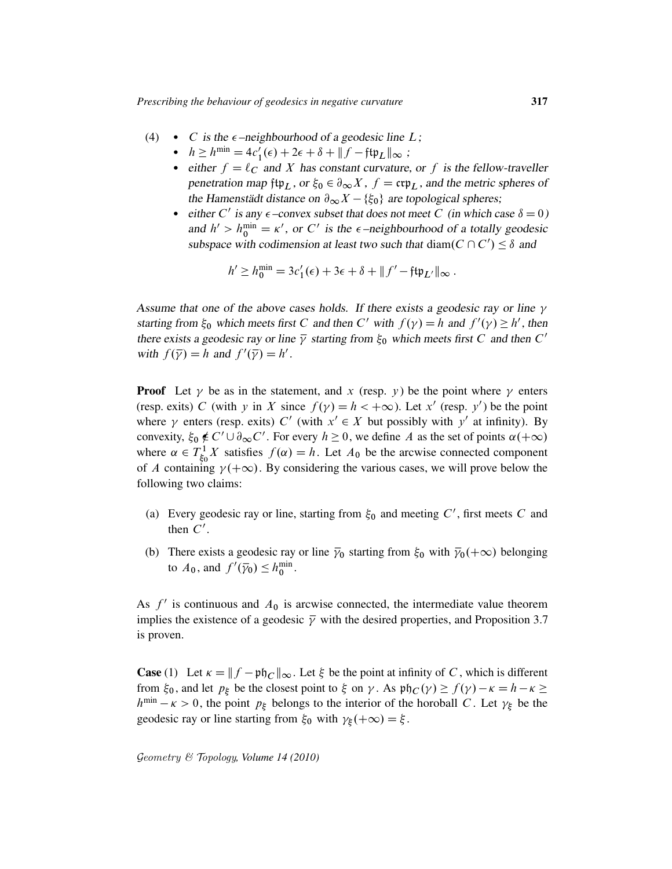- (4) C is the  $\epsilon$ -neighbourhood of a geodesic line L;
	- $h \ge h^{\min} = 4c'_1(\epsilon) + 2\epsilon + \delta + ||f \mathfrak{f}\mathfrak{t}\mathfrak{p}_L||_{\infty}$ ;
	- either  $f = \ell_C$  and X has constant curvature, or f is the fellow-traveller penetration map ftp<sub>L</sub>, or  $\xi_0 \in \partial_\infty X$ ,  $f = \text{crp}_L$ , and the metric spheres of the Hamenstädt distance on  $\partial_{\infty} X - \{\xi_0\}$  are topological spheres;
	- either C' is any  $\epsilon$ -convex subset that does not meet C (in which case  $\delta = 0$ ) and  $h' > h_0^{\min} = \kappa'$ , or C' is the  $\epsilon$ -neighbourhood of a totally geodesic subspace with codimension at least two such that diam( $C \cap C'$ )  $\leq \delta$  and

$$
h' \ge h_0^{\min} = 3c'_1(\epsilon) + 3\epsilon + \delta + ||f' - \mathfrak{f}\mathfrak{t}\mathfrak{p}_L||_{\infty}.
$$

Assume that one of the above cases holds. If there exists a geodesic ray or line  $\gamma$ starting from  $\xi_0$  which meets first C and then C' with  $f(\gamma) = h$  and  $f'(\gamma) \ge h'$ , then there exists a geodesic ray or line  $\bar{y}$  starting from  $\xi_0$  which meets first C and then C' with  $f(\overline{\gamma}) = h$  and  $f'(\overline{\gamma}) = h'$ .

**Proof** Let  $\gamma$  be as in the statement, and x (resp. y) be the point where  $\gamma$  enters (resp. exits) C (with y in X since  $f(y) = h < +\infty$ ). Let x' (resp. y') be the point where  $\gamma$  enters (resp. exits) C' (with  $x' \in X$  but possibly with y' at infinity). By convexity,  $\xi_0 \notin C' \cup \partial_{\infty} C'$ . For every  $h \ge 0$ , we define A as the set of points  $\alpha(+\infty)$ where  $\alpha \in T_{\xi_c}^1$  $S_6^1$  X satisfies  $f(\alpha) = h$ . Let  $A_0$  be the arcwise connected component of A containing  $\gamma(+\infty)$ . By considering the various cases, we will prove below the following two claims:

- (a) Every geodesic ray or line, starting from  $\xi_0$  and meeting C', first meets C and then  $C'$ .
- (b) There exists a geodesic ray or line  $\bar{y}_0$  starting from  $\xi_0$  with  $\bar{y}_0(+\infty)$  belonging to  $A_0$ , and  $f'(\bar{\gamma}_0) \leq h_0^{\min}$ .

As  $f'$  is continuous and  $A_0$  is arcwise connected, the intermediate value theorem implies the existence of a geodesic  $\bar{y}$  with the desired properties, and Proposition 3.7 is proven.

**Case** (1) Let  $\kappa = ||f - \mathfrak{ph}_C||_{\infty}$ . Let  $\xi$  be the point at infinity of C, which is different from  $\xi_0$ , and let  $p_{\xi}$  be the closest point to  $\xi$  on  $\gamma$ . As  $\mathfrak{ph}_C(\gamma) \ge f(\gamma) - \kappa = h - \kappa \ge$  $h^{\min} - \kappa > 0$ , the point  $p_{\xi}$  belongs to the interior of the horoball C. Let  $\gamma_{\xi}$  be the geodesic ray or line starting from  $\xi_0$  with  $\gamma_{\xi}(+\infty) = \xi$ .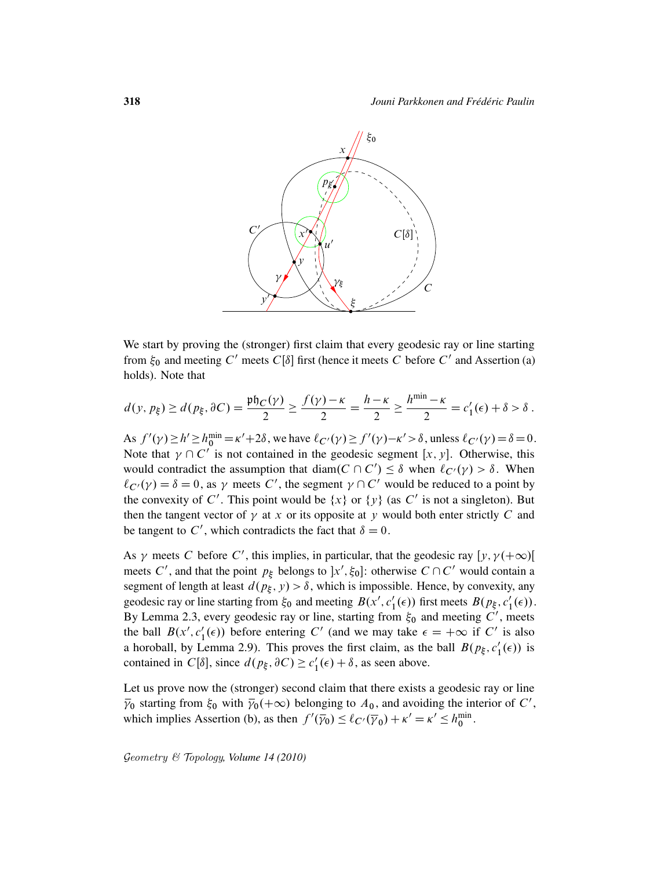

We start by proving the (stronger) first claim that every geodesic ray or line starting from  $\xi_0$  and meeting C' meets C[ $\delta$ ] first (hence it meets C before C' and Assertion (a) holds). Note that

$$
d(y, p_{\xi}) \ge d(p_{\xi}, \partial C) = \frac{\mathfrak{ph}_C(\gamma)}{2} \ge \frac{f(\gamma) - \kappa}{2} = \frac{h - \kappa}{2} \ge \frac{h^{\min} - \kappa}{2} = c'_1(\epsilon) + \delta > \delta.
$$

As  $f'(\gamma) \ge h' \ge h_0^{\min} = \kappa' + 2\delta$ , we have  $\ell_{C'}(\gamma) \ge f'(\gamma) - \kappa' > \delta$ , unless  $\ell_{C'}(\gamma) = \delta = 0$ . Note that  $\gamma \cap C^{\gamma}$  is not contained in the geodesic segment [x, y]. Otherwise, this would contradict the assumption that diam( $C \cap C'$ )  $\leq \delta$  when  $\ell_{C'}(\gamma) > \delta$ . When  $\ell_{C'}(\gamma) = \delta = 0$ , as  $\gamma$  meets C', the segment  $\gamma \cap C'$  would be reduced to a point by the convexity of C'. This point would be  $\{x\}$  or  $\{y\}$  (as C' is not a singleton). But then the tangent vector of  $\gamma$  at x or its opposite at y would both enter strictly C and be tangent to C', which contradicts the fact that  $\delta = 0$ .

As  $\gamma$  meets C before C', this implies, in particular, that the geodesic ray  $[y, \gamma(+\infty)]$ meets C', and that the point  $p_{\xi}$  belongs to  $x', \xi_0$ : otherwise  $C \cap C'$  would contain a segment of length at least  $d(p_{\xi}, y) > \delta$ , which is impossible. Hence, by convexity, any geodesic ray or line starting from  $\xi_0$  and meeting  $B(x', c_1')$  $I_1(\epsilon)$ ) first meets  $B(p_{\xi}, c_1')$  $_1'(\epsilon)).$ By Lemma 2.3, every geodesic ray or line, starting from  $\xi_0$  and meeting C', meets the ball  $B(x', c'_1)$  $I_1(\epsilon)$ ) before entering C' (and we may take  $\epsilon = +\infty$  if C' is also a horoball, by Lemma 2.9). This proves the first claim, as the ball  $B(p_{\xi}, c_1')$  $_1'(\epsilon)$ ) is contained in  $C[\delta]$ , since  $d(p_{\xi}, \partial C) \geq c_1'$  $l_1'(\epsilon) + \delta$ , as seen above.

Let us prove now the (stronger) second claim that there exists a geodesic ray or line  $\bar{\gamma}_0$  starting from  $\xi_0$  with  $\bar{\gamma}_0(+\infty)$  belonging to  $A_0$ , and avoiding the interior of C', which implies Assertion (b), as then  $f'(\bar{y}_0) \leq \ell_{C'}(\bar{y}_0) + \kappa' = \kappa' \leq h_0^{\min}$ .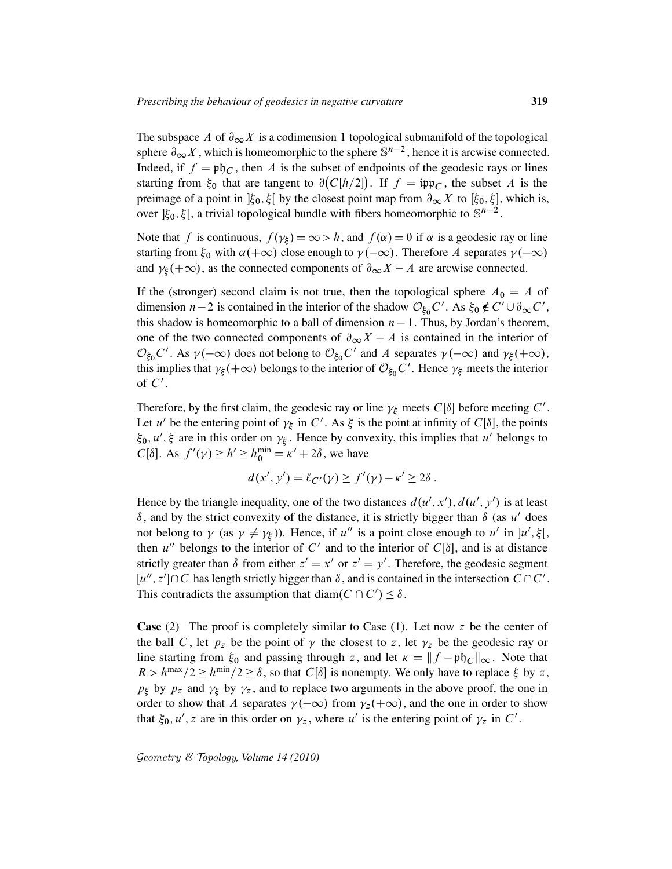The subspace A of  $\partial_{\infty} X$  is a codimension 1 topological submanifold of the topological sphere  $\partial_{\infty} X$ , which is homeomorphic to the sphere  $\mathbb{S}^{n-2}$ , hence it is arcwise connected. Indeed, if  $f = \mathfrak{ph}_C$ , then A is the subset of endpoints of the geodesic rays or lines starting from  $\xi_0$  that are tangent to  $\partial (C[h/2])$ . If  $f = \text{inp}_C$ , the subset A is the preimage of a point in  $\vert \xi_0, \xi \vert$  by the closest point map from  $\partial_{\infty} X$  to  $[\xi_0, \xi]$ , which is, over  $\vert \xi_0, \xi \vert$ , a trivial topological bundle with fibers homeomorphic to  $\mathbb{S}^{n-2}$ .

Note that f is continuous,  $f(\gamma_{\xi}) = \infty > h$ , and  $f(\alpha) = 0$  if  $\alpha$  is a geodesic ray or line starting from  $\xi_0$  with  $\alpha(+\infty)$  close enough to  $\gamma(-\infty)$ . Therefore A separates  $\gamma(-\infty)$ and  $\gamma_{\xi}(+\infty)$ , as the connected components of  $\partial_{\infty}X - A$  are arcwise connected.

If the (stronger) second claim is not true, then the topological sphere  $A_0 = A$  of dimension  $n-2$  is contained in the interior of the shadow  $\mathcal{O}_{\xi_0}C'$ . As  $\xi_0 \notin C' \cup \partial_{\infty}C'$ , this shadow is homeomorphic to a ball of dimension  $n - 1$ . Thus, by Jordan's theorem, one of the two connected components of  $\partial_{\infty}X - A$  is contained in the interior of  $\mathcal{O}_{\xi_0} C'$ . As  $\gamma(-\infty)$  does not belong to  $\mathcal{O}_{\xi_0} C'$  and A separates  $\gamma(-\infty)$  and  $\gamma_{\xi}(+\infty)$ , this implies that  $\gamma_{\xi}(+\infty)$  belongs to the interior of  $\mathcal{O}_{\xi_0}\tilde{C}'$ . Hence  $\gamma_{\xi}$  meets the interior of  $C'$ .

Therefore, by the first claim, the geodesic ray or line  $\gamma_{\xi}$  meets  $C[\delta]$  before meeting  $C'$ . Let u' be the entering point of  $\gamma_{\xi}$  in C'. As  $\xi$  is the point at infinity of C[ $\delta$ ], the points  $\xi_0, u', \xi$  are in this order on  $\gamma_{\xi}$ . Hence by convexity, this implies that u' belongs to  $C[\delta]$ . As  $f'(\gamma) \ge h' \ge h_0^{\min} = \kappa' + 2\delta$ , we have

$$
d(x', y') = \ell_{C'}(y) \ge f'(\gamma) - \kappa' \ge 2\delta.
$$

Hence by the triangle inequality, one of the two distances  $d(u', x')$ ,  $d(u', y')$  is at least  $\delta$ , and by the strict convexity of the distance, it is strictly bigger than  $\delta$  (as u' does not belong to  $\gamma$  (as  $\gamma \neq \gamma_{\xi}$ )). Hence, if u'' is a point close enough to u' in  $]u', \xi[$ , then u'' belongs to the interior of C' and to the interior of  $C[\delta]$ , and is at distance strictly greater than  $\delta$  from either  $z' = x'$  or  $z' = y'$ . Therefore, the geodesic segment  $[u'', z'] \cap C$  has length strictly bigger than  $\delta$ , and is contained in the intersection  $\overline{C} \cap C'$ . This contradicts the assumption that diam( $C \cap C'$ )  $\leq \delta$ .

**Case** (2) The proof is completely similar to Case (1). Let now z be the center of the ball C, let  $p_z$  be the point of  $\gamma$  the closest to z, let  $\gamma_z$  be the geodesic ray or line starting from  $\xi_0$  and passing through z, and let  $\kappa = ||f - \mathfrak{p}h_C||_{\infty}$ . Note that  $R > h^{\text{max}}/2 \ge h^{\text{min}}/2 \ge \delta$ , so that  $C[\delta]$  is nonempty. We only have to replace  $\xi$  by z,  $p_{\xi}$  by  $p_z$  and  $\gamma_{\xi}$  by  $\gamma_z$ , and to replace two arguments in the above proof, the one in order to show that A separates  $\gamma(-\infty)$  from  $\gamma_z(+\infty)$ , and the one in order to show that  $\xi_0, u', z$  are in this order on  $\gamma_z$ , where u' is the entering point of  $\gamma_z$  in C'.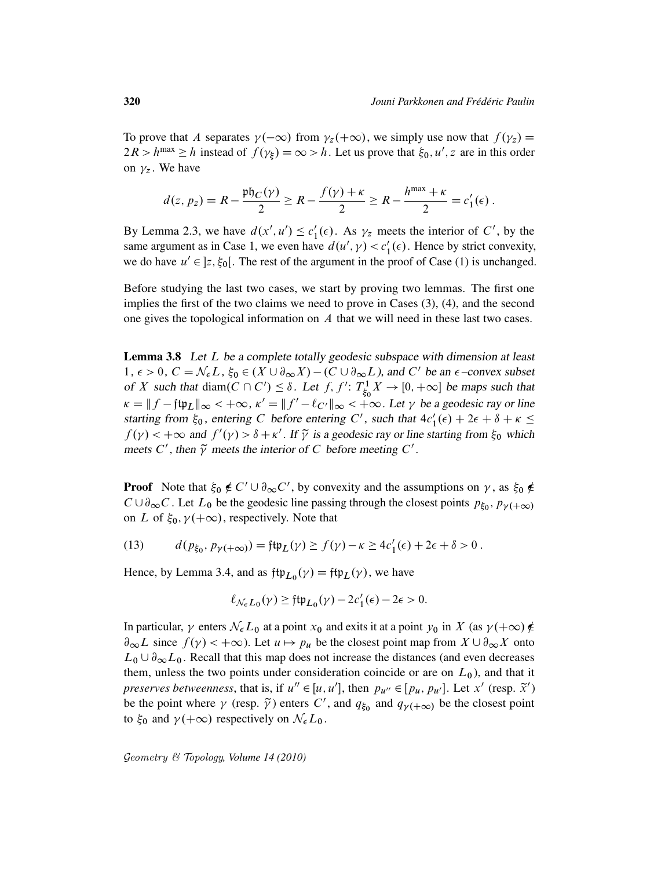To prove that A separates  $\gamma(-\infty)$  from  $\gamma_z(+\infty)$ , we simply use now that  $f(\gamma_z) =$  $2R > h^{\text{max}} \ge h$  instead of  $f(\gamma_{\xi}) = \infty > h$ . Let us prove that  $\xi_0, u', z$  are in this order on  $\gamma_z$ . We have

$$
d(z, p_z) = R - \frac{\mathfrak{p} \mathfrak{h}_C(\gamma)}{2} \geq R - \frac{f(\gamma) + \kappa}{2} \geq R - \frac{h^{\max} + \kappa}{2} = c'_1(\epsilon).
$$

By Lemma 2.3, we have  $d(x', u') \leq c_1'$  $l'_1(\epsilon)$ . As  $\gamma_z$  meets the interior of C', by the same argument as in Case 1, we even have  $d(u', \gamma) < c_1'$  $'_{1}(\epsilon)$ . Hence by strict convexity, we do have  $u' \in ]z, \xi_0[$ . The rest of the argument in the proof of Case (1) is unchanged.

Before studying the last two cases, we start by proving two lemmas. The first one implies the first of the two claims we need to prove in Cases (3), (4), and the second one gives the topological information on A that we will need in these last two cases.

Lemma 3.8 Let L be a complete totally geodesic subspace with dimension at least  $1, \epsilon > 0, C = \mathcal{N}_{\epsilon} L$ ,  $\xi_0 \in (X \cup \partial_{\infty} X) - (C \cup \partial_{\infty} L)$ , and C' be an  $\epsilon$ -convex subset of X such that diam( $C \cap C'$ )  $\leq \delta$ . Let f, f':  $T_{\xi_c}^1$  $\chi^1_{\xi_0} X \to [0, +\infty]$  be maps such that  $\kappa = ||f - f\psi_L||_{\infty} < +\infty$ ,  $\kappa' = ||f' - \ell_{C'}||_{\infty} < +\infty$ . Let  $\gamma$  be a geodesic ray or line starting from  $\xi_0$ , entering C before entering C', such that  $4c'_1(\epsilon) + 2\epsilon + \delta + \kappa \leq$  $f(\gamma) < +\infty$  and  $f'(\gamma) > \delta + \kappa'$ . If  $\tilde{\gamma}$  is a geodesic ray or line starting from  $\xi_0$  which meets C', then  $\tilde{\gamma}$  meets the interior of C before meeting C'.

**Proof** Note that  $\xi_0 \notin C' \cup \partial_\infty C'$ , by convexity and the assumptions on  $\gamma$ , as  $\xi_0 \notin C'$  $C \cup \partial_{\infty} C$ . Let  $L_0$  be the geodesic line passing through the closest points  $p_{\xi_0}, p_{\gamma(+\infty)}$ on L of  $\xi_0$ ,  $\gamma(+\infty)$ , respectively. Note that

(13) 
$$
d(p_{\xi_0}, p_{\gamma(+\infty)}) = \text{ft} \mathfrak{p}_L(\gamma) \geq f(\gamma) - \kappa \geq 4c'_1(\epsilon) + 2\epsilon + \delta > 0.
$$

Hence, by Lemma 3.4, and as  $\mathfrak{ftp}_{L_0}(\gamma) = \mathfrak{ftp}_L(\gamma)$ , we have

$$
\ell_{\mathcal{N}_{\epsilon}L_0}(\gamma) \geq \mathfrak{ftp}_{L_0}(\gamma) - 2c'_1(\epsilon) - 2\epsilon > 0.
$$

In particular,  $\gamma$  enters  $\mathcal{N}_{\epsilon}L_0$  at a point  $x_0$  and exits it at a point  $y_0$  in X (as  $\gamma(+\infty) \notin$  $\partial_{\infty}L$  since  $f(\gamma) < +\infty$ ). Let  $u \mapsto pu$  be the closest point map from  $X \cup \partial_{\infty}X$  onto  $L_0 \cup \partial_{\infty} L_0$ . Recall that this map does not increase the distances (and even decreases them, unless the two points under consideration coincide or are on  $L_0$ ), and that it *preserves betweenness*, that is, if  $u'' \in [u, u']$ , then  $p_{u''} \in [p_u, p_{u'}]$ . Let x' (resp.  $\tilde{x}'$ ) be the point where  $\gamma$  (resp.  $\tilde{\gamma}$ ) enters C', and  $q_{\xi_0}$  and  $q_{\gamma(+\infty)}$  be the closest point to  $\xi_0$  and  $\gamma(+\infty)$  respectively on  $\mathcal{N}_{\epsilon}L_0$ .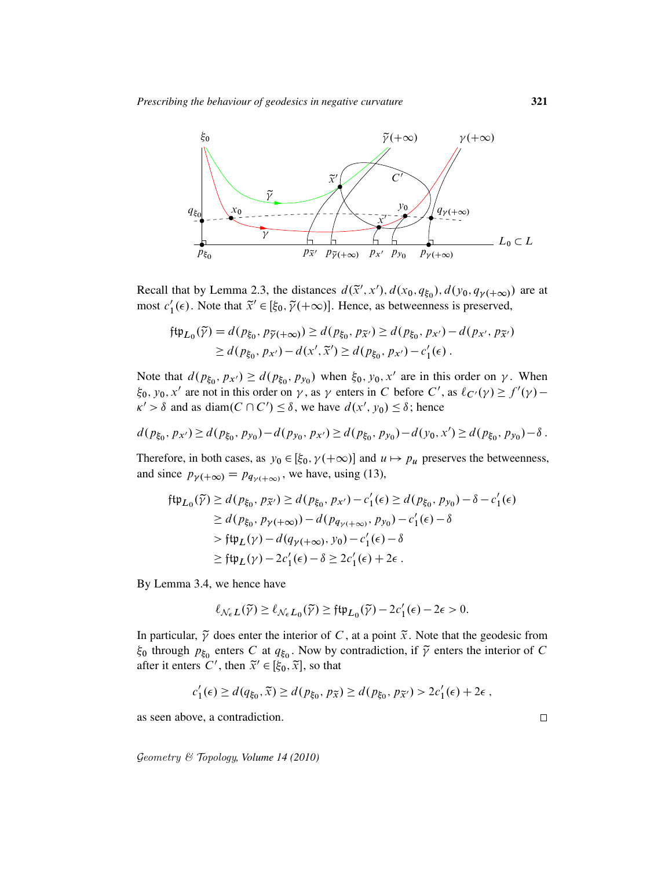

Recall that by Lemma 2.3, the distances  $d(\tilde{x}', x')$ ,  $d(x_0, q_{\xi_0})$ ,  $d(y_0, q_{\gamma(\xi_0)})$  are at most  $c_1$ <sup>'</sup>  $\tilde{\chi}_1(\epsilon)$ . Note that  $\tilde{x}' \in [\xi_0, \tilde{\gamma}(+\infty)]$ . Hence, as betweenness is preserved,

$$
\begin{aligned} \mathfrak{ftp}_{L_0}(\widetilde{\gamma}) &= d(p_{\xi_0}, p_{\widetilde{\gamma}(+\infty)}) \ge d(p_{\xi_0}, p_{\widetilde{x}'}) \ge d(p_{\xi_0}, p_{x'}) - d(p_{x'}, p_{\widetilde{x}'}) \\ &\ge d(p_{\xi_0}, p_{x'}) - d(x', \widetilde{x}') \ge d(p_{\xi_0}, p_{x'}) - c'_1(\epsilon) \,. \end{aligned}
$$

Note that  $d(p_{\xi_0}, p_{x'}) \ge d(p_{\xi_0}, p_{y_0})$  when  $\xi_0, y_0, x'$  are in this order on  $\gamma$ . When  $\xi_0$ ,  $y_0$ ,  $x'$  are not in this order on  $\gamma$ , as  $\gamma$  enters in C before C', as  $\ell_{C'}(\gamma) \ge f'(\gamma) - \ell_{C'}(\gamma)$  $\kappa' > \delta$  and as diam( $C \cap C'$ )  $\leq \delta$ , we have  $d(x', y_0) \leq \delta$ ; hence

$$
d(p_{\xi_0}, p_{x'}) \ge d(p_{\xi_0}, p_{y_0}) - d(p_{y_0}, p_{x'}) \ge d(p_{\xi_0}, p_{y_0}) - d(y_0, x') \ge d(p_{\xi_0}, p_{y_0}) - \delta.
$$

Therefore, in both cases, as  $y_0 \in [\xi_0, \gamma(+\infty)]$  and  $u \mapsto p_u$  preserves the betweenness, and since  $p_{\gamma(+\infty)} = p_{q_{\gamma(+\infty)}}$ , we have, using (13),

$$
\begin{aligned} \n\mathfrak{ftp}_{L_0}(\widetilde{\gamma}) &\geq d(p_{\xi_0}, p_{\widetilde{x}'} ) \geq d(p_{\xi_0}, p_{x'}) - c_1'(\epsilon) \geq d(p_{\xi_0}, p_{y_0}) - \delta - c_1'(\epsilon) \\ \n&\geq d(p_{\xi_0}, p_{\gamma(+\infty)}) - d(p_{q_{\gamma(+\infty)}}, p_{y_0}) - c_1'(\epsilon) - \delta \\ \n&\geq \mathfrak{ftp}_L(\gamma) - d(q_{\gamma(+\infty)}, y_0) - c_1'(\epsilon) - \delta \\ \n&\geq \mathfrak{ftp}_L(\gamma) - 2c_1'(\epsilon) - \delta \geq 2c_1'(\epsilon) + 2\epsilon \,. \n\end{aligned}
$$

By Lemma 3.4, we hence have

$$
\ell_{\mathcal{N}_\epsilon L}(\widetilde{\gamma}) \geq \ell_{\mathcal{N}_\epsilon L_0}(\widetilde{\gamma}) \geq \mathfrak{ftp}_{L_0}(\widetilde{\gamma}) - 2c'_1(\epsilon) - 2\epsilon > 0.
$$

In particular,  $\tilde{\gamma}$  does enter the interior of C, at a point  $\tilde{x}$ . Note that the geodesic from  $\xi_0$  through  $p_{\xi_0}$  enters C at  $q_{\xi_0}$ . Now by contradiction, if  $\tilde{\gamma}$  enters the interior of C after it enters C', then  $\tilde{x}' \in [\xi_0, \tilde{x}]$ , so that

$$
c'_1(\epsilon) \ge d(q_{\xi_0}, \widetilde{x}) \ge d(p_{\xi_0}, p_{\widetilde{x}}) \ge d(p_{\xi_0}, p_{\widetilde{x}'}) > 2c'_1(\epsilon) + 2\epsilon,
$$

as seen above, a contradiction.

Geometry & Topology*, Volume 14 (2010)*

 $\Box$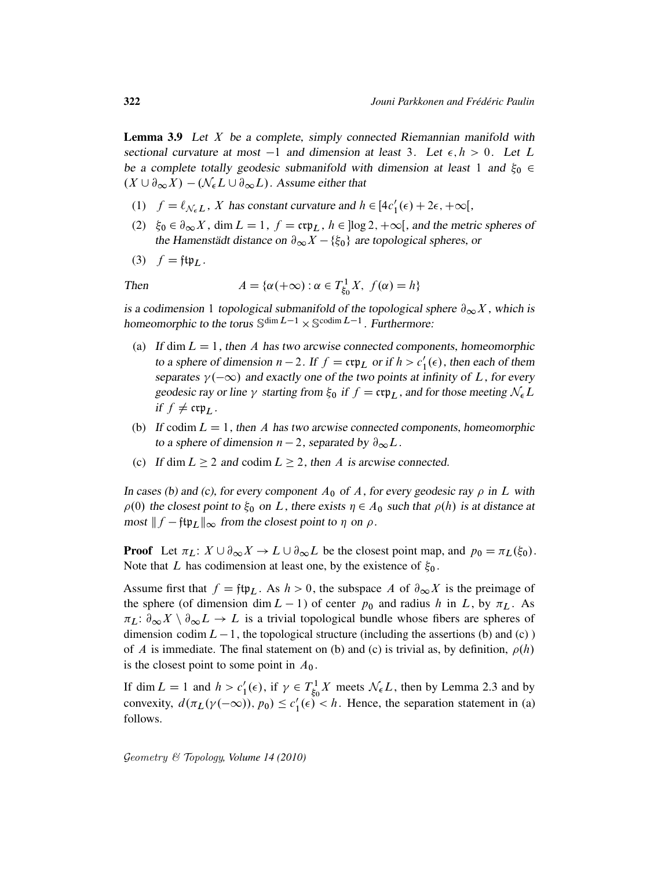**Lemma 3.9** Let  $X$  be a complete, simply connected Riemannian manifold with sectional curvature at most  $-1$  and dimension at least 3. Let  $\epsilon, h > 0$ . Let L be a complete totally geodesic submanifold with dimension at least 1 and  $\xi_0 \in$  $(X \cup \partial_{\infty} X) - (\mathcal{N}_{\epsilon} L \cup \partial_{\infty} L)$ . Assume either that

- (1)  $f = \ell_{\mathcal{N}_{\epsilon}L}$ , X has constant curvature and  $h \in [4c'_1(\epsilon) + 2\epsilon, +\infty[,$
- (2)  $\xi_0 \in \partial_\infty X$ , dim  $L = 1$ ,  $f = \exp_L$ ,  $h \in \log 2$ ,  $+\infty$ , and the metric spheres of the Hamenstädt distance on  $\partial_{\infty}X - \{\xi_0\}$  are topological spheres, or
- (3)  $f = f \uparrow \uparrow_L$ .

Then 
$$
A = \{ \alpha(+\infty) : \alpha \in T^1_{\xi_0} X, f(\alpha) = h \}
$$

is a codimension 1 topological submanifold of the topological sphere  $\partial_{\infty}X$ , which is homeomorphic to the torus  $\mathbb{S}^{\dim L-1} \times \mathbb{S}^{\text{codim } L-1}$ . Furthermore:

- (a) If dim  $L = 1$ , then A has two arcwise connected components, homeomorphic to a sphere of dimension  $n-2$ . If  $f = \mathfrak{crp}_L$  or if  $h > c'_1$  $l'_1(\epsilon)$ , then each of them separates  $\gamma(-\infty)$  and exactly one of the two points at infinity of L, for every geodesic ray or line  $\gamma$  starting from  $\xi_0$  if  $f = \text{crp}_L$ , and for those meeting  $\mathcal{N}_{\epsilon}L$ if  $f \neq \exp_L$ .
- (b) If codim  $L = 1$ , then A has two arcwise connected components, homeomorphic to a sphere of dimension  $n - 2$ , separated by  $\partial_{\infty}L$ .
- (c) If dim  $L \ge 2$  and codim  $L \ge 2$ , then A is arcwise connected.

In cases (b) and (c), for every component  $A_0$  of A, for every geodesic ray  $\rho$  in L with  $\rho(0)$  the closest point to  $\xi_0$  on L, there exists  $\eta \in A_0$  such that  $\rho(h)$  is at distance at most  $|| f - \text{ftp}_L ||_{\infty}$  from the closest point to  $\eta$  on  $\rho$ .

**Proof** Let  $\pi_L: X \cup \partial_{\infty} X \to L \cup \partial_{\infty} L$  be the closest point map, and  $p_0 = \pi_L(\xi_0)$ . Note that L has codimension at least one, by the existence of  $\xi_0$ .

Assume first that  $f = ftp_L$ . As  $h > 0$ , the subspace A of  $\partial_{\infty}X$  is the preimage of the sphere (of dimension dim  $L - 1$ ) of center  $p_0$  and radius h in L, by  $\pi_L$ . As  $\pi_L: \partial_\infty X \setminus \partial_\infty L \to L$  is a trivial topological bundle whose fibers are spheres of dimension codim  $L-1$ , the topological structure (including the assertions (b) and (c)) of A is immediate. The final statement on (b) and (c) is trivial as, by definition,  $\rho(h)$ is the closest point to some point in  $A_0$ .

If dim  $L = 1$  and  $h > c'_1$  $T_1'(\epsilon)$ , if  $\gamma \in T_{\xi_0}^1$  $\chi^1_{\xi_0}$  *X* meets  $\mathcal{N}_{\epsilon}$ *L*, then by Lemma 2.3 and by convexity,  $d(\pi_L(\gamma(-\infty)), p_0) \leq c_1'$  $l_1'(\epsilon) < h$ . Hence, the separation statement in (a) follows.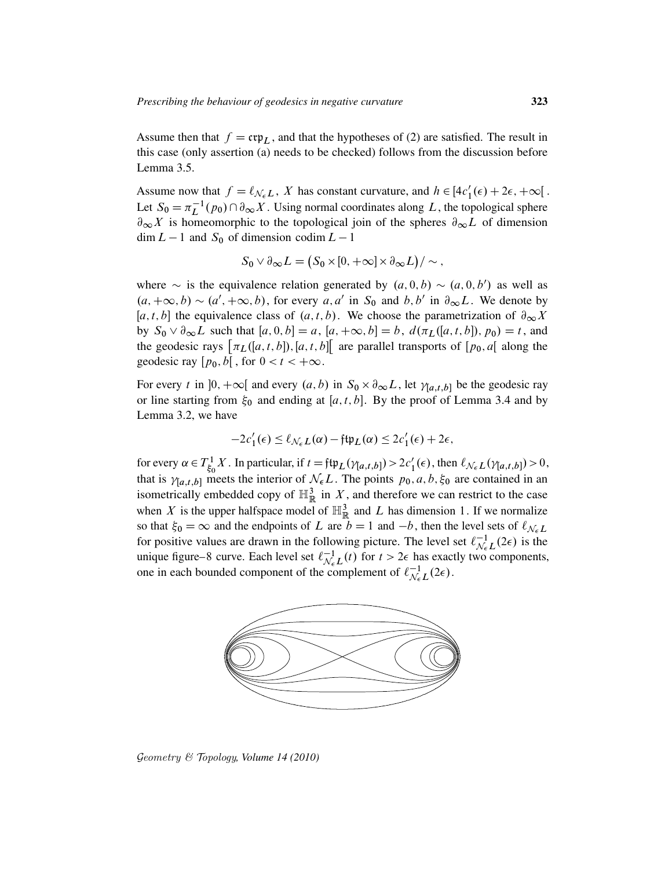Assume then that  $f = \mathfrak{crp}_L$ , and that the hypotheses of (2) are satisfied. The result in this case (only assertion (a) needs to be checked) follows from the discussion before Lemma 3.5.

Assume now that  $f = \ell_{\mathcal{N}_{\epsilon}L}$ , X has constant curvature, and  $h \in [4c'_1(\epsilon) + 2\epsilon, +\infty]$ . Let  $S_0 = \pi_L^{-1}(p_0) \cap \partial_\infty X$ . Using normal coordinates along L, the topological sphere  $\partial_{\infty}X$  is homeomorphic to the topological join of the spheres  $\partial_{\infty}L$  of dimension  $\dim L - 1$  and  $S_0$  of dimension codim  $L - 1$ 

$$
S_0 \vee \partial_{\infty} L = (S_0 \times [0, +\infty] \times \partial_{\infty} L)/\sim,
$$

where  $\sim$  is the equivalence relation generated by  $(a, 0, b) \sim (a, 0, b')$  as well as  $(a, +\infty, b) \sim (a', +\infty, b)$ , for every a, a' in S<sub>0</sub> and b, b' in  $\partial_{\infty}L$ . We denote by [a, t, b] the equivalence class of  $(a, t, b)$ . We choose the parametrization of  $\partial_{\infty} X$ by  $S_0 \vee \partial_{\infty} L$  such that  $[a, 0, b] = a$ ,  $[a, +\infty, b] = b$ ,  $d(\pi_L([a, t, b]), p_0) = t$ , and the geodesic rays  $\pi_L([a, t, b]), [a, t, b]$  are parallel transports of  $[p_0, a]$  along the geodesic ray  $[p_0, b]$ , for  $0 < t < +\infty$ .

For every t in  $]0, +\infty[$  and every  $(a, b)$  in  $S_0 \times \partial_{\infty} L$ , let  $\gamma_{[a,t,b]}$  be the geodesic ray or line starting from  $\xi_0$  and ending at [a, t, b]. By the proof of Lemma 3.4 and by Lemma 3.2, we have

$$
-2c'_1(\epsilon) \leq \ell_{\mathcal{N}_{\epsilon}L}(\alpha) - \mathfrak{ftp}_L(\alpha) \leq 2c'_1(\epsilon) + 2\epsilon,
$$

for every  $\alpha \in T^1_{\xi_0}$  $\int_{\xi_0}^1 X$ . In particular, if  $t = \int \mathfrak{f} \psi_L(\gamma_{[a,t,b]}) > 2c'_1(\epsilon)$ , then  $\ell_{\mathcal{N}_{\epsilon}L}(\gamma_{[a,t,b]}) > 0$ , that is  $\gamma_{[a,t,b]}$  meets the interior of  $\mathcal{N}_{\epsilon}L$ . The points  $p_0, a, b, \xi_0$  are contained in an isometrically embedded copy of  $\mathbb{H}^3_{\mathbb{R}}$  in X, and therefore we can restrict to the case when X is the upper halfspace model of  $\mathbb{H}^3_{\mathbb{R}}$  and L has dimension 1. If we normalize so that  $\xi_0 = \infty$  and the endpoints of L are  $b = 1$  and  $-b$ , then the level sets of  $\ell_{N_c} L$ for positive values are drawn in the following picture. The level set  $\ell_{N}^{-1}$  $\overline{N_{\epsilon}L}^{1}(2\epsilon)$  is the unique figure–8 curve. Each level set  $\ell_{\mathcal{N}}^{-1}$  $\bigcup_{N \in L}^{-1}(t)$  for  $t > 2\epsilon$  has exactly two components, one in each bounded component of the complement of  $\ell_{N_c}^{-1}$  $\overline{\mathcal{N}_{\epsilon}}^{-1}L(2\epsilon).$ 



Geometry & Topology*, Volume 14 (2010)*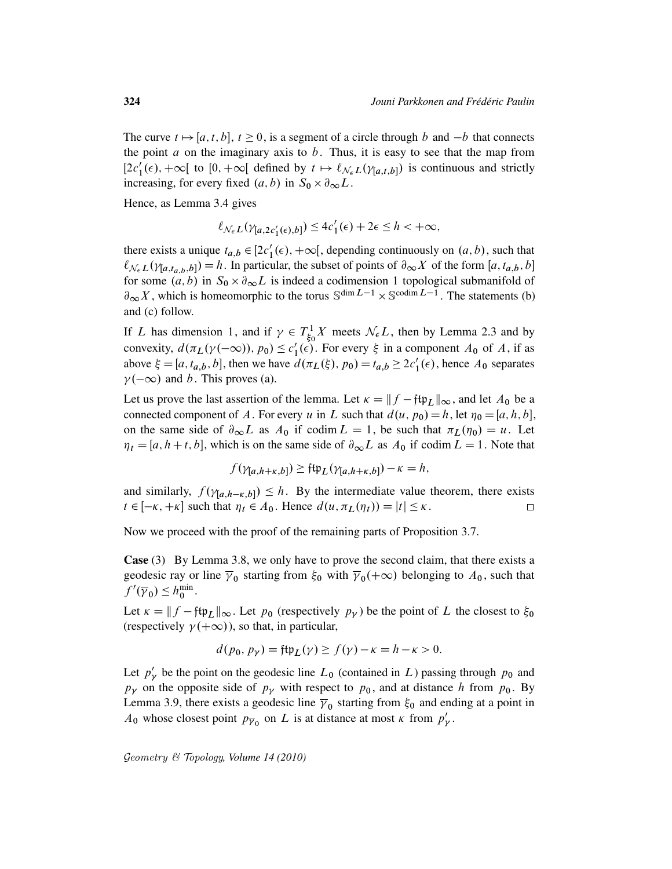The curve  $t \mapsto [a, t, b]$ ,  $t \ge 0$ , is a segment of a circle through b and  $-b$  that connects the point  $a$  on the imaginary axis to  $b$ . Thus, it is easy to see that the map from  $[2c'_1(\epsilon), +\infty[$  to  $[0, +\infty[$  defined by  $t \mapsto \ell_{\mathcal{N}_{\epsilon}L}(\gamma_{[a,t,b]})$  is continuous and strictly increasing, for every fixed  $(a, b)$  in  $S_0 \times \partial_{\infty} L$ .

Hence, as Lemma 3.4 gives

$$
\ell_{\mathcal{N}_{\epsilon}L}(\gamma_{[a,2c_1'(\epsilon),b]}) \leq 4c_1'(\epsilon) + 2\epsilon \leq h < +\infty,
$$

there exists a unique  $t_{a,b} \in [2c_1'(\epsilon), +\infty]$ , depending continuously on  $(a, b)$ , such that  $\ell_{N_{\epsilon}L}(\gamma_{[a,t_{a,b},b]}) = h$ . In particular, the subset of points of  $\partial_{\infty}X$  of the form  $[a,t_{a,b},b]$ for some  $(a, b)$  in  $S_0 \times \partial_{\infty} L$  is indeed a codimension 1 topological submanifold of  $\partial_{\infty} X$ , which is homeomorphic to the torus  $\mathbb{S}^{\dim L-1} \times \mathbb{S}^{\text{codim } L-1}$ . The statements (b) and (c) follow.

If L has dimension 1, and if  $\gamma \in T_{\xi_0}^1$  $\chi^1_{\xi_0}$  *X* meets  $\mathcal{N}_{\epsilon}$ *L*, then by Lemma 2.3 and by convexity,  $d(\pi_L(\gamma(-\infty)), p_0) \leq c'_1$  $I_1'(\epsilon)$ . For every  $\xi$  in a component  $A_0$  of  $A$ , if as above  $\xi = [a, t_{a,b}, b]$ , then we have  $d(\pi_L(\xi), p_0) = t_{a,b} \ge 2c'_1(\epsilon)$ , hence  $A_0$  separates  $\gamma(-\infty)$  and b. This proves (a).

Let us prove the last assertion of the lemma. Let  $\kappa = ||f - f \psi_L||_{\infty}$ , and let  $A_0$  be a connected component of A. For every u in L such that  $d(u, p_0) = h$ , let  $\eta_0 = [a, h, b]$ , on the same side of  $\partial_{\infty}L$  as  $A_0$  if codim  $L = 1$ , be such that  $\pi_L(\eta_0) = u$ . Let  $\eta_t = [a, h+t, b]$ , which is on the same side of  $\partial_{\infty}L$  as  $A_0$  if codim  $L = 1$ . Note that

$$
f(\gamma_{[a,h+\kappa,b]}) \geq \mathfrak{ftp}_L(\gamma_{[a,h+\kappa,b]}) - \kappa = h,
$$

and similarly,  $f(\gamma_{[a,h-\kappa,b]}) \leq h$ . By the intermediate value theorem, there exists  $t \in [-\kappa, +\kappa]$  such that  $\eta_t \in A_0$ . Hence  $d(u, \pi_L(\eta_t)) = |t| \leq \kappa$ .  $\Box$ 

Now we proceed with the proof of the remaining parts of Proposition 3.7.

Case (3) By Lemma 3.8, we only have to prove the second claim, that there exists a geodesic ray or line  $\overline{\gamma}_0$  starting from  $\xi_0$  with  $\overline{\gamma}_0(+\infty)$  belonging to  $A_0$ , such that  $f'(\overline{\gamma}_0) \leq h_0^{\min}$ .

Let  $\kappa = ||f - f(t)||_{\infty}$ . Let  $p_0$  (respectively  $p_{\gamma}$ ) be the point of L the closest to  $\xi_0$ (respectively  $\gamma(+\infty)$ ), so that, in particular,

$$
d(p_0, p_\gamma) = \text{ftp}_L(\gamma) \ge f(\gamma) - \kappa = h - \kappa > 0.
$$

Let  $p'_1$  $b_{\gamma}$  be the point on the geodesic line  $L_0$  (contained in L) passing through  $p_0$  and  $p<sub>\gamma</sub>$  on the opposite side of  $p<sub>\gamma</sub>$  with respect to  $p<sub>0</sub>$ , and at distance h from  $p<sub>0</sub>$ . By Lemma 3.9, there exists a geodesic line  $\bar{\gamma}_0$  starting from  $\xi_0$  and ending at a point in  $A_0$  whose closest point  $p_{\overline{\gamma}_0}$  on L is at distance at most  $\kappa$  from  $p'_1$ ,<br>γ.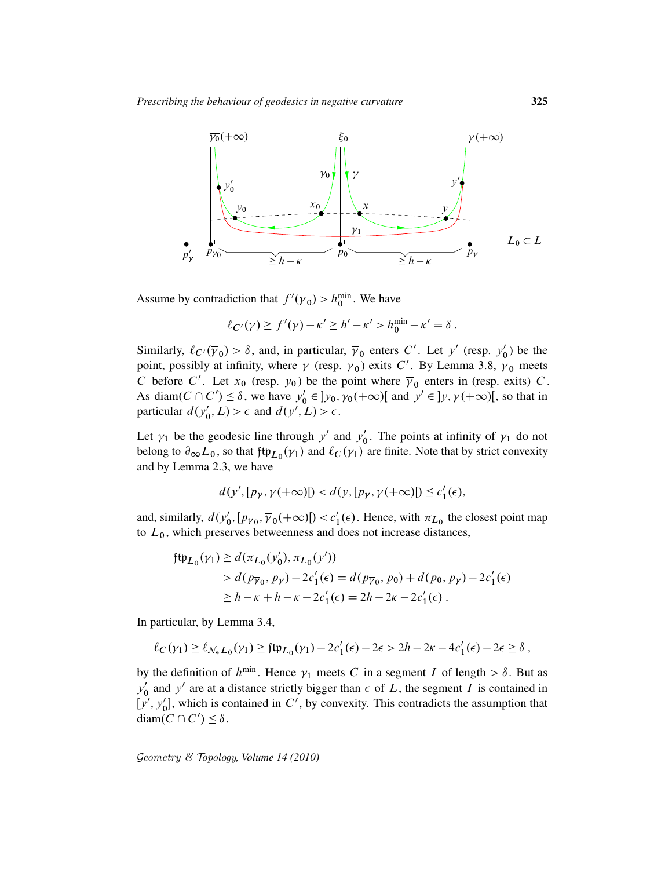

Assume by contradiction that  $f'(\overline{\gamma}_0) > h_0^{\min}$ . We have

$$
\ell_{C'}(\gamma) \ge f'(\gamma) - \kappa' \ge h' - \kappa' > h_0^{\min} - \kappa' = \delta.
$$

Similarly,  $\ell_{C'}(\overline{\gamma}_0) > \delta$ , and, in particular,  $\overline{\gamma}_0$  enters C'. Let y' (resp.  $y'_0$ )  $_{0}^{\prime}$ ) be the point, possibly at infinity, where  $\gamma$  (resp.  $\overline{\gamma}_0$ ) exits C'. By Lemma 3.8,  $\overline{\gamma}_0$  meets C before C'. Let  $x_0$  (resp.  $y_0$ ) be the point where  $\overline{y}_0$  enters in (resp. exits) C. As diam( $C \cap C'$ )  $\leq \delta$ , we have  $y'_{0}$  $y'_0 \in ]y_0, \gamma_0(+\infty)[$  and  $y' \in ]y, \gamma(+\infty)[$ , so that in particular  $d(y'_c)$  $Q'_0, L$  >  $\epsilon$  and  $d(y', L) > \epsilon$ .

Let  $\gamma_1$  be the geodesic line through y' and y'  $\gamma_0'$ . The points at infinity of  $\gamma_1$  do not belong to  $\partial_{\infty} L_0$ , so that  $\beta \uparrow \downarrow_D(\gamma_1)$  and  $\ell_C(\gamma_1)$  are finite. Note that by strict convexity and by Lemma 2.3, we have

$$
d(y', [p_{\gamma}, \gamma(+\infty)]) < d(y, [p_{\gamma}, \gamma(+\infty)]) \le c'_1(\epsilon),
$$

and, similarly,  $d(y'_0)$  $v'_0$ ,  $[p_{\overline{\gamma}_0}, \overline{\gamma}_0(+\infty)] < c'_1$  $l_1'(\epsilon)$ . Hence, with  $\pi_{L_0}$  the closest point map to  $L_0$ , which preserves betweenness and does not increase distances,

$$
\begin{aligned} \n\mathfrak{ftp}_{L_0}(\gamma_1) &\ge d(\pi_{L_0}(y'_0), \pi_{L_0}(y')) \\ \n&> d(p_{\overline{\gamma}_0}, p_{\gamma}) - 2c'_1(\epsilon) = d(p_{\overline{\gamma}_0}, p_0) + d(p_0, p_{\gamma}) - 2c'_1(\epsilon) \\ \n&\ge h - \kappa + h - \kappa - 2c'_1(\epsilon) = 2h - 2\kappa - 2c'_1(\epsilon) \,.\n\end{aligned}
$$

In particular, by Lemma 3.4,

$$
\ell_C(\gamma_1) \ge \ell_{\mathcal{N}_{\epsilon}L_0}(\gamma_1) \ge \mathfrak{ftp}_{L_0}(\gamma_1) - 2c'_1(\epsilon) - 2\epsilon > 2h - 2\kappa - 4c'_1(\epsilon) - 2\epsilon \ge \delta,
$$

by the definition of  $h^{\min}$ . Hence  $\gamma_1$  meets C in a segment I of length  $> \delta$ . But as  $\overline{y'_0}$  $\int_0^{\pi}$  and y' are at a distance strictly bigger than  $\epsilon$  of L, the segment I is contained in  $[y', y'_0]$  $\mathcal{O}_0$ , which is contained in  $C'$ , by convexity. This contradicts the assumption that diam( $C \cap C'$ )  $\leq \delta$ .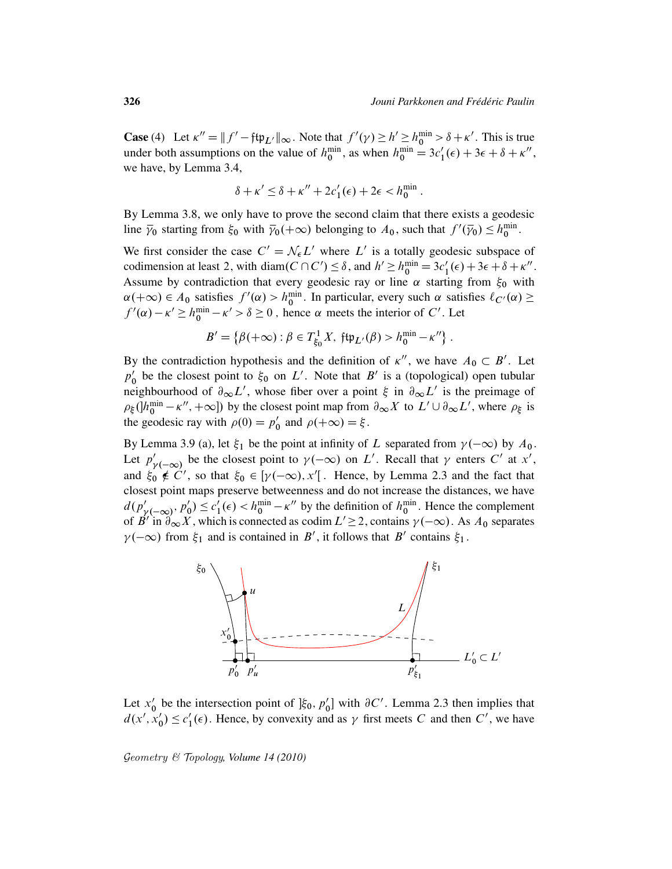**Case** (4) Let  $\kappa'' = ||f' - ftp_{L'}||_{\infty}$ . Note that  $f'(\gamma) \ge h' \ge h_0^{\min} > \delta + \kappa'$ . This is true under both assumptions on the value of  $h_0^{\min}$ , as when  $h_0^{\min} = 3c_1'(\epsilon) + 3\epsilon + 8 + \kappa''$ , we have, by Lemma 3.4,

$$
\delta + \kappa' \le \delta + \kappa'' + 2c'_1(\epsilon) + 2\epsilon < h_0^{\min}.
$$

By Lemma 3.8, we only have to prove the second claim that there exists a geodesic line  $\bar{y}_0$  starting from  $\xi_0$  with  $\bar{y}_0(+\infty)$  belonging to  $A_0$ , such that  $f'(\bar{y}_0) \leq h_0^{\min}$ .

We first consider the case  $C' = \mathcal{N}_{\epsilon} L'$  where  $L'$  is a totally geodesic subspace of codimension at least 2, with diam( $C \cap C'$ )  $\leq \delta$ , and  $h' \geq h_0^{\min} = 3c'_1(\epsilon) + 3\epsilon + \delta + \kappa''$ . Assume by contradiction that every geodesic ray or line  $\alpha$  starting from  $\xi_0$  with  $\alpha(+\infty) \in A_0$  satisfies  $f'(\alpha) > h_0^{\min}$ . In particular, every such  $\alpha$  satisfies  $\ell_{C'}(\alpha) \ge$  $f'(\alpha) - \kappa' \ge h_0^{\min} - \kappa' > \delta \ge 0$ , hence  $\alpha$  meets the interior of C'. Let

$$
B' = \{ \beta(+\infty) : \beta \in T^1_{\xi_0} X, \; \mathfrak{ftp}_{L'}(\beta) > h^{\min}_0 - \kappa'' \}.
$$

By the contradiction hypothesis and the definition of  $\kappa''$ , we have  $A_0 \subset B'$ . Let  $\overline{p}_0$ be the closest point to  $\xi_0$  on L'. Note that B' is a (topological) open tubular neighbourhood of  $\partial_{\infty}L'$ , whose fiber over a point  $\xi$  in  $\partial_{\infty}L'$  is the preimage of  $\rho_{\xi}$  ( $h_0^{\min} - \kappa''$ ,  $+\infty$ ) by the closest point map from  $\partial_{\infty} X$  to  $L' \cup \partial_{\infty} L'$ , where  $\rho_{\xi}$  is the geodesic ray with  $\rho(0) = p'_0$  $\int_0'$  and  $\rho(+\infty) = \xi$ .

By Lemma 3.9 (a), let  $\xi_1$  be the point at infinity of L separated from  $\gamma(-\infty)$  by  $A_0$ . Let  $p'_1$  $\gamma(-\infty)$  be the closest point to  $\gamma(-\infty)$  on L'. Recall that  $\gamma$  enters C' at x', and  $\xi_0 \notin C'$ , so that  $\xi_0 \in [\gamma(-\infty), x']$ . Hence, by Lemma 2.3 and the fact that closest point maps preserve betweenness and do not increase the distances, we have  $d(p'_n)$  $\sum_{\gamma'(-\infty)}'$ ,  $p'_0$  $c'_0 \leq c'_1$  $\frac{1}{1}(\epsilon) < h_0^{\min} - \kappa''$  by the definition of  $h_0^{\min}$ . Hence the complement of B' in  $\partial_{\infty} X$ , which is connected as codim  $L' \ge 2$ , contains  $\gamma(-\infty)$ . As  $A_0$  separates  $\gamma(-\infty)$  from  $\xi_1$  and is contained in B', it follows that B' contains  $\xi_1$ .



Let  $x'_0$  $\int_0^b$  be the intersection point of  $\int_0^b \xi_0$ ,  $p'_0$  $\binom{1}{0}$  with  $\partial C'$ . Lemma 2.3 then implies that  $d(x', x'_0)$  $c'_0$ )  $\leq c'_1$  $\mathcal{U}_1(\epsilon)$ . Hence, by convexity and as  $\gamma$  first meets C and then C', we have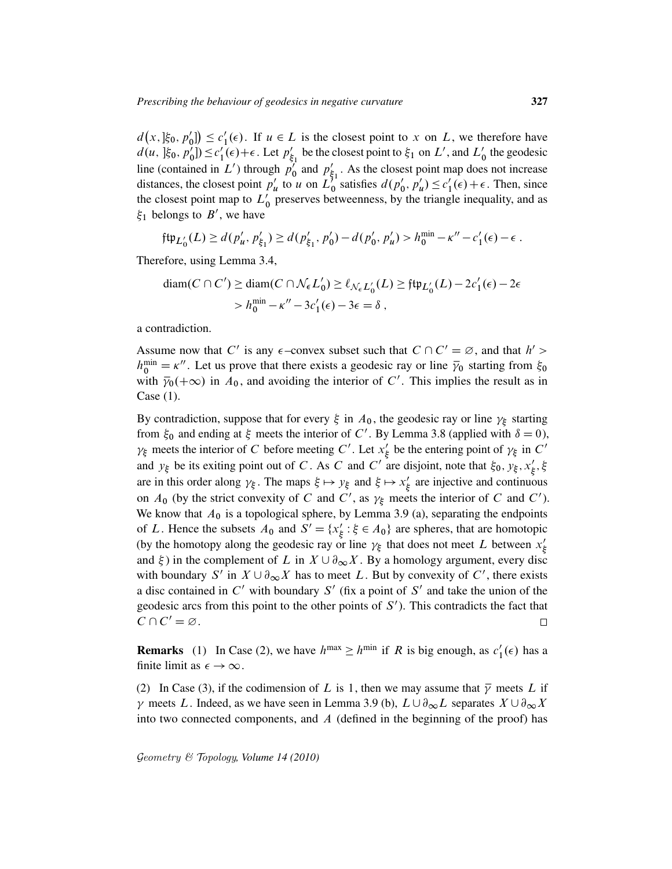$d(x, \xi_0, p'_0)$  $c'_0$ ])  $\leq c'_1$  $l_1'(\epsilon)$ . If  $u \in L$  is the closest point to x on L, we therefore have  $d(u, \frac{1}{2}, \frac{1}{6}, p_0^{\prime})$  $c'_0$ ])  $\leq c'_1$  $\int_{1}^{1} (\epsilon) + \epsilon$ . Let  $p'_{\xi}$  $\zeta_1'$  be the closest point to  $\xi_1$  on  $L'$ , and  $L'_0$  the geodesic line (contained in  $L'$ ) through  $p'$  $\int_0^1$  and  $p'_\xi$  $\frac{7}{51}$ . As the closest point map does not increase distances, the closest point  $p'_i$  $\int_{u}^{l}$  to u on  $\tilde{L}_0^{\zeta_1}$  satisfies  $d(p_0)$  $'_{0}, p'_{i}$  $u'$ )  $\leq c'_1$  $l'_1(\epsilon) + \epsilon$ . Then, since the closest point map to  $L'_0$  preserves betweenness, by the triangle inequality, and as  $\xi_1$  belongs to  $B'$ , we have

$$
\mathfrak{ftp}_{L'_0}(L) \ge d(p'_u, p'_{\xi_1}) \ge d(p'_{\xi_1}, p'_0) - d(p'_0, p'_u) > h_0^{\min} - \kappa'' - c'_1(\epsilon) - \epsilon.
$$

Therefore, using Lemma 3.4,

$$
\begin{aligned} \text{diam}(C \cap C') &\geq \text{diam}(C \cap \mathcal{N}_{\epsilon} L_0') \geq \ell_{\mathcal{N}_{\epsilon} L_0'}(L) \geq \text{ft} \mathfrak{p}_{L_0'}(L) - 2c_1'(\epsilon) - 2\epsilon \\ &> h_0^{\min} - \kappa'' - 3c_1'(\epsilon) - 3\epsilon = \delta \;, \end{aligned}
$$

a contradiction.

Assume now that C' is any  $\epsilon$ -convex subset such that  $C \cap C' = \emptyset$ , and that  $h' >$  $h_0^{\text{min}} = \kappa''$ . Let us prove that there exists a geodesic ray or line  $\bar{y}_0$  starting from  $\xi_0$ with  $\bar{\gamma}_0(+\infty)$  in  $\bar{A}_0$ , and avoiding the interior of C'. This implies the result as in Case (1).

By contradiction, suppose that for every  $\xi$  in  $A_0$ , the geodesic ray or line  $\gamma_{\xi}$  starting from  $\xi_0$  and ending at  $\xi$  meets the interior of C'. By Lemma 3.8 (applied with  $\delta = 0$ ),  $\gamma_{\xi}$  meets the interior of C before meeting C'. Let  $x_{\xi}$  $\frac{1}{3}$  be the entering point of  $\gamma_{\xi}$  in C' and  $y_{\xi}$  be its exiting point out of C. As C and C' are disjoint, note that  $\xi_0$ ,  $y_{\xi}$ ,  $x'_{\xi}$  $_{\xi}^{\prime},\xi$ are in this order along  $\gamma_{\xi}$ . The maps  $\xi \mapsto y_{\xi}$  and  $\xi \mapsto x_{\xi}'$  $\frac{7}{5}$  are injective and continuous on  $A_0$  (by the strict convexity of C and C', as  $\gamma_{\xi}$  meets the interior of C and C'). We know that  $A_0$  is a topological sphere, by Lemma 3.9 (a), separating the endpoints of L. Hence the subsets  $A_0$  and  $S' = \{x'_k\}$  $\zeta : \xi \in A_0$  are spheres, that are homotopic (by the homotopy along the geodesic ray or line  $\gamma_{\xi}$  that does not meet L between  $x_{\xi}$ ξ and  $\xi$ ) in the complement of L in  $X \cup \partial_{\infty} X$ . By a homology argument, every disc with boundary S' in  $X \cup \partial_{\infty} X$  has to meet L. But by convexity of C', there exists a disc contained in  $C'$  with boundary  $S'$  (fix a point of  $S'$  and take the union of the geodesic arcs from this point to the other points of  $S'$ ). This contradicts the fact that  $C \cap C' = \varnothing$ .  $\Box$ 

**Remarks** (1) In Case (2), we have  $h^{max} \geq h^{min}$  if R is big enough, as  $c_1$  $_1'(\epsilon)$  has a finite limit as  $\epsilon \to \infty$ .

(2) In Case (3), if the codimension of L is 1, then we may assume that  $\overline{\gamma}$  meets L if  $\gamma$  meets L. Indeed, as we have seen in Lemma 3.9 (b),  $L \cup \partial_{\infty} L$  separates  $X \cup \partial_{\infty} X$ into two connected components, and  $A$  (defined in the beginning of the proof) has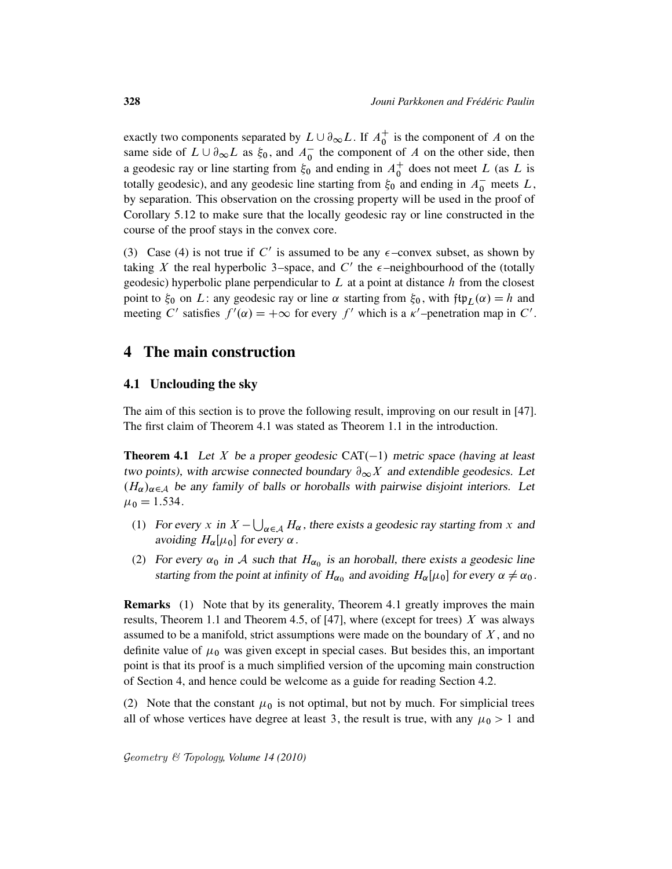exactly two components separated by  $L \cup \partial_{\infty} L$ . If  $A_0^+$  $\frac{1}{0}$  is the component of A on the same side of  $L \cup \partial_{\infty} L$  as  $\xi_0$ , and  $A_0^-$  the component of A on the other side, then a geodesic ray or line starting from  $\xi_0$  and ending in  $A_0^+$  $_0^+$  does not meet L (as L is totally geodesic), and any geodesic line starting from  $\xi_0$  and ending in  $A_0^-$  meets L, by separation. This observation on the crossing property will be used in the proof of Corollary 5.12 to make sure that the locally geodesic ray or line constructed in the course of the proof stays in the convex core.

(3) Case (4) is not true if C' is assumed to be any  $\epsilon$ -convex subset, as shown by taking X the real hyperbolic 3–space, and C' the  $\epsilon$ –neighbourhood of the (totally geodesic) hyperbolic plane perpendicular to  $L$  at a point at distance  $h$  from the closest point to  $\xi_0$  on L: any geodesic ray or line  $\alpha$  starting from  $\xi_0$ , with  $\text{ftp}_L(\alpha) = h$  and meeting C' satisfies  $f'(\alpha) = +\infty$  for every f' which is a  $\kappa'$ -penetration map in C'.

## 4 The main construction

## 4.1 Unclouding the sky

The aim of this section is to prove the following result, improving on our result in [47]. The first claim of Theorem 4.1 was stated as Theorem 1.1 in the introduction.

**Theorem 4.1** Let X be a proper geodesic  $CAT(-1)$  metric space (having at least two points), with arcwise connected boundary  $\partial_{\infty}X$  and extendible geodesics. Let  $(H_{\alpha})_{\alpha \in A}$  be any family of balls or horoballs with pairwise disjoint interiors. Let  $\mu_0 = 1.534$ .

- (1) For every x in  $X \bigcup_{\alpha \in A} H_{\alpha}$ , there exists a geodesic ray starting from x and avoiding  $H_{\alpha}[\mu_0]$  for every  $\alpha$ .
- (2) For every  $\alpha_0$  in A such that  $H_{\alpha_0}$  is an horoball, there exists a geodesic line starting from the point at infinity of  $H_{\alpha_0}$  and avoiding  $H_{\alpha}[\mu_0]$  for every  $\alpha \neq \alpha_0$ .

Remarks (1) Note that by its generality, Theorem 4.1 greatly improves the main results, Theorem 1.1 and Theorem 4.5, of [47], where (except for trees)  $X$  was always assumed to be a manifold, strict assumptions were made on the boundary of  $X$ , and no definite value of  $\mu_0$  was given except in special cases. But besides this, an important point is that its proof is a much simplified version of the upcoming main construction of Section 4, and hence could be welcome as a guide for reading Section 4.2.

(2) Note that the constant  $\mu_0$  is not optimal, but not by much. For simplicial trees all of whose vertices have degree at least 3, the result is true, with any  $\mu_0 > 1$  and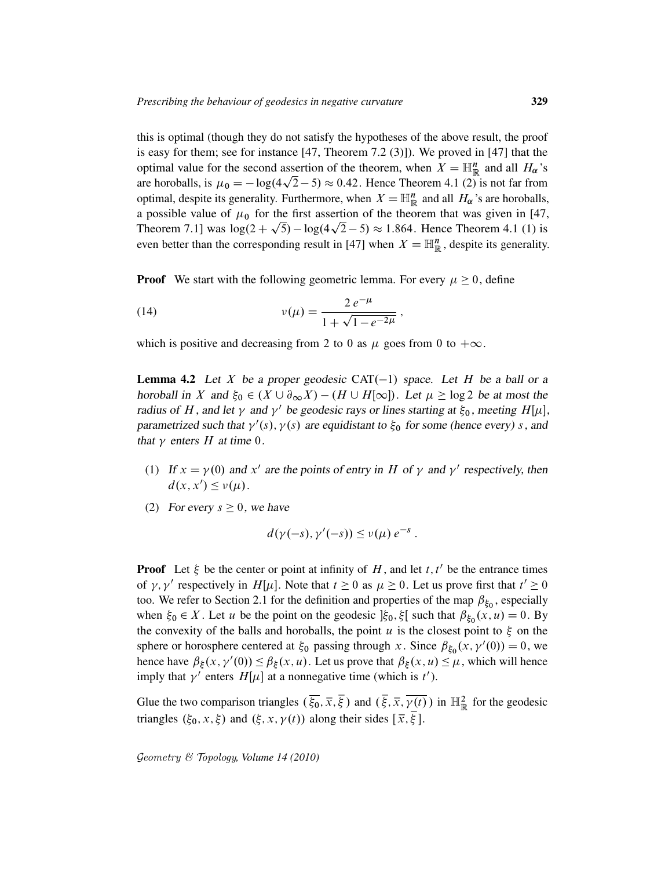this is optimal (though they do not satisfy the hypotheses of the above result, the proof is easy for them; see for instance [47, Theorem 7.2 (3)]). We proved in [47] that the optimal value for the second assertion of the theorem, when  $X = \mathbb{H}^n_{\mathbb{R}}$  and all  $H_\alpha$ 's are horoballs, is  $\mu_0 = -\log(4\sqrt{2} - 5) \approx 0.42$ . Hence Theorem 4.1 (2) is not far from optimal, despite its generality. Furthermore, when  $X = \mathbb{H}^n_{\mathbb{R}}$  and all  $H_\alpha$ 's are horoballs, a possible value of  $\mu_0$  for the first assertion of the theorem that was given in [47, Theorem 7.1] was  $\log(2 + \sqrt{5}) - \log(4\sqrt{2} - 5) \approx 1.864$ . Hence Theorem 4.1 (1) is even better than the corresponding result in [47] when  $X = \mathbb{H}_{\mathbb{R}}^n$ , despite its generality.

**Proof** We start with the following geometric lemma. For every  $\mu \ge 0$ , define

(14) 
$$
v(\mu) = \frac{2 e^{-\mu}}{1 + \sqrt{1 - e^{-2\mu}}},
$$

which is positive and decreasing from 2 to 0 as  $\mu$  goes from 0 to  $+\infty$ .

**Lemma 4.2** Let X be a proper geodesic CAT $(-1)$  space. Let H be a ball or a horoball in X and  $\xi_0 \in (X \cup \partial_{\infty} X) - (H \cup H[\infty])$ . Let  $\mu \ge \log 2$  be at most the radius of H, and let  $\gamma$  and  $\gamma'$  be geodesic rays or lines starting at  $\xi_0$ , meeting H[ $\mu$ ], parametrized such that  $\gamma'(s)$ ,  $\gamma(s)$  are equidistant to  $\xi_0$  for some (hence every) s, and that  $\gamma$  enters H at time 0.

- (1) If  $x = \gamma(0)$  and x' are the points of entry in H of  $\gamma$  and  $\gamma'$  respectively, then  $d(x, x') \leq v(\mu)$ .
- (2) For every  $s \geq 0$ , we have

$$
d(\gamma(-s),\gamma'(-s)) \leq \nu(\mu) e^{-s}.
$$

**Proof** Let  $\xi$  be the center or point at infinity of H, and let t, t' be the entrance times of  $\gamma$ ,  $\gamma'$  respectively in H[ $\mu$ ]. Note that  $t \ge 0$  as  $\mu \ge 0$ . Let us prove first that  $t' \ge 0$ too. We refer to Section 2.1 for the definition and properties of the map  $\beta_{\xi_0}$ , especially when  $\xi_0 \in X$ . Let u be the point on the geodesic  $|\xi_0, \xi|$  such that  $\beta_{\xi_0}(x, u) = 0$ . By the convexity of the balls and horoballs, the point u is the closest point to  $\xi$  on the sphere or horosphere centered at  $\xi_0$  passing through x. Since  $\beta_{\xi_0}(x, \gamma'(0)) = 0$ , we hence have  $\beta_{\xi}(x, \gamma'(0)) \leq \beta_{\xi}(x, u)$ . Let us prove that  $\beta_{\xi}(x, u) \leq \mu$ , which will hence imply that  $\gamma'$  enters  $H[\mu]$  at a nonnegative time (which is t').

Glue the two comparison triangles  $(\overline{\xi_0}, \overline{x}, \overline{\xi})$  and  $(\overline{\xi}, \overline{x}, \overline{\gamma(t)})$  in  $\mathbb{H}^2_{\mathbb{R}}$  for the geodesic triangles  $(\xi_0, x, \xi)$  and  $(\xi, x, \gamma(t))$  along their sides  $[\overline{x}, \overline{\xi}]$ .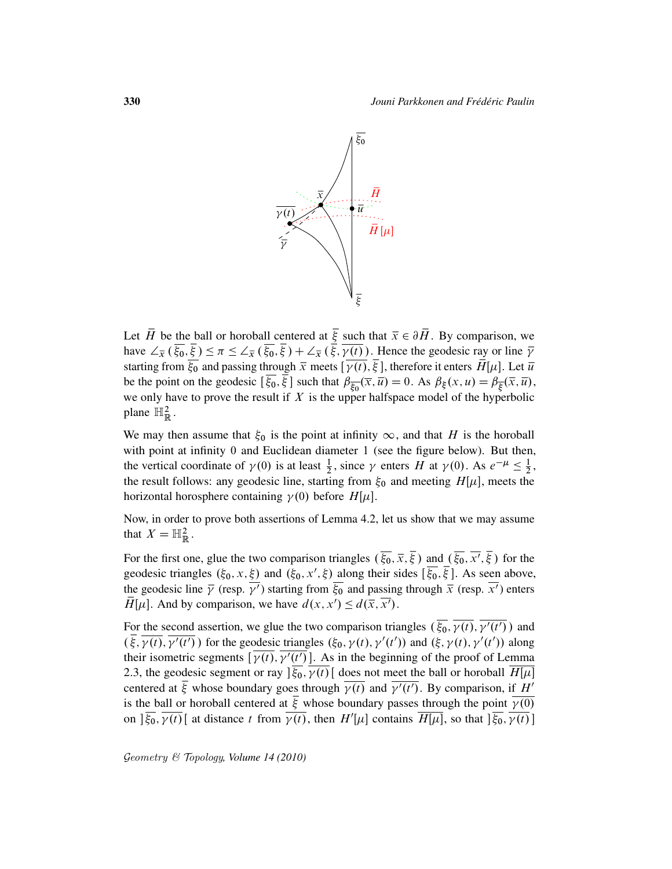

Let  $\overline{H}$  be the ball or horoball centered at  $\overline{\xi}$  such that  $\overline{x} \in \partial \overline{H}$ . By comparison, we have  $\angle_{\overline{x}}(\overline{\xi_0}, \overline{\xi}) \leq \pi \leq \angle_{\overline{x}}(\overline{\xi_0}, \overline{\xi}) + \angle_{\overline{x}}(\overline{\xi}, \overline{\gamma(t)})$ . Hence the geodesic ray or line  $\overline{\gamma}$ starting from  $\overline{\xi_0}$  and passing through  $\overline{x}$  meets  $[\overline{\gamma(t)}, \overline{\xi}]$ , therefore it enters  $\overline{H}[\mu]$ . Let  $\overline{u}$ be the point on the geodesic  $\left[\overline{\xi_0}, \overline{\xi}\right]$  such that  $\beta_{\overline{\xi_0}}(\overline{x}, \overline{u}) = 0$ . As  $\beta_{\xi}(x, u) = \beta_{\overline{\xi}}(\overline{x}, \overline{u})$ , we only have to prove the result if  $X$  is the upper halfspace model of the hyperbolic plane  $\mathbb{H}^2_{\mathbb{R}}$ .

We may then assume that  $\xi_0$  is the point at infinity  $\infty$ , and that H is the horoball with point at infinity 0 and Euclidean diameter 1 (see the figure below). But then, the vertical coordinate of  $\gamma(0)$  is at least  $\frac{1}{2}$ , since  $\gamma$  enters H at  $\gamma(0)$ . As  $e^{-\mu} \le \frac{1}{2}$  $\frac{1}{2}$ , the result follows: any geodesic line, starting from  $\xi_0$  and meeting  $H[\mu]$ , meets the horizontal horosphere containing  $\gamma(0)$  before  $H[\mu]$ .

Now, in order to prove both assertions of Lemma 4.2, let us show that we may assume that  $X = \mathbb{H}^2_{\mathbb{R}}$ .

For the first one, glue the two comparison triangles  $(\overline{\xi_0}, \overline{x}, \overline{\xi})$  and  $(\overline{\xi_0}, \overline{x'}, \overline{\xi})$  for the geodesic triangles  $(\xi_0, x, \xi)$  and  $(\xi_0, x', \xi)$  along their sides  $[\overline{\xi_0}, \overline{\xi}]$ . As seen above, the geodesic line  $\bar{\gamma}$  (resp.  $\bar{\gamma'}$ ) starting from  $\bar{\xi}_0$  and passing through  $\bar{x}$  (resp.  $\bar{x'}$ ) enters  $\overrightarrow{H}[\mu]$ . And by comparison, we have  $d(x, x') \leq d(\overrightarrow{x}, \overrightarrow{x'})$ .

For the second assertion, we glue the two comparison triangles  $(\overline{\xi_0}, \overline{\gamma(t)}, \overline{\gamma'(t')})$  and  $\left(\overline{\xi}, \overline{\gamma(t)}, \overline{\gamma'(t')}\right)$  for the geodesic triangles  $(\xi_0, \gamma(t), \gamma'(t'))$  and  $(\xi, \gamma(t), \gamma'(t'))$  along their isometric segments  $\left[\overline{\gamma(t)}, \overline{\gamma'(t')}\right]$ . As in the beginning of the proof of Lemma 2.3, the geodesic segment or ray  $\left[\xi_0, \gamma(t)\right]$  does not meet the ball or horoball  $H[\mu]$ centered at  $\overline{\xi}$  whose boundary goes through  $\overline{\gamma(t)}$  and  $\overline{\gamma'(t')}$ . By comparison, if H<sup>t</sup> is the ball or horoball centered at  $\xi$  whose boundary passes through the point  $\gamma(0)$ on  $]\overline{\xi_0}$ ,  $\overline{\gamma(t)}$  at distance t from  $\overline{\gamma(t)}$ , then  $H'[\mu]$  contains  $\overline{H[\mu]}$ , so that  $]\overline{\xi_0}$ ,  $\overline{\gamma(t)}$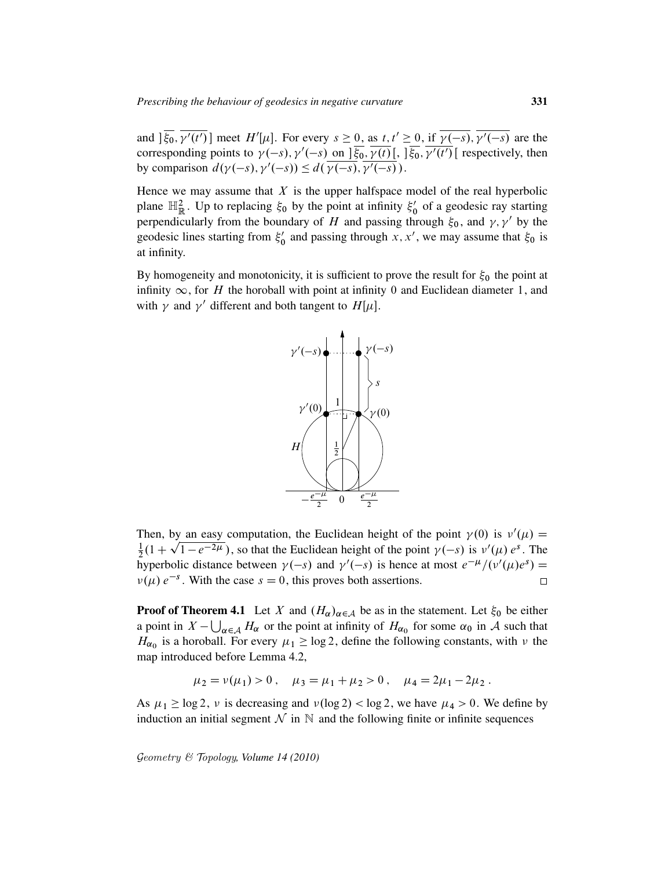and  $\overline{\xi_0}$ ,  $\overline{\gamma'(t')}$  meet  $H'[\mu]$ . For every  $s \ge 0$ , as  $t, t' \ge 0$ , if  $\overline{\gamma(-s)}$ ,  $\overline{\gamma'(-s)}$  are the corresponding points to  $\gamma(-s)$ ,  $\gamma'(-s)$  on  $]\overline{\xi_0}$ ,  $\overline{\gamma(t)}$ ,  $]\overline{\xi_0}$ ,  $\overline{\gamma'(t')}$  respectively, then by comparison  $d(\gamma(-s), \gamma'(-s)) \leq d(\overline{\gamma(-s)}, \overline{\gamma'(-s)})$ .

Hence we may assume that  $X$  is the upper halfspace model of the real hyperbolic plane  $\mathbb{H}_{\mathbb{R}}^2$ . Up to replacing  $\xi_0$  by the point at infinity  $\xi_0$  $\frac{1}{0}$  of a geodesic ray starting perpendicularly from the boundary of H and passing through  $\xi_0$ , and  $\gamma$ ,  $\gamma'$  by the geodesic lines starting from  $\xi_0$  $\zeta_0'$  and passing through x, x', we may assume that  $\xi_0$  is at infinity.

By homogeneity and monotonicity, it is sufficient to prove the result for  $\xi_0$  the point at infinity  $\infty$ , for H the horoball with point at infinity 0 and Euclidean diameter 1, and with  $\gamma$  and  $\gamma'$  different and both tangent to  $H[\mu]$ .



Then, by an easy computation, the Euclidean height of the point  $\gamma(0)$  is  $\nu'(\mu) =$  $\frac{1}{2}(1+\sqrt{1-e^{-2\mu}})$ , so that the Euclidean height of the point  $\gamma(-s)$  is  $\nu'(\mu) e^{s}$ . The 1 hyperbolic distance between  $\gamma(-s)$  and  $\gamma'(-s)$  is hence at most  $e^{-\mu}/(\nu'(\mu)e^{s}) =$  $\nu(\mu) e^{-s}$ . With the case  $s = 0$ , this proves both assertions.  $\Box$ 

**Proof of Theorem 4.1** Let X and  $(H_{\alpha})_{\alpha \in A}$  be as in the statement. Let  $\xi_0$  be either a point in  $X - \bigcup_{\alpha \in A} H_{\alpha}$  or the point at infinity of  $H_{\alpha_0}$  for some  $\alpha_0$  in A such that  $H_{\alpha_0}$  is a horoball. For every  $\mu_1 \ge \log 2$ , define the following constants, with  $\nu$  the map introduced before Lemma 4.2,

$$
\mu_2 = \nu(\mu_1) > 0
$$
,  $\mu_3 = \mu_1 + \mu_2 > 0$ ,  $\mu_4 = 2\mu_1 - 2\mu_2$ .

As  $\mu_1 \ge \log 2$ ,  $\nu$  is decreasing and  $\nu(\log 2) < \log 2$ , we have  $\mu_4 > 0$ . We define by induction an initial segment  $\mathcal N$  in  $\mathbb N$  and the following finite or infinite sequences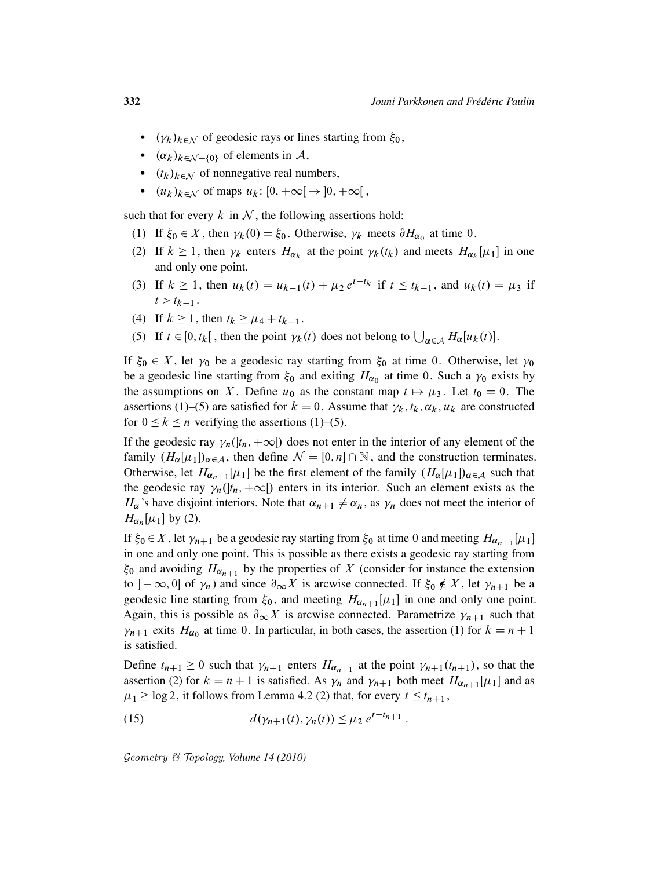- $(\gamma_k)_{k \in \mathcal{N}}$  of geodesic rays or lines starting from  $\xi_0$ ,
- $(\alpha_k)_{k \in \mathcal{N}-\{0\}}$  of elements in A,
- $(t_k)_{k \in \mathcal{N}}$  of nonnegative real numbers,
- $(u_k)_{k \in \mathbb{N}}$  of maps  $u_k: [0, +\infty[ \rightarrow ]0, +\infty[$ ,

such that for every k in  $N$ , the following assertions hold:

- (1) If  $\xi_0 \in X$ , then  $\gamma_k(0) = \xi_0$ . Otherwise,  $\gamma_k$  meets  $\partial H_{\alpha_0}$  at time 0.
- (2) If  $k \ge 1$ , then  $\gamma_k$  enters  $H_{\alpha_k}$  at the point  $\gamma_k(t_k)$  and meets  $H_{\alpha_k}[\mu_1]$  in one and only one point.
- (3) If  $k \ge 1$ , then  $u_k(t) = u_{k-1}(t) + \mu_2 e^{t-t_k}$  if  $t \le t_{k-1}$ , and  $u_k(t) = \mu_3$  if  $t > t_{k-1}$ .
- (4) If  $k \ge 1$ , then  $t_k \ge \mu_4 + t_{k-1}$ .
- (5) If  $t \in [0, t_k]$ , then the point  $\gamma_k(t)$  does not belong to  $\bigcup_{\alpha \in A} H_{\alpha}[u_k(t)]$ .

If  $\xi_0 \in X$ , let  $\gamma_0$  be a geodesic ray starting from  $\xi_0$  at time 0. Otherwise, let  $\gamma_0$ be a geodesic line starting from  $\xi_0$  and exiting  $H_{\alpha_0}$  at time 0. Such a  $\gamma_0$  exists by the assumptions on X. Define  $u_0$  as the constant map  $t \mapsto \mu_3$ . Let  $t_0 = 0$ . The assertions (1)–(5) are satisfied for  $k = 0$ . Assume that  $\gamma_k, t_k, \alpha_k, u_k$  are constructed for  $0 \le k \le n$  verifying the assertions (1)–(5).

If the geodesic ray  $\gamma_n(l_n, +\infty)$  does not enter in the interior of any element of the family  $(H_{\alpha}[\mu_1])_{\alpha \in \mathcal{A}}$ , then define  $\mathcal{N} = [0, n] \cap \mathbb{N}$ , and the construction terminates. Otherwise, let  $H_{\alpha_{n+1}}[\mu_1]$  be the first element of the family  $(H_\alpha[\mu_1])_{\alpha \in \mathcal{A}}$  such that the geodesic ray  $\gamma_n(]t_n, +\infty[]$  enters in its interior. Such an element exists as the  $H_{\alpha}$ 's have disjoint interiors. Note that  $\alpha_{n+1} \neq \alpha_n$ , as  $\gamma_n$  does not meet the interior of  $H_{\alpha_n}[\mu_1]$  by (2).

If  $\xi_0 \in X$ , let  $\gamma_{n+1}$  be a geodesic ray starting from  $\xi_0$  at time 0 and meeting  $H_{\alpha_{n+1}}[\mu_1]$ in one and only one point. This is possible as there exists a geodesic ray starting from  $\xi_0$  and avoiding  $H_{\alpha_{n+1}}$  by the properties of X (consider for instance the extension to  $]-\infty, 0]$  of  $\gamma_n$ ) and since  $\partial_{\infty} X$  is arcwise connected. If  $\xi_0 \notin X$ , let  $\gamma_{n+1}$  be a geodesic line starting from  $\xi_0$ , and meeting  $H_{\alpha_{n+1}}[\mu_1]$  in one and only one point. Again, this is possible as  $\partial_{\infty} X$  is arcwise connected. Parametrize  $\gamma_{n+1}$  such that  $\gamma_{n+1}$  exits  $H_{\alpha_0}$  at time 0. In particular, in both cases, the assertion (1) for  $k = n + 1$ is satisfied.

Define  $t_{n+1} \ge 0$  such that  $\gamma_{n+1}$  enters  $H_{\alpha_{n+1}}$  at the point  $\gamma_{n+1}(t_{n+1})$ , so that the assertion (2) for  $k = n + 1$  is satisfied. As  $\gamma_n$  and  $\gamma_{n+1}$  both meet  $H_{\alpha_{n+1}}[\mu_1]$  and as  $\mu_1 \ge \log 2$ , it follows from Lemma 4.2 (2) that, for every  $t \le t_{n+1}$ ,

(15) 
$$
d(\gamma_{n+1}(t), \gamma_n(t)) \leq \mu_2 e^{t - t_{n+1}}.
$$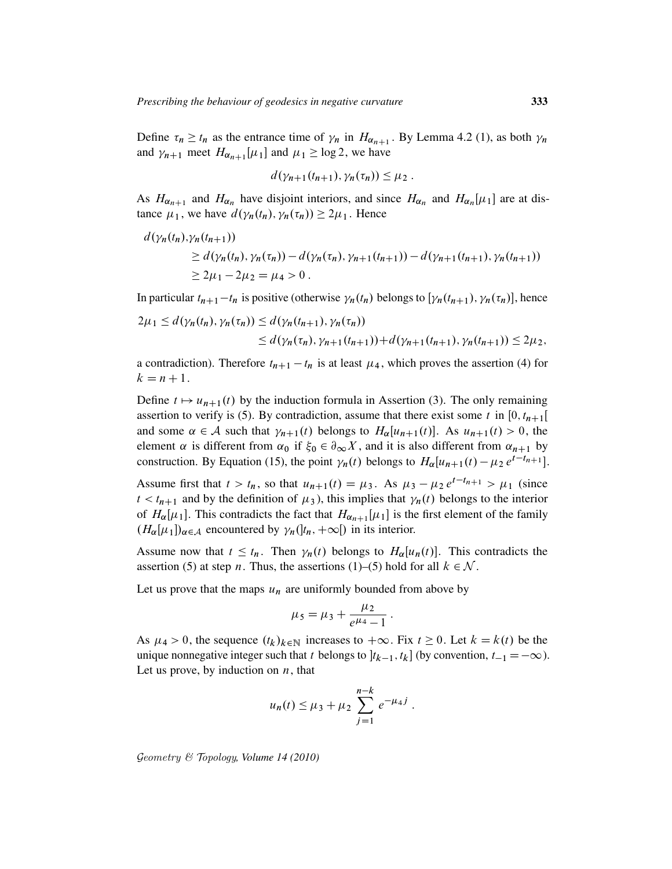Define  $\tau_n \ge t_n$  as the entrance time of  $\gamma_n$  in  $H_{\alpha_{n+1}}$ . By Lemma 4.2 (1), as both  $\gamma_n$ and  $\gamma_{n+1}$  meet  $H_{\alpha_{n+1}}[\mu_1]$  and  $\mu_1 \ge \log 2$ , we have

$$
d(\gamma_{n+1}(t_{n+1}),\gamma_n(\tau_n))\leq \mu_2.
$$

As  $H_{\alpha_{n+1}}$  and  $H_{\alpha_n}$  have disjoint interiors, and since  $H_{\alpha_n}$  and  $H_{\alpha_n}[\mu_1]$  are at distance  $\mu_1$ , we have  $d(\gamma_n(t_n), \gamma_n(\tau_n)) \geq 2\mu_1$ . Hence

$$
d(\gamma_n(t_n), \gamma_n(t_{n+1}))
$$
  
\n
$$
\geq d(\gamma_n(t_n), \gamma_n(\tau_n)) - d(\gamma_n(\tau_n), \gamma_{n+1}(t_{n+1})) - d(\gamma_{n+1}(t_{n+1}), \gamma_n(t_{n+1}))
$$
  
\n
$$
\geq 2\mu_1 - 2\mu_2 = \mu_4 > 0.
$$

In particular  $t_{n+1} - t_n$  is positive (otherwise  $\gamma_n(t_n)$  belongs to  $[\gamma_n(t_{n+1}), \gamma_n(\tau_n)]$ , hence

$$
2\mu_1 \le d(\gamma_n(t_n), \gamma_n(\tau_n)) \le d(\gamma_n(t_{n+1}), \gamma_n(\tau_n))
$$
  
 
$$
\le d(\gamma_n(\tau_n), \gamma_{n+1}(t_{n+1})) + d(\gamma_{n+1}(t_{n+1}), \gamma_n(t_{n+1})) \le 2\mu_2,
$$

a contradiction). Therefore  $t_{n+1} - t_n$  is at least  $\mu_4$ , which proves the assertion (4) for  $k = n + 1$ .

Define  $t \mapsto u_{n+1}(t)$  by the induction formula in Assertion (3). The only remaining assertion to verify is (5). By contradiction, assume that there exist some t in  $[0, t_{n+1}[$ and some  $\alpha \in A$  such that  $\gamma_{n+1}(t)$  belongs to  $H_{\alpha}[u_{n+1}(t)]$ . As  $u_{n+1}(t) > 0$ , the element  $\alpha$  is different from  $\alpha_0$  if  $\xi_0 \in \partial_\infty X$ , and it is also different from  $\alpha_{n+1}$  by construction. By Equation (15), the point  $\gamma_n(t)$  belongs to  $H_{\alpha}[u_{n+1}(t) - \mu_2 e^{t-t_{n+1}}]$ .

Assume first that  $t > t_n$ , so that  $u_{n+1}(t) = \mu_3$ . As  $\mu_3 - \mu_2 e^{t-t_{n+1}} > \mu_1$  (since  $t < t_{n+1}$  and by the definition of  $\mu_3$ ), this implies that  $\gamma_n(t)$  belongs to the interior of  $H_{\alpha}[\mu_1]$ . This contradicts the fact that  $H_{\alpha_{n+1}}[\mu_1]$  is the first element of the family  $(H_{\alpha}[\mu_1])_{\alpha \in \mathcal{A}}$  encountered by  $\gamma_n(|t_n, +\infty|)$  in its interior.

Assume now that  $t \leq t_n$ . Then  $\gamma_n(t)$  belongs to  $H_\alpha[u_n(t)]$ . This contradicts the assertion (5) at step *n*. Thus, the assertions (1)–(5) hold for all  $k \in \mathcal{N}$ .

Let us prove that the maps  $u_n$  are uniformly bounded from above by

$$
\mu_5 = \mu_3 + \frac{\mu_2}{e^{\mu_4} - 1} \, .
$$

As  $\mu_4 > 0$ , the sequence  $(t_k)_{k \in \mathbb{N}}$  increases to  $+\infty$ . Fix  $t \geq 0$ . Let  $k = k(t)$  be the unique nonnegative integer such that t belongs to  $[t_{k-1}, t_k]$  (by convention,  $t_{-1} = -\infty$ ). Let us prove, by induction on  $n$ , that

$$
u_n(t) \leq \mu_3 + \mu_2 \sum_{j=1}^{n-k} e^{-\mu_4 j}
$$
.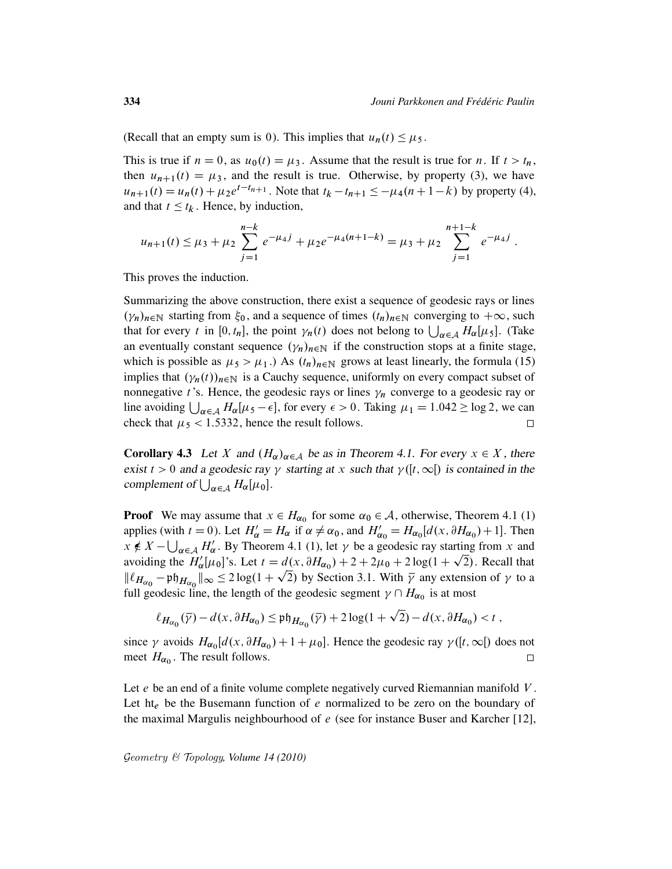(Recall that an empty sum is 0). This implies that  $u_n(t) \leq \mu_5$ .

This is true if  $n = 0$ , as  $u_0(t) = \mu_3$ . Assume that the result is true for n. If  $t > t_n$ , then  $u_{n+1}(t) = \mu_3$ , and the result is true. Otherwise, by property (3), we have  $u_{n+1}(t) = u_n(t) + \mu_2 e^{t-t_{n+1}}$ . Note that  $t_k - t_{n+1} \le -\mu_4(n+1-k)$  by property (4), and that  $t \leq t_k$ . Hence, by induction,

$$
u_{n+1}(t) \leq \mu_3 + \mu_2 \sum_{j=1}^{n-k} e^{-\mu_4 j} + \mu_2 e^{-\mu_4(n+1-k)} = \mu_3 + \mu_2 \sum_{j=1}^{n+1-k} e^{-\mu_4 j}.
$$

This proves the induction.

Summarizing the above construction, there exist a sequence of geodesic rays or lines  $(\gamma_n)_{n \in \mathbb{N}}$  starting from  $\xi_0$ , and a sequence of times  $(t_n)_{n \in \mathbb{N}}$  converging to  $+\infty$ , such that for every t in [0, t<sub>n</sub>], the point  $\gamma_n(t)$  does not belong to  $\bigcup_{\alpha \in A} H_\alpha[\mu_5]$ . (Take an eventually constant sequence  $(\gamma_n)_{n \in \mathbb{N}}$  if the construction stops at a finite stage, which is possible as  $\mu_5 > \mu_1$ .) As  $(t_n)_{n \in \mathbb{N}}$  grows at least linearly, the formula (15) implies that  $(\gamma_n(t))_{n \in \mathbb{N}}$  is a Cauchy sequence, uniformly on every compact subset of nonnegative *t*'s. Hence, the geodesic rays or lines  $\gamma_n$  converge to a geodesic ray or line avoiding  $\bigcup_{\alpha \in A} H_{\alpha}[\mu_5 - \epsilon]$ , for every  $\epsilon > 0$ . Taking  $\mu_1 = 1.042 \ge \log 2$ , we can check that  $\mu$ <sub>5</sub> < 1.5332, hence the result follows.  $\Box$ 

**Corollary 4.3** Let X and  $(H_{\alpha})_{\alpha \in A}$  be as in Theorem 4.1. For every  $x \in X$ , there exist  $t > 0$  and a geodesic ray  $\gamma$  starting at x such that  $\gamma([t, \infty])$  is contained in the complement of  $\bigcup_{\alpha \in \mathcal{A}} H_{\alpha}[\mu_0]$ .

**Proof** We may assume that  $x \in H_{\alpha_0}$  for some  $\alpha_0 \in A$ , otherwise, Theorem 4.1 (1) applies (with  $t = 0$ ). Let  $H'_\alpha = H_\alpha$  if  $\alpha \neq \alpha_0$ , and  $H'_{\alpha_0} = H_{\alpha_0}[d(x, \partial H_{\alpha_0}) + 1]$ . Then  $x \notin X - \bigcup_{\alpha \in A} H'_\alpha$ . By Theorem 4.1 (1), let  $\gamma$  be a geodesic ray starting from x and avoiding the  $H'_\alpha[\mu_0]$ 's. Let  $t = d(x, \partial H_{\alpha_0}) + 2 + 2\mu_0 + 2\log(1 + \sqrt{2})$ . Recall that  $\|\ell_{H_{\alpha_0}} - \mathfrak{p}\mathfrak{h}_{H_{\alpha_0}}\|_{\infty} \leq 2\log(1+\sqrt{2})$  by Section 3.1. With  $\bar{\gamma}$  any extension of  $\gamma$  to a full geodesic line, the length of the geodesic segment  $\gamma \cap H_{\alpha_0}$  is at most p

$$
\ell_{H_{\alpha_0}}(\overline{\gamma}) - d(x, \partial H_{\alpha_0}) \leq \mathfrak{ph}_{H_{\alpha_0}}(\overline{\gamma}) + 2\log(1 + \sqrt{2}) - d(x, \partial H_{\alpha_0}) < t,
$$

since  $\gamma$  avoids  $H_{\alpha_0}[d(x, \partial H_{\alpha_0}) + 1 + \mu_0]$ . Hence the geodesic ray  $\gamma([t, \infty])$  does not meet  $H_{\alpha_0}$ . The result follows.  $\Box$ 

Let  $e$  be an end of a finite volume complete negatively curved Riemannian manifold  $V$ . Let  $h_{\ell}$  be the Busemann function of e normalized to be zero on the boundary of the maximal Margulis neighbourhood of  $e$  (see for instance Buser and Karcher [12],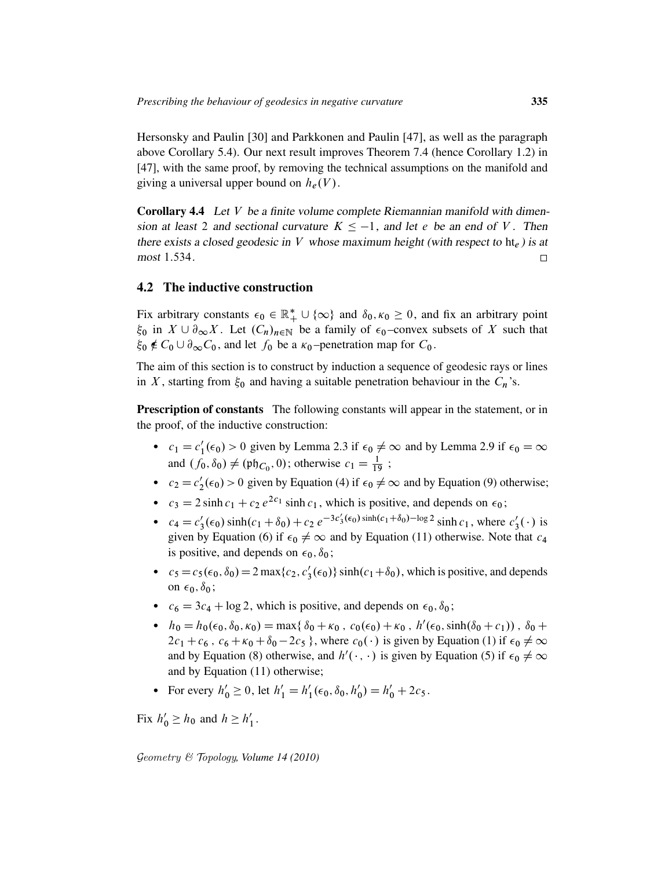Hersonsky and Paulin [30] and Parkkonen and Paulin [47], as well as the paragraph above Corollary 5.4). Our next result improves Theorem 7.4 (hence Corollary 1.2) in [47], with the same proof, by removing the technical assumptions on the manifold and giving a universal upper bound on  $h_e(V)$ .

**Corollary 4.4** Let  $V$  be a finite volume complete Riemannian manifold with dimension at least 2 and sectional curvature  $K \le -1$ , and let e be an end of V. Then there exists a closed geodesic in V whose maximum height (with respect to  $h_{\epsilon}$ ) is at most 1:534.  $\Box$ 

## 4.2 The inductive construction

Fix arbitrary constants  $\epsilon_0 \in \mathbb{R}_+^* \cup \{\infty\}$  and  $\delta_0, \kappa_0 \geq 0$ , and fix an arbitrary point  $\xi_0$  in  $X \cup \partial_{\infty} X$ . Let  $(C_n)_{n \in \mathbb{N}}$  be a family of  $\epsilon_0$ -convex subsets of X such that  $\xi_0 \notin C_0 \cup \partial_{\infty} C_0$ , and let  $f_0$  be a  $\kappa_0$ -penetration map for  $C_0$ .

The aim of this section is to construct by induction a sequence of geodesic rays or lines in X, starting from  $\xi_0$  and having a suitable penetration behaviour in the  $C_n$ 's.

Prescription of constants The following constants will appear in the statement, or in the proof, of the inductive construction:

- $c_1 = c'_1$  $t'_1(\epsilon_0) > 0$  given by Lemma 2.3 if  $\epsilon_0 \neq \infty$  and by Lemma 2.9 if  $\epsilon_0 = \infty$ and  $(f_0, \delta_0) \neq (\mathfrak{ph}_{C_0}, 0)$ ; otherwise  $c_1 = \frac{1}{19}$ ;
- $c_2 = c'_2$  $2(\epsilon_0) > 0$  given by Equation (4) if  $\epsilon_0 \neq \infty$  and by Equation (9) otherwise;
- $c_3 = 2 \sinh c_1 + c_2 e^{2c_1} \sinh c_1$ , which is positive, and depends on  $\epsilon_0$ ;
- $c_4 = c'_3$  $S_3'(\epsilon_0)$  sinh $(c_1 + \delta_0) + c_2 e^{-3c_3'(\epsilon_0) \sinh(c_1 + \delta_0) - \log 2}$  sinh  $c_1$ , where  $c_3'$  $\frac{7}{3}(\cdot)$  is given by Equation (6) if  $\epsilon_0 \neq \infty$  and by Equation (11) otherwise. Note that  $c_4$ is positive, and depends on  $\epsilon_0$ ,  $\delta_0$ ;
- $c_5 = c_5(\epsilon_0, \delta_0) = 2 \max\{c_2, c_3\}$  $\binom{1}{3}(\epsilon_0)$  sinh $(c_1+\delta_0)$ , which is positive, and depends on  $\epsilon_0$ ,  $\delta_0$ ;
- $c_6 = 3c_4 + \log 2$ , which is positive, and depends on  $\epsilon_0$ ,  $\delta_0$ ;
- $h_0 = h_0(\epsilon_0, \delta_0, \kappa_0) = \max{\delta_0 + \kappa_0, c_0(\epsilon_0) + \kappa_0, h'(\epsilon_0, \sinh(\delta_0 + c_1))}, \delta_0 +$  $2c_1 + c_6$ ,  $c_6 + \kappa_0 + \delta_0 - 2c_5$ , where  $c_0(\cdot)$  is given by Equation (1) if  $\epsilon_0 \neq \infty$ and by Equation (8) otherwise, and  $h'(\cdot, \cdot)$  is given by Equation (5) if  $\epsilon_0 \neq \infty$ and by Equation (11) otherwise;
- For every  $h'_0 \ge 0$ , let  $h'_1 = h'_1$  $\zeta_1'(\epsilon_0, \delta_0, h_0')$  $b'_0$ ) =  $h'_0$  + 2 $c_5$ .

Fix  $h'_0 \geq h_0$  and  $h \geq h'_1$  $\frac{1}{1}$ .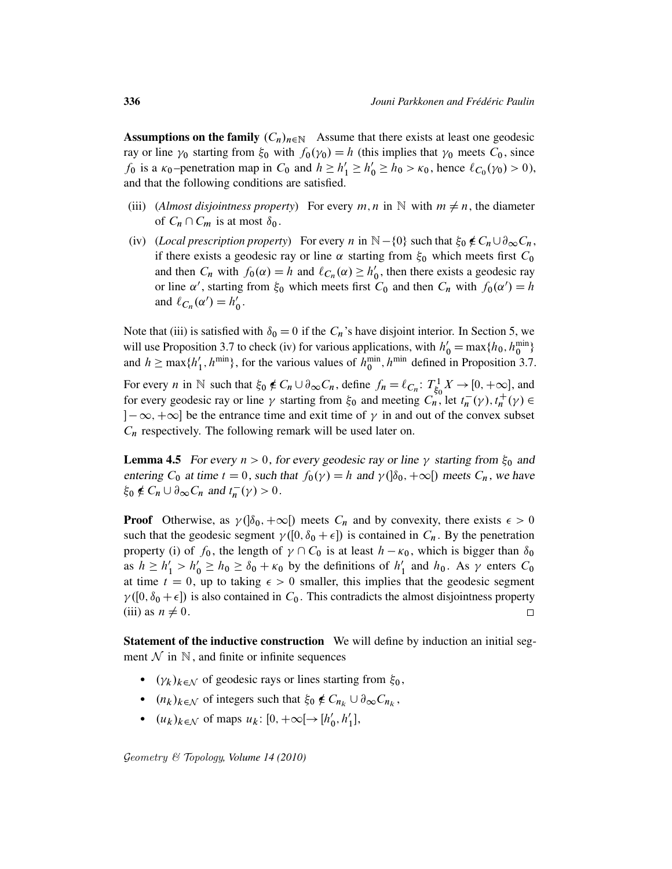**Assumptions on the family**  $(C_n)_{n\in\mathbb{N}}$  Assume that there exists at least one geodesic ray or line  $\gamma_0$  starting from  $\xi_0$  with  $f_0(\gamma_0) = h$  (this implies that  $\gamma_0$  meets  $C_0$ , since  $f_0$  is a  $\kappa_0$ -penetration map in  $C_0$  and  $h \ge h'_1 \ge h'_0 \ge h_0 > \kappa_0$ , hence  $\ell_{C_0}(\gamma_0) > 0$ ), and that the following conditions are satisfied.

- (iii) (*Almost disjointness property*) For every  $m, n$  in N with  $m \neq n$ , the diameter of  $C_n \cap C_m$  is at most  $\delta_0$ .
- (iv) (*Local prescription property*) For every n in  $\mathbb{N} \{0\}$  such that  $\xi_0 \notin C_n \cup \partial_\infty C_n$ , if there exists a geodesic ray or line  $\alpha$  starting from  $\xi_0$  which meets first  $C_0$ and then  $C_n$  with  $f_0(\alpha) = h$  and  $\ell_{C_n}(\alpha) \ge h'_0$  $\zeta$ , then there exists a geodesic ray or line  $\alpha'$ , starting from  $\xi_0$  which meets first  $C_0$  and then  $C_n$  with  $f_0(\alpha') = h$ and  $\ell_{C_n}(\alpha') = h'_0$  $_{0}^{\prime}$  .

Note that (iii) is satisfied with  $\delta_0 = 0$  if the  $C_n$ 's have disjoint interior. In Section 5, we will use Proposition 3.7 to check (iv) for various applications, with  $h'_0 = \max\{h_0, h_0^{\min}\}\$ and  $h \geq \max\{h\}$  $\{1, h^{\text{min}}\}$ , for the various values of  $h^{\text{min}}_0$ ,  $h^{\text{min}}$  defined in Proposition 3.7.

For every *n* in N such that  $\xi_0 \notin C_n \cup \partial_\infty C_n$ , define  $f_n = \ell_{C_n}$ :  $T_{\xi_0}^1$  $\zeta_0^1 X \rightarrow [0, +\infty]$ , and for every geodesic ray or line  $\gamma$  starting from  $\xi_0$  and meeting  $C_n^{\text{so}}$ , let  $t_n^ \frac{1}{n}(\gamma)$ ,  $t_n^+$  $^+_n(\gamma) \in$  $[-\infty, +\infty]$  be the entrance time and exit time of  $\gamma$  in and out of the convex subset  $C_n$  respectively. The following remark will be used later on.

**Lemma 4.5** For every  $n > 0$ , for every geodesic ray or line  $\gamma$  starting from  $\xi_0$  and entering  $C_0$  at time  $t = 0$ , such that  $f_0(\gamma) = h$  and  $\gamma(\delta_0, +\infty)$  meets  $C_n$ , we have  $\xi_0 \notin C_n \cup \partial_\infty C_n$  and  $t_n^$  $n^{-}(\gamma) > 0.$ 

**Proof** Otherwise, as  $\gamma$  ( $\delta_0$ ,  $+\infty$ ) meets  $C_n$  and by convexity, there exists  $\epsilon > 0$ such that the geodesic segment  $\gamma([0, \delta_0 + \epsilon])$  is contained in  $C_n$ . By the penetration property (i) of  $f_0$ , the length of  $\gamma \cap C_0$  is at least  $h - \kappa_0$ , which is bigger than  $\delta_0$ as  $h \ge h'_1 > h'_0 \ge h_0 \ge \delta_0 + \kappa_0$  by the definitions of  $h'_1$  $\frac{1}{1}$  and  $h_0$ . As  $\gamma$  enters  $C_0$ at time  $t = 0$ , up to taking  $\epsilon > 0$  smaller, this implies that the geodesic segment  $\gamma([0, \delta_0 + \epsilon])$  is also contained in  $C_0$ . This contradicts the almost disjointness property (iii) as  $n \neq 0$ .  $\Box$ 

Statement of the inductive construction We will define by induction an initial segment  $\mathcal N$  in  $\mathbb N$ , and finite or infinite sequences

- $(\gamma_k)_{k \in \mathcal{N}}$  of geodesic rays or lines starting from  $\xi_0$ ,
- $(n_k)_{k \in \mathcal{N}}$  of integers such that  $\xi_0 \notin C_{n_k} \cup \partial_{\infty} C_{n_k}$ ,
- $(u_k)_{k \in \mathcal{N}}$  of maps  $u_k: [0, +\infty[ \rightarrow [h']$  $'_{0}, h'_{1}$  $'_{1}$ ],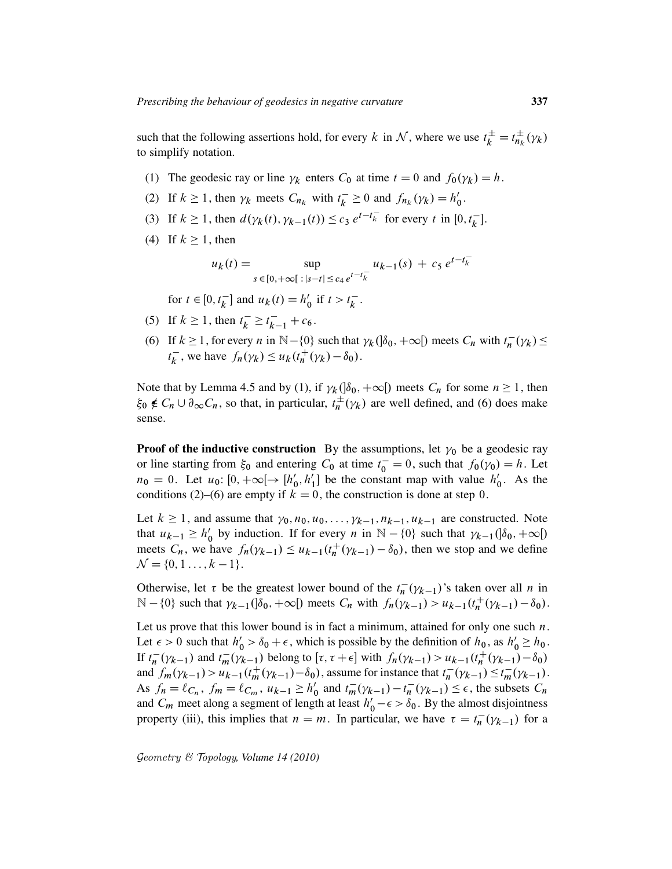such that the following assertions hold, for every k in N, where we use  $t_k^{\pm} = t_{n_k}^{\pm}$  $\frac{\pm}{n_k}(\gamma_k)$ to simplify notation.

- (1) The geodesic ray or line  $\gamma_k$  enters  $C_0$  at time  $t = 0$  and  $f_0(\gamma_k) = h$ .
- (2) If  $k \ge 1$ , then  $\gamma_k$  meets  $C_{n_k}$  with  $t_k^ \overline{k}_k \geq 0$  and  $f_{n_k}(\gamma_k) = h'_0$  $_{0}^{\prime}$  .
- (3) If  $k \ge 1$ , then  $d(\gamma_k(t), \gamma_{k-1}(t)) \le c_3 e^{t-t_k^-}$  for every t in  $[0, t_k^-]$  $\overline{k}$ ].
- (4) If  $k \ge 1$ , then

$$
u_k(t) = \sup_{s \in [0, +\infty[ \ x] \leq c_4 e^{t - t_k^-}} u_{k-1}(s) + c_5 e^{t - t_k^-}
$$

for  $t \in [0, t_k^{-1}]$  $\overline{k}$ ] and  $u_k(t) = h'_0$  $t_0$  if  $t > t_k^ \frac{-}{k}$ .

- (5) If  $k \ge 1$ , then  $t_k^$  $t_k^- \geq t_{k-1}^- + c_6$ .
- (6) If  $k \ge 1$ , for every *n* in  $\mathbb{N} \{0\}$  such that  $\gamma_k(\delta_0, +\infty)$  meets  $C_n$  with  $t_n^ \frac{1}{n}(\gamma_k) \leq$  $t_k^ \overline{k}$ , we have  $f_n(\gamma_k) \leq u_k(t_n^+)$  $h^{\dagger}_{n}(\gamma_{k}) - \delta_{0}).$

Note that by Lemma 4.5 and by (1), if  $\gamma_k(\delta_0, +\infty)$  meets  $C_n$  for some  $n \ge 1$ , then  $\xi_0 \notin C_n \cup \partial_{\infty} C_n$ , so that, in particular,  $t_n^{\pm}$  $\pi_n^{\pm}(\gamma_k)$  are well defined, and (6) does make sense.

**Proof of the inductive construction** By the assumptions, let  $\gamma_0$  be a geodesic ray or line starting from  $\xi_0$  and entering  $C_0$  at time  $t_0^- = 0$ , such that  $f_0(\gamma_0) = h$ . Let  $n_0 = 0$ . Let  $u_0: [0, +\infty[ \rightarrow [h'_0$  $'_{0}, h'_{1}$  $\begin{pmatrix} 1 \\ 1 \end{pmatrix}$  be the constant map with value  $h'_0$  $\int_0'$ . As the conditions (2)–(6) are empty if  $k = 0$ , the construction is done at step 0.

Let  $k \ge 1$ , and assume that  $\gamma_0, n_0, u_0, \ldots, \gamma_{k-1}, n_{k-1}, u_{k-1}$  are constructed. Note that  $u_{k-1} \geq h'_0$ by induction. If for every *n* in  $\mathbb{N} - \{0\}$  such that  $\gamma_{k-1}(\delta_0, +\infty)$ meets  $C_n$ , we have  $f_n(\gamma_{k-1}) \leq u_{k-1}(t_n^+)$  $h_n^+ (\gamma_{k-1}) - \delta_0$ , then we stop and we define  $\mathcal{N} = \{0, 1, \ldots, k - 1\}.$ 

Otherwise, let  $\tau$  be the greatest lower bound of the  $t_n^ \overline{n}(\gamma_{k-1})$ 's taken over all *n* in  $\mathbb{N} - \{0\}$  such that  $\gamma_{k-1}(\delta_0, +\infty)$  meets  $C_n$  with  $f_n(\gamma_{k-1}) > u_{k-1}(t_n^+)$  $\frac{1}{n}(\gamma_{k-1}) - \delta_0$ .

Let us prove that this lower bound is in fact a minimum, attained for only one such  $n$ . Let  $\epsilon > 0$  such that  $h'_0 > \delta_0 + \epsilon$ , which is possible by the definition of  $h_0$ , as  $h'_0 \ge h_0$ . If  $t_n^ \int_{n}^{-} (\gamma_{k-1})$  and  $t_m^{-}(\gamma_{k-1})$  belong to  $[\tau, \tau + \epsilon]$  with  $f_n(\gamma_{k-1}) > u_{k-1}(t_n^+)$  $\sum_{n=1}^{n} (\gamma_{k-1}) - \delta_0$ and  $f_m(\gamma_{k-1}) > u_{k-1}(t_m^+(\gamma_{k-1}) - \delta_0)$ , assume for instance that  $t_n^ \frac{1}{n}(\gamma_{k-1}) \leq t_m^-(\gamma_{k-1}).$ As  $f_n = \ell_{C_n}$ ,  $f_m = \ell_{C_m}$ ,  $u_{k-1} \ge h'_0$  $t'_0$  and  $t_m^-(\gamma_{k-1}) - t_n^ \overline{n}(\gamma_{k-1}) \leq \epsilon$ , the subsets  $C_n$ and  $C_m$  meet along a segment of length at least  $h'_0 - \epsilon > \delta_0$ . By the almost disjointness property (iii), this implies that  $n = m$ . In particular, we have  $\tau = t_n^{-1}$  $\overline{n}(\gamma_{k-1})$  for a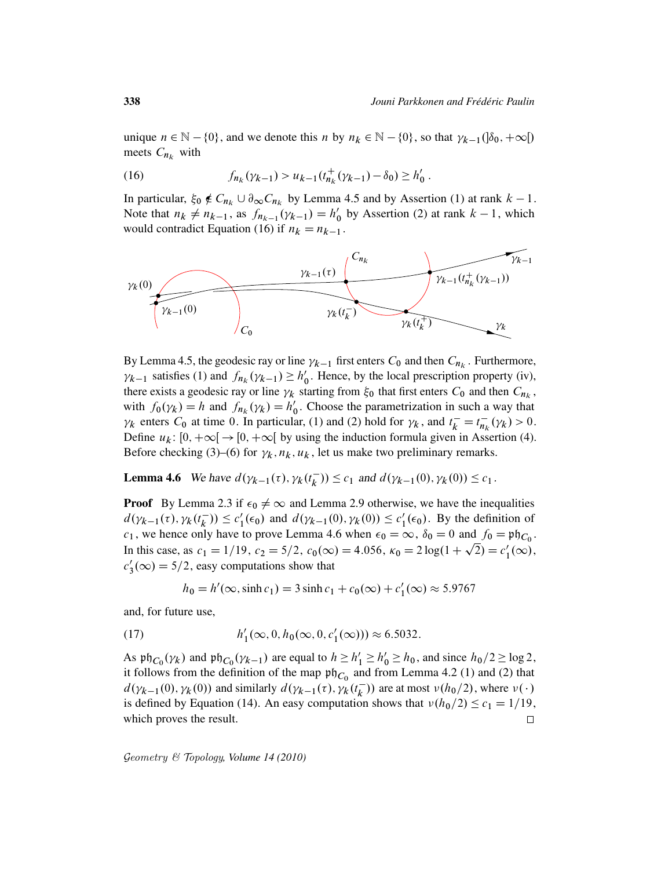unique  $n \in \mathbb{N} - \{0\}$ , and we denote this n by  $n_k \in \mathbb{N} - \{0\}$ , so that  $\gamma_{k-1}(\delta_0, +\infty)$ meets  $C_{n_k}$  with

(16) 
$$
f_{n_k}(\gamma_{k-1}) > u_{k-1}(t_{n_k}^+(\gamma_{k-1}) - \delta_0) \ge h'_0.
$$

In particular,  $\xi_0 \notin C_{n_k} \cup \partial_{\infty} C_{n_k}$  by Lemma 4.5 and by Assertion (1) at rank  $k - 1$ . Note that  $n_k \neq n_{k-1}$ , as  $f_{n_{k-1}}(\gamma_{k-1}) = h'_0$  $\binom{0}{0}$  by Assertion (2) at rank  $k-1$ , which would contradict Equation (16) if  $n_k = n_{k-1}$ .



By Lemma 4.5, the geodesic ray or line  $\gamma_{k-1}$  first enters  $C_0$  and then  $C_{n_k}$ . Furthermore,  $\gamma_{k-1}$  satisfies (1) and  $f_{n_k}(\gamma_{k-1}) \ge h'_0$  $\theta_0'$ . Hence, by the local prescription property (iv), there exists a geodesic ray or line  $\gamma_k$  starting from  $\xi_0$  that first enters  $C_0$  and then  $C_{n_k}$ , with  $f_0(\gamma_k) = h$  and  $f_{n_k}(\gamma_k) = h'_0$  $\gamma_0'$ . Choose the parametrization in such a way that  $\gamma_k$  enters  $C_0$  at time 0. In particular, (1) and (2) hold for  $\gamma_k$ , and  $t_k^- = t_{nk}^ \overline{n_k}(\gamma_k) > 0.$ Define  $u_k: [0, +\infty[ \rightarrow [0, +\infty[$  by using the induction formula given in Assertion (4). Before checking (3)–(6) for  $\gamma_k$ ,  $n_k$ ,  $u_k$ , let us make two preliminary remarks.

**Lemma 4.6** We have  $d(\gamma_{k-1}(\tau), \gamma_k(t_k))$  $(k_{k}^{-})$ )  $\leq c_{1}$  and  $d(\gamma_{k-1}(0), \gamma_{k}(0)) \leq c_{1}$ .

**Proof** By Lemma 2.3 if  $\epsilon_0 \neq \infty$  and Lemma 2.9 otherwise, we have the inequalities  $d(\gamma_{k-1}(\tau), \gamma_k(t_k^{-}))$  $(\frac{1}{k})$ )  $\leq c'_1$  $u'_1(\epsilon_0)$  and  $d(\gamma_{k-1}(0), \gamma_k(0)) \le c'_1$  $l_1'(\epsilon_0)$ . By the definition of  $c_1$ , we hence only have to prove Lemma 4.6 when  $\epsilon_0 = \infty$ ,  $\delta_0 = 0$  and  $f_0 = \mathfrak{ph}_{C_0}$ . In this case, as  $c_1 = 1/19$ ,  $c_2 = 5/2$ ,  $c_0(\infty) = 4.056$ ,  $\kappa_0 = 2 \log(1 + \sqrt{2}) = c_1'$  $l_1'(\infty)$ ,  $c_1'$  $y_3'(\infty) = 5/2$ , easy computations show that

$$
h_0 = h'(\infty, \sinh c_1) = 3 \sinh c_1 + c_0(\infty) + c'_1(\infty) \approx 5.9767
$$

and, for future use,

(17) 
$$
h'_1(\infty, 0, h_0(\infty, 0, c'_1(\infty))) \approx 6.5032.
$$

As  $\mathfrak{ph}_{C_0}(\gamma_k)$  and  $\mathfrak{ph}_{C_0}(\gamma_{k-1})$  are equal to  $h \ge h'_1 \ge h'_0 \ge h_0$ , and since  $h_0/2 \ge \log 2$ , it follows from the definition of the map  $\mathfrak{ph}_{C_0}$  and from Lemma 4.2 (1) and (2) that  $d(\gamma_{k-1}(0), \gamma_k(0))$  and similarly  $d(\gamma_{k-1}(\tau), \gamma_k(t_k))$  $(\overline{k})$ ) are at most  $\nu(h_0/2)$ , where  $\nu(\cdot)$ is defined by Equation (14). An easy computation shows that  $v(h_0/2) \leq c_1 = 1/19$ , which proves the result.  $\Box$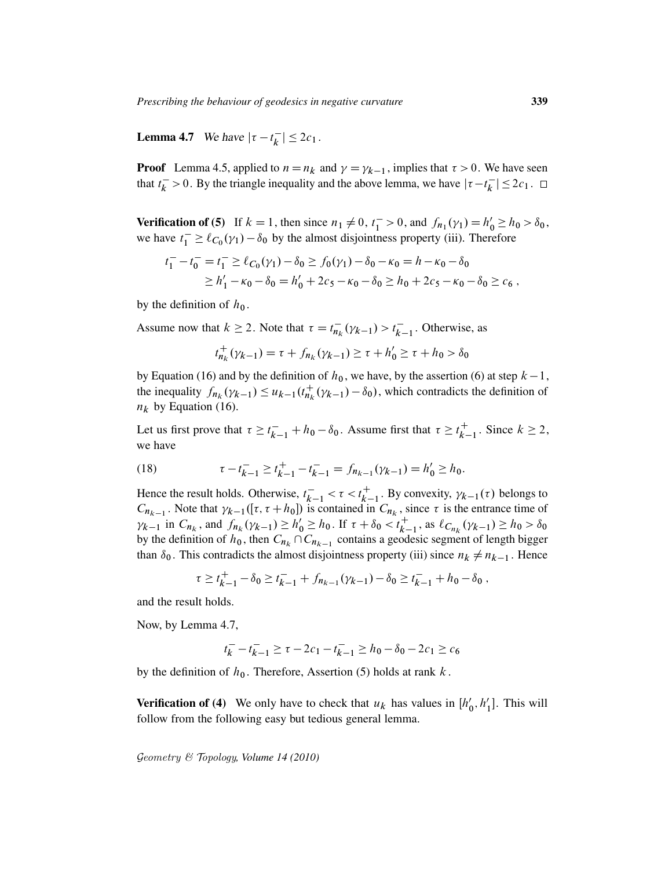**Lemma 4.7** We have  $|\tau - t_k|$  $|\bar{k}| \leq 2c_1$ .

**Proof** Lemma 4.5, applied to  $n = n_k$  and  $\gamma = \gamma_{k-1}$ , implies that  $\tau > 0$ . We have seen that  $t_k^$  $k > 0$ . By the triangle inequality and the above lemma, we have  $|\tau - t_k|$  $|\zeta_k^-| \leq 2c_1$ .

**Verification of (5)** If  $k = 1$ , then since  $n_1 \neq 0$ ,  $t_1^- > 0$ , and  $f_{n_1}(\gamma_1) = h'_0 \ge h_0 > \delta_0$ , we have  $t_1^- \ge \ell_{C_0}(\gamma_1) - \delta_0$  by the almost disjointness property (iii). Therefore

$$
t_1^- - t_0^- = t_1^- \ge \ell_{C_0}(\gamma_1) - \delta_0 \ge f_0(\gamma_1) - \delta_0 - \kappa_0 = h - \kappa_0 - \delta_0
$$
  
 
$$
\ge h_1' - \kappa_0 - \delta_0 = h_0' + 2c_5 - \kappa_0 - \delta_0 \ge h_0 + 2c_5 - \kappa_0 - \delta_0 \ge c_6,
$$

by the definition of  $h_0$ .

Assume now that  $k \ge 2$ . Note that  $\tau = t_{ni}^{-1}$  $\sum_{n_k}^{-1} (\gamma_{k-1}) > t_k^{-1}$  $\overline{k-1}$ . Otherwise, as

$$
t_{n_k}^+(\gamma_{k-1}) = \tau + f_{n_k}(\gamma_{k-1}) \ge \tau + h_0' \ge \tau + h_0 > \delta_0
$$

by Equation (16) and by the definition of  $h_0$ , we have, by the assertion (6) at step  $k - 1$ , the inequality  $f_{n_k}(\gamma_{k-1}) \leq u_{k-1}(t_{n_k}^+)$  $n_k^+$  ( $\gamma_{k-1}$ ) –  $\delta_0$ ), which contradicts the definition of  $n_k$  by Equation (16).

Let us first prove that  $\tau \ge t_{k-1}^+ + h_0 - \delta_0$ . Assume first that  $\tau \ge t_{k-1}^+$  $k-1$ . Since  $k \geq 2$ , we have

(18) 
$$
\tau - t_{k-1}^- \ge t_{k-1}^+ - t_{k-1}^- = f_{n_{k-1}}(\gamma_{k-1}) = h'_0 \ge h_0.
$$

Hence the result holds. Otherwise,  $t_k^ \bar{k-1} < \tau < t_{k-1}^+$  $_{k-1}^{+}$ . By convexity,  $\gamma_{k-1}(\tau)$  belongs to  $C_{n_{k-1}}$ . Note that  $\gamma_{k-1}([\tau, \tau + h_0])$  is contained in  $C_{n_k}$ , since  $\tau$  is the entrance time of  $\gamma_{k-1}$  in  $C_{n_k}$ , and  $f_{n_k}(\gamma_{k-1}) \ge h'_0 \ge h_0$ . If  $\tau + \delta_0 < t_k^+$ .  $k-1$ , as  $\ell_{C_{n_k}}(\gamma_{k-1}) \ge h_0 > \delta_0$ by the definition of  $h_0$ , then  $C_{n_k} \cap C_{n_{k-1}}$  contains a geodesic segment of length bigger than  $\delta_0$ . This contradicts the almost disjointness property (iii) since  $n_k \neq n_{k-1}$ . Hence

> $\tau \geq t_{k}^+$  $t_{k-1}^+ - \delta_0 \ge t_{k-1}^- + f_{n_{k-1}}(\gamma_{k-1}) - \delta_0 \ge t_{k-1}^- + h_0 - \delta_0$

and the result holds.

Now, by Lemma 4.7,

$$
t_k^- - t_{k-1}^- \ge \tau - 2c_1 - t_{k-1}^- \ge h_0 - \delta_0 - 2c_1 \ge c_6
$$

by the definition of  $h_0$ . Therefore, Assertion (5) holds at rank k.

**Verification of (4)** We only have to check that  $u_k$  has values in  $[h'_k]$  $'_{0}, h'_{1}$  $_1'$ ]. This will follow from the following easy but tedious general lemma.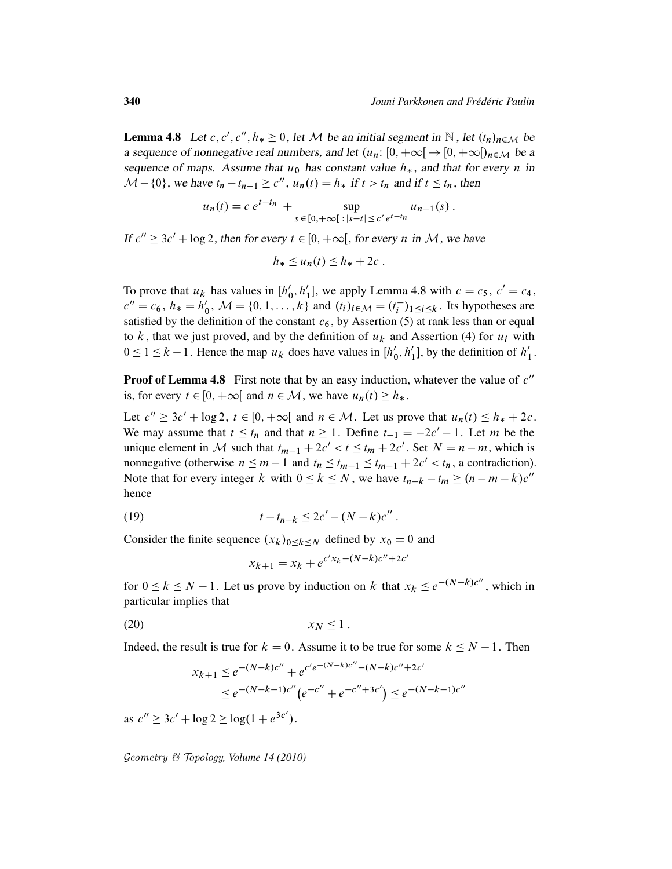**Lemma 4.8** Let c, c', c'',  $h_* \geq 0$ , let M be an initial segment in N, let  $(t_n)_{n \in \mathcal{M}}$  be a sequence of nonnegative real numbers, and let  $(u_n: [0, +\infty[ \rightarrow [0, +\infty[)_{n \in \mathcal{M}}]$  be a sequence of maps. Assume that  $u_0$  has constant value  $h_*$ , and that for every n in  $\mathcal{M}$  – {0}, we have  $t_n - t_{n-1} \ge c''$ ,  $u_n(t) = h_*$  if  $t > t_n$  and if  $t \le t_n$ , then

$$
u_n(t) = c e^{t - t_n} + \sup_{s \in [0, +\infty[ \, : \, |s-t| \le c' e^{t - t_n}} u_{n-1}(s) .
$$

If  $c'' \ge 3c' + \log 2$ , then for every  $t \in [0, +\infty[$ , for every n in M, we have

$$
h_* \leq u_n(t) \leq h_* + 2c.
$$

To prove that  $u_k$  has values in  $[h'_0]$  $'_{0}, h'_{1}$  $l_1$ , we apply Lemma 4.8 with  $c = c_5$ ,  $c' = c_4$ ,  $c'' = c_6$ ,  $h_* = h'_0$  $\chi'_0$ ,  $\mathcal{M} = \{0, 1, ..., k\}$  and  $(t_i)_{i \in \mathcal{M}} = (t_i^{-1})$  $\binom{-}{i}$ <sub>1</sub>  $\leq i \leq k$ . Its hypotheses are satisfied by the definition of the constant  $c_6$ , by Assertion (5) at rank less than or equal to k, that we just proved, and by the definition of  $u_k$  and Assertion (4) for  $u_i$  with  $0 \leq 1 \leq k - 1$ . Hence the map  $u_k$  does have values in  $[h'_k]$  $'_{0}, h'_{1}$  $\binom{1}{1}$ , by the definition of  $h_1$  $\frac{7}{1}$ .

**Proof of Lemma 4.8** First note that by an easy induction, whatever the value of  $c''$ is, for every  $t \in [0, +\infty[$  and  $n \in \mathcal{M}$ , we have  $u_n(t) \ge h_*$ .

Let  $c'' \ge 3c' + \log 2$ ,  $t \in [0, +\infty[$  and  $n \in \mathcal{M}$ . Let us prove that  $u_n(t) \le h_* + 2c$ . We may assume that  $t \leq t_n$  and that  $n \geq 1$ . Define  $t_{-1} = -2c' - 1$ . Let m be the unique element in M such that  $t_{m-1} + 2c' < t \leq t_m + 2c'$ . Set  $N = n - m$ , which is nonnegative (otherwise  $n \le m - 1$  and  $t_n \le t_{m-1} \le t_{m-1} + 2c' < t_n$ , a contradiction). Note that for every integer k with  $0 \le k \le N$ , we have  $t_{n-k} - t_m \ge (n - m - k)c''$ hence

(19) 
$$
t - t_{n-k} \leq 2c' - (N - k)c''.
$$

Consider the finite sequence  $(x_k)_{0 \le k \le N}$  defined by  $x_0 = 0$  and

$$
x_{k+1} = x_k + e^{c'x_k - (N-k)c'' + 2c'}
$$

for  $0 \le k \le N - 1$ . Let us prove by induction on k that  $x_k \le e^{-(N-k)c''}$ , which in particular implies that

$$
(20) \t\t\t x_N \le 1.
$$

Indeed, the result is true for  $k = 0$ . Assume it to be true for some  $k \le N - 1$ . Then

$$
x_{k+1} \le e^{-(N-k)c''} + e^{c'e^{-(N-k)c''} - (N-k)c'' + 2c'}
$$
  
 
$$
\le e^{-(N-k-1)c''} (e^{-c''} + e^{-c''+3c'}) \le e^{-(N-k-1)c''}
$$

as  $c'' \ge 3c' + \log 2 \ge \log(1 + e^{3c'})$ .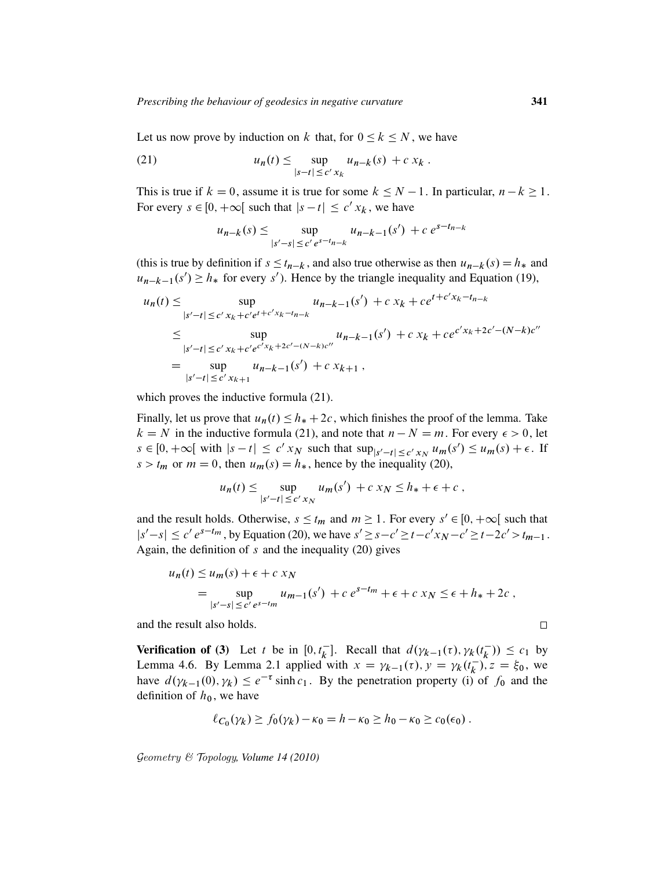Let us now prove by induction on k that, for  $0 \le k \le N$ , we have

(21) 
$$
u_n(t) \leq \sup_{|s-t| \leq c' x_k} u_{n-k}(s) + c x_k.
$$

This is true if  $k = 0$ , assume it is true for some  $k \le N - 1$ . In particular,  $n - k \ge 1$ . For every  $s \in [0, +\infty[$  such that  $|s - t| \leq c' x_k$ , we have

$$
u_{n-k}(s) \le \sup_{|s'-s| \le c' e^{s-t_{n-k}}} u_{n-k-1}(s') + c e^{s-t_{n-k}}
$$

(this is true by definition if  $s \le t_{n-k}$ , and also true otherwise as then  $u_{n-k}(s) = h_*$  and  $u_{n-k-1}(s') \geq h_*$  for every s'). Hence by the triangle inequality and Equation (19),

$$
u_n(t) \le \sup_{|s'-t| \le c' x_k + c' e^{t+c' x_k - t_{n-k}}} u_{n-k-1}(s') + c x_k + c e^{t+c' x_k - t_{n-k}}
$$
  
\n
$$
\le \sup_{|s'-t| \le c' x_k + c' e^{c' x_k + 2c' - (N-k)c''}} u_{n-k-1}(s') + c x_k + c e^{c' x_k + 2c' - (N-k)c''}
$$
  
\n
$$
= \sup_{|s'-t| \le c' x_{k+1}} u_{n-k-1}(s') + c x_{k+1},
$$

which proves the inductive formula (21).

Finally, let us prove that  $u_n(t) \leq h_* + 2c$ , which finishes the proof of the lemma. Take  $k = N$  in the inductive formula (21), and note that  $n - N = m$ . For every  $\epsilon > 0$ , let  $s \in [0, +\infty[$  with  $|s-t| \leq c' x_N$  such that  $\sup_{|s'-t| \leq c' x_N} u_m(s') \leq u_m(s) + \epsilon$ . If  $s > t_m$  or  $m = 0$ , then  $u_m(s) = h_*$ , hence by the inequality (20),

$$
u_n(t) \le \sup_{|s'-t| \le c' x_N} u_m(s') + c x_N \le h_* + \epsilon + c,
$$

and the result holds. Otherwise,  $s \leq t_m$  and  $m \geq 1$ . For every  $s' \in [0, +\infty[$  such that  $|s'-s| \leq c' e^{s-t_m}$ , by Equation (20), we have  $s' \geq s-c' \geq t-c'x_N-c' \geq t-2c' > t_{m-1}$ . Again, the definition of  $s$  and the inequality (20) gives

$$
u_n(t) \le u_m(s) + \epsilon + c x_N
$$
  
=  $\sup_{|s'-s| \le c' e^{s-t_m}} u_{m-1}(s') + c e^{s-t_m} + \epsilon + c x_N \le \epsilon + h_* + 2c,$ 

and the result also holds.

Verification of (3) Let t be in  $[0, t_k^{-}]$  $\begin{bmatrix} k \\ k \end{bmatrix}$ . Recall that  $d(\gamma_{k-1}(\tau), \gamma_k(t_k))$  $(\overline{k})$   $\leq c_1$  by Lemma 4.6. By Lemma 2.1 applied with  $x = \gamma_{k-1}(\tau)$ ,  $y = \gamma_k(t_k^{-1})$  $(\frac{1}{k})^n$ ,  $z = \xi_0$ , we have  $d(\gamma_{k-1}(0), \gamma_k) \leq e^{-\tau} \sinh c_1$ . By the penetration property (i) of  $f_0$  and the definition of  $h_0$ , we have

$$
\ell_{C_0}(\gamma_k) \ge f_0(\gamma_k) - \kappa_0 = h - \kappa_0 \ge h_0 - \kappa_0 \ge c_0(\epsilon_0).
$$

Geometry & Topology*, Volume 14 (2010)*

 $\Box$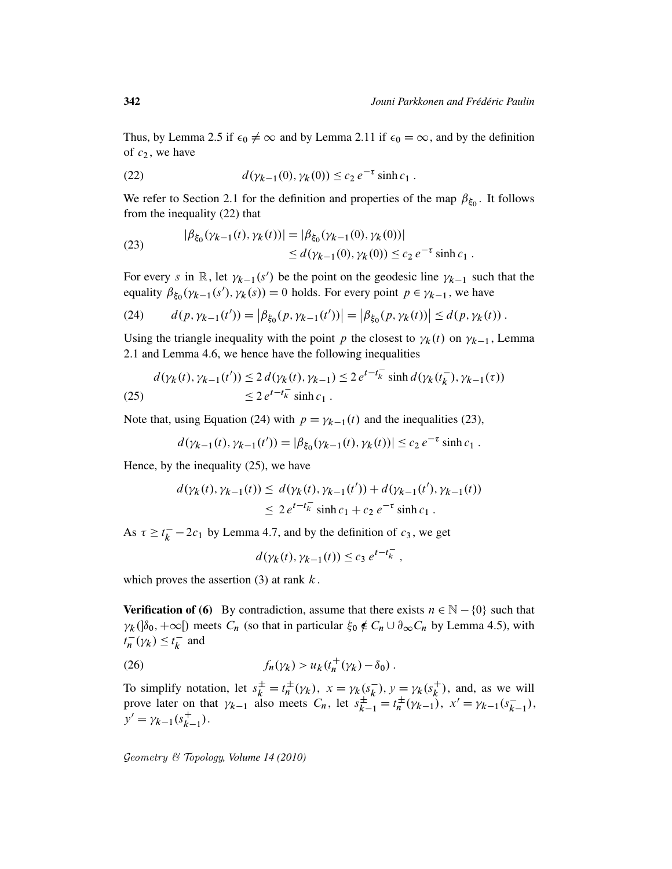Thus, by Lemma 2.5 if  $\epsilon_0 \neq \infty$  and by Lemma 2.11 if  $\epsilon_0 = \infty$ , and by the definition of  $c_2$ , we have

(22) 
$$
d(\gamma_{k-1}(0), \gamma_k(0)) \leq c_2 e^{-\tau} \sinh c_1.
$$

We refer to Section 2.1 for the definition and properties of the map  $\beta_{\xi_0}$ . It follows from the inequality (22) that

(23) 
$$
|\beta_{\xi_0}(\gamma_{k-1}(t), \gamma_k(t))| = |\beta_{\xi_0}(\gamma_{k-1}(0), \gamma_k(0))|
$$
  
 
$$
\leq d(\gamma_{k-1}(0), \gamma_k(0)) \leq c_2 e^{-\tau} \sinh c_1.
$$

For every s in  $\mathbb{R}$ , let  $\gamma_{k-1}(s')$  be the point on the geodesic line  $\gamma_{k-1}$  such that the equality  $\beta_{\xi_0}(\gamma_{k-1}(s'), \gamma_k(s)) = 0$  holds. For every point  $p \in \gamma_{k-1}$ , we have

(24) 
$$
d(p, \gamma_{k-1}(t')) = |\beta_{\xi_0}(p, \gamma_{k-1}(t'))| = |\beta_{\xi_0}(p, \gamma_k(t))| \leq d(p, \gamma_k(t)).
$$

Using the triangle inequality with the point p the closest to  $\gamma_k(t)$  on  $\gamma_{k-1}$ , Lemma 2.1 and Lemma 4.6, we hence have the following inequalities

$$
d(\gamma_k(t), \gamma_{k-1}(t')) \le 2 d(\gamma_k(t), \gamma_{k-1}) \le 2 e^{t - t_k^-} \sinh d(\gamma_k(t_k^-), \gamma_{k-1}(\tau))
$$
  
(25) 
$$
\le 2 e^{t - t_k^-} \sinh c_1.
$$

Note that, using Equation (24) with  $p = \gamma_{k-1}(t)$  and the inequalities (23),

$$
d(\gamma_{k-1}(t), \gamma_{k-1}(t')) = |\beta_{\xi_0}(\gamma_{k-1}(t), \gamma_k(t))| \le c_2 e^{-\tau} \sinh c_1.
$$

Hence, by the inequality (25), we have

$$
d(\gamma_k(t), \gamma_{k-1}(t)) \leq d(\gamma_k(t), \gamma_{k-1}(t')) + d(\gamma_{k-1}(t'), \gamma_{k-1}(t))
$$
  
 
$$
\leq 2 e^{t-t_k^-} \sinh c_1 + c_2 e^{-\tau} \sinh c_1.
$$

As  $\tau \geq t_k^$  $k<sub>k</sub>$  – 2 $c<sub>1</sub>$  by Lemma 4.7, and by the definition of  $c<sub>3</sub>$ , we get

$$
d(\gamma_k(t), \gamma_{k-1}(t)) \leq c_3 e^{t-t_k^-},
$$

which proves the assertion  $(3)$  at rank  $k$ .

**Verification of (6)** By contradiction, assume that there exists  $n \in \mathbb{N} - \{0\}$  such that  $\gamma_k(\delta_0, +\infty)$  meets  $C_n$  (so that in particular  $\xi_0 \notin C_n \cup \partial_\infty C_n$  by Lemma 4.5), with  $t_n^ \frac{1}{n}(\gamma_k) \leq t_k^{-}$  $\bar{k}$  and

$$
(26) \t f_n(\gamma_k) > u_k(t_n^+(\gamma_k) - \delta_0).
$$

To simplify notation, let  $s_k^{\pm} = t_n^{\pm}$  $\frac{1}{n}(\gamma_k), x = \gamma_k(s_k)$  $\bar{k}$ ),  $y = \gamma_k (s_k^+$  $\binom{+}{k}$ , and, as we will prove later on that  $\gamma_{k-1}$  also meets  $C_n$ , let  $s_{k-1}^{\pm} = t_n^{\pm}$  $\mu_n^{\pm}(\gamma_{k-1}), x' = \gamma_{k-1}(s_k^{-}).$  $\frac{1}{k-1}$ ),  $y' = \gamma_{k-1}(s_{k}^+)$  $_{k-1}^{+}$ ).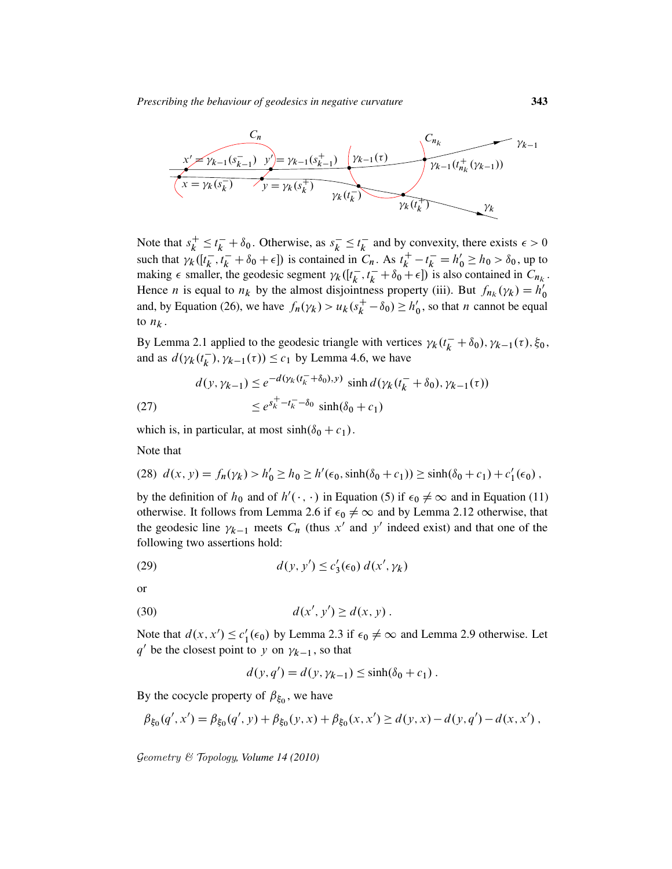

Note that  $s_k^+$  $t_k^+ \leq t_k^- + \delta_0$ . Otherwise, as  $s_k^ \overline{k} \leq t_{k}^{-}$  $\overline{k}$  and by convexity, there exists  $\epsilon > 0$ such that  $\chi_k^h$  ( $[t_k^-]$  $\int_{k}^{R} t_{k}^{-} + \delta_{0} + \epsilon$ ]) is contained in  $C_{n}$ . As  $t_{k}^{+}$  $k<sup>+</sup><sub>k</sub> - t<sub>k</sub><sup>-</sup> = h'<sub>0</sub> \ge h<sub>0</sub> > \delta<sub>0</sub>$ , up to making  $\epsilon$  smaller, the geodesic segment  $\gamma_k$  ( $[t_k]$  $[\vec{k}, t_k^- + \delta_0^{\text{A}} + \epsilon]$  is also contained in  $C_{n_k}$ . Hence *n* is equal to  $n_k$  by the almost disjointness property (iii). But  $f_{n_k}(\gamma_k) = h'_k$ 0 and, by Equation (26), we have  $f_n(\gamma_k) > u_k(s_k^+)$  $h_k^+ - \delta_0 \ge h'_0$  $\zeta$ , so that *n* cannot be equal to  $n_k$ .

By Lemma 2.1 applied to the geodesic triangle with vertices  $\gamma_k(t_k^- + \delta_0), \gamma_{k-1}(\tau), \xi_0$ , and as  $d(\gamma_k(t_k^-))$  $(k, k)$ ,  $\gamma_{k-1}(\tau)$ )  $\leq c_1$  by Lemma 4.6, we have

(27) 
$$
d(y, \gamma_{k-1}) \le e^{-d(\gamma_k(t_k^- + \delta_0), y)} \sinh d(\gamma_k(t_k^- + \delta_0), \gamma_{k-1}(\tau))
$$

$$
\le e^{s_k^+ - t_k^- - \delta_0} \sinh(\delta_0 + c_1)
$$

which is, in particular, at most  $sinh(\delta_0 + c_1)$ .

Note that

(28) 
$$
d(x, y) = f_n(\gamma_k) > h'_0 \ge h_0 \ge h'(\epsilon_0, \sinh(\delta_0 + c_1)) \ge \sinh(\delta_0 + c_1) + c'_1(\epsilon_0)
$$
,

by the definition of  $h_0$  and of  $h'(\cdot, \cdot)$  in Equation (5) if  $\epsilon_0 \neq \infty$  and in Equation (11) otherwise. It follows from Lemma 2.6 if  $\epsilon_0 \neq \infty$  and by Lemma 2.12 otherwise, that the geodesic line  $\gamma_{k-1}$  meets  $C_n$  (thus x' and y' indeed exist) and that one of the following two assertions hold:

(29) 
$$
d(y, y') \leq c_3'(\epsilon_0) d(x', \gamma_k)
$$

or

(30) 
$$
d(x', y') \ge d(x, y).
$$

Note that  $d(x, x') \leq c'_1$  $l'_1(\epsilon_0)$  by Lemma 2.3 if  $\epsilon_0 \neq \infty$  and Lemma 2.9 otherwise. Let  $q'$  be the closest point to y on  $\gamma_{k-1}$ , so that

$$
d(y, q') = d(y, \gamma_{k-1}) \le \sinh(\delta_0 + c_1).
$$

By the cocycle property of  $\beta_{\xi_0}$ , we have

$$
\beta_{\xi_0}(q',x') = \beta_{\xi_0}(q',y) + \beta_{\xi_0}(y,x) + \beta_{\xi_0}(x,x') \ge d(y,x) - d(y,q') - d(x,x') ,
$$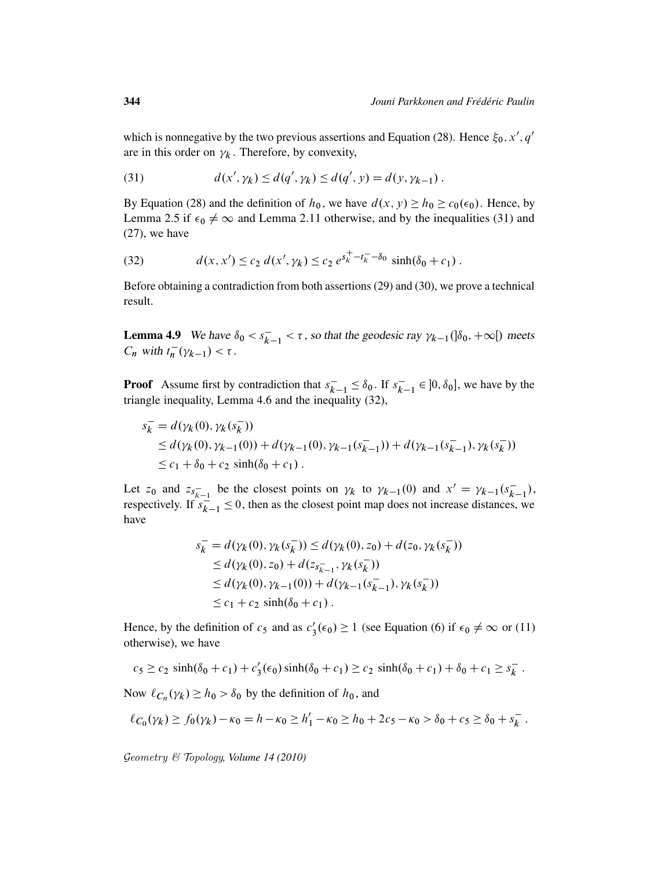which is nonnegative by the two previous assertions and Equation (28). Hence  $\xi_0$ , x', q' are in this order on  $\gamma_k$ . Therefore, by convexity,

(31) 
$$
d(x', \gamma_k) \leq d(q', \gamma_k) \leq d(q', y) = d(y, \gamma_{k-1}).
$$

By Equation (28) and the definition of  $h_0$ , we have  $d(x, y) \ge h_0 \ge c_0(\epsilon_0)$ . Hence, by Lemma 2.5 if  $\epsilon_0 \neq \infty$  and Lemma 2.11 otherwise, and by the inequalities (31) and (27), we have

(32) 
$$
d(x, x') \le c_2 d(x', \gamma_k) \le c_2 e^{s_k^+ - t_k^- - \delta_0} \sinh(\delta_0 + c_1).
$$

Before obtaining a contradiction from both assertions (29) and (30), we prove a technical result.

**Lemma 4.9** We have  $\delta_0 < s_k^-$ .  $\bar{k}_{-1} < \tau$ , so that the geodesic ray  $\gamma_{k-1}(\delta_0, +\infty)$  meets  $C_n$  with  $t_n^ \frac{1}{n}(\gamma_{k-1}) < \tau$ .

**Proof** Assume first by contradiction that  $s_k^ \bar{k}_{-1} \leq \delta_0$ . If  $s_k^ \overline{k-1} \in ]0, \delta_0]$ , we have by the triangle inequality, Lemma 4.6 and the inequality (32),

$$
s_k^- = d(\gamma_k(0), \gamma_k(s_k^-))
$$
  
\n
$$
\leq d(\gamma_k(0), \gamma_{k-1}(0)) + d(\gamma_{k-1}(0), \gamma_{k-1}(s_{k-1}^-)) + d(\gamma_{k-1}(s_{k-1}^-), \gamma_k(s_k^-))
$$
  
\n
$$
\leq c_1 + \delta_0 + c_2 \sinh(\delta_0 + c_1).
$$

Let  $z_0$  and  $z_{s_{k-1}}$  be the closest points on  $\gamma_k$  to  $\gamma_{k-1}(0)$  and  $x' = \gamma_{k-1}(s_k^{-})$  $\frac{1}{k-1}$ ), respectively. If  $s_k^{-1}$  $\frac{1}{k-1} \leq 0$ , then as the closest point map does not increase distances, we have

$$
s_k^- = d(\gamma_k(0), \gamma_k(s_k^-)) \le d(\gamma_k(0), z_0) + d(z_0, \gamma_k(s_k^-))
$$
  
\n
$$
\le d(\gamma_k(0), z_0) + d(z_{s_{k-1}}, \gamma_k(s_k^-))
$$
  
\n
$$
\le d(\gamma_k(0), \gamma_{k-1}(0)) + d(\gamma_{k-1}(s_{k-1}), \gamma_k(s_k^-))
$$
  
\n
$$
\le c_1 + c_2 \sinh(\delta_0 + c_1).
$$

Hence, by the definition of  $c_5$  and as  $c_3$  $S_3'(\epsilon_0) \ge 1$  (see Equation (6) if  $\epsilon_0 \neq \infty$  or (11) otherwise), we have

$$
c_5 \ge c_2 \sinh(\delta_0 + c_1) + c_3'(\epsilon_0) \sinh(\delta_0 + c_1) \ge c_2 \sinh(\delta_0 + c_1) + \delta_0 + c_1 \ge s_k^-.
$$

Now  $\ell_{C_n}(\gamma_k) \ge h_0 > \delta_0$  by the definition of  $h_0$ , and

$$
\ell_{C_0}(\gamma_k) \ge f_0(\gamma_k) - \kappa_0 = h - \kappa_0 \ge h'_1 - \kappa_0 \ge h_0 + 2c_5 - \kappa_0 > \delta_0 + c_5 \ge \delta_0 + s_k^-.
$$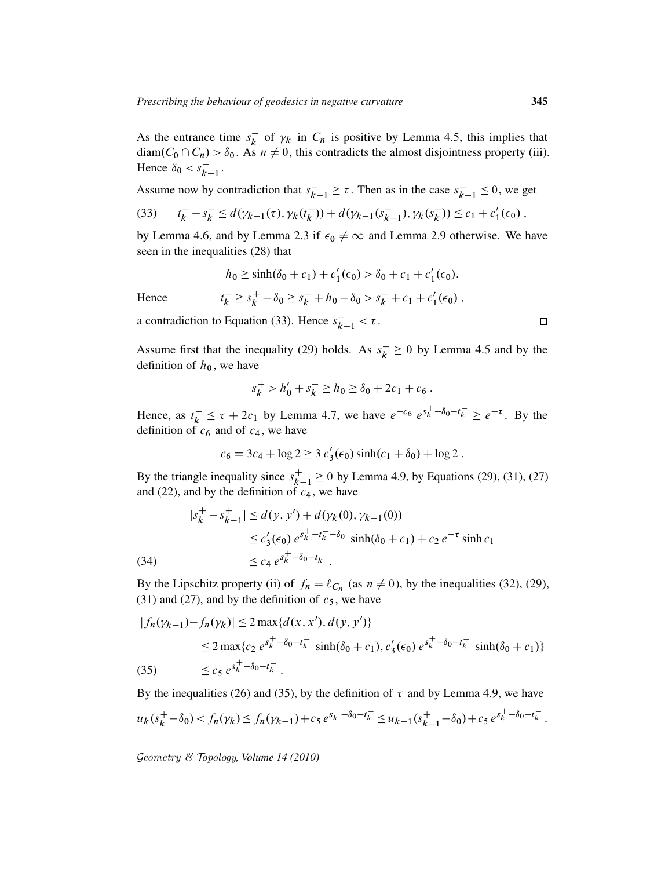As the entrance time  $s_k^ \overline{k}$  of  $\gamma_k$  in  $C_n$  is positive by Lemma 4.5, this implies that diam $(C_0 \cap C_n) > \delta_0$ . As  $n \neq 0$ , this contradicts the almost disjointness property (iii). Hence  $\delta_0 < s_k$ .  $\frac{1}{k-1}$ .

Assume now by contradiction that  $s_k^ \overline{k-1} \geq \tau$ . Then as in the case  $s_k^ \overline{k-1} \leq 0$ , we get

(33) 
$$
t_k^- - s_k^- \le d(\gamma_{k-1}(\tau), \gamma_k(t_k^-)) + d(\gamma_{k-1}(s_{k-1}^-), \gamma_k(s_k^-)) \le c_1 + c'_1(\epsilon_0),
$$

by Lemma 4.6, and by Lemma 2.3 if  $\epsilon_0 \neq \infty$  and Lemma 2.9 otherwise. We have seen in the inequalities (28) that

$$
h_0 \ge \sinh(\delta_0 + c_1) + c'_1(\epsilon_0) > \delta_0 + c_1 + c'_1(\epsilon_0).
$$

Hence 
$$
t_k^- \ge s_k^+ - \delta_0 \ge s_k^- + h_0 - \delta_0 > s_k^- + c_1 + c'_1(\epsilon_0)
$$
,

a contradiction to Equation (33). Hence  $s_k^ \frac{1}{k-1} < \tau$ .

Assume first that the inequality (29) holds. As  $s_k^$  $k \geq 0$  by Lemma 4.5 and by the definition of  $h_0$ , we have

$$
s_k^+ > h'_0 + s_k^- \ge h_0 \ge \delta_0 + 2c_1 + c_6.
$$

Hence, as  $t_k^ \epsilon_k^- \leq \tau + 2c_1$  by Lemma 4.7, we have  $e^{-c_6} e^{s_k^+ - \delta_0 - t_k^-} \geq e^{-\tau}$ . By the definition of  $c_6$  and of  $c_4$ , we have

$$
c_6 = 3c_4 + \log 2 \ge 3 c'_3(\epsilon_0) \sinh(c_1 + \delta_0) + \log 2.
$$

By the triangle inequality since  $s_k^+$ .  $_{k-1}^{+} \ge 0$  by Lemma 4.9, by Equations (29), (31), (27) and (22), and by the definition of  $c_4$ , we have

(34)  
\n
$$
|s_k^+ - s_{k-1}^+| \le d(y, y') + d(\gamma_k(0), \gamma_{k-1}(0))
$$
\n
$$
\le c'_3(\epsilon_0) e^{s_k^+ - t_k^- - \delta_0} \sinh(\delta_0 + c_1) + c_2 e^{-\tau} \sinh c_1
$$
\n
$$
\le c_4 e^{s_k^+ - \delta_0 - t_k^-}.
$$

By the Lipschitz property (ii) of  $f_n = \ell_{C_n}$  (as  $n \neq 0$ ), by the inequalities (32), (29), (31) and (27), and by the definition of  $c_5$ , we have

$$
|f_n(\gamma_{k-1}) - f_n(\gamma_k)| \le 2 \max\{d(x, x'), d(y, y')\}
$$
  
\n
$$
\le 2 \max\{c_2 e^{s_k^+ - \delta_0 - t_k^-} \sinh(\delta_0 + c_1), c'_3(\epsilon_0) e^{s_k^+ - \delta_0 - t_k^-} \sinh(\delta_0 + c_1)\}
$$
  
\n(35) 
$$
\le c_5 e^{s_k^+ - \delta_0 - t_k^-}.
$$

By the inequalities (26) and (35), by the definition of  $\tau$  and by Lemma 4.9, we have

$$
u_k(s_k^+ - \delta_0) < f_n(\gamma_k) \le f_n(\gamma_{k-1}) + c_5 e^{s_k^+ - \delta_0 - t_k^-} \le u_{k-1}(s_{k-1}^+ - \delta_0) + c_5 e^{s_k^+ - \delta_0 - t_k^-}.
$$

Geometry & Topology*, Volume 14 (2010)*

 $\Box$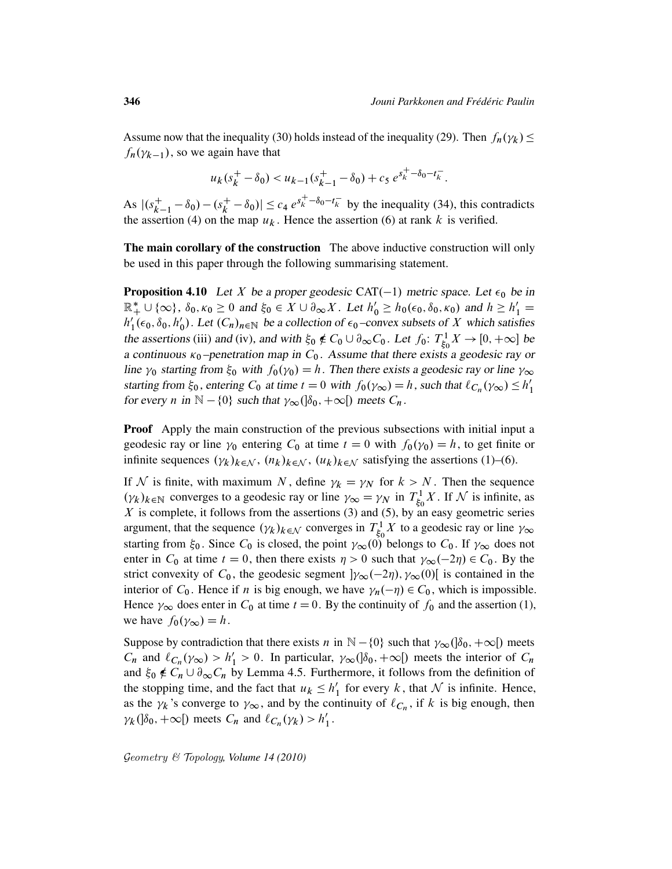Assume now that the inequality (30) holds instead of the inequality (29). Then  $f_n(\gamma_k) \le$  $f_n(\gamma_{k-1})$ , so we again have that

$$
u_k(s_k^+ - \delta_0) < u_{k-1}(s_{k-1}^+ - \delta_0) + c_5 \, e^{s_k^+ - \delta_0 - t_k^-}.
$$

As  $|(s_k^+)|$  $x_{k-1}^+ - \delta_0$ ) – (s<sub>k</sub><sup>+</sup>)  $|\vec{k} - \delta_0| \le c_4 e^{s_k^+ - \delta_0 - t_k^-}$  by the inequality (34), this contradicts the assertion (4) on the map  $u_k$ . Hence the assertion (6) at rank k is verified.

The main corollary of the construction The above inductive construction will only be used in this paper through the following summarising statement.

**Proposition 4.10** Let X be a proper geodesic CAT(-1) metric space. Let  $\epsilon_0$  be in  $\mathbb{R}_+^* \cup \{\infty\}$ ,  $\delta_0$ ,  $\kappa_0 \geq 0$  and  $\xi_0 \in X \cup \partial_\infty X$ . Let  $h'_0 \geq h_0(\epsilon_0, \delta_0, \kappa_0)$  and  $h \geq h'_1 =$  $h_1'$  $\int_1^{\prime} (\epsilon_0, \delta_0, h_0)$  $C_0$ ). Let  $(C_n)_{n \in \mathbb{N}}$  be a collection of  $\epsilon_0$ -convex subsets of X which satisfies the assertions (iii) and (iv), and with  $\xi_0 \notin C_0 \cup \partial_{\infty} C_0$ . Let  $f_0$ :  $T_{\xi_c}^1$  $\chi^1_{\xi_0} X \to [0, +\infty]$  be a continuous  $\kappa_0$ -penetration map in  $C_0$ . Assume that there exists a geodesic ray or line  $\gamma_0$  starting from  $\xi_0$  with  $f_0(\gamma_0) = h$ . Then there exists a geodesic ray or line  $\gamma_\infty$ starting from  $\xi_0$ , entering  $C_0$  at time  $t = 0$  with  $f_0(\gamma_\infty) = h$ , such that  $\ell_{C_n}(\gamma_\infty) \le h'_1$ 1 for every *n* in  $\mathbb{N} - \{0\}$  such that  $\gamma_{\infty}(\delta_0, +\infty)$  meets  $C_n$ .

Proof Apply the main construction of the previous subsections with initial input a geodesic ray or line  $\gamma_0$  entering  $C_0$  at time  $t = 0$  with  $f_0(\gamma_0) = h$ , to get finite or infinite sequences  $(\gamma_k)_{k \in \mathcal{N}}$ ,  $(n_k)_{k \in \mathcal{N}}$ ,  $(u_k)_{k \in \mathcal{N}}$  satisfying the assertions (1)–(6).

If N is finite, with maximum N, define  $\gamma_k = \gamma_N$  for  $k > N$ . Then the sequence  $(\gamma_k)_{k \in \mathbb{N}}$  converges to a geodesic ray or line  $\gamma_\infty = \gamma_N$  in  $T_{\xi_0}^1$  $\zeta_0^1$  X. If N is infinite, as  $X$  is complete, it follows from the assertions (3) and (5), by an easy geometric series argument, that the sequence  $(\gamma_k)_{k \in \mathcal{N}}$  converges in  $T_{\xi_c}^1$  $\zeta_5^1$  X to a geodesic ray or line  $\gamma_{\infty}$ starting from  $\xi_0$ . Since  $C_0$  is closed, the point  $\gamma_\infty(\vec{0})$  belongs to  $C_0$ . If  $\gamma_\infty$  does not enter in  $C_0$  at time  $t = 0$ , then there exists  $\eta > 0$  such that  $\gamma_{\infty}(-2\eta) \in C_0$ . By the strict convexity of  $C_0$ , the geodesic segment  $|\gamma_\infty(-2\eta), \gamma_\infty(0)|$  is contained in the interior of  $C_0$ . Hence if *n* is big enough, we have  $\gamma_n(-\eta) \in C_0$ , which is impossible. Hence  $\gamma_{\infty}$  does enter in  $C_0$  at time  $t = 0$ . By the continuity of  $f_0$  and the assertion (1), we have  $f_0(\gamma_\infty) = h$ .

Suppose by contradiction that there exists *n* in  $\mathbb{N} - \{0\}$  such that  $\gamma_{\infty}(\delta_0, +\infty)$  meets  $C_n$  and  $\ell_{C_n}(\gamma_\infty) > h'_1 > 0$ . In particular,  $\gamma_\infty(\delta_0, +\infty)$  meets the interior of  $C_n$ and  $\xi_0 \notin C_n \cup \partial_\infty C_n$  by Lemma 4.5. Furthermore, it follows from the definition of the stopping time, and the fact that  $u_k \leq h'$  $\frac{1}{1}$  for every k, that N is infinite. Hence, as the  $\gamma_k$ 's converge to  $\gamma_\infty$ , and by the continuity of  $\ell_{C_n}$ , if k is big enough, then  $\gamma_k(\delta_0, +\infty)$  meets  $C_n$  and  $\ell_{C_n}(\gamma_k) > h'_1$  $\frac{1}{1}$ .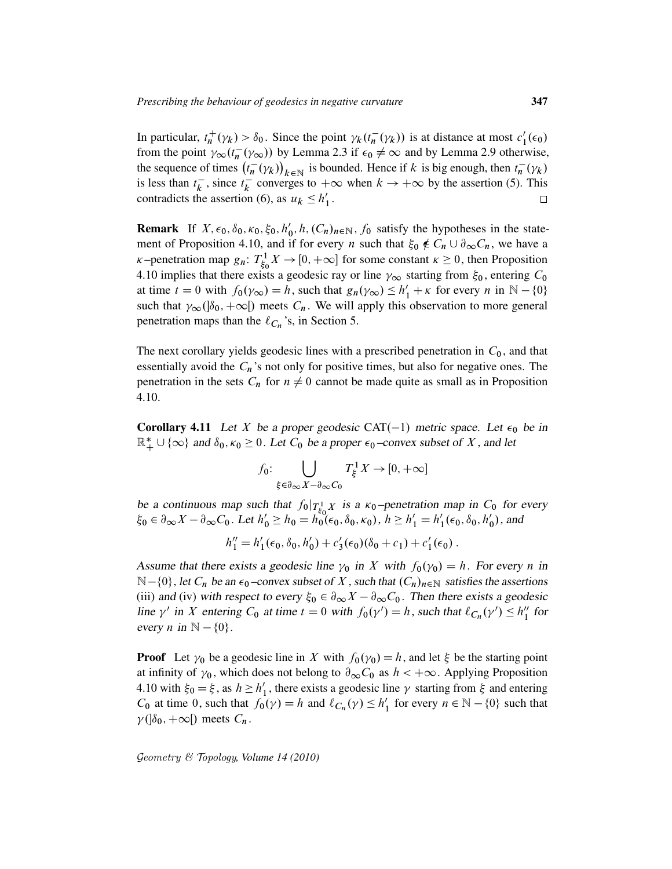In particular,  $t_n^+$  $h_n^+(\gamma_k) > \delta_0$ . Since the point  $\gamma_k(t_n^-)$  $\overline{n}(\gamma_k)$  is at distance at most  $c'_1$  $_{1}^{\prime}(\epsilon_{0})$ from the point  $\gamma_{\infty}(t_n^{-})$  $\overline{n}(\gamma_{\infty})$ ) by Lemma 2.3 if  $\epsilon_0 \neq \infty$  and by Lemma 2.9 otherwise, the sequence of times  $(t_n^-)$  $\binom{-}{n}(\gamma_k)_{k \in \mathbb{N}}$  is bounded. Hence if k is big enough, then  $t_n^{-}$  $\bar{n}(\gamma_k)$ is less than  $t_k^ \overline{k}$ , since  $t_k^ \overline{k}$  converges to  $+\infty$  when  $k \to +\infty$  by the assertion (5). This contradicts the assertion (6), as  $u_k \leq h'_1$  $\frac{1}{1}$ .

**Remark** If  $X, \epsilon_0, \delta_0, \kappa_0, \xi_0, h'_0$  $\mathcal{L}_0', h, (C_n)_{n \in \mathbb{N}}, f_0$  satisfy the hypotheses in the statement of Proposition 4.10, and if for every *n* such that  $\xi_0 \notin C_n \cup \partial_{\infty} C_n$ , we have a  $\kappa$ -penetration map  $g_n: T^1_{\xi_0}$  $\chi^1_{\xi_0} X \to [0, +\infty]$  for some constant  $\kappa \ge 0$ , then Proposition 4.10 implies that there exists a geodesic ray or line  $\gamma_{\infty}$  starting from  $\xi_0$ , entering  $C_0$ at time  $t = 0$  with  $f_0(\gamma_\infty) = h$ , such that  $g_n(\gamma_\infty) \le h'_1 + \kappa$  for every n in  $\mathbb{N} - \{0\}$ such that  $\gamma_{\infty}(\delta_0, +\infty)$  meets  $C_n$ . We will apply this observation to more general penetration maps than the  $\ell_{C_n}$ 's, in Section 5.

The next corollary yields geodesic lines with a prescribed penetration in  $C_0$ , and that essentially avoid the  $C_n$ 's not only for positive times, but also for negative ones. The penetration in the sets  $C_n$  for  $n \neq 0$  cannot be made quite as small as in Proposition 4.10.

**Corollary 4.11** Let X be a proper geodesic CAT(-1) metric space. Let  $\epsilon_0$  be in  $\mathbb{R}_+^* \cup \{\infty\}$  and  $\delta_0, \kappa_0 \geq 0$ . Let  $C_0$  be a proper  $\epsilon_0$ -convex subset of X, and let

$$
f_0: \bigcup_{\xi \in \partial_{\infty} X - \partial_{\infty} C_0} T_{\xi}^1 X \to [0, +\infty]
$$

be a continuous map such that  $f_0|_{T_{\xi_0}^1 X}$  is a  $\kappa_0$ -penetration map in  $C_0$  for every  $\xi_0 \in \partial_{\infty} X - \partial_{\infty} C_0$ . Let  $h'_0 \ge h_0 = h_0^{k_0} (\epsilon_0, \delta_0, \kappa_0), h \ge h'_1 = h'_1$  $\int_1'(\epsilon_0,\delta_0,h'_0)$  $'_0$ ), and

$$
h''_1 = h'_1(\epsilon_0, \delta_0, h'_0) + c'_3(\epsilon_0)(\delta_0 + c_1) + c'_1(\epsilon_0).
$$

Assume that there exists a geodesic line  $\gamma_0$  in X with  $f_0(\gamma_0) = h$ . For every n in  $\mathbb{N}$  –{0}, let  $C_n$  be an  $\epsilon_0$  –convex subset of X, such that  $(C_n)_{n\in\mathbb{N}}$  satisfies the assertions (iii) and (iv) with respect to every  $\xi_0 \in \partial_\infty X - \partial_\infty C_0$ . Then there exists a geodesic line  $\gamma'$  in X entering  $C_0$  at time  $t = 0$  with  $f_0(\gamma') = h$ , such that  $\ell_{C_n}(\gamma') \leq h_1''$  $\int_{1}^{\prime\prime}$  for every *n* in  $\mathbb{N} - \{0\}$ .

**Proof** Let  $\gamma_0$  be a geodesic line in X with  $f_0(\gamma_0) = h$ , and let  $\xi$  be the starting point at infinity of  $\gamma_0$ , which does not belong to  $\partial_{\infty} C_0$  as  $h < +\infty$ . Applying Proposition 4.10 with  $\xi_0 = \xi$ , as  $h \ge h'_1$  $\gamma_1'$ , there exists a geodesic line  $\gamma$  starting from  $\xi$  and entering  $C_0$  at time 0, such that  $f_0(\gamma) = h$  and  $\ell_{C_n}(\gamma) \le h'_1$  $\binom{1}{1}$  for every  $n \in \mathbb{N} - \{0\}$  such that  $\nu$ ( $|\delta_0, +\infty|$ ) meets  $C_n$ .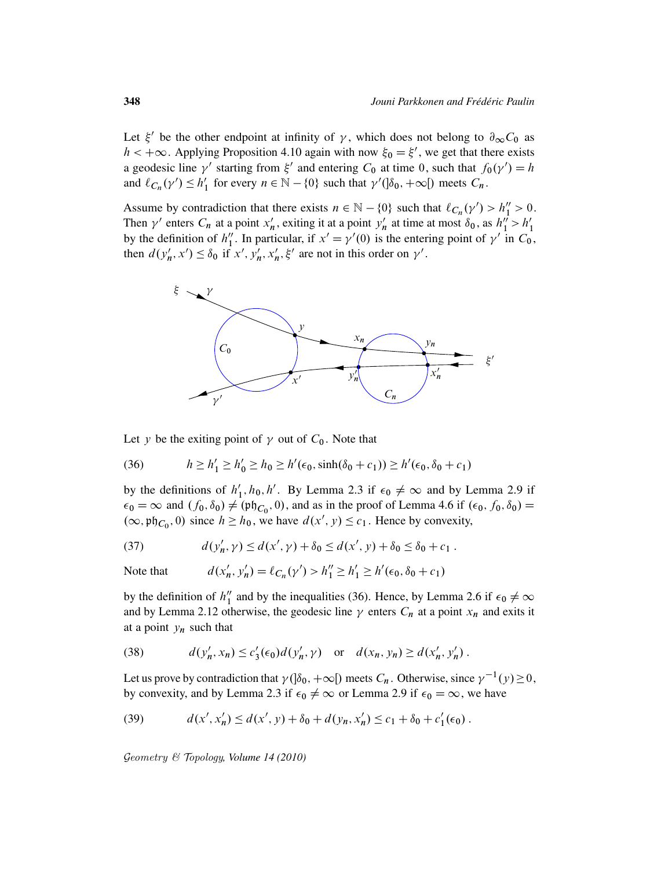Let  $\xi'$  be the other endpoint at infinity of  $\gamma$ , which does not belong to  $\partial_{\infty} C_0$  as  $h < +\infty$ . Applying Proposition 4.10 again with now  $\xi_0 = \xi'$ , we get that there exists a geodesic line  $\gamma'$  starting from  $\xi'$  and entering  $C_0$  at time 0, such that  $f_0(\gamma') = h$ and  $\ell_{C_n}(\gamma') \leq h'_1$ '<sub>1</sub> for every  $n \in \mathbb{N} - \{0\}$  such that  $\gamma'(\delta_0, +\infty)$  meets  $C_n$ .

Assume by contradiction that there exists  $n \in \mathbb{N} - \{0\}$  such that  $\ell_{C_n}(\gamma') > h''_1 > 0$ . Then  $\gamma'$  enters  $C_n$  at a point  $x'_n$  $n'_n$ , exiting it at a point  $y'_n$  $n'_n$  at time at most  $\delta_0$ , as  $h''_1 > h'_1$ 1 by the definition of  $h_1''$ <sup>"</sup>. In particular, if  $x' = \gamma'(0)$  is the entering point of  $\gamma'$  in  $C_0$ , then  $d(y'_h)$  $\lambda'_n$ ,  $x'$ )  $\leq \delta_0$  if  $x', \overline{y'_n}$  $\zeta'_n, x'_n$  $n'$ ,  $\xi'$  are not in this order on  $\gamma'$ .



Let y be the exiting point of  $\gamma$  out of  $C_0$ . Note that

(36) 
$$
h \ge h'_1 \ge h'_0 \ge h_0 \ge h'(\epsilon_0, \sinh(\delta_0 + c_1)) \ge h'(\epsilon_0, \delta_0 + c_1)
$$

by the definitions of  $h_1$ <sup>'</sup>  $'_{1}$ ,  $h_{0}$ ,  $h'$ . By Lemma 2.3 if  $\epsilon_{0} \neq \infty$  and by Lemma 2.9 if  $\epsilon_0 = \infty$  and  $(f_0, \delta_0) \neq (\mathfrak{ph}_{C_0}, 0)$ , and as in the proof of Lemma 4.6 if  $(\epsilon_0, f_0, \delta_0) =$  $(\infty, \mathfrak{ph}_{C_0}, 0)$  since  $h \ge h_0$ , we have  $d(x', y) \le c_1$ . Hence by convexity,

(37) 
$$
d(y'_n, \gamma) \leq d(x', \gamma) + \delta_0 \leq d(x', \gamma) + \delta_0 \leq \delta_0 + c_1.
$$

Note that 
$$
d(x'_n, y'_n) = \ell_{C_n}(y') > h''_1 \ge h'_1 \ge h'(\epsilon_0, \delta_0 + c_1)
$$

by the definition of  $h_1''$  $\frac{1}{1}$  and by the inequalities (36). Hence, by Lemma 2.6 if  $\epsilon_0 \neq \infty$ and by Lemma 2.12 otherwise, the geodesic line  $\gamma$  enters  $C_n$  at a point  $x_n$  and exits it at a point  $y_n$  such that

(38) 
$$
d(y'_n, x_n) \le c'_3(\epsilon_0) d(y'_n, \gamma) \text{ or } d(x_n, y_n) \ge d(x'_n, y'_n).
$$

Let us prove by contradiction that  $\gamma$  ( $\delta_0$ ,  $+\infty$  [) meets  $C_n$ . Otherwise, since  $\gamma^{-1}(y) \ge 0$ , by convexity, and by Lemma 2.3 if  $\epsilon_0 \neq \infty$  or Lemma 2.9 if  $\epsilon_0 = \infty$ , we have

(39) 
$$
d(x', x'_n) \leq d(x', y) + \delta_0 + d(y_n, x'_n) \leq c_1 + \delta_0 + c'_1(\epsilon_0).
$$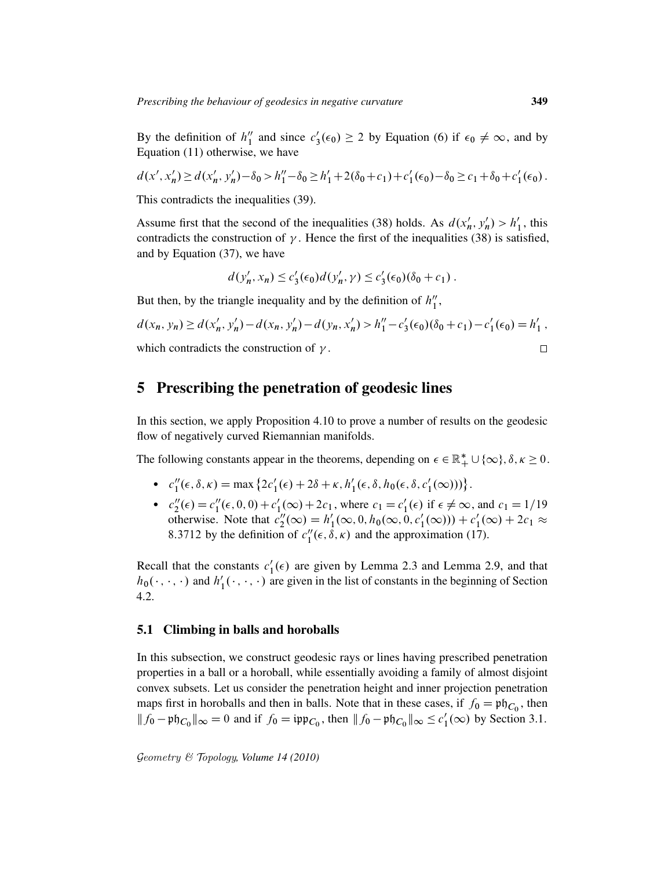By the definition of  $h_1''$  $\frac{n}{1}$  and since  $c_3$  $y_3'(\epsilon_0) \ge 2$  by Equation (6) if  $\epsilon_0 \neq \infty$ , and by Equation (11) otherwise, we have

$$
d(x',x'_n) \ge d(x'_n, y'_n) - \delta_0 > h''_1 - \delta_0 \ge h'_1 + 2(\delta_0 + c_1) + c'_1(\epsilon_0) - \delta_0 \ge c_1 + \delta_0 + c'_1(\epsilon_0).
$$

This contradicts the inequalities (39).

Assume first that the second of the inequalities (38) holds. As  $d(x)$  $'_{n}, y'_{n}$  $h'_{n}$ ) >  $h'_{1}$  $\frac{7}{1}$ , this contradicts the construction of  $\gamma$ . Hence the first of the inequalities (38) is satisfied, and by Equation (37), we have

$$
d(y'_n, x_n) \le c'_3(\epsilon_0) d(y'_n, \gamma) \le c'_3(\epsilon_0) (\delta_0 + c_1).
$$

But then, by the triangle inequality and by the definition of  $h_1''$  $_1^{\prime\prime},$ 

$$
d(x_n, y_n) \ge d(x'_n, y'_n) - d(x_n, y'_n) - d(y_n, x'_n) > h''_1 - c'_3(\epsilon_0)(\delta_0 + c_1) - c'_1(\epsilon_0) = h'_1,
$$
  
which contradicts the construction of  $\gamma$ .

## 5 Prescribing the penetration of geodesic lines

In this section, we apply Proposition 4.10 to prove a number of results on the geodesic flow of negatively curved Riemannian manifolds.

The following constants appear in the theorems, depending on  $\epsilon \in \mathbb{R}_+^* \cup \{\infty\}, \delta, \kappa \geq 0$ .

- $\bullet$   $c_1''$  $I_1''(\epsilon, \delta, \kappa) = \max \{ 2c_1'(\epsilon) + 2\delta + \kappa, h_1'$  $l'_1(\epsilon, \delta, h_0(\epsilon, \delta, c'_1))$  $_{1}'(\infty)))\big\}.$
- $\bullet$   $c''_2$  $2''_2(\epsilon) = c''_1$  $l''_1(\epsilon, 0, 0) + c'_1$  $c'_1(\infty) + 2c_1$ , where  $c_1 = c'_1$  $l'_1(\epsilon)$  if  $\epsilon \neq \infty$ , and  $c_1 = 1/19$ otherwise. Note that  $c''_2$  $u''_2(\infty) = h'_1$  $\frac{1}{1}(\infty, 0, h_0(\infty, 0, c'_1))$  $c'_1(\infty)) + c'_1$  $t'_1(\infty) + 2c_1 \approx$ 8.3712 by the definition of  $c_1''$  $I_1''(\epsilon, \delta, \kappa)$  and the approximation (17).

Recall that the constants  $c_1$  $\binom{1}{1}(\epsilon)$  are given by Lemma 2.3 and Lemma 2.9, and that  $h_0(\cdot, \cdot, \cdot)$  and  $h'_1$  $\mathbf{I}_1(\cdot, \cdot, \cdot)$  are given in the list of constants in the beginning of Section 4.2.

### 5.1 Climbing in balls and horoballs

In this subsection, we construct geodesic rays or lines having prescribed penetration properties in a ball or a horoball, while essentially avoiding a family of almost disjoint convex subsets. Let us consider the penetration height and inner projection penetration maps first in horoballs and then in balls. Note that in these cases, if  $f_0 = \mathfrak{ph}_{C_0}$ , then  $|| f_0 - \mathfrak{p} \mathfrak{h}_{C_0} ||_{\infty} = 0$  and if  $f_0 = \mathfrak{ipp}_{C_0}$ , then  $|| f_0 - \mathfrak{p} \mathfrak{h}_{C_0} ||_{\infty} \le c_1$  $y'_1(\infty)$  by Section 3.1.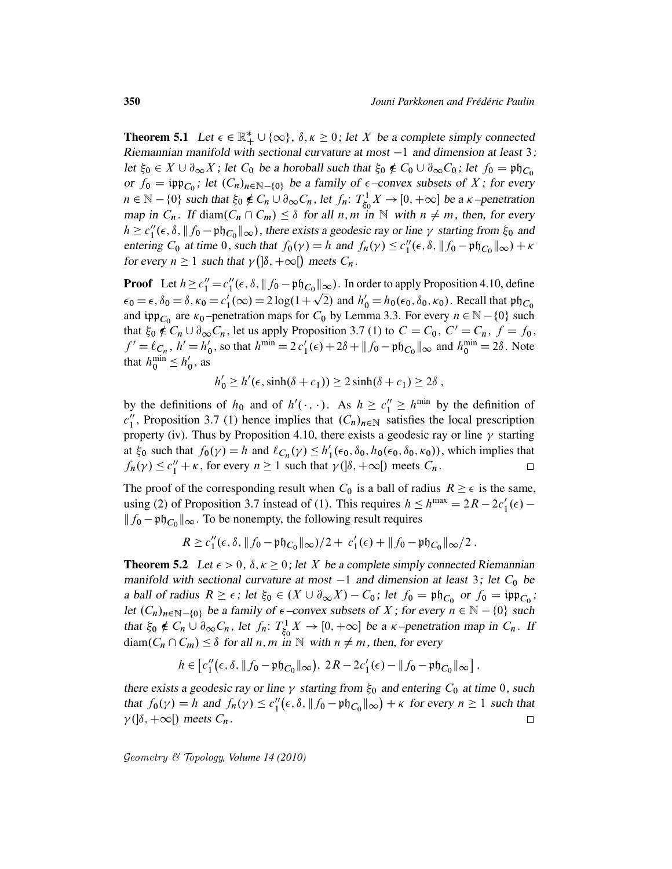**Theorem 5.1** Let  $\epsilon \in \mathbb{R}_+^* \cup \{\infty\}$ ,  $\delta, \kappa \geq 0$ ; let X be a complete simply connected Riemannian manifold with sectional curvature at most  $-1$  and dimension at least 3; let  $\xi_0 \in X \cup \partial_{\infty} X$ ; let  $C_0$  be a horoball such that  $\xi_0 \notin C_0 \cup \partial_{\infty} C_0$ ; let  $f_0 = \mathfrak{ph}_{C_0}$ or  $f_0 = \text{inp}_{C_0}$ ; let  $(C_n)_{n \in \mathbb{N}-\{0\}}$  be a family of  $\epsilon$ -convex subsets of X; for every  $n \in \mathbb{N} - \{0\}$  such that  $\xi_0 \notin C_n \cup \partial_\infty C_n$ , let  $f_n: T^1_{\xi_0}$  $\chi^1_{\xi_0} X \to [0, +\infty]$  be a  $\kappa$ -penetration map in  $C_n$ . If diam $(C_n \cap C_m) \leq \delta$  for all n, m in N with  $n \neq m$ , then, for every  $h \geq c_1''$  $\int_{1}^{\prime\prime}(\epsilon,\delta,\|f_0-\mathfrak{ph}_{C_0}\|_{\infty})$ , there exists a geodesic ray or line  $\gamma$  starting from  $\xi_0$  and entering  $C_0$  at time 0, such that  $f_0(\gamma) = h$  and  $f_n(\gamma) \le c_1''$  $\int_1^{\prime\prime} (\epsilon, \delta, \| f_0 - \mathfrak{ph}_{C_0} \|_{\infty}) + \kappa$ for every  $n \geq 1$  such that  $\gamma$  ( $\delta$ ,  $+\infty$ [) meets  $C_n$ .

**Proof** Let  $h \ge c_1'' = c_1''$  $\int_{1}^{\prime\prime}(\epsilon,\delta,\|f_0-\mathfrak{ph}_{C_0}\|_{\infty})$ . In order to apply Proposition 4.10, define  $\epsilon_0 = \epsilon$ ,  $\delta_0 = \delta$ ,  $\kappa_0 = c'_1$  $I_1(\infty) = 2 \log(1 + \sqrt{2})$  and  $h'_0 = h_0(\epsilon_0, \delta_0, \kappa_0)$ . Recall that  $\mathfrak{ph}_{C_0}$ and ipp<sub>C<sub>0</sub></sub> are  $\kappa_0$ -penetration maps for C<sub>0</sub> by Lemma 3.3. For every  $n \in \mathbb{N} - \{0\}$  such that  $\xi_0 \notin C_n \cup \partial_{\infty} C_n$ , let us apply Proposition 3.7 (1) to  $C = C_0$ ,  $C' = C_n$ ,  $f = f_0$ ,  $f' = \ell_{C_n}, h' = h'_0$  $v_0'$ , so that  $h^{\min} = 2 c_1'(\epsilon) + 2\delta + ||f_0 - \mathfrak{ph}_{C_0}||_{\infty}$  and  $h_0^{\min} = 2\delta$ . Note that  $h_0^{\min} \leq h'_0$  $\frac{7}{0}$ , as

 $h'_0 \ge h'(\epsilon, \sinh(\delta + c_1)) \ge 2 \sinh(\delta + c_1) \ge 2\delta$ ,

by the definitions of  $h_0$  and of  $h'(\cdot, \cdot)$ . As  $h \ge c_1'' \ge h^{\min}$  by the definition of  $c_1^{\prime\prime}$  $\binom{n}{1}$ , Proposition 3.7 (1) hence implies that  $(C_n)_{n \in \mathbb{N}}$  satisfies the local prescription property (iv). Thus by Proposition 4.10, there exists a geodesic ray or line  $\gamma$  starting at  $\xi_0$  such that  $f_0(\gamma) = h$  and  $\ell_{C_n}(\gamma) \leq h'_1$  $I'_1(\epsilon_0, \delta_0, h_0(\epsilon_0, \delta_0, \kappa_0))$ , which implies that  $f_n(\gamma) \leq c_1'' + \kappa$ , for every  $n \geq 1$  such that  $\gamma(\delta, +\infty)$  meets  $C_n$ .  $\Box$ 

The proof of the corresponding result when  $C_0$  is a ball of radius  $R \geq \epsilon$  is the same, using (2) of Proposition 3.7 instead of (1). This requires  $h \le h^{\max} = 2R - 2c_1'(\epsilon)$  –  $|| f_0 - \mathfrak{ph}_{C_0} ||_{\infty}$ . To be nonempty, the following result requires

$$
R \ge c_1''(\epsilon, \delta, \|f_0 - \mathfrak{ph}_{C_0}\|_{\infty})/2 + c_1'(\epsilon) + \|f_0 - \mathfrak{ph}_{C_0}\|_{\infty}/2.
$$

**Theorem 5.2** Let  $\epsilon > 0$ ,  $\delta, \kappa \ge 0$ ; let X be a complete simply connected Riemannian manifold with sectional curvature at most  $-1$  and dimension at least 3; let  $C_0$  be a ball of radius  $R \ge \epsilon$ ; let  $\xi_0 \in (X \cup \partial_{\infty} X) - C_0$ ; let  $f_0 = \mathfrak{ph}_{C_0}$  or  $f_0 = \mathfrak{ipp}_{C_0}$ ; let  $(C_n)_{n\in\mathbb{N}-\{0\}}$  be a family of  $\epsilon$ -convex subsets of X; for every  $n \in \mathbb{N} - \{0\}$  such that  $\xi_0 \notin C_n \cup \partial_\infty C_n$ , let  $f_n$ :  $T_{\xi_0}^1$  $S_{\xi_0}^{1} X \to [0, +\infty]$  be a  $\kappa$ -penetration map in  $C_n$ . If  $diam(C_n \cap C_m) \leq \delta$  for all n, m in N with  $n \neq m$ , then, for every

$$
h\in\left[c_1''(\epsilon,\delta,\|f_0-\mathfrak{ph}_{C_0}\|_{\infty}),\ 2R-2c_1'(\epsilon)-\|f_0-\mathfrak{ph}_{C_0}\|_{\infty}\right],
$$

there exists a geodesic ray or line  $\gamma$  starting from  $\xi_0$  and entering  $C_0$  at time 0, such that  $f_0(\gamma) = h$  and  $f_n(\gamma) \leq c_1''$  $\int_{1}^{\prime\prime}(\epsilon,\delta,\|f_0-\mathfrak{ph}_{C_0}\|_{\infty}) + \kappa$  for every  $n \ge 1$  such that  $\gamma$ ( $|\delta, +\infty|$ ) meets  $C_n$ .  $\Box$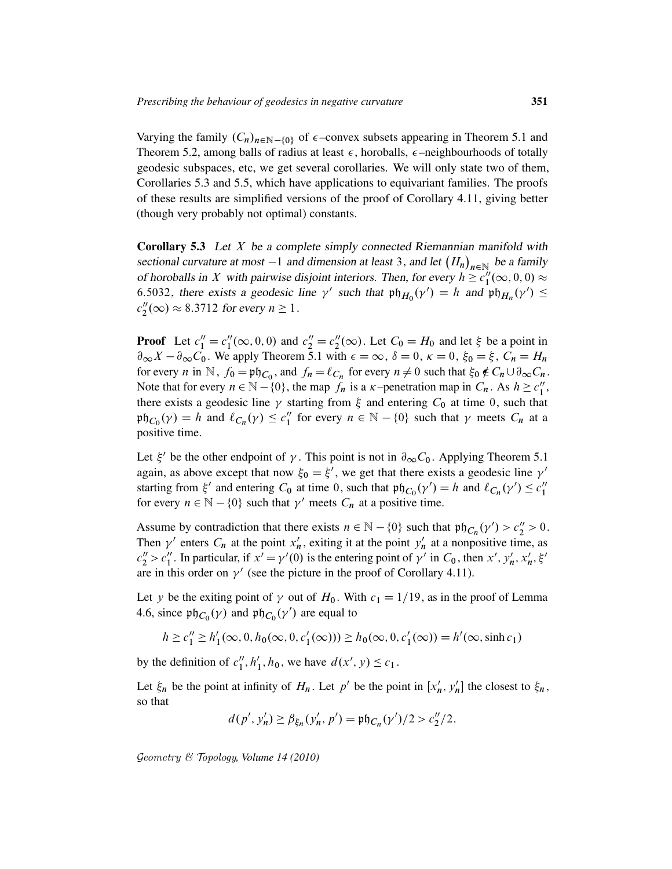Varying the family  $(C_n)_{n\in\mathbb{N}-\{0\}}$  of  $\epsilon$ -convex subsets appearing in Theorem 5.1 and Theorem 5.2, among balls of radius at least  $\epsilon$ , horoballs,  $\epsilon$ -neighbourhoods of totally geodesic subspaces, etc, we get several corollaries. We will only state two of them, Corollaries 5.3 and 5.5, which have applications to equivariant families. The proofs of these results are simplified versions of the proof of Corollary 4.11, giving better (though very probably not optimal) constants.

**Corollary 5.3** Let  $X$  be a complete simply connected Riemannian manifold with sectional curvature at most  $-1$  and dimension at least 3, and let  $(H_n)_{n \in \mathbb{N}}$  be a family of horoballs in X with pairwise disjoint interiors. Then, for every  $h \geq c_1^{\gamma}$  $j_1^{\prime\prime}(\infty,0,0) \approx$ 6.5032, there exists a geodesic line  $\gamma'$  such that  $\mathfrak{ph}_{H_0}(\gamma') = h$  and  $\mathfrak{ph}_{H_n}(\gamma') \le$  $c_2''$  $2''_2(\infty) \approx 8.3712$  for every  $n \ge 1$ .

**Proof** Let  $c_1'' = c_1''$  $l''_1(\infty, 0, 0)$  and  $c''_2 = c''_2$  $2''_2(\infty)$ . Let  $C_0 = H_0$  and let  $\xi$  be a point in  $\partial_{\infty}X - \partial_{\infty}C_0$ . We apply Theorem 5.1 with  $\epsilon = \infty$ ,  $\delta = 0$ ,  $\kappa = 0$ ,  $\xi_0 = \xi$ ,  $C_n = H_n$ for every *n* in N,  $f_0 = \mathfrak{ph}_{C_0}$ , and  $f_n = \ell_{C_n}$  for every  $n \neq 0$  such that  $\xi_0 \notin C_n \cup \partial_{\infty} C_n$ . Note that for every  $n \in \mathbb{N} - \{0\}$ , the map  $f_n$  is a  $\kappa$ -penetration map in  $C_n$ . As  $h \ge c_1^n$  $\frac{\prime\prime}{1},$ there exists a geodesic line  $\gamma$  starting from  $\xi$  and entering  $C_0$  at time 0, such that  $\operatorname{pt}_{C_0}(\gamma) = h$  and  $\ell_{C_n}(\gamma) \leq c_1''$ " for every  $n \in \mathbb{N} - \{0\}$  such that  $\gamma$  meets  $C_n$  at a positive time.

Let  $\xi'$  be the other endpoint of  $\gamma$ . This point is not in  $\partial_{\infty} C_0$ . Applying Theorem 5.1 again, as above except that now  $\xi_0 = \xi'$ , we get that there exists a geodesic line  $\gamma'$ starting from  $\xi'$  and entering  $C_0$  at time 0, such that  $\mathfrak{ph}_{C_0}(\gamma') = h$  and  $\ell_{C_n}(\gamma') \leq c_1''$ 1 for every  $n \in \mathbb{N} - \{0\}$  such that  $\gamma'$  meets  $C_n$  at a positive time.

Assume by contradiction that there exists  $n \in \mathbb{N} - \{0\}$  such that  $\mathfrak{ph}_{C_n}(\gamma') > c''_2 > 0$ . Then  $\gamma'$  enters  $C_n$  at the point  $x'_n$  $n'$ , exiting it at the point  $y'_n$  $n \nmid n$  at a nonpositive time, as  $c_2'' > c_1''$ <sup>1</sup>. In particular, if  $x' = \gamma'(0)$  is the entering point of  $\gamma'$  in  $C_0$ , then x',  $y'_k$  $'_{n}, x'_{n}$  $n', \xi'$ are in this order on  $\gamma'$  (see the picture in the proof of Corollary 4.11).

Let y be the exiting point of  $\gamma$  out of  $H_0$ . With  $c_1 = 1/19$ , as in the proof of Lemma 4.6, since  $\mathfrak{ph}_{C_0}(\gamma)$  and  $\mathfrak{ph}_{C_0}(\gamma')$  are equal to

$$
h \ge c_1'' \ge h_1'(\infty, 0, h_0(\infty, 0, c_1'(\infty))) \ge h_0(\infty, 0, c_1'(\infty)) = h'(\infty, \sinh c_1)
$$

by the definition of  $c_1''$  $''_1, h'_1$  $'_{1}$ ,  $h_{0}$ , we have  $d(x', y) \leq c_{1}$ .

Let  $\xi_n$  be the point at infinity of  $H_n$ . Let  $p'$  be the point in  $[x'_n]$  $'_{n}$ ,  $y'_{n}$  $\zeta_n$ ] the closest to  $\xi_n$ , so that

$$
d(p', y'_n) \geq \beta_{\xi_n}(y'_n, p') = \mathfrak{ph}_{C_n}(\gamma')/2 > c''_2/2.
$$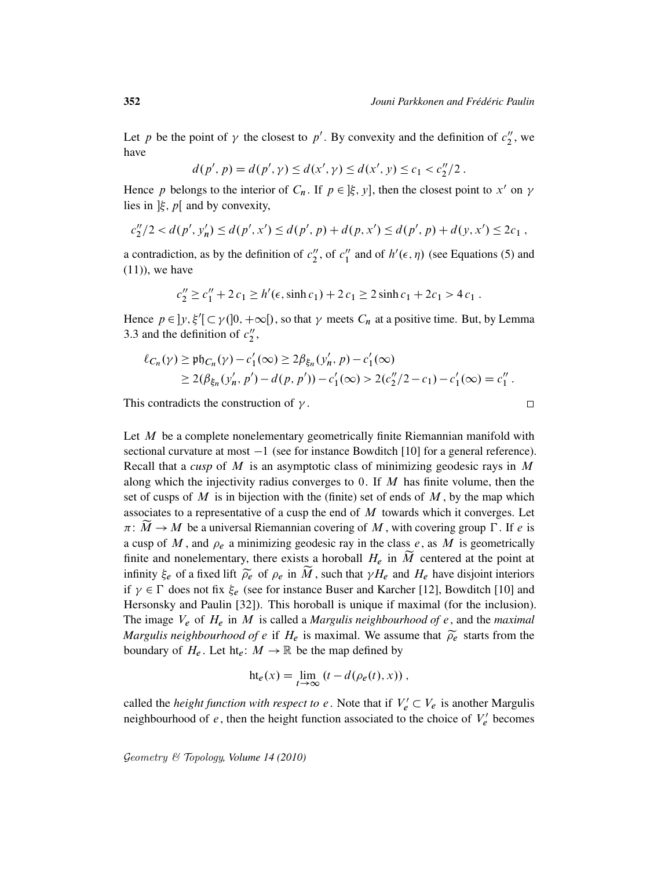Let p be the point of  $\gamma$  the closest to p'. By convexity and the definition of  $c_2^{\prime\prime}$  $n_2''$ , we have

$$
d(p', p) = d(p', \gamma) \le d(x', \gamma) \le d(x', \gamma) \le c_1 < c_2''/2 \, .
$$

Hence p belongs to the interior of  $C_n$ . If  $p \in [\xi, y]$ , then the closest point to x' on  $\gamma$ lies in  $\xi$ , p[ and by convexity,

$$
c_2''/2 < d(p', y'_n) \le d(p', x') \le d(p', p) + d(p, x') \le d(p', p) + d(y, x') \le 2c_1,
$$

a contradiction, as by the definition of  $c_2''$  $v''_2$ , of  $c''_1$  $\frac{n}{1}$  and of  $h'(\epsilon, \eta)$  (see Equations (5) and  $(11)$ , we have

$$
c_2'' \ge c_1'' + 2 c_1 \ge h'(\epsilon, \sinh c_1) + 2 c_1 \ge 2 \sinh c_1 + 2 c_1 > 4 c_1.
$$

Hence  $p \in ]y, \xi'[\subset \gamma(]0, +\infty[)$ , so that  $\gamma$  meets  $C_n$  at a positive time. But, by Lemma 3.3 and the definition of  $c_2''$  $\frac{\prime\prime}{2}$ 

$$
\ell_{C_n}(\gamma) \ge \mathfrak{ph}_{C_n}(\gamma) - c'_1(\infty) \ge 2\beta_{\xi_n}(y'_n, p) - c'_1(\infty)
$$
  
 
$$
\ge 2(\beta_{\xi_n}(y'_n, p') - d(p, p')) - c'_1(\infty) > 2(c''_2/2 - c_1) - c'_1(\infty) = c''_1.
$$

This contradicts the construction of  $\gamma$ .

Let  $M$  be a complete nonelementary geometrically finite Riemannian manifold with sectional curvature at most  $-1$  (see for instance Bowditch [10] for a general reference). Recall that a *cusp* of M is an asymptotic class of minimizing geodesic rays in M along which the injectivity radius converges to 0. If  $M$  has finite volume, then the set of cusps of M is in bijection with the (finite) set of ends of  $M$ , by the map which associates to a representative of a cusp the end of  $M$  towards which it converges. Let  $\pi: \tilde{M} \to M$  be a universal Riemannian covering of M, with covering group  $\Gamma$ . If e is a cusp of M, and  $\rho_e$  a minimizing geodesic ray in the class e, as M is geometrically finite and nonelementary, there exists a horoball  $H_e$  in  $\widetilde{M}$  centered at the point at infinity  $\xi_e$  of a fixed lift  $\widetilde{\rho_e}$  of  $\rho_e$  in  $\widetilde{M}$ , such that  $\gamma H_e$  and  $H_e$  have disjoint interiors if  $\gamma \in \Gamma$  does not fix  $\xi_e$  (see for instance Buser and Karcher [12], Bowditch [10] and Hersonsky and Paulin [32]). This horoball is unique if maximal (for the inclusion). The image V<sup>e</sup> of H<sup>e</sup> in M is called a *Margulis neighbourhood of* e, and the *maximal Margulis neighbourhood of e* if  $H_e$  is maximal. We assume that  $\tilde{\rho}_e$  starts from the boundary of  $H_e$ . Let  $\text{ht}_e: M \to \mathbb{R}$  be the map defined by

$$
ht_e(x) = \lim_{t \to \infty} (t - d(\rho_e(t), x)),
$$

called the *height function with respect to e*. Note that if  $V'_e \subset V_e$  is another Margulis neighbourhood of e, then the height function associated to the choice of  $V_e$  $e$  becomes

$$
\Box
$$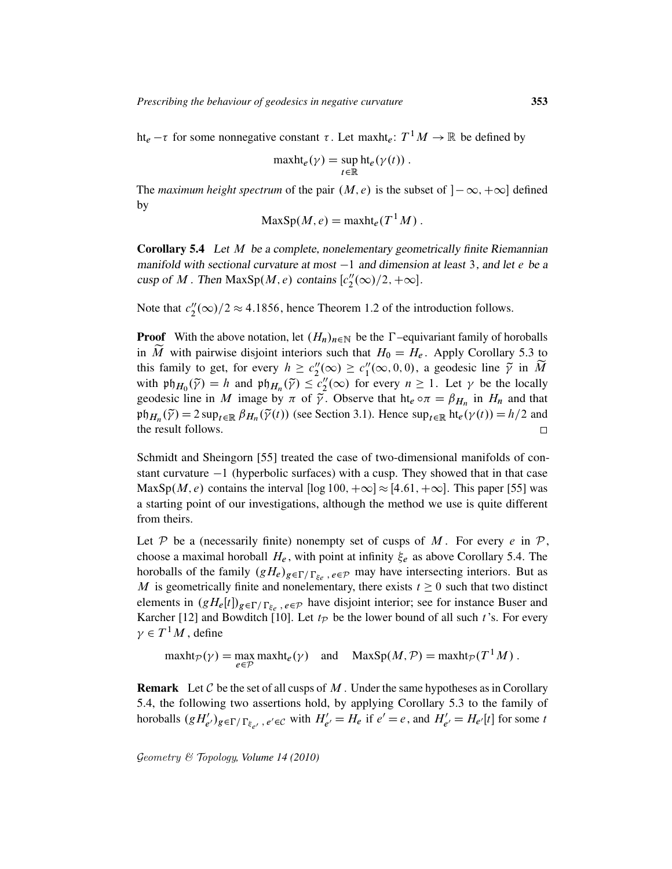ht<sub>e</sub>  $-\tau$  for some nonnegative constant  $\tau$ . Let maxht<sub>e</sub>:  $T^1M \to \mathbb{R}$  be defined by

$$
\operatorname{maxht}_e(\gamma) = \sup_{t \in \mathbb{R}} \operatorname{ht}_e(\gamma(t)).
$$

The *maximum height spectrum* of the pair  $(M, e)$  is the subset of  $[-\infty, +\infty]$  defined by

$$
MaxSp(M, e) = \operatorname{maxht}_e(T^1 M).
$$

Corollary 5.4 Let M be a complete, nonelementary geometrically finite Riemannian manifold with sectional curvature at most  $-1$  and dimension at least 3, and let e be a cusp of M. Then MaxSp $(M, e)$  contains  $[c''_2]$  $2^{\prime\prime}(\infty)/2, +\infty].$ 

Note that  $c_2''$  $2\frac{1}{2}(\infty)/2 \approx 4.1856$ , hence Theorem 1.2 of the introduction follows.

**Proof** With the above notation, let  $(H_n)_{n\in\mathbb{N}}$  be the  $\Gamma$ -equivariant family of horoballs in  $\tilde{M}$  with pairwise disjoint interiors such that  $H_0 = H_e$ . Apply Corollary 5.3 to this family to get, for every  $h \geq c_2''$  $2''_2(\infty) \geq c_1''$  $\tilde{N}_1(\infty, 0, 0)$ , a geodesic line  $\tilde{\gamma}$  in  $\tilde{M}$ with  $\mathfrak{ph}_{H_0}(\tilde{\gamma}) = h$  and  $\mathfrak{ph}_{H_n}(\tilde{\gamma}) \leq c''_2$  $2''_2(\infty)$  for every  $n \ge 1$ . Let  $\gamma$  be the locally geodesic line in M image by  $\pi$  of  $\tilde{\gamma}$ . Observe that ht<sub>e</sub>  $\circ \pi = \beta_{H_n}$  in  $H_n$  and that  $\operatorname{pt}_{H_n}(\widetilde{\gamma}) = 2 \operatorname{sup}_{t \in \mathbb{R}} \beta_{H_n}(\widetilde{\gamma}(t))$  (see Section 3.1). Hence  $\operatorname{sup}_{t \in \mathbb{R}} \operatorname{ht}_e(\gamma(t)) = h/2$  and the result follows.  $\Box$ 

Schmidt and Sheingorn [55] treated the case of two-dimensional manifolds of constant curvature  $-1$  (hyperbolic surfaces) with a cusp. They showed that in that case MaxSp $(M, e)$  contains the interval  $[\log 100, +\infty] \approx [4.61, +\infty]$ . This paper [55] was a starting point of our investigations, although the method we use is quite different from theirs.

Let P be a (necessarily finite) nonempty set of cusps of M. For every e in  $P$ , choose a maximal horoball  $H_e$ , with point at infinity  $\xi_e$  as above Corollary 5.4. The horoballs of the family  $(gH_e)_{g \in \Gamma/\Gamma_{\xi_e}}$ ,  $e \in \mathcal{P}$  may have intersecting interiors. But as M is geometrically finite and nonelementary, there exists  $t \geq 0$  such that two distinct elements in  $(gH_e[t])_{g \in \Gamma/\Gamma_{\xi_e}}$ ,  $e \in \mathcal{P}$  have disjoint interior; see for instance Buser and Karcher [12] and Bowditch [10]. Let  $t_P$  be the lower bound of all such t's. For every  $\gamma \in T^1M$ , define

 $\text{maxht}_{\mathcal{P}}(\gamma) = \max_{e \in \mathcal{P}} \text{maxht}_{e}(\gamma) \quad \text{and} \quad \text{MaxSp}(M, \mathcal{P}) = \text{maxht}_{\mathcal{P}}(T^1 M)$ .

**Remark** Let  $C$  be the set of all cusps of  $M$ . Under the same hypotheses as in Corollary 5.4, the following two assertions hold, by applying Corollary 5.3 to the family of horoballs  $(gH'_{e'})_{g \in \Gamma/\Gamma_{\xi_{e'}}}$ ,  $e' \in C$  with  $H'_{e'} = H_e$  if  $e' = e$ , and  $H'_{e'} = H_{e'}[t]$  for some t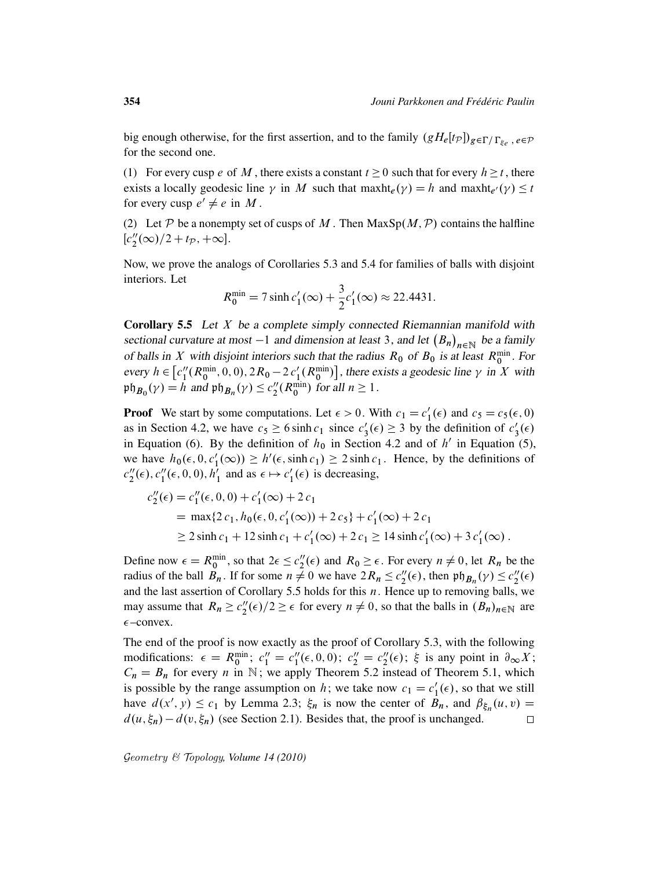big enough otherwise, for the first assertion, and to the family  $(gH_e[t_P])_{g \in \Gamma/\Gamma_{\xi_e}}$ ,  $e \in \mathcal{P}$ for the second one.

(1) For every cusp e of M, there exists a constant  $t \ge 0$  such that for every  $h \ge t$ , there exists a locally geodesic line  $\gamma$  in M such that maxht $_e(\gamma) = h$  and maxht $_{e'}(\gamma) \leq t$ for every cusp  $e' \neq e$  in M.

(2) Let P be a nonempty set of cusps of M. Then  $MaxSp(M, P)$  contains the halfline  $[c''_2]$  $2''_2(\infty)/2 + t_{\mathcal{P}}$ , + $\infty$ ].

Now, we prove the analogs of Corollaries 5.3 and 5.4 for families of balls with disjoint interiors. Let

$$
R_0^{\min} = 7 \sinh c_1'(\infty) + \frac{3}{2}c_1'(\infty) \approx 22.4431.
$$

**Corollary 5.5** Let  $X$  be a complete simply connected Riemannian manifold with sectional curvature at most  $-1$  and dimension at least 3, and let  $(B_n)_{n \in \mathbb{N}}$  be a family of balls in X with disjoint interiors such that the radius  $R_0$  of  $B_0$  is at least  $R_0^{\text{min}}$ . For every  $h \in \left[ c_1'' \right]$  $\binom{n}{1}(R_0^{\min}, 0, 0), 2R_0 - 2c'_1(R_0^{\min})$ , there exists a geodesic line  $\gamma$  in X with  $\operatorname{\mathfrak{ph}}_{B_0}(\gamma) = h$  and  $\operatorname{\mathfrak{ph}}_{B_n}(\gamma) \le c_2''$  $\binom{n}{2}$  (R<sup>min</sup>) for all  $n \geq 1$ .

**Proof** We start by some computations. Let  $\epsilon > 0$ . With  $c_1 = c_1$  $l'_1(\epsilon)$  and  $c_5 = c_5(\epsilon, 0)$ as in Section 4.2, we have  $c_5 \ge 6 \sinh c_1$  since  $c_3$  $s'_3(\epsilon) \geq 3$  by the definition of  $c'_3$  $\frac{1}{3}(\epsilon)$ in Equation (6). By the definition of  $h_0$  in Section 4.2 and of  $h'$  in Equation (5), we have  $h_0(\epsilon, 0, c_1)$  $I_1'(\infty)$ )  $\geq h'(\epsilon, \sinh c_1) \geq 2 \sinh c_1$ . Hence, by the definitions of  $c_2''$  $2''(\epsilon), c''_1$  $''_1(\epsilon, 0, 0), h'_1$  $\frac{1}{1}$  and as  $\epsilon \mapsto c_1'$  $l_1'(\epsilon)$  is decreasing,

$$
c''_2(\epsilon) = c''_1(\epsilon, 0, 0) + c'_1(\infty) + 2 c_1
$$
  
=  $\max\{2 c_1, h_0(\epsilon, 0, c'_1(\infty)) + 2 c_5\} + c'_1(\infty) + 2 c_1$   
 $\ge 2 \sinh c_1 + 12 \sinh c_1 + c'_1(\infty) + 2 c_1 \ge 14 \sinh c'_1(\infty) + 3 c'_1(\infty).$ 

Define now  $\epsilon = R_0^{\text{min}}$ , so that  $2\epsilon \leq c_2''$  $2''_2(\epsilon)$  and  $R_0 \geq \epsilon$ . For every  $n \neq 0$ , let  $R_n$  be the radius of the ball  $B_n$ . If for some  $n \neq 0$  we have  $2R_n \leq c_2''$  $2''(\epsilon)$ , then  $\mathfrak{ph}_{B_n}(\gamma) \leq c''_2$  $2''(\epsilon)$ and the last assertion of Corollary 5.5 holds for this  $n$ . Hence up to removing balls, we may assume that  $R_n \geq c_2''$  $2''_2(\epsilon)/2 \geq \epsilon$  for every  $n \neq 0$ , so that the balls in  $(B_n)_{n \in \mathbb{N}}$  are  $\epsilon$ –convex.

The end of the proof is now exactly as the proof of Corollary 5.3, with the following modifications:  $\epsilon = R_0^{\min}$ ;  $c_1'' = c_1''$  $i''_1(\epsilon, 0, 0); c''_2 = c''_2$  $2''(\epsilon)$ ;  $\xi$  is any point in  $\partial_{\infty} X$ ;  $C_n = B_n$  for every *n* in N; we apply Theorem 5.2 instead of Theorem 5.1, which is possible by the range assumption on h; we take now  $c_1 = c_1$  $l_1'(\epsilon)$ , so that we still have  $d(x', y) \leq c_1$  by Lemma 2.3;  $\xi_n$  is now the center of  $B_n$ , and  $\beta_{\xi_n}(u, v) =$  $d(u, \xi_n) - d(v, \xi_n)$  (see Section 2.1). Besides that, the proof is unchanged.  $\Box$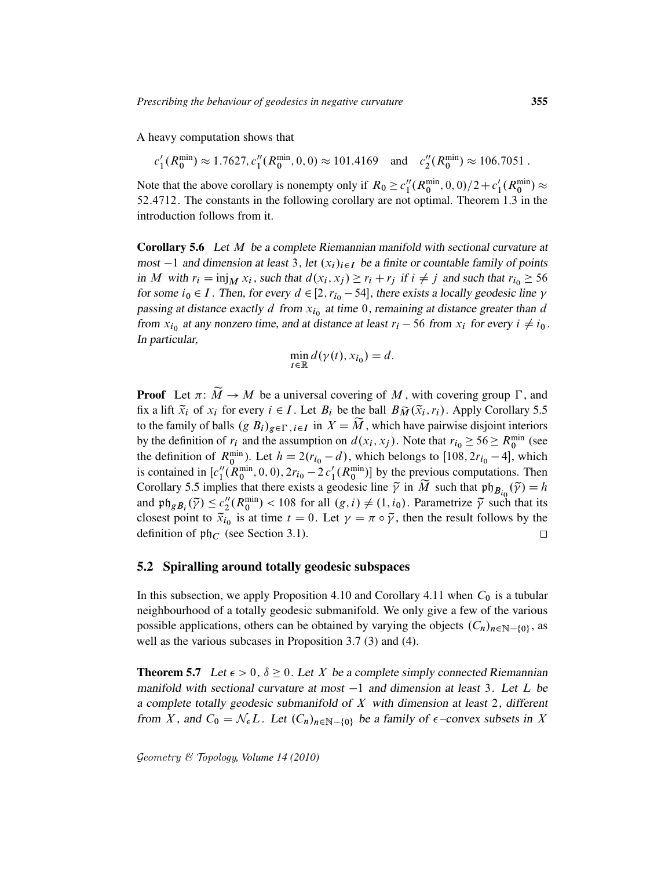A heavy computation shows that

$$
c'_1(R_0^{\min}) \approx 1.7627, c''_1(R_0^{\min}, 0, 0) \approx 101.4169
$$
 and  $c''_2(R_0^{\min}) \approx 106.7051$ .

Note that the above corollary is nonempty only if  $R_0 \geq c_1''$  $\binom{n}{1}$ ( $R_0^{\min}$ , 0, 0)/2+ $c_1'$  $_1'(R_0^{\min}) \approx$ 52:4712. The constants in the following corollary are not optimal. Theorem 1.3 in the introduction follows from it.

Corollary 5.6 Let M be a complete Riemannian manifold with sectional curvature at most  $-1$  and dimension at least 3, let  $(x_i)_{i\in I}$  be a finite or countable family of points in M with  $r_i = \text{inj}_M x_i$ , such that  $d(x_i, x_j) \ge r_i + r_j$  if  $i \ne j$  and such that  $r_{i_0} \ge 56$ for some  $i_0 \in I$ . Then, for every  $d \in [2, r_{i_0} - 54]$ , there exists a locally geodesic line  $\gamma$ passing at distance exactly d from  $x_{i_0}$  at time 0, remaining at distance greater than d from  $x_{i_0}$  at any nonzero time, and at distance at least  $r_i - 56$  from  $x_i$  for every  $i \neq i_0$ . In particular,

$$
\min_{t \in \mathbb{R}} d(\gamma(t), x_{i_0}) = d.
$$

**Proof** Let  $\pi: \widetilde{M} \to M$  be a universal covering of M, with covering group  $\Gamma$ , and fix a lift  $\tilde{x}_i$  of  $x_i$  for every  $i \in I$ . Let  $B_i$  be the ball  $B\tilde{M}(\tilde{x}_i, r_i)$ . Apply Corollary 5.5 to the family of balls  $(g B_i)_{g \in \Gamma, i \in I}$  in  $X = \widetilde{M}$ , which have pairwise disjoint interiors by the definition of  $r_i$  and the assumption on  $d(x_i, x_j)$ . Note that  $r_{i_0} \ge 56 \ge R_0^{\min}$  (see the definition of  $R_0^{\text{min}}$ ). Let  $h = 2(r_{i_0} - d)$ , which belongs to [108, 2 $r_{i_0} - 4$ ], which is contained in  $[c_1^{\prime\prime}]$  $\binom{n}{1}$ ( $R_0^{\min}$ , 0, 0),  $2r_{i_0} - 2c_1'$  ( $R_0^{\min}$ ) by the previous computations. Then Corollary 5.5 implies that there exists a geodesic line  $\tilde{\gamma}$  in  $\tilde{M}$  such that  $p\mathfrak{h}_{B_{i_0}}(\tilde{\gamma}) = h$ and  $\mathfrak{ph}_{gB_i}(\tilde{\gamma}) \leq c''_2$  $2(R_0^{\min})$  < 108 for all  $(g, i) \neq (1, i_0)$ . Parametrize  $\tilde{\gamma}$  such that its closest point to  $\tilde{x}_{i_0}$  is at time  $t = 0$ . Let  $\gamma = \pi \circ \tilde{\gamma}$ , then the result follows by the definition of  $\mathfrak{ph}_C$  (see Section 3.1).  $\Box$ 

### 5.2 Spiralling around totally geodesic subspaces

In this subsection, we apply Proposition 4.10 and Corollary 4.11 when  $C_0$  is a tubular neighbourhood of a totally geodesic submanifold. We only give a few of the various possible applications, others can be obtained by varying the objects  $(C_n)_{n \in \mathbb{N} - \{0\}}$ , as well as the various subcases in Proposition 3.7 (3) and (4).

**Theorem 5.7** Let  $\epsilon > 0$ ,  $\delta \ge 0$ . Let X be a complete simply connected Riemannian manifold with sectional curvature at most  $-1$  and dimension at least 3. Let L be a complete totally geodesic submanifold of  $X$  with dimension at least 2, different from X, and  $C_0 = \mathcal{N}_{\epsilon}L$ . Let  $(C_n)_{n \in \mathbb{N} - \{0\}}$  be a family of  $\epsilon$ -convex subsets in X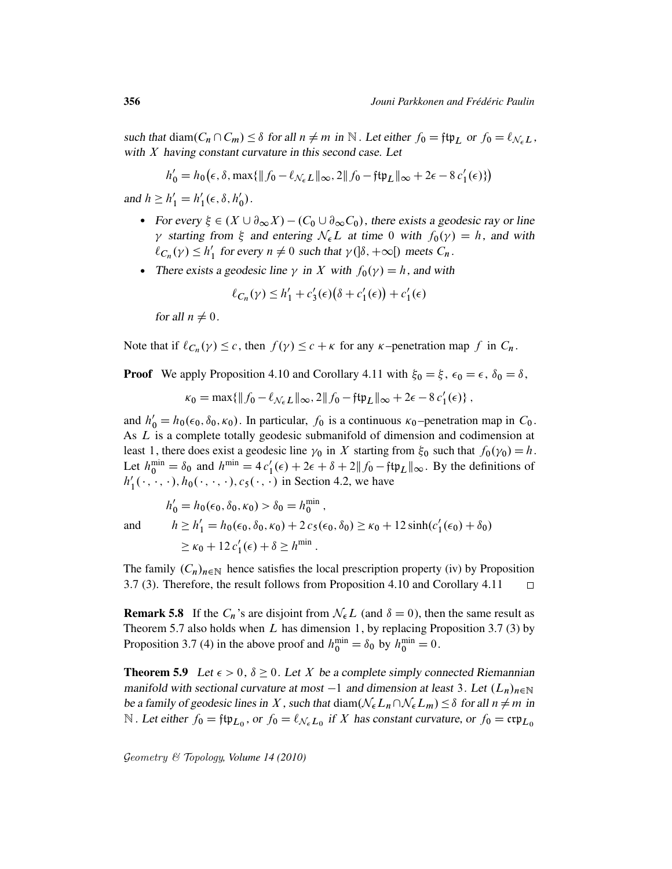such that diam $(C_n \cap C_m) \leq \delta$  for all  $n \neq m$  in  $\mathbb N$ . Let either  $f_0 = f \uplus_L$  or  $f_0 = \ell_{\mathcal N_{\epsilon}L}$ , with  $X$  having constant curvature in this second case. Let

$$
h'_0 = h_0(\epsilon, \delta, \max\{\|f_0 - \ell_{\mathcal{N}_{\epsilon}L}\|_{\infty}, 2\|f_0 - \mathfrak{f}\mathfrak{t}\mathfrak{p}_L\|_{\infty} + 2\epsilon - 8 c'_1(\epsilon)\})
$$

and  $h \ge h'_1 = h'_1$  $\zeta_1'(\epsilon, \delta, h'_0)$  $_0^{\prime})$  .

- For every  $\xi \in (X \cup \partial_{\infty} X) (C_0 \cup \partial_{\infty} C_0)$ , there exists a geodesic ray or line  $\gamma$  starting from  $\xi$  and entering  $\mathcal{N}_{\epsilon}L$  at time 0 with  $f_0(\gamma) = h$ , and with  $\ell_{C_n}(\gamma) \leq h'_1$ '<sub>1</sub> for every  $n \neq 0$  such that  $\gamma$ ( $\delta$ ,  $+\infty$ [) meets  $C_n$ .
- There exists a geodesic line  $\gamma$  in X with  $f_0(\gamma) = h$ , and with

$$
\ell_{C_n}(\gamma) \le h_1' + c_3'(\epsilon) \big(\delta + c_1'(\epsilon)\big) + c_1'(\epsilon)
$$

for all  $n \neq 0$ .

Note that if  $\ell_{C_n}(\gamma) \leq c$ , then  $f(\gamma) \leq c + \kappa$  for any  $\kappa$ -penetration map f in  $C_n$ .

**Proof** We apply Proposition 4.10 and Corollary 4.11 with  $\xi_0 = \xi$ ,  $\epsilon_0 = \epsilon$ ,  $\delta_0 = \delta$ ,

 $\kappa_0 = \max\{\|f_0 - \ell_{\mathcal{N}_{\epsilon}L}\|_{\infty}, 2\|f_0 - \mathfrak{ftp}_L\|_{\infty} + 2\epsilon - 8 c'_1(\epsilon)\},\$ 

and  $h'_0 = h_0(\epsilon_0, \delta_0, \kappa_0)$ . In particular,  $f_0$  is a continuous  $\kappa_0$ -penetration map in  $C_0$ . As L is a complete totally geodesic submanifold of dimension and codimension at least 1, there does exist a geodesic line  $\gamma_0$  in X starting from  $\xi_0$  such that  $f_0(\gamma_0) = h$ . Let  $h_0^{\min} = \delta_0$  and  $h^{\min} = 4c'_1(\epsilon) + 2\epsilon + \delta + 2||f_0 - ftp_L||_{\infty}$ . By the definitions of  $h_1'$  $I'_1(\cdot, \cdot, \cdot), h_0(\cdot, \cdot, \cdot), c_5(\cdot, \cdot)$  in Section 4.2, we have

$$
h'_0 = h_0(\epsilon_0, \delta_0, \kappa_0) > \delta_0 = h_0^{\min},
$$
  
and 
$$
h \ge h'_1 = h_0(\epsilon_0, \delta_0, \kappa_0) + 2 c_5(\epsilon_0, \delta_0) \ge \kappa_0 + 12 \sinh(c'_1(\epsilon_0) + \delta_0)
$$
  

$$
\ge \kappa_0 + 12 c'_1(\epsilon) + \delta \ge h^{\min}.
$$

The family  $(C_n)_{n\in\mathbb{N}}$  hence satisfies the local prescription property (iv) by Proposition 3.7 (3). Therefore, the result follows from Proposition 4.10 and Corollary 4.11  $\Box$ 

**Remark 5.8** If the  $C_n$ 's are disjoint from  $\mathcal{N}_{\epsilon}L$  (and  $\delta = 0$ ), then the same result as Theorem 5.7 also holds when  $L$  has dimension 1, by replacing Proposition 3.7 (3) by Proposition 3.7 (4) in the above proof and  $h_0^{\text{min}} = \delta_0$  by  $h_0^{\text{min}} = 0$ .

**Theorem 5.9** Let  $\epsilon > 0$ ,  $\delta \ge 0$ . Let X be a complete simply connected Riemannian manifold with sectional curvature at most  $-1$  and dimension at least 3. Let  $(L_n)_{n\in\mathbb{N}}$ be a family of geodesic lines in X, such that diam $(\mathcal{N}_{\epsilon}L_n\cap \mathcal{N}_{\epsilon}L_m) \leq \delta$  for all  $n \neq m$  in N. Let either  $f_0 = \text{ftp}_{L_0}$ , or  $f_0 = \ell_{\mathcal{N}_{\epsilon}L_0}$  if X has constant curvature, or  $f_0 = \text{crp}_{L_0}$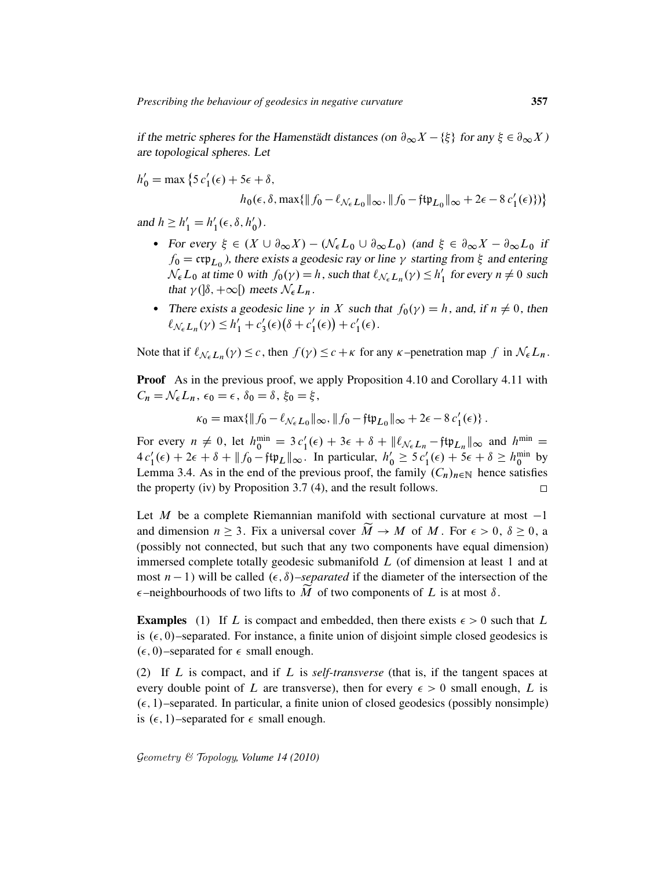if the metric spheres for the Hamenstädt distances (on  $\partial_{\infty} X - \{\xi\}$  for any  $\xi \in \partial_{\infty} X$ ) are topological spheres. Let

$$
h'_0 = \max \left\{ 5 c'_1(\epsilon) + 5\epsilon + \delta,
$$
  
\n
$$
h_0(\epsilon, \delta, \max\{\|f_0 - \ell_{\mathcal{N}_{\epsilon}L_0}\|_{\infty}, \|f_0 - f\sharp\mu_{L_0}\|_{\infty} + 2\epsilon - 8 c'_1(\epsilon)\}) \right\}
$$

and  $h \ge h'_1 = h'_1$  $\zeta_1'(\epsilon, \delta, h'_0)$  $_0^{\prime})$  .

- For every  $\xi \in (X \cup \partial_{\infty} X) (\mathcal{N}_{\epsilon} L_0 \cup \partial_{\infty} L_0)$  (and  $\xi \in \partial_{\infty} X \partial_{\infty} L_0$  if  $f_0 = \exp_{L_0}$ , there exists a geodesic ray or line  $\gamma$  starting from  $\xi$  and entering  $\mathcal{N}_{\epsilon} L_0$  at time 0 with  $f_0(\gamma) = h$ , such that  $\ell_{\mathcal{N}_{\epsilon} L_n}(\gamma) \leq h'$  $\frac{1}{1}$  for every  $n \neq 0$  such that  $\gamma$ ( $|\delta, +\infty|$ ) meets  $\mathcal{N}_{\epsilon}L_n$ .
- There exists a geodesic line  $\gamma$  in X such that  $f_0(\gamma) = h$ , and, if  $n \neq 0$ , then  $\ell_{\mathcal{N}_{\epsilon}L_n}(\gamma) \leq h'_1 + c'_3$  $s'_3(\epsilon)(\delta + c'_1)$  $c'_1(\epsilon)$  +  $c'_1$  $_1'(\epsilon)$ .

Note that if  $\ell_{\mathcal{N}_{\epsilon}L_n}(\gamma) \leq c$ , then  $f(\gamma) \leq c + \kappa$  for any  $\kappa$ -penetration map f in  $\mathcal{N}_{\epsilon}L_n$ .

**Proof** As in the previous proof, we apply Proposition 4.10 and Corollary 4.11 with  $C_n = \mathcal{N}_{\epsilon} L_n$ ,  $\epsilon_0 = \epsilon$ ,  $\delta_0 = \delta$ ,  $\xi_0 = \xi$ ,

$$
\kappa_0 = \max\{\|f_0 - \ell_{\mathcal{N}_{\epsilon}L_0}\|_{\infty}, \|f_0 - f\psi_{L_0}\|_{\infty} + 2\epsilon - 8 c'_1(\epsilon)\}.
$$

For every  $n \neq 0$ , let  $h_0^{\min} = 3 c_1'(\epsilon) + 3\epsilon + \delta + ||\ell_{\mathcal{N}_{\epsilon}L_n} - \mathfrak{f}\mathfrak{tp}_{L_n}||_{\infty}$  and  $h_{\perp}^{\min} =$  $4 c_1'(\epsilon) + 2\epsilon + \delta + ||f_0 - f \psi_L||_{\infty}$ . In particular,  $h'_0 \ge 5 c_1'(\epsilon) + 5\epsilon + \delta \ge h_0^{\min}$  by Lemma 3.4. As in the end of the previous proof, the family  $(C_n)_{n\in\mathbb{N}}$  hence satisfies the property (iv) by Proposition 3.7 (4), and the result follows.  $\Box$ 

Let M be a complete Riemannian manifold with sectional curvature at most  $-1$ and dimension  $n \geq 3$ . Fix a universal cover  $\widetilde{M} \to M$  of M. For  $\epsilon > 0$ ,  $\delta \geq 0$ , a (possibly not connected, but such that any two components have equal dimension) immersed complete totally geodesic submanifold  $L$  (of dimension at least 1 and at most  $n - 1$ ) will be called  $(\epsilon, \delta)$ *–separated* if the diameter of the intersection of the  $\epsilon$ -neighbourhoods of two lifts to  $\widetilde{M}$  of two components of L is at most  $\delta$ .

**Examples** (1) If L is compact and embedded, then there exists  $\epsilon > 0$  such that L is  $(\epsilon, 0)$ –separated. For instance, a finite union of disjoint simple closed geodesics is  $(\epsilon, 0)$ –separated for  $\epsilon$  small enough.

(2) If L is compact, and if L is *self-transverse* (that is, if the tangent spaces at every double point of L are transverse), then for every  $\epsilon > 0$  small enough, L is  $(\epsilon, 1)$ –separated. In particular, a finite union of closed geodesics (possibly nonsimple) is  $(\epsilon, 1)$ –separated for  $\epsilon$  small enough.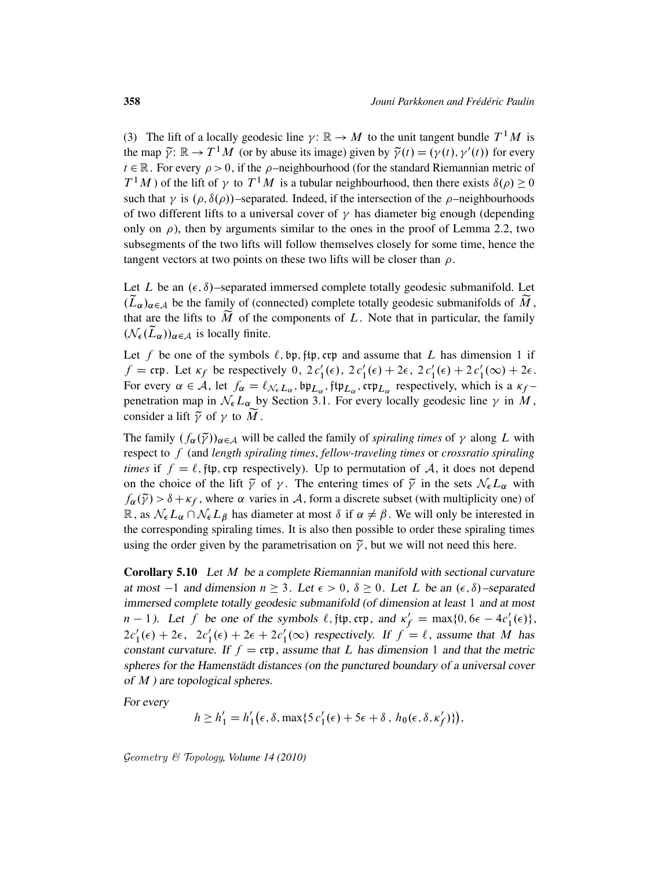(3) The lift of a locally geodesic line  $\gamma: \mathbb{R} \to M$  to the unit tangent bundle  $T^1M$  is the map  $\tilde{\gamma}$ :  $\mathbb{R} \to T^1 M$  (or by abuse its image) given by  $\tilde{\gamma}(t) = (\gamma(t), \gamma'(t))$  for every  $t \in \mathbb{R}$ . For every  $\rho > 0$ , if the  $\rho$ -neighbourhood (for the standard Riemannian metric of  $T^1M$ ) of the lift of  $\gamma$  to  $T^1M$  is a tubular neighbourhood, then there exists  $\delta(\rho) \ge 0$ such that  $\gamma$  is  $(\rho, \delta(\rho))$ -separated. Indeed, if the intersection of the  $\rho$ -neighbourhoods of two different lifts to a universal cover of  $\gamma$  has diameter big enough (depending only on  $\rho$ ), then by arguments similar to the ones in the proof of Lemma 2.2, two subsegments of the two lifts will follow themselves closely for some time, hence the tangent vectors at two points on these two lifts will be closer than  $\rho$ .

Let L be an  $(\epsilon, \delta)$ –separated immersed complete totally geodesic submanifold. Let  $(\widetilde{L}_{\alpha})_{\alpha \in A}$  be the family of (connected) complete totally geodesic submanifolds of  $\widetilde{M}$ , that are the lifts to  $\widetilde{M}$  of the components of L. Note that in particular, the family  $(\mathcal{N}_{\epsilon}(\widetilde{L}_{\alpha}))_{\alpha \in \mathcal{A}}$  is locally finite.

Let f be one of the symbols  $\ell$ , bp, ftp, crp and assume that L has dimension 1 if  $f = \text{ctp}$ . Let  $\kappa_f$  be respectively 0,  $2 c_1'(\epsilon)$ ,  $2 c_1'(\epsilon) + 2\epsilon$ ,  $2 c_1'(\epsilon) + 2 c_1'(\infty) + 2\epsilon$ . For every  $\alpha \in \mathcal{A}$ , let  $f_{\alpha} = \ell_{\mathcal{N}_{\epsilon}L_{\alpha}}$ ,  $\phi_{\mu}$ ,  $\phi_{\mu}$ ,  $\phi_{\mu}$ ,  $\phi_{\mu}$ , respectively, which is a  $\kappa_f$ penetration map in  $\mathcal{N}_{\epsilon}L_{\alpha}$  by Section 3.1. For every locally geodesic line  $\gamma$  in M, consider a lift  $\tilde{\gamma}$  of  $\gamma$  to M.

The family  $(f_{\alpha}(\tilde{\gamma}))_{\alpha \in A}$  will be called the family of *spiraling times* of  $\gamma$  along L with respect to f (and *length spiraling times*, *fellow-traveling times* or *crossratio spiraling times* if  $f = \ell$ , ftp, crp respectively). Up to permutation of A, it does not depend on the choice of the lift  $\tilde{\gamma}$  of  $\gamma$ . The entering times of  $\tilde{\gamma}$  in the sets  $\mathcal{N}_{\epsilon}L_{\alpha}$  with  $f_{\alpha}(\tilde{\gamma}) > \delta + \kappa_f$ , where  $\alpha$  varies in A, form a discrete subset (with multiplicity one) of  $\mathbb{R}$ , as  $\mathcal{N}_{\epsilon}L_{\alpha} \cap \mathcal{N}_{\epsilon}L_{\beta}$  has diameter at most  $\delta$  if  $\alpha \neq \beta$ . We will only be interested in the corresponding spiraling times. It is also then possible to order these spiraling times using the order given by the parametrisation on  $\tilde{\gamma}$ , but we will not need this here.

Corollary 5.10 Let M be a complete Riemannian manifold with sectional curvature at most  $-1$  and dimension  $n \geq 3$ . Let  $\epsilon > 0$ ,  $\delta \geq 0$ . Let L be an  $(\epsilon, \delta)$ -separated immersed complete totally geodesic submanifold (of dimension at least 1 and at most  $n-1$ ). Let  $\hat{f}$  be one of the symbols  $\ell$ , ftp, crp, and  $\kappa'_{f} = \max\{0, 6\epsilon - 4c'_{1}(\epsilon)\}\,$ ,  $2c'_1(\epsilon) + 2\epsilon$ ,  $2c'_1(\epsilon) + 2\epsilon + 2c'_1(\infty)$  respectively. If  $f = \ell$ , assume that M has constant curvature. If  $f = \exp$ , assume that L has dimension 1 and that the metric spheres for the Hamenstädt distances (on the punctured boundary of a universal cover of  $M$ ) are topological spheres.

For every

$$
h \ge h'_1 = h'_1(\epsilon, \delta, \max\{5c'_1(\epsilon) + 5\epsilon + \delta, h_0(\epsilon, \delta, \kappa'_f)\}),
$$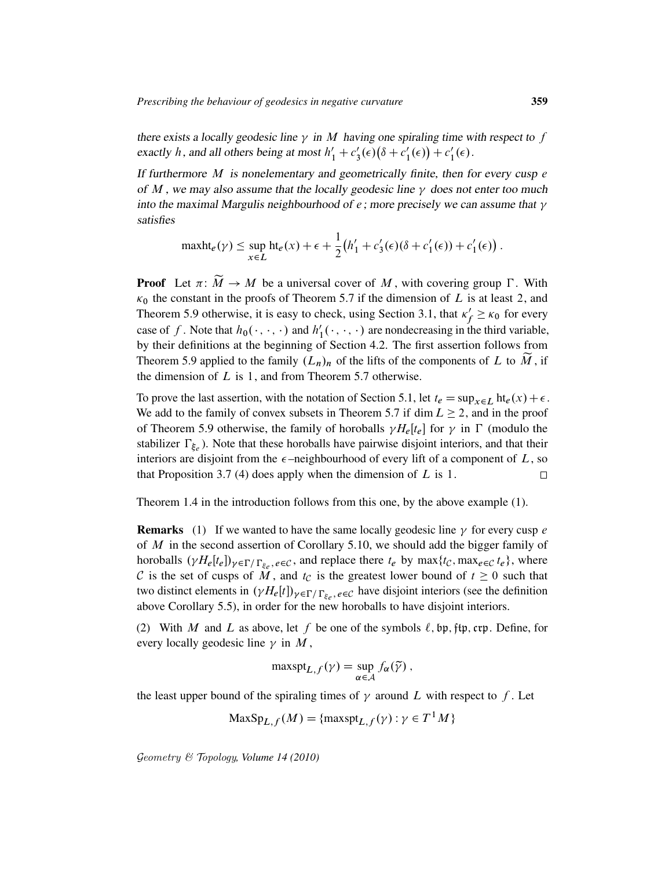there exists a locally geodesic line  $\gamma$  in M having one spiraling time with respect to f exactly h, and all others being at most  $h'_1 + c'_2$  $\int_3^{\prime}(\epsilon)\left(\delta+c_1\right)$  $f'_{1}(\epsilon)$  +  $c'_{1}$  $_1'(\epsilon)$ .

If furthermore  $M$  is nonelementary and geometrically finite, then for every cusp  $e$ of M, we may also assume that the locally geodesic line  $\gamma$  does not enter too much into the maximal Margulis neighbourhood of  $e$ ; more precisely we can assume that  $\gamma$ satisfies

$$
\text{maxht}_{e}(\gamma) \leq \sup_{x \in L} \text{ht}_{e}(x) + \epsilon + \frac{1}{2} (h'_{1} + c'_{3}(\epsilon)(\delta + c'_{1}(\epsilon)) + c'_{1}(\epsilon)).
$$

**Proof** Let  $\pi: \widetilde{M} \to M$  be a universal cover of M, with covering group  $\Gamma$ . With  $\kappa_0$  the constant in the proofs of Theorem 5.7 if the dimension of L is at least 2, and Theorem 5.9 otherwise, it is easy to check, using Section 3.1, that  $\kappa'$  $f'_{f} \geq \kappa_0$  for every case of f. Note that  $h_0(\cdot, \cdot, \cdot)$  and  $h'_1$  $l'_1(\cdot,\cdot,\cdot)$  are nondecreasing in the third variable, by their definitions at the beginning of Section 4.2. The first assertion follows from Theorem 5.9 applied to the family  $(L_n)_n$  of the lifts of the components of L to M, if the dimension of  $L$  is 1, and from Theorem 5.7 otherwise.

To prove the last assertion, with the notation of Section 5.1, let  $t_e = \sup_{x \in L} ht_e(x) + \epsilon$ . We add to the family of convex subsets in Theorem 5.7 if dim  $L \ge 2$ , and in the proof of Theorem 5.9 otherwise, the family of horoballs  $\gamma H_e[t_e]$  for  $\gamma$  in  $\Gamma$  (modulo the stabilizer  $\Gamma_{\xi_e}$ ). Note that these horoballs have pairwise disjoint interiors, and that their interiors are disjoint from the  $\epsilon$ -neighbourhood of every lift of a component of L, so that Proposition 3.7 (4) does apply when the dimension of  $L$  is 1.  $\Box$ 

Theorem 1.4 in the introduction follows from this one, by the above example (1).

**Remarks** (1) If we wanted to have the same locally geodesic line  $\gamma$  for every cusp e of M in the second assertion of Corollary 5.10, we should add the bigger family of horoballs  $(\gamma H_e[t_e])_{\gamma \in \Gamma / \Gamma_{\xi_e}, e \in \mathcal{C}}$ , and replace there  $t_e$  by  $\max\{t_{\mathcal{C}}, \max_{e \in \mathcal{C}} t_e\}$ , where C is the set of cusps of M, and  $t_c$  is the greatest lower bound of  $t \geq 0$  such that two distinct elements in  $(\gamma H_e[t])_{\gamma \in \Gamma/\Gamma_{\xi_e}, e \in \mathcal{C}}$  have disjoint interiors (see the definition above Corollary 5.5), in order for the new horoballs to have disjoint interiors.

(2) With M and L as above, let f be one of the symbols  $\ell$ , bp, ftp, crp. Define, for every locally geodesic line  $\gamma$  in M,

$$
\operatorname{maxspt}_{L,f}(\gamma) = \sup_{\alpha \in \mathcal{A}} f_{\alpha}(\widetilde{\gamma}),
$$

the least upper bound of the spiraling times of  $\gamma$  around L with respect to f. Let

$$
\text{MaxSp}_{L,f}(M) = \{\text{maxspt}_{L,f}(\gamma) : \gamma \in T^1M\}
$$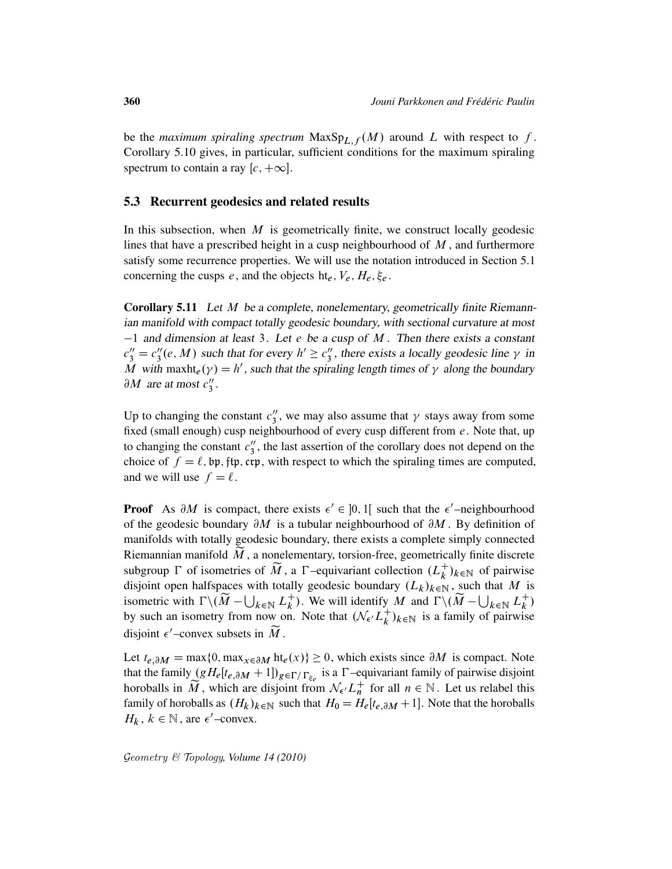be the *maximum spiraling spectrum*  $MaxSp_{L,f}(M)$  around L with respect to f. Corollary 5.10 gives, in particular, sufficient conditions for the maximum spiraling spectrum to contain a ray  $[c, +\infty]$ .

### 5.3 Recurrent geodesics and related results

In this subsection, when  $M$  is geometrically finite, we construct locally geodesic lines that have a prescribed height in a cusp neighbourhood of  $M$ , and furthermore satisfy some recurrence properties. We will use the notation introduced in Section 5.1 concerning the cusps e, and the objects ht<sub>e</sub>,  $V_e$ ,  $H_e$ ,  $\xi_e$ .

Corollary 5.11 Let M be a complete, nonelementary, geometrically finite Riemannian manifold with compact totally geodesic boundary, with sectional curvature at most  $-1$  and dimension at least 3. Let e be a cusp of M. Then there exists a constant  $c_3'' = c_3''$  $S_3''(e, M)$  such that for every  $h' \geq c_3''$  $\frac{\pi}{3}$ , there exists a locally geodesic line  $\gamma$  in M with maxht<sub>e</sub> $(\gamma) = h'$ , such that the spiraling length times of  $\gamma$  along the boundary  $\partial M$  are at most  $c''_3$  $\frac{1}{3}$ .

Up to changing the constant  $c''_3$  $\frac{\pi}{3}$ , we may also assume that  $\gamma$  stays away from some fixed (small enough) cusp neighbourhood of every cusp different from  $e$ . Note that, up to changing the constant  $c''_3$  $\frac{3}{3}$ , the last assertion of the corollary does not depend on the choice of  $f = \ell$ , bp, ftp, crp, with respect to which the spiraling times are computed, and we will use  $f = \ell$ .

**Proof** As  $\partial M$  is compact, there exists  $\epsilon' \in ]0,1[$  such that the  $\epsilon'$ -neighbourhood of the geodesic boundary  $\partial M$  is a tubular neighbourhood of  $\partial M$ . By definition of manifolds with totally geodesic boundary, there exists a complete simply connected Riemannian manifold  $\tilde{M}$ , a nonelementary, torsion-free, geometrically finite discrete subgroup  $\Gamma$  of isometries of  $\widetilde{M}$ , a  $\Gamma$ -equivariant collection  $(L_k^+)$  $\binom{+}{k}$ <sub>k</sub> $\in \mathbb{N}$  of pairwise disjoint open halfspaces with totally geodesic boundary  $(L_k)_{k\in\mathbb{N}}$ , such that M is isometric with  $\Gamma \backslash (\widetilde{M} - \bigcup_{k \in \mathbb{N}} L_k^+$ <sup>+</sup>). We will identify M and  $\Gamma \backslash (\widetilde{M} - \bigcup_{k \in \mathbb{N}} L_k^+$  $\binom{+}{k}$ by such an isometry from now on. Note that  $(\mathcal{N}_{\epsilon}/L_k^+$  $\binom{+}{k}$ <sub>k</sub> $\in$ <sub>N</sub> is a family of pairwise disjoint  $\epsilon'$ -convex subsets in  $\widetilde{M}$ .

Let  $t_{e, \partial M} = \max\{0, \max_{x \in \partial M} \text{ht}_{e}(x)\} \ge 0$ , which exists since  $\partial M$  is compact. Note that the family  $(gH_e[t_{e,\partial M} + 1])_{g \in \Gamma/\Gamma_{\xi_e}}$  is a  $\Gamma$ -equivariant family of pairwise disjoint horoballs in  $\widetilde{M}$ , which are disjoint from  $\mathcal{N}_{\epsilon'} L_n^+$  for all  $n \in \mathbb{N}$ . Let us relabel this family of horoballs as  $(H_k)_{k\in\mathbb{N}}$  such that  $H_0 = H_e[t_{e,\partial M} + 1]$ . Note that the horoballs  $H_k$ ,  $k \in \mathbb{N}$ , are  $\epsilon'$ -convex.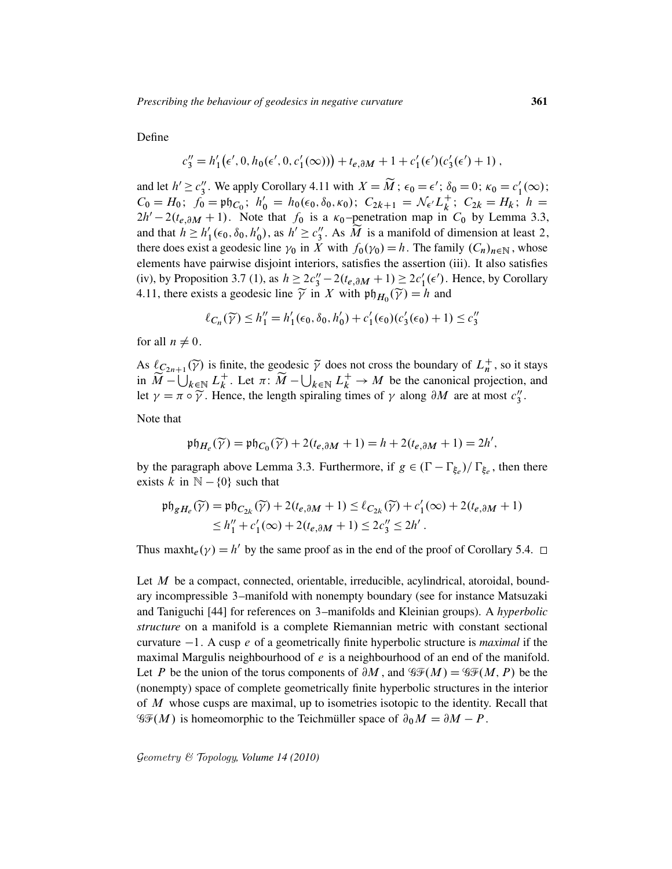Define

$$
c_3'' = h'_1(\epsilon', 0, h_0(\epsilon', 0, c'_1(\infty))) + t_{e, \partial M} + 1 + c'_1(\epsilon')(c'_3(\epsilon') + 1),
$$

and let  $h' \geq c_3''$ <sup>"</sup>, We apply Corollary 4.11 with  $X = \widetilde{M}$ ;  $\epsilon_0 = \epsilon'$ ;  $\delta_0 = 0$ ;  $\kappa_0 = c'_1$  $l_1'(\infty);$  $C_0 = H_0$ ;  $f_0 = \mathfrak{ph}_{C_0}$ ;  $h'_0 = h_0(\epsilon_0, \delta_0, \kappa_0)$ ;  $C_{2k+1} = \mathcal{N}_{\epsilon'} L_k^+$  $k^{\dagger}$ ;  $C_{2k} = H_k$ ;  $h =$  $2h' - 2(t_{e, \partial M} + 1)$ . Note that  $f_0$  is a  $\kappa_0$ -penetration map in  $C_0$  by Lemma 3.3, and that  $h \geq h'_1$  $l'_{1}(\epsilon_{0}, \delta_{0}, h'_{0})$  $b'_0$ , as  $h' \ge c''_3$  $\frac{y}{3}$ . As M is a manifold of dimension at least 2, there does exist a geodesic line  $\gamma_0$  in X with  $f_0(\gamma_0) = h$ . The family  $(C_n)_{n \in \mathbb{N}}$ , whose elements have pairwise disjoint interiors, satisfies the assertion (iii). It also satisfies (iv), by Proposition 3.7 (1), as  $h \geq 2c_3'' - 2(t_{e,\partial M} + 1) \geq 2c_1'(\epsilon')$ . Hence, by Corollary 4.11, there exists a geodesic line  $\widetilde{\gamma}$  in X with  $\mathfrak{ph}_{H_0}(\widetilde{\gamma}) = h$  and

$$
\ell_{C_n}(\widetilde{\gamma}) \le h_1'' = h_1'(\epsilon_0, \delta_0, h_0') + c_1'(\epsilon_0)(c_3'(\epsilon_0) + 1) \le c_3''
$$

for all  $n \neq 0$ .

As  $\ell_{C_{2n+1}}(\widetilde{\gamma})$  is finite, the geodesic  $\widetilde{\gamma}$  does not cross the boundary of  $L_n^+$ , so it stays in  $\widetilde{M}$  –  $\bigcup_{k \in \mathbb{N}} L_k^+$ <sup>+</sup>. Let  $\pi: \widetilde{M} - \bigcup_{k \in \mathbb{N}} L_k^+ \to M$  be the canonical projection, and let  $\gamma = \pi \circ \widetilde{\gamma}$ . Hence, the length spiraling times of  $\gamma$  along  $\partial M$  are at most  $c''_3$  $\frac{1}{3}$ .

Note that

$$
\mathfrak{ph}_{H_e}(\widetilde{\gamma}) = \mathfrak{ph}_{C_0}(\widetilde{\gamma}) + 2(t_{e,\partial M} + 1) = h + 2(t_{e,\partial M} + 1) = 2h',
$$

by the paragraph above Lemma 3.3. Furthermore, if  $g \in (\Gamma - \Gamma_{\xi_e})/\Gamma_{\xi_e}$ , then there exists k in  $\mathbb{N} - \{0\}$  such that

$$
\begin{aligned} \mathfrak{ph}_{gH_e}(\widetilde{\gamma}) &= \mathfrak{ph}_{C_{2k}}(\widetilde{\gamma}) + 2(t_{e,\partial M} + 1) \le \ell_{C_{2k}}(\widetilde{\gamma}) + c_1'(\infty) + 2(t_{e,\partial M} + 1) \\ &\le h_1'' + c_1'(\infty) + 2(t_{e,\partial M} + 1) \le 2c_3'' \le 2h' \,. \end{aligned}
$$

Thus maxht<sub>e</sub> $(\gamma) = h'$  by the same proof as in the end of the proof of Corollary 5.4.

Let M be a compact, connected, orientable, irreducible, acylindrical, atoroidal, boundary incompressible 3–manifold with nonempty boundary (see for instance Matsuzaki and Taniguchi [44] for references on 3–manifolds and Kleinian groups). A *hyperbolic structure* on a manifold is a complete Riemannian metric with constant sectional curvature  $-1$ . A cusp e of a geometrically finite hyperbolic structure is *maximal* if the maximal Margulis neighbourhood of  $e$  is a neighbourhood of an end of the manifold. Let P be the union of the torus components of  $\partial M$ , and  $\mathscr{GF}(M) = \mathscr{GF}(M, P)$  be the (nonempty) space of complete geometrically finite hyperbolic structures in the interior of M whose cusps are maximal, up to isometries isotopic to the identity. Recall that  $\mathcal{G}(\mathcal{F}(M))$  is homeomorphic to the Teichmüller space of  $\partial_0 M = \partial M - P$ .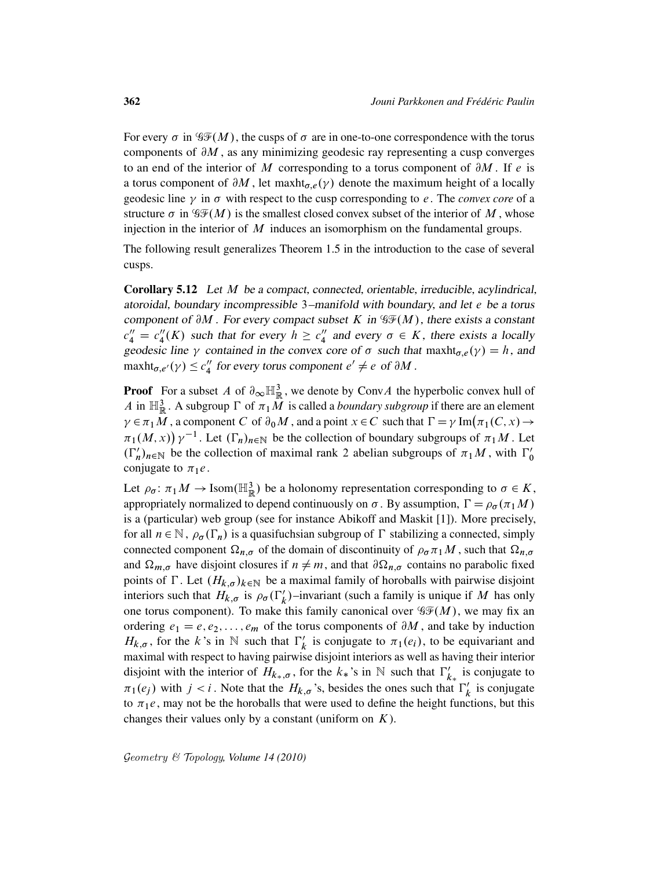For every  $\sigma$  in  $\mathcal{GF}(M)$ , the cusps of  $\sigma$  are in one-to-one correspondence with the torus components of  $\partial M$ , as any minimizing geodesic ray representing a cusp converges to an end of the interior of M corresponding to a torus component of  $\partial M$ . If e is a torus component of  $\partial M$ , let maxht<sub> $\sigma$ </sub>. ( $\gamma$ ) denote the maximum height of a locally geodesic line  $\gamma$  in  $\sigma$  with respect to the cusp corresponding to *e*. The *convex core* of a structure  $\sigma$  in  $\mathcal{GF}(M)$  is the smallest closed convex subset of the interior of M, whose injection in the interior of  $M$  induces an isomorphism on the fundamental groups.

The following result generalizes Theorem 1.5 in the introduction to the case of several cusps.

Corollary 5.12 Let M be a compact, connected, orientable, irreducible, acylindrical, atoroidal, boundary incompressible 3–manifold with boundary, and let e be a torus component of  $\partial M$ . For every compact subset K in  $\mathcal{GF}(M)$ , there exists a constant  $c_4'' = c_4''$  $\binom{n}{4}(K)$  such that for every  $h \geq c_4''$  $\frac{1}{4}$  and every  $\sigma \in K$ , there exists a locally geodesic line  $\gamma$  contained in the convex core of  $\sigma$  such that maxht<sub> $\sigma$ </sub>, $e(\gamma) = h$ , and  $\text{maxht}_{\sigma,e'}(\gamma) \leq c''_4$ " for every torus component  $e' \neq e$  of  $\partial M$ .

**Proof** For a subset A of  $\partial_{\infty} \mathbb{H}_{\mathbb{R}}^3$ , we denote by ConvA the hyperbolic convex hull of A in  $\mathbb{H}^3_{\mathbb{R}}$ . A subgroup  $\Gamma$  of  $\pi_1\overline{M}$  is called a *boundary subgroup* if there are an element  $\gamma \in \pi_1 M$ , a component C of  $\partial_0 M$ , and a point  $x \in C$  such that  $\Gamma = \gamma \operatorname{Im}(\pi_1(C, x) \to$  $\pi_1(M, x)$   $\gamma^{-1}$ . Let  $(\Gamma_n)_{n \in \mathbb{N}}$  be the collection of boundary subgroups of  $\pi_1M$ . Let  $(\Gamma'_n)_{n\in\mathbb{N}}$  be the collection of maximal rank 2 abelian subgroups of  $\pi_1M$ , with  $\Gamma'_0$ 0 conjugate to  $\pi_1 e$ .

Let  $\rho_{\sigma} \colon \pi_1 M \to \text{Isom}(\mathbb{H}^3_{\mathbb{R}})$  be a holonomy representation corresponding to  $\sigma \in K$ , appropriately normalized to depend continuously on  $\sigma$ . By assumption,  $\Gamma = \rho_{\sigma}(\pi_1 M)$ is a (particular) web group (see for instance Abikoff and Maskit [1]). More precisely, for all  $n \in \mathbb{N}$ ,  $\rho_{\sigma}(\Gamma_n)$  is a quasifuchsian subgroup of  $\Gamma$  stabilizing a connected, simply connected component  $\Omega_{n,\sigma}$  of the domain of discontinuity of  $\rho_{\sigma} \pi_1 M$ , such that  $\Omega_{n,\sigma}$ and  $\Omega_{m,\sigma}$  have disjoint closures if  $n \neq m$ , and that  $\partial \Omega_{n,\sigma}$  contains no parabolic fixed points of  $\Gamma$ . Let  $(H_{k,\sigma})_{k\in\mathbb{N}}$  be a maximal family of horoballs with pairwise disjoint interiors such that  $H_{k,\sigma}$  is  $\rho_{\sigma}(\Gamma_k')$ –invariant (such a family is unique if M has only one torus component). To make this family canonical over  $\mathcal{GF}(M)$ , we may fix an ordering  $e_1 = e, e_2, \dots, e_m$  of the torus components of  $\partial M$ , and take by induction  $H_{k,\sigma}$ , for the k's in N such that  $\Gamma_k'$  $\frac{1}{k}$  is conjugate to  $\pi_1(e_i)$ , to be equivariant and maximal with respect to having pairwise disjoint interiors as well as having their interior disjoint with the interior of  $H_{k_*,\sigma}$ , for the  $k_*$ 's in N such that  $\Gamma'_k$  $\kappa_{k*}'$  is conjugate to  $\pi_1(e_j)$  with  $j < i$ . Note that the  $H_{k,\sigma}$ 's, besides the ones such that  $\Gamma'_k$  $\kappa$  is conjugate to  $\pi_1e$ , may not be the horoballs that were used to define the height functions, but this changes their values only by a constant (uniform on  $K$ ).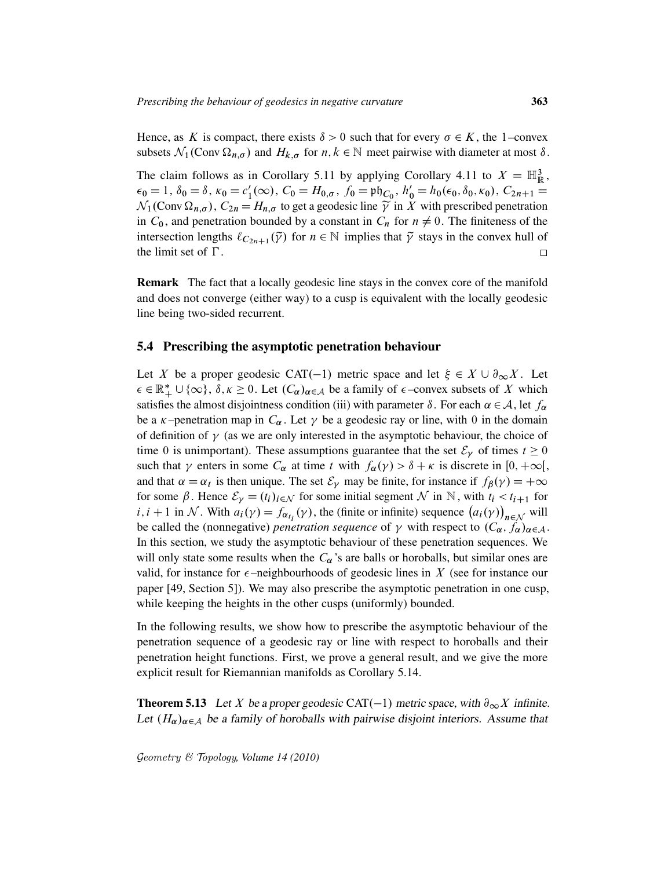Hence, as K is compact, there exists  $\delta > 0$  such that for every  $\sigma \in K$ , the 1–convex subsets  $\mathcal{N}_1$ (Conv $\Omega_{n,\sigma}$ ) and  $H_{k,\sigma}$  for  $n, k \in \mathbb{N}$  meet pairwise with diameter at most  $\delta$ .

The claim follows as in Corollary 5.11 by applying Corollary 4.11 to  $X = \mathbb{H}^3_{\mathbb{R}}$ ,  $\epsilon_0 = 1, \, \delta_0 = \delta, \, \kappa_0 = c_1'$  $I'_1(\infty)$ ,  $C_0 = H_{0,\sigma}$ ,  $f_0 = \mathfrak{ph}_{C_0}$ ,  $h'_0 = h_0(\epsilon_0, \delta_0, \kappa_0)$ ,  $C_{2n+1} =$  $\mathcal{N}_1$ (Conv $\Omega_{n,\sigma}$ ),  $C_{2n} = H_{n,\sigma}$  to get a geodesic line  $\widetilde{\gamma}$  in X with prescribed penetration in  $C_0$ , and penetration bounded by a constant in  $C_n$  for  $n \neq 0$ . The finiteness of the intersection lengths  $\ell_{C_{2n+1}}(\tilde{\gamma})$  for  $n \in \mathbb{N}$  implies that  $\tilde{\gamma}$  stays in the convex hull of the limit set of  $\Gamma$ .  $\Box$ 

Remark The fact that a locally geodesic line stays in the convex core of the manifold and does not converge (either way) to a cusp is equivalent with the locally geodesic line being two-sided recurrent.

### 5.4 Prescribing the asymptotic penetration behaviour

Let X be a proper geodesic CAT(-1) metric space and let  $\xi \in X \cup \partial_{\infty} X$ . Let  $\epsilon \in \mathbb{R}_+^* \cup \{\infty\}$ ,  $\delta, \kappa \ge 0$ . Let  $(C_\alpha)_{\alpha \in \mathcal{A}}$  be a family of  $\epsilon$ -convex subsets of X which satisfies the almost disjointness condition (iii) with parameter  $\delta$ . For each  $\alpha \in A$ , let  $f_{\alpha}$ be a  $\kappa$ -penetration map in  $C_{\alpha}$ . Let  $\gamma$  be a geodesic ray or line, with 0 in the domain of definition of  $\gamma$  (as we are only interested in the asymptotic behaviour, the choice of time 0 is unimportant). These assumptions guarantee that the set  $\mathcal{E}_{\gamma}$  of times  $t \ge 0$ such that  $\gamma$  enters in some  $C_{\alpha}$  at time t with  $f_{\alpha}(\gamma) > \delta + \kappa$  is discrete in  $[0, +\infty[,$ and that  $\alpha = \alpha_t$  is then unique. The set  $\mathcal{E}_{\gamma}$  may be finite, for instance if  $f_{\beta}(\gamma) = +\infty$ for some  $\beta$ . Hence  $\mathcal{E}_{\gamma} = (t_i)_{i \in \mathcal{N}}$  for some initial segment  $\mathcal{N}$  in  $\mathbb{N}$ , with  $t_i < t_{i+1}$  for  $i, i+1$  in N. With  $a_i(y) = f_{\alpha_{t_i}}(y)$ , the (finite or infinite) sequence  $(a_i(y))_{n \in \mathcal{N}}$  will be called the (nonnegative) *penetration sequence* of  $\gamma$  with respect to  $(C_{\alpha}, f_{\alpha})_{\alpha \in A}$ . In this section, we study the asymptotic behaviour of these penetration sequences. We will only state some results when the  $C_{\alpha}$ 's are balls or horoballs, but similar ones are valid, for instance for  $\epsilon$ -neighbourhoods of geodesic lines in X (see for instance our paper [49, Section 5]). We may also prescribe the asymptotic penetration in one cusp, while keeping the heights in the other cusps (uniformly) bounded.

In the following results, we show how to prescribe the asymptotic behaviour of the penetration sequence of a geodesic ray or line with respect to horoballs and their penetration height functions. First, we prove a general result, and we give the more explicit result for Riemannian manifolds as Corollary 5.14.

**Theorem 5.13** Let X be a proper geodesic CAT(-1) metric space, with  $\partial_{\infty} X$  infinite. Let  $(H_{\alpha})_{\alpha \in A}$  be a family of horoballs with pairwise disjoint interiors. Assume that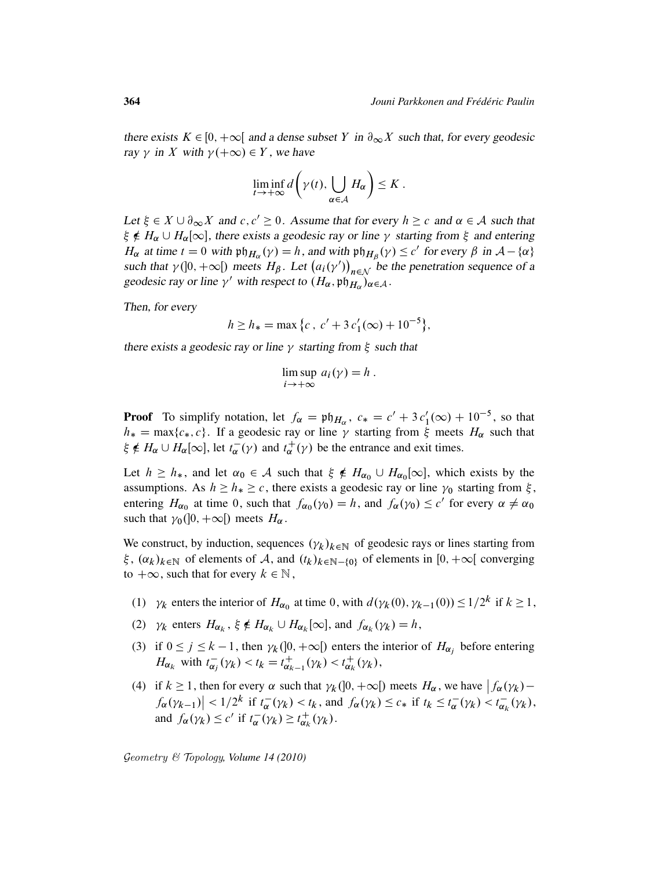there exists  $K \in [0, +\infty[$  and a dense subset Y in  $\partial_{\infty} X$  such that, for every geodesic ray  $\gamma$  in X with  $\gamma(+\infty) \in Y$ , we have

$$
\liminf_{t\to+\infty} d\bigg(\gamma(t),\bigcup_{\alpha\in\mathcal{A}} H_{\alpha}\bigg)\leq K.
$$

Let  $\xi \in X \cup \partial_{\infty} X$  and  $c, c' \ge 0$ . Assume that for every  $h \ge c$  and  $\alpha \in A$  such that  $\xi \notin H_\alpha \cup H_\alpha[\infty]$ , there exists a geodesic ray or line  $\gamma$  starting from  $\xi$  and entering  $H_{\alpha}$  at time  $t = 0$  with  $\mathfrak{ph}_{H_{\alpha}}(\gamma) = h$ , and with  $\mathfrak{ph}_{H_{\beta}}(\gamma) \leq c'$  for every  $\beta$  in  $\mathcal{A} - \{\alpha\}$ such that  $\gamma$ ([0, + $\infty$ [) meets  $H_{\beta}$ . Let  $(a_i(\gamma'))_{n \in \mathcal{N}}$  be the penetration sequence of a geodesic ray or line  $\gamma'$  with respect to  $(H_{\alpha}, \mathfrak{p})_{H_{\alpha}})_{\alpha \in \mathcal{A}}$ .

Then, for every

$$
h \ge h_* = \max \{c \, , \, c' + 3 \, c_1'(\infty) + 10^{-5} \},
$$

there exists a geodesic ray or line  $\gamma$  starting from  $\xi$  such that

$$
\limsup_{i \to +\infty} a_i(\gamma) = h.
$$

**Proof** To simplify notation, let  $f_{\alpha} = \mathfrak{ph}_{H_{\alpha}}$ ,  $c_* = c' + 3c'_1(\infty) + 10^{-5}$ , so that  $h_* = \max\{c_*, c\}$ . If a geodesic ray or line  $\gamma$  starting from  $\xi$  meets  $H_\alpha$  such that  $\xi \notin H_{\alpha} \cup H_{\alpha}[\infty]$ , let  $t_{\alpha}$  $\overline{\alpha}(\gamma)$  and  $t_{\alpha}^{+}$  $_{\alpha}^{+}(\gamma)$  be the entrance and exit times.

Let  $h \ge h_*$ , and let  $\alpha_0 \in \mathcal{A}$  such that  $\xi \notin H_{\alpha_0} \cup H_{\alpha_0}[\infty]$ , which exists by the assumptions. As  $h \ge h_* \ge c$ , there exists a geodesic ray or line  $\gamma_0$  starting from  $\xi$ , entering  $H_{\alpha_0}$  at time 0, such that  $f_{\alpha_0}(\gamma_0) = h$ , and  $f_{\alpha}(\gamma_0) \le c'$  for every  $\alpha \ne \alpha_0$ such that  $\gamma_0([0, +\infty[)$  meets  $H_\alpha$ .

We construct, by induction, sequences  $(\gamma_k)_{k \in \mathbb{N}}$  of geodesic rays or lines starting from  $\xi$ ,  $(\alpha_k)_{k\in\mathbb{N}}$  of elements of A, and  $(t_k)_{k\in\mathbb{N}-\{0\}}$  of elements in  $[0, +\infty]$  converging to  $+\infty$ , such that for every  $k \in \mathbb{N}$ ,

- (1)  $\gamma_k$  enters the interior of  $H_{\alpha_0}$  at time 0, with  $d(\gamma_k(0), \gamma_{k-1}(0)) \leq 1/2^k$  if  $k \geq 1$ ,
- (2)  $\gamma_k$  enters  $H_{\alpha_k}$ ,  $\xi \notin H_{\alpha_k} \cup H_{\alpha_k}[\infty]$ , and  $f_{\alpha_k}(\gamma_k) = h$ ,
- (3) if  $0 \le j \le k 1$ , then  $\gamma_k(]0, +\infty[)$  enters the interior of  $H_{\alpha_j}$  before entering  $H_{\alpha_k}$  with  $t_{\alpha_i}^ \overline{\alpha_j}(\gamma_k) < t_k = t_{\alpha_k}^+$  $\frac{1}{\alpha_{k-1}}(\gamma_k) < t_{\alpha_k}^+$  $_{\alpha_{k}}^{+}(\gamma_{k}),$
- (4) if  $k \ge 1$ , then for every  $\alpha$  such that  $\gamma_k([0, +\infty[)$  meets  $H_\alpha$ , we have  $|f_\alpha(\gamma_k) |f_{\alpha}(\gamma_{k-1})| < 1/2^{k}$  if  $t_{\alpha}^{-}$  $\overline{\alpha}(\gamma_k) < t_k$ , and  $f_\alpha(\gamma_k) \leq c_*$  if  $t_k \leq t_\alpha^{-}$  $\frac{1}{\alpha}(\gamma_k) < t_{\alpha_k}^{-1}$  $_{\alpha_{k}}^{-}(\gamma_{k}),$ and  $f_{\alpha}(\gamma_k) \leq c'$  if  $t_{\alpha}^ \overline{\alpha}(\gamma_k) \geq t_{\alpha_k}^+$  $_{\alpha_{k}}^{+}(\gamma_{k}).$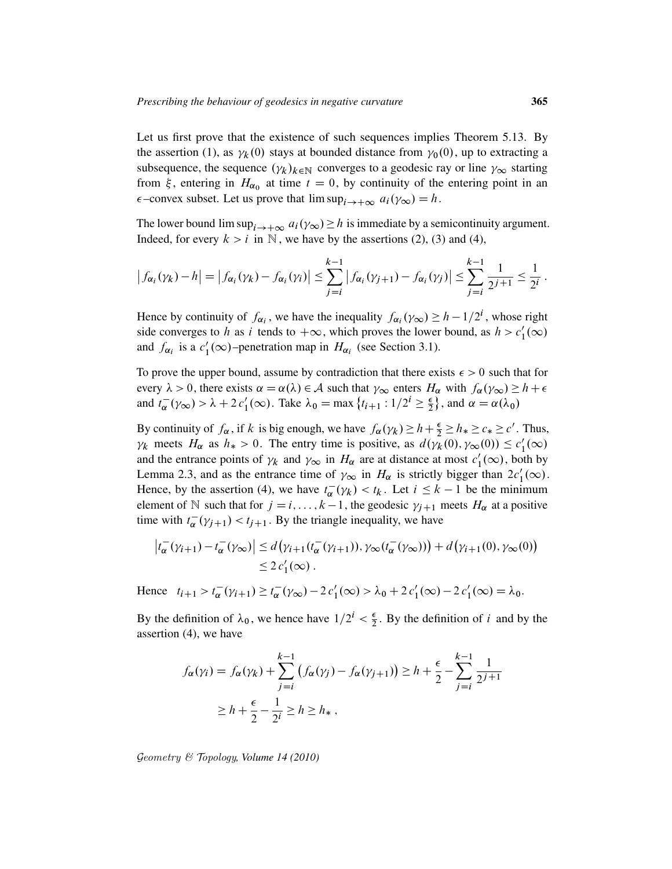Let us first prove that the existence of such sequences implies Theorem 5.13. By the assertion (1), as  $\gamma_k(0)$  stays at bounded distance from  $\gamma_0(0)$ , up to extracting a subsequence, the sequence  $(\gamma_k)_{k \in \mathbb{N}}$  converges to a geodesic ray or line  $\gamma_\infty$  starting from  $\xi$ , entering in  $H_{\alpha_0}$  at time  $t = 0$ , by continuity of the entering point in an  $\epsilon$ -convex subset. Let us prove that  $\limsup_{i \to +\infty} a_i(\gamma_\infty) = h$ .

The lower bound  $\limsup_{i \to +\infty} a_i(\gamma_\infty) \geq h$  is immediate by a semicontinuity argument. Indeed, for every  $k > i$  in N, we have by the assertions (2), (3) and (4),

$$
\left|f_{\alpha_i}(\gamma_k) - h\right| = \left|f_{\alpha_i}(\gamma_k) - f_{\alpha_i}(\gamma_i)\right| \leq \sum_{j=i}^{k-1} \left|f_{\alpha_i}(\gamma_{j+1}) - f_{\alpha_i}(\gamma_j)\right| \leq \sum_{j=i}^{k-1} \frac{1}{2^{j+1}} \leq \frac{1}{2^i}.
$$

Hence by continuity of  $f_{\alpha_i}$ , we have the inequality  $f_{\alpha_i}(\gamma_\infty) \geq h - 1/2^i$ , whose right side converges to h as i tends to  $+\infty$ , which proves the lower bound, as  $h > c'_1$  $_{1}^{\prime}(\infty)$ and  $f_{\alpha_i}$  is a  $c'_1$  $I_1'(\infty)$ -penetration map in  $H_{\alpha_i}$  (see Section 3.1).

To prove the upper bound, assume by contradiction that there exists  $\epsilon > 0$  such that for every  $\lambda > 0$ , there exists  $\alpha = \alpha(\lambda) \in \mathcal{A}$  such that  $\gamma_{\infty}$  enters  $H_{\alpha}$  with  $f_{\alpha}(\gamma_{\infty}) \geq h + \epsilon$ and  $t_{\alpha}^ \frac{1}{\alpha}(\gamma_{\infty}) > \lambda + 2 c'_1(\infty)$ . Take  $\lambda_0 = \max \{t_{i+1} : 1/2^i \ge \frac{\epsilon}{2} \}$  $\left\{\frac{\epsilon}{2}\right\}$ , and  $\alpha = \alpha(\lambda_0)$ 

By continuity of  $f_{\alpha}$ , if k is big enough, we have  $f_{\alpha}(\gamma_k) \ge h + \frac{\epsilon}{2} \ge h_* \ge c_* \ge c'$ . Thus,  $\gamma_k$  meets  $H_\alpha$  as  $h_* > 0$ . The entry time is positive, as  $d(\gamma_k(0), \gamma_\infty(0)) \leq c_1$  $_{1}^{\prime}(\infty)$ and the entrance points of  $\gamma_k$  and  $\gamma_\infty$  in  $H_\alpha$  are at distance at most  $c'_1$  $\frac{1}{1}(\infty)$ , both by Lemma 2.3, and as the entrance time of  $\gamma_{\infty}$  in  $H_{\alpha}$  is strictly bigger than  $2c'_{1}(\infty)$ . Hence, by the assertion (4), we have  $t_{\alpha}^{-}$  $\overline{\alpha}(\gamma_k) < t_k$ . Let  $i \leq k - 1$  be the minimum element of N such that for  $j = i, ..., k - 1$ , the geodesic  $\gamma_{j+1}$  meets  $H_\alpha$  at a positive time with  $t_{\alpha}^{-}$  $\overline{\alpha}(\gamma_{j+1}) < t_{j+1}$ . By the triangle inequality, we have

$$
\left|t_{\alpha}^-(\gamma_{i+1}) - t_{\alpha}^-(\gamma_{\infty})\right| \le d\left(\gamma_{i+1}(t_{\alpha}^-(\gamma_{i+1})), \gamma_{\infty}(t_{\alpha}^-(\gamma_{\infty}))\right) + d\left(\gamma_{i+1}(0), \gamma_{\infty}(0)\right)
$$
  

$$
\le 2 c'_1(\infty).
$$

 $t_{i+1} > t_{\alpha}^{-}$  $\overline{\alpha}^-(\gamma_{i+1}) \geq t_{\alpha}^-$ Hence  $t_{i+1} > t_{\alpha}^{-}(\gamma_{i+1}) \geq t_{\alpha}^{-}(\gamma_{\infty}) - 2c_{1}'(\infty) > \lambda_{0} + 2c_{1}'(\infty) - 2c_{1}'(\infty) = \lambda_{0}$ .

By the definition of  $\lambda_0$ , we hence have  $1/2^i < \frac{\epsilon}{2}$  $\frac{\epsilon}{2}$ . By the definition of *i* and by the assertion (4), we have

$$
f_{\alpha}(\gamma_i) = f_{\alpha}(\gamma_k) + \sum_{j=i}^{k-1} (f_{\alpha}(\gamma_j) - f_{\alpha}(\gamma_{j+1})) \ge h + \frac{\epsilon}{2} - \sum_{j=i}^{k-1} \frac{1}{2^{j+1}}
$$
  
 
$$
\ge h + \frac{\epsilon}{2} - \frac{1}{2^i} \ge h \ge h_*,
$$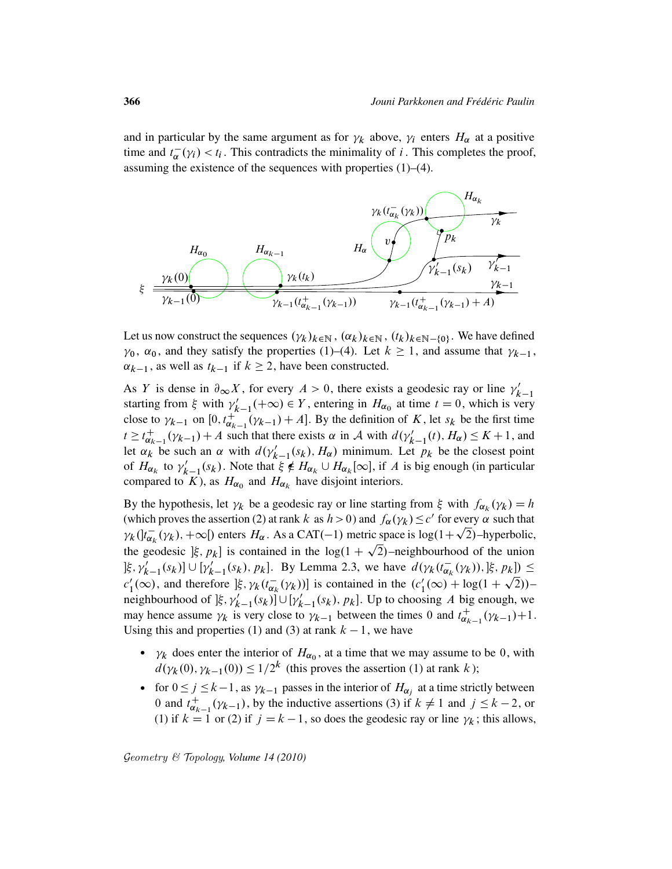and in particular by the same argument as for  $\gamma_k$  above,  $\gamma_i$  enters  $H_\alpha$  at a positive time and  $t_{\alpha}^ \overline{\alpha}(y_i) < t_i$ . This contradicts the minimality of i. This completes the proof, assuming the existence of the sequences with properties (1)–(4).



Let us now construct the sequences  $(\gamma_k)_{k \in \mathbb{N}}$ ,  $(\alpha_k)_{k \in \mathbb{N}}$ ,  $(t_k)_{k \in \mathbb{N} - \{0\}}$ . We have defined  $\gamma_0$ ,  $\alpha_0$ , and they satisfy the properties (1)–(4). Let  $k \ge 1$ , and assume that  $\gamma_{k-1}$ ,  $\alpha_{k-1}$ , as well as  $t_{k-1}$  if  $k \geq 2$ , have been constructed.

As Y is dense in  $\partial_{\infty} X$ , for every  $A > 0$ , there exists a geodesic ray or line  $\gamma'_{k}$  $k-1$ starting from  $\xi$  with  $\gamma'$  $k'_{k-1}(+\infty) \in Y$ , entering in  $H_{\alpha_0}$  at time  $t = 0$ , which is very close to  $\gamma_{k-1}$  on  $[0, t_{\alpha_k}^+]$  $\frac{1}{\alpha_{k-1}}(\gamma_{k-1}) + A$ . By the definition of K, let  $s_k$  be the first time  $t \geq t_{\alpha}^+$  $\chi_{\alpha_{k-1}}^+(v_{k-1}) + A$  such that there exists  $\alpha$  in A with  $d(v_{k-1}'(t), H_\alpha) \leq K + 1$ , and let  $\alpha_k$  be such an  $\alpha$  with  $d(\gamma_{k-1}'(s_k), H_\alpha)$  minimum. Let  $p_k$  be the closest point of  $H_{\alpha_k}$  to  $\gamma'_k$  $k'_{k-1}(s_k)$ . Note that  $\xi \notin H_{\alpha_k} \cup H_{\alpha_k}[\infty]$ , if A is big enough (in particular compared to K), as  $H_{\alpha_0}$  and  $H_{\alpha_k}$  have disjoint interiors.

By the hypothesis, let  $\gamma_k$  be a geodesic ray or line starting from  $\xi$  with  $f_{\alpha_k}(\gamma_k) = h$ (which proves the assertion (2) at rank k as  $h > 0$ ) and  $f_{\alpha}(\gamma_k) \le c'$  for every  $\alpha$  such that  $\gamma_k$  ( $t_{\alpha_k}^ \bar{\alpha}_{k}(\gamma_{k}), +\infty$  enters  $H_{\alpha}$ . As a CAT(-1) metric space is log(1+ $\sqrt{2}$ )-hyperbolic, the geodesic  $[\xi, p_k]$  is contained in the log(1 +  $\sqrt{2}$ )–neighbourhood of the union  $[\xi, \gamma'_{k-1}(s_k)] \cup [\gamma'_{k-1}(s_k), p_k]$ . By Lemma 2.3, we have  $d(\gamma_k(t_{\alpha_k}^{-k}))$  $\frac{1}{\alpha_k}(\gamma_k)), \frac{1}{2}, p_k] \leq$  $c_1'$  $\int_{1}^{1}$ ( $\infty$ ), and therefore ] $\xi$ ,  $\gamma_k(t_{\alpha_k}^{-})$  $(\overline{\alpha_k}(\gamma_k))]$  is contained in the  $(c'_1)$  $l'_1(\infty) + \log(1+\sqrt{2}))$ neighbourhood of  $[\xi, \gamma'_{k-1}(s_k)] \cup [\gamma'_{k-1}(s_k), p_k]$ . Up to choosing A big enough, we may hence assume  $\gamma_k$  is very close to  $\gamma_{k-1}$  between the times 0 and  $t_{\alpha_k}^+$  $\alpha_{k-1}^+(\gamma_{k-1})+1$ . Using this and properties (1) and (3) at rank  $k - 1$ , we have

- $\gamma_k$  does enter the interior of  $H_{\alpha_0}$ , at a time that we may assume to be 0, with  $d(\gamma_k(0), \gamma_{k-1}(0)) \leq 1/2^k$  (this proves the assertion (1) at rank k);
- for  $0 \le j \le k-1$ , as  $\gamma_{k-1}$  passes in the interior of  $H_{\alpha_j}$  at a time strictly between 0 and  $t_{\alpha\iota}^+$  $_{\alpha_{k-1}}^+(\gamma_{k-1})$ , by the inductive assertions (3) if  $k \neq 1$  and  $j \leq k-2$ , or (1) if  $k = 1$  or (2) if  $j = k - 1$ , so does the geodesic ray or line  $\gamma_k$ ; this allows,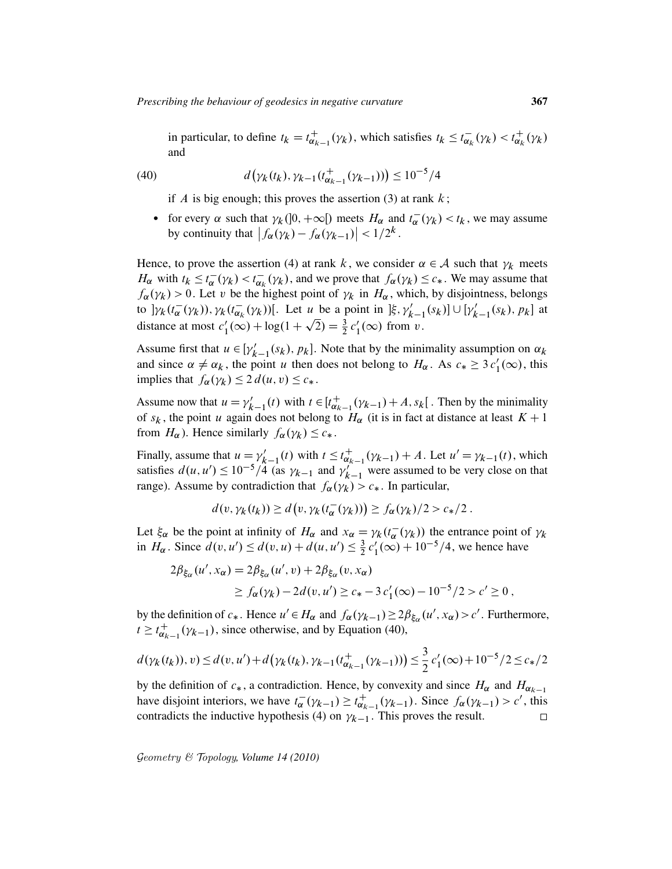in particular, to define  $t_k = t_{\alpha_k}^+$  $\psi_{\alpha_{k-1}}^+(\gamma_k)$ , which satisfies  $t_k \leq t_{\alpha_k}^ \overline{\alpha_k}(\gamma_k) < t_{\alpha_k}^+$  $_{\alpha_{k}}^{+}(\gamma_{k})$ and

(40) 
$$
d(\gamma_k(t_k), \gamma_{k-1}(t_{\alpha_{k-1}}^+(\gamma_{k-1})) ) \leq 10^{-5}/4
$$

if A is big enough; this proves the assertion (3) at rank  $k$ ;

• for every  $\alpha$  such that  $\gamma_k(]0, +\infty[)$  meets  $H_\alpha$  and  $t_\alpha^ \sigma_{\alpha}^-(\gamma_k) < t_k$ , we may assume by continuity that  $|f_{\alpha}(\gamma_k) - f_{\alpha}(\gamma_{k-1})| < 1/2^k$ .

Hence, to prove the assertion (4) at rank k, we consider  $\alpha \in A$  such that  $\gamma_k$  meets  $H_{\alpha}$  with  $t_k \leq t_{\alpha}^{-}$  $\frac{1}{\alpha}(\gamma_k) < t_{\alpha_k}^{-1}$  $_{\alpha_k}(\gamma_k)$ , and we prove that  $f_{\alpha}(\gamma_k) \leq c_*$ . We may assume that  $f_{\alpha}(\gamma_k) > 0$ . Let v be the highest point of  $\gamma_k$  in  $H_{\alpha}$ , which, by disjointness, belongs to  $]\gamma_k(t_\alpha^-)$  $\bar{\alpha}(\gamma_k)), \gamma_k(t_{\alpha_k}^-)$  $\overline{\alpha_k}(\gamma_k)$ ]. Let u be a point in  $[\xi, \gamma'_{k-1}(s_k)] \cup [\gamma'_{k-1}(s_k), p_k]$  at distance at most  $c_1$  $y'_1(\infty) + \log(1 + \sqrt{2}) = \frac{3}{2} c'_1$  $y_1'(\infty)$  from  $v$ .

Assume first that  $u \in [\gamma_{k-1}'(s_k), p_k]$ . Note that by the minimality assumption on  $\alpha_k$ and since  $\alpha \neq \alpha_k$ , the point u then does not belong to  $H_\alpha$ . As  $c_* \geq 3 c'_1(\infty)$ , this implies that  $f_{\alpha}(\gamma_k) \leq 2 d(u, v) \leq c_*$ .

Assume now that  $u = \gamma_k'$  $t'_{k-1}(t)$  with  $t \in [t_{\alpha_k}^+]$  $\chi^+_{\alpha_{k-1}}(\gamma_{k-1}) + A$ ,  $s_k$ [. Then by the minimality of  $s_k$ , the point u again does not belong to  $H_\alpha$  (it is in fact at distance at least  $K + 1$ from  $H_{\alpha}$ ). Hence similarly  $f_{\alpha}(\gamma_k) \leq c_*$ .

Finally, assume that  $u = \gamma'_k$  $t'_{k-1}(t)$  with  $t \leq t_{\alpha_k}^+$  $_{\alpha_{k-1}}^+(\gamma_{k-1}) + A$ . Let  $u' = \gamma_{k-1}(t)$ , which satisfies  $d(u, u') \le 10^{-5}$ /4 (as  $\gamma_{k-1}$  and  $\gamma_k'$ )  $k'_{k-1}$  were assumed to be very close on that range). Assume by contradiction that  $f_{\alpha}(\gamma_k) > c_*$ . In particular,

$$
d(v, \gamma_k(t_k)) \ge d(v, \gamma_k(t_\alpha^-(\gamma_k))) \ge f_\alpha(\gamma_k)/2 > c_*/2.
$$

Let  $\xi_{\alpha}$  be the point at infinity of  $H_{\alpha}$  and  $x_{\alpha} = \gamma_k(t_{\alpha}^{-1})$  $_{\alpha}^-(\gamma_k)$  the entrance point of  $\gamma_k$ in  $H_{\alpha}$ . Since  $d(v, u') \leq d(v, u) + d(u, u') \leq \frac{3}{2}$  $rac{3}{2}c'_1$  $\int_{1}^{1} (\infty) + 10^{-5} / 4$ , we hence have

$$
2\beta_{\xi_{\alpha}}(u',x_{\alpha}) = 2\beta_{\xi_{\alpha}}(u',v) + 2\beta_{\xi_{\alpha}}(v,x_{\alpha})
$$
  
\n
$$
\geq f_{\alpha}(\gamma_k) - 2d(v,u') \geq c_* - 3c'_1(\infty) - 10^{-5}/2 > c' \geq 0,
$$

by the definition of  $c_*$ . Hence  $u' \in H_\alpha$  and  $f_\alpha(\gamma_{k-1}) \geq 2\beta_{\xi_\alpha}(u', x_\alpha) > c'$ . Furthermore,  $t \geq t_{\alpha}^+$  $\sigma_{\alpha_{k-1}}^+(\gamma_{k-1})$ , since otherwise, and by Equation (40),

$$
d(\gamma_k(t_k)), v) \le d(v, u') + d(\gamma_k(t_k), \gamma_{k-1}(t_{\alpha_{k-1}}^+(\gamma_{k-1}))) \le \frac{3}{2} c'_1(\infty) + 10^{-5}/2 \le c_*/2
$$

by the definition of  $c_*$ , a contradiction. Hence, by convexity and since  $H_\alpha$  and  $H_{\alpha_{k-1}}$ have disjoint interiors, we have  $t_{\alpha}^ \overline{\alpha}^-(\gamma_{k-1}) \geq t_{\alpha_k}^+$  $\pi_{\alpha_{k-1}}^+(\gamma_{k-1})$ . Since  $f_\alpha(\gamma_{k-1}) > c'$ , this contradicts the inductive hypothesis (4) on  $\gamma_{k-1}$ . This proves the result.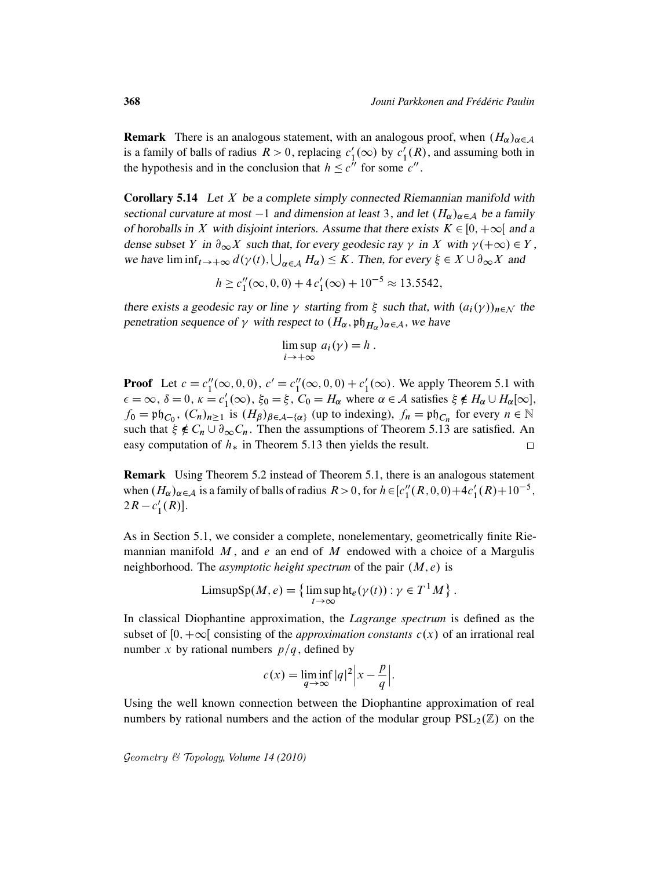**Remark** There is an analogous statement, with an analogous proof, when  $(H_{\alpha})_{\alpha \in A}$ is a family of balls of radius  $R > 0$ , replacing  $c_1$  $\frac{1}{1}(\infty)$  by  $c_1'$  $l_1'(R)$ , and assuming both in the hypothesis and in the conclusion that  $h \leq c''$  for some  $c''$ .

**Corollary 5.14** Let  $X$  be a complete simply connected Riemannian manifold with sectional curvature at most  $-1$  and dimension at least 3, and let  $(H_{\alpha})_{\alpha \in A}$  be a family of horoballs in X with disjoint interiors. Assume that there exists  $K \in [0, +\infty[$  and a dense subset Y in  $\partial_{\infty} X$  such that, for every geodesic ray  $\gamma$  in X with  $\gamma(+\infty) \in Y$ , we have  $\liminf_{t\to+\infty} d(\gamma(t), \bigcup_{\alpha\in\mathcal{A}} H_{\alpha}) \leq K$ . Then, for every  $\xi \in X \cup \partial_{\infty} X$  and

$$
h \ge c_1''(\infty, 0, 0) + 4c_1'(\infty) + 10^{-5} \approx 13.5542,
$$

there exists a geodesic ray or line  $\gamma$  starting from  $\xi$  such that, with  $(a_i(\gamma))_{n \in \mathcal{N}}$  the penetration sequence of  $\gamma$  with respect to  $(H_{\alpha}, \mathfrak{ph}_{H_{\alpha}})_{\alpha \in A}$ , we have

$$
\limsup_{i \to +\infty} a_i(\gamma) = h.
$$

**Proof** Let  $c = c_1''$  $i''_1(\infty, 0, 0), c' = c''_1$  $l''_1(\infty, 0, 0) + c'_1$  $\frac{1}{1}(\infty)$ . We apply Theorem 5.1 with  $\epsilon = \infty$ ,  $\delta = 0$ ,  $\kappa = c_1'$  $I'_1(\infty)$ ,  $\xi_0 = \xi$ ,  $C_0 = H_\alpha$  where  $\alpha \in \mathcal{A}$  satisfies  $\xi \notin H_\alpha \cup H_\alpha[\infty]$ ,  $f_0 = \mathfrak{ph}_{C_0}$ ,  $(C_n)_{n \ge 1}$  is  $(H_\beta)_{\beta \in \mathcal{A} - {\alpha}}$  (up to indexing),  $f_n = \mathfrak{ph}_{C_n}$  for every  $n \in \mathbb{N}$ such that  $\xi \notin C_n \cup \partial_{\infty} C_n$ . Then the assumptions of Theorem 5.13 are satisfied. An easy computation of  $h_*$  in Theorem 5.13 then yields the result.  $\Box$ 

Remark Using Theorem 5.2 instead of Theorem 5.1, there is an analogous statement when  $(H_{\alpha})_{\alpha \in A}$  is a family of balls of radius  $R > 0$ , for  $h \in [c_1^{\prime\prime}]$  $I''_1(R,0,0)+4c'_1(R)+10^{-5}$ ,  $2R - c_1'$  $'_{1}(R)$ .

As in Section 5.1, we consider a complete, nonelementary, geometrically finite Riemannian manifold  $M$ , and e an end of  $M$  endowed with a choice of a Margulis neighborhood. The *asymptotic height spectrum* of the pair  $(M, e)$  is

$$
\text{LimsupSp}(M, e) = \left\{ \limsup_{t \to \infty} \text{ht}_e(\gamma(t)) : \gamma \in T^1 M \right\}.
$$

In classical Diophantine approximation, the *Lagrange spectrum* is defined as the subset of  $[0, +\infty]$  consisting of the *approximation constants*  $c(x)$  of an irrational real number x by rational numbers  $p/q$ , defined by

$$
c(x) = \liminf_{q \to \infty} |q|^2 |x - \frac{p}{q}|.
$$

Using the well known connection between the Diophantine approximation of real numbers by rational numbers and the action of the modular group  $PSL_2(\mathbb{Z})$  on the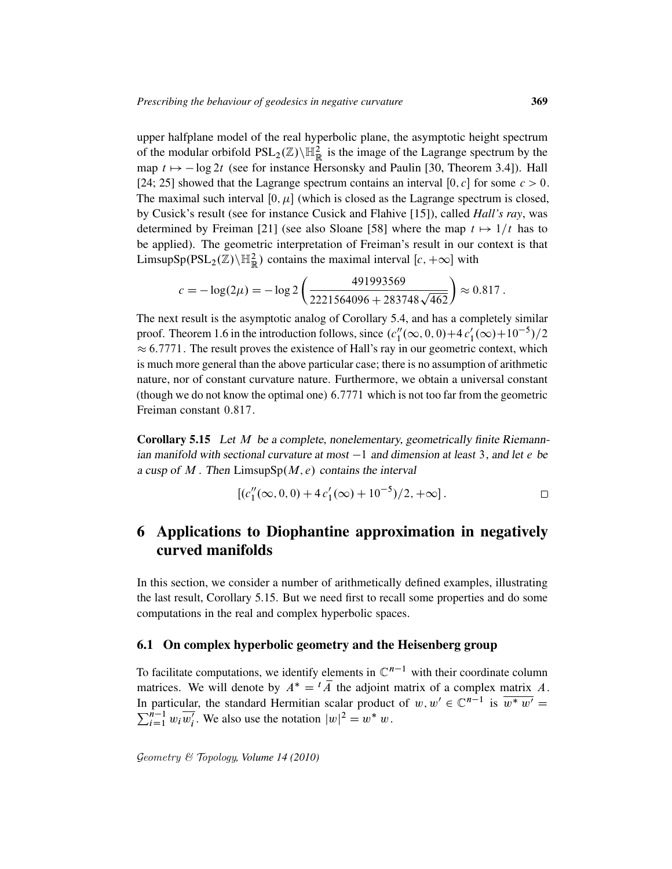upper halfplane model of the real hyperbolic plane, the asymptotic height spectrum of the modular orbifold  $PSL_2(\mathbb{Z})\backslash \mathbb{H}^2_{\mathbb{R}}$  is the image of the Lagrange spectrum by the map  $t \mapsto -\log 2t$  (see for instance Hersonsky and Paulin [30, Theorem 3.4]). Hall [24; 25] showed that the Lagrange spectrum contains an interval [0, c] for some  $c > 0$ . The maximal such interval  $[0, \mu]$  (which is closed as the Lagrange spectrum is closed, by Cusick's result (see for instance Cusick and Flahive [15]), called *Hall's ray*, was determined by Freiman [21] (see also Sloane [58] where the map  $t \mapsto 1/t$  has to be applied). The geometric interpretation of Freiman's result in our context is that LimsupSp $(PSL_2(\mathbb{Z})\backslash \mathbb{H}_{\mathbb{R}}^2)$  contains the maximal interval  $[c, +\infty]$  with

$$
c = -\log(2\mu) = -\log 2\left(\frac{491993569}{2221564096 + 283748\sqrt{462}}\right) \approx 0.817.
$$

The next result is the asymptotic analog of Corollary 5.4, and has a completely similar proof. Theorem 1.6 in the introduction follows, since  $(c_1^n)$  $\binom{n}{1}(\infty, 0, 0) + 4c'_1(\infty) + 10^{-5})/2$  $\approx 6.7771$ . The result proves the existence of Hall's ray in our geometric context, which is much more general than the above particular case; there is no assumption of arithmetic nature, nor of constant curvature nature. Furthermore, we obtain a universal constant (though we do not know the optimal one) 6:7771 which is not too far from the geometric Freiman constant 0:817.

Corollary 5.15 Let M be a complete, nonelementary, geometrically finite Riemannian manifold with sectional curvature at most  $-1$  and dimension at least 3, and let e be a cusp of  $M$ . Then LimsupSp $(M, e)$  contains the interval

$$
[(c_1''(\infty, 0, 0) + 4c_1'(\infty) + 10^{-5})/2, +\infty].
$$

# 6 Applications to Diophantine approximation in negatively curved manifolds

In this section, we consider a number of arithmetically defined examples, illustrating the last result, Corollary 5.15. But we need first to recall some properties and do some computations in the real and complex hyperbolic spaces.

### 6.1 On complex hyperbolic geometry and the Heisenberg group

To facilitate computations, we identify elements in  $\mathbb{C}^{n-1}$  with their coordinate column matrices. We will denote by  $A^* = {}^t \overline{A}$  the adjoint matrix of a complex matrix A. In particular, the standard Hermitian scalar product of  $w, w' \in \mathbb{C}^{n-1}$  is  $\overline{w^* w'} =$  $\sum_{i=1}^{n-1} w_i \overline{w'_i}$ . We also use the notation  $|w|^2 = w^* w$ .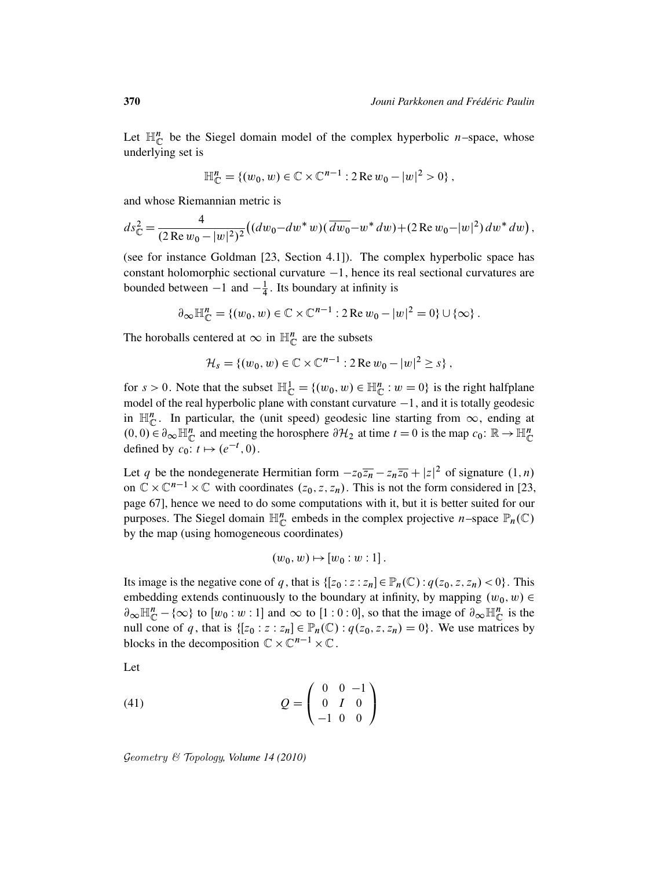Let  $\mathbb{H}_{\mathbb{C}}^n$  be the Siegel domain model of the complex hyperbolic *n*-space, whose underlying set is

$$
\mathbb{H}_{\mathbb{C}}^{n} = \{ (w_0, w) \in \mathbb{C} \times \mathbb{C}^{n-1} : 2 \operatorname{Re} w_0 - |w|^2 > 0 \},
$$

and whose Riemannian metric is

$$
ds_{\mathbb{C}}^2 = \frac{4}{(2 \operatorname{Re} w_0 - |w|^2)^2} ((dw_0 - dw^* w)(\overline{dw_0} - w^* dw) + (2 \operatorname{Re} w_0 - |w|^2) dw^* dw),
$$

(see for instance Goldman [23, Section 4.1]). The complex hyperbolic space has constant holomorphic sectional curvature  $-1$ , hence its real sectional curvatures are bounded between  $-1$  and  $-\frac{1}{4}$  $\frac{1}{4}$ . Its boundary at infinity is

$$
\partial_{\infty} \mathbb{H}_{\mathbb{C}}^{n} = \left\{ (w_0, w) \in \mathbb{C} \times \mathbb{C}^{n-1} : 2 \operatorname{Re} w_0 - |w|^2 = 0 \right\} \cup \left\{ \infty \right\}.
$$

The horoballs centered at  $\infty$  in  $\mathbb{H}_{\mathbb{C}}^{n}$  are the subsets

$$
\mathcal{H}_s = \{ (w_0, w) \in \mathbb{C} \times \mathbb{C}^{n-1} : 2 \operatorname{Re} w_0 - |w|^2 \geq s \},
$$

for  $s > 0$ . Note that the subset  $\mathbb{H}_{\mathbb{C}}^1 = \{(w_0, w) \in \mathbb{H}_{\mathbb{C}}^n : w = 0\}$  is the right halfplane model of the real hyperbolic plane with constant curvature  $-1$ , and it is totally geodesic in  $\mathbb{H}_{\mathbb{C}}^n$ . In particular, the (unit speed) geodesic line starting from  $\infty$ , ending at  $(0, 0) \in \partial_{\infty} \mathbb{H}_{\mathbb{C}}^n$  and meeting the horosphere  $\partial \mathcal{H}_2$  at time  $t = 0$  is the map  $c_0 \colon \mathbb{R} \to \mathbb{H}_{\mathbb{C}}^n$ defined by  $c_0: t \mapsto (e^{-t}, 0)$ .

Let q be the nondegenerate Hermitian form  $-z_0\overline{z_n} - z_n\overline{z_0} + |z|^2$  of signature  $(1, n)$ on  $\mathbb{C} \times \mathbb{C}^{n-1} \times \mathbb{C}$  with coordinates  $(z_0, z, z_n)$ . This is not the form considered in [23, page 67], hence we need to do some computations with it, but it is better suited for our purposes. The Siegel domain  $\mathbb{H}_{\mathbb{C}}^n$  embeds in the complex projective *n*-space  $\mathbb{P}_n(\mathbb{C})$ by the map (using homogeneous coordinates)

$$
(w_0, w) \mapsto [w_0 : w : 1].
$$

Its image is the negative cone of q, that is  $\{[z_0 : z : z_n] \in \mathbb{P}_n(\mathbb{C}) : q(z_0, z, z_n) < 0\}$ . This embedding extends continuously to the boundary at infinity, by mapping  $(w_0, w) \in$  $\partial_{\infty} \mathbb{H}_{\mathbb{C}}^n - \{\infty\}$  to  $[w_0 : w : 1]$  and  $\infty$  to  $[1 : 0 : 0]$ , so that the image of  $\partial_{\infty} \mathbb{H}_{\mathbb{C}}^n$  is the null cone of q, that is  $\{[z_0 : z : z_n] \in \mathbb{P}_n(\mathbb{C}) : q(z_0, z, z_n) = 0\}$ . We use matrices by blocks in the decomposition  $\mathbb{C} \times \mathbb{C}^{n-1} \times \mathbb{C}$ .

Let

(41) 
$$
Q = \begin{pmatrix} 0 & 0 & -1 \\ 0 & I & 0 \\ -1 & 0 & 0 \end{pmatrix}
$$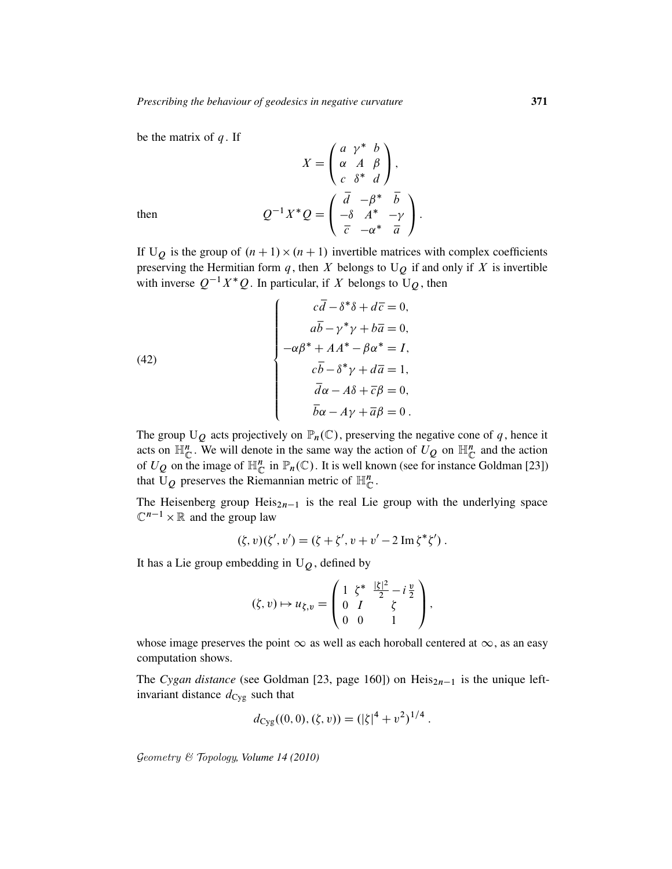be the matrix of  $q$ . If

$$
X = \begin{pmatrix} a & \gamma^* & b \\ \alpha & A & \beta \\ c & \delta^* & d \end{pmatrix},
$$
  
then 
$$
Q^{-1}X^*Q = \begin{pmatrix} \overline{d} & -\beta^* & \overline{b} \\ -\delta & A^* & -\gamma \\ \overline{c} & -\alpha^* & \overline{a} \end{pmatrix}.
$$

If U<sub>Q</sub> is the group of  $(n + 1) \times (n + 1)$  invertible matrices with complex coefficients preserving the Hermitian form  $q$ , then  $X$  belongs to  $U_Q$  if and only if  $X$  is invertible with inverse  $Q^{-1}X^*Q$ . In particular, if X belongs to  $U_Q$ , then

(42)  

$$
\begin{cases}\n c\overline{d} - \delta^* \delta + d\overline{c} = 0, \\
a\overline{b} - \gamma^* \gamma + b\overline{a} = 0, \\
-\alpha \beta^* + AA^* - \beta \alpha^* = I, \\
c\overline{b} - \delta^* \gamma + d\overline{a} = 1, \\
\overline{d}\alpha - A\delta + \overline{c}\beta = 0, \\
\overline{b}\alpha - A\gamma + \overline{a}\beta = 0.\n\end{cases}
$$

The group  $U_Q$  acts projectively on  $\mathbb{P}_n(\mathbb{C})$ , preserving the negative cone of q, hence it acts on  $\mathbb{H}_{\mathbb{C}}^n$ . We will denote in the same way the action of  $U_Q$  on  $\mathbb{H}_{\mathbb{C}}^n$  and the action of  $U_Q$  on the image of  $\mathbb{H}_{\mathbb{C}}^n$  in  $\mathbb{P}_n(\mathbb{C})$ . It is well known (see for instance Goldman [23]) that U<sub>Q</sub> preserves the Riemannian metric of  $\mathbb{H}_{\mathbb{C}}^n$ .

The Heisenberg group Heis $_{2n-1}$  is the real Lie group with the underlying space  $\mathbb{C}^{n-1} \times \mathbb{R}$  and the group law

$$
(\zeta, v)(\zeta', v') = (\zeta + \zeta', v + v' - 2 \operatorname{Im} \zeta^* \zeta').
$$

It has a Lie group embedding in  $U_Q$ , defined by

$$
(\zeta, v) \mapsto u_{\zeta, v} = \begin{pmatrix} 1 & \zeta^* & \frac{|\zeta|^2}{2} - i\frac{v}{2} \\ 0 & I & \zeta \\ 0 & 0 & 1 \end{pmatrix},
$$

whose image preserves the point  $\infty$  as well as each horoball centered at  $\infty$ , as an easy computation shows.

The *Cygan distance* (see Goldman [23, page 160]) on  $Heis<sub>2n-1</sub>$  is the unique leftinvariant distance  $d_{\text{Cyg}}$  such that

$$
d_{\text{Cyg}}((0,0),(\zeta,v)) = (|\zeta|^4 + v^2)^{1/4}.
$$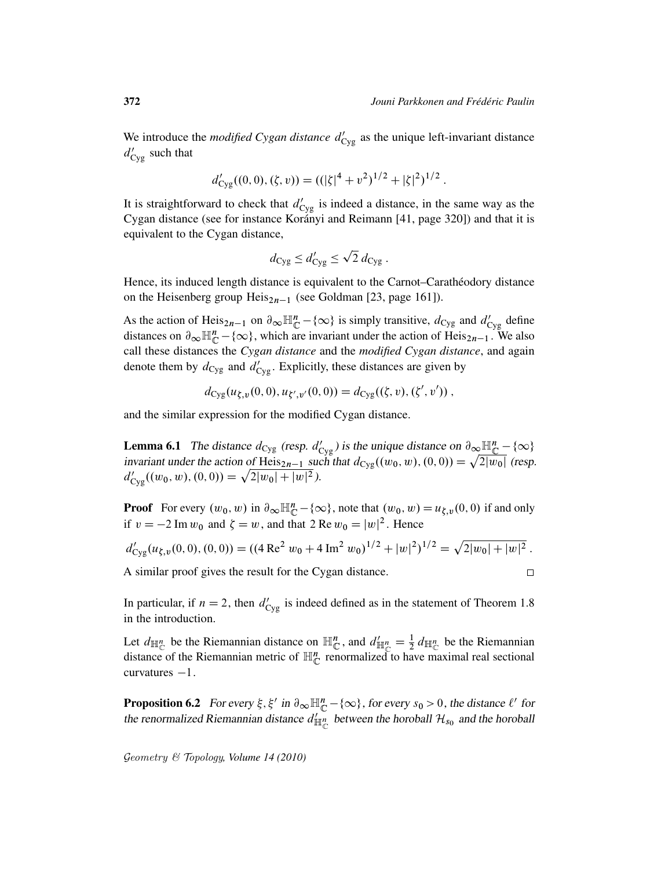$\Box$ 

We introduce the *modified Cygan distance*  $d'_{\text{Cyg}}$  as the unique left-invariant distance  $d'_{\text{Cyg}}$  such that

$$
d'_{\rm Cyg}((0,0),(\zeta,v)) = ((|\zeta|^4 + v^2)^{1/2} + |\zeta|^2)^{1/2}.
$$

It is straightforward to check that  $d'_{\text{Cyg}}$  is indeed a distance, in the same way as the Cygan distance (see for instance Korányi and Reimann [41, page 320]) and that it is equivalent to the Cygan distance,

$$
d_{\text{Cyg}} \leq d'_{\text{Cyg}} \leq \sqrt{2} d_{\text{Cyg}}.
$$

Hence, its induced length distance is equivalent to the Carnot–Caratheodory distance on the Heisenberg group  $Heis<sub>2n-1</sub>$  (see Goldman [23, page 161]).

As the action of Heis<sub>2n-1</sub> on  $\partial_{\infty} \mathbb{H}_{\mathbb{C}}^n - \{\infty\}$  is simply transitive,  $d_{\text{Cyg}}$  and  $d'_{\text{Cyg}}$  define distances on  $\partial_{\infty} \mathbb{H}_{\mathbb{C}}^n - \{\infty\}$ , which are invariant under the action of Heis<sub>2n-1</sub>. We also call these distances the *Cygan distance* and the *modified Cygan distance*, and again denote them by  $d_{\text{Cyg}}$  and  $d'_{\text{Cyg}}$ . Explicitly, these distances are given by

$$
d_{\text{Cyg}}(u_{\xi,v}(0,0), u_{\xi',v'}(0,0)) = d_{\text{Cyg}}((\xi,v), (\xi',v'))
$$

and the similar expression for the modified Cygan distance.

**Lemma 6.1** The distance  $d_{\text{Cyg}}$  (resp.  $d'_{\text{Cyg}}$ ) is the unique distance on  $\partial_{\infty} \mathbb{H}_{\mathbb{C}}^n - \{\infty\}$ invariant under the action of Heis<sub>2n-1</sub> such that  $d_{\text{Cyg}}((w_0, w), (0, 0)) = \sqrt{2|w_0|}$  (resp.  $d'_{\text{Cyg}}((w_0, w), (0, 0)) = \sqrt{2|w_0| + |w|^2}.$ 

**Proof** For every  $(w_0, w)$  in  $\partial_{\infty} \mathbb{H}_{\mathbb{C}}^n - \{\infty\}$ , note that  $(w_0, w) = u_{\zeta, v}(0, 0)$  if and only if  $v = -2 \text{ Im } w_0$  and  $\zeta = w$ , and that 2 Re  $w_0 = |w|^2$ . Hence

$$
d'_{\text{Cyg}}(u_{\xi,v}(0,0), (0,0)) = ((4 \text{ Re}^2 w_0 + 4 \text{ Im}^2 w_0)^{1/2} + |w|^2)^{1/2} = \sqrt{2|w_0| + |w|^2}.
$$

A similar proof gives the result for the Cygan distance.

In particular, if  $n = 2$ , then  $d'_{\text{Cyg}}$  is indeed defined as in the statement of Theorem 1.8 in the introduction.

Let  $d_{\mathbb{H}_{\mathbb{C}}^n}$  be the Riemannian distance on  $\mathbb{H}_{\mathbb{C}}^n$ , and  $d'_{\mathbb{H}_{\mathbb{C}}^n} = \frac{1}{2} d_{\mathbb{H}_{\mathbb{C}}^n}$  be the Riemannian distance of the Riemannian metric of  $\mathbb{H}_{\mathbb{C}}^n$  renormalized to have maximal real sectional curvatures  $-1$ .

**Proposition 6.2** For every  $\xi$ ,  $\xi'$  in  $\partial_{\infty} \mathbb{H}_{\mathbb{C}}^n - \{\infty\}$ , for every  $s_0 > 0$ , the distance  $\ell'$  for the renormalized Riemannian distance  $d'_{\mathbb{H}_{\mathbb{C}}^{n}}$  between the horoball  $\mathcal{H}_{s_0}$  and the horoball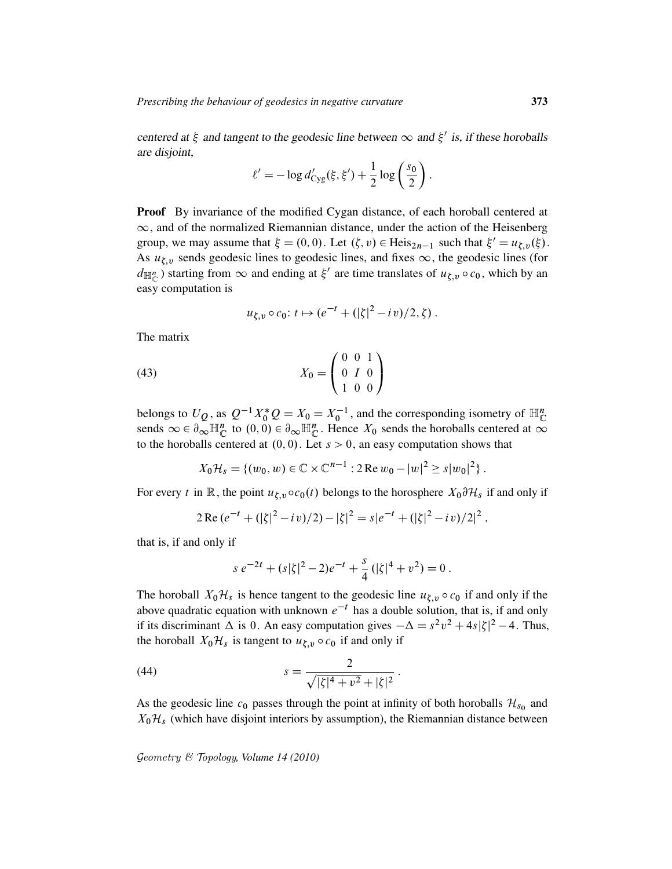centered at  $\xi$  and tangent to the geodesic line between  $\infty$  and  $\xi'$  is, if these horoballs are disjoint,

$$
\ell' = -\log d'_{\text{Cyg}}(\xi, \xi') + \frac{1}{2}\log\left(\frac{s_0}{2}\right).
$$

Proof By invariance of the modified Cygan distance, of each horoball centered at  $\infty$ , and of the normalized Riemannian distance, under the action of the Heisenberg group, we may assume that  $\xi = (0, 0)$ . Let  $(\zeta, v) \in \text{Heis}_{2n-1}$  such that  $\xi' = u_{\zeta, v}(\xi)$ . As  $u_{\xi,v}$  sends geodesic lines to geodesic lines, and fixes  $\infty$ , the geodesic lines (for  $d_{\mathbb{H}_{\mathbb{C}}^{n}}$ ) starting from  $\infty$  and ending at  $\xi'$  are time translates of  $u_{\xi,v} \circ c_0$ , which by an easy computation is

$$
u_{\xi,v} \circ c_0
$$
:  $t \mapsto (e^{-t} + (|\zeta|^2 - iv)/2, \zeta)$ .

The matrix

(43) 
$$
X_0 = \begin{pmatrix} 0 & 0 & 1 \\ 0 & I & 0 \\ 1 & 0 & 0 \end{pmatrix}
$$

belongs to  $U_Q$ , as  $Q^{-1}X_0^*Q = X_0 = X_0^{-1}$ , and the corresponding isometry of  $\mathbb{H}_{\mathbb{C}}^n$ sends  $\infty \in \partial_{\infty} \mathbb{H}_{\mathbb{C}}^{n}$  to  $(0, 0) \in \partial_{\infty} \mathbb{H}_{\mathbb{C}}^{n}$ . Hence  $X_0$  sends the horoballs centered at  $\infty$ to the horoballs centered at  $(0, 0)$ . Let  $s > 0$ , an easy computation shows that

$$
X_0\mathcal{H}_s = \{(w_0, w) \in \mathbb{C} \times \mathbb{C}^{n-1} : 2 \operatorname{Re} w_0 - |w|^2 \ge s |w_0|^2 \}.
$$

For every t in R, the point  $u_{\xi,\nu} \circ c_0(t)$  belongs to the horosphere  $X_0 \partial \mathcal{H}_s$  if and only if

$$
2 \operatorname{Re} (e^{-t} + (|\zeta|^2 - iv)/2) - |\zeta|^2 = s|e^{-t} + (|\zeta|^2 - iv)/2|^2,
$$

that is, if and only if

$$
s e^{-2t} + (s|\zeta|^2 - 2)e^{-t} + \frac{s}{4} (|\zeta|^4 + v^2) = 0.
$$

The horoball  $X_0\mathcal{H}_s$  is hence tangent to the geodesic line  $u_{\xi,v} \circ c_0$  if and only if the above quadratic equation with unknown  $e^{-t}$  has a double solution, that is, if and only if its discriminant  $\Delta$  is 0. An easy computation gives  $-\Delta = s^2v^2 + 4s|\zeta|^2 - 4$ . Thus, the horoball  $X_0\mathcal{H}_s$  is tangent to  $u_{\xi,v} \circ c_0$  if and only if

(44) 
$$
s = \frac{2}{\sqrt{|\zeta|^4 + v^2} + |\zeta|^2}.
$$

As the geodesic line  $c_0$  passes through the point at infinity of both horoballs  $\mathcal{H}_{s_0}$  and  $X_0\mathcal{H}_s$  (which have disjoint interiors by assumption), the Riemannian distance between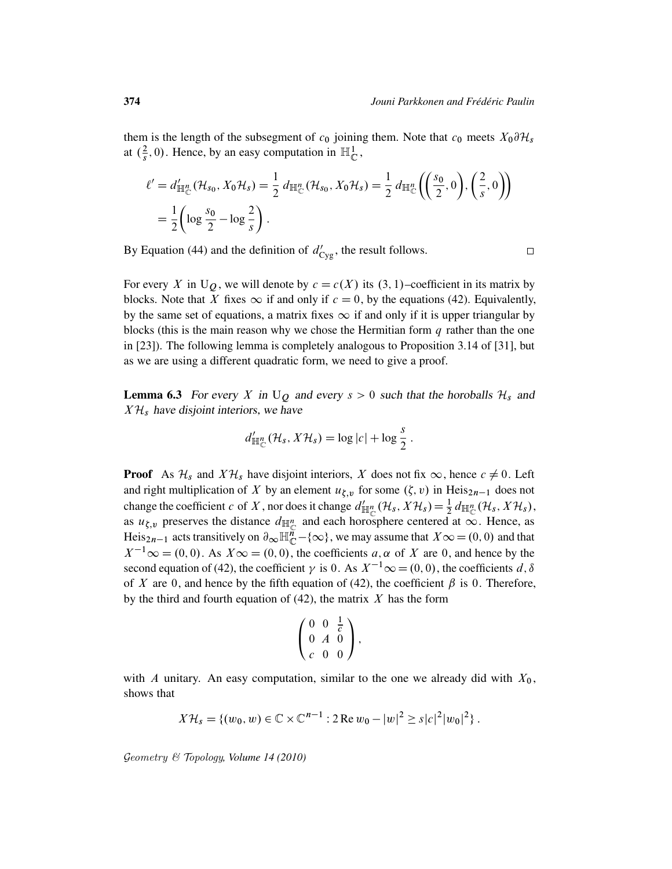them is the length of the subsegment of  $c_0$  joining them. Note that  $c_0$  meets  $X_0 \partial \mathcal{H}_s$ at  $(\frac{2}{s})$  $\frac{2}{s}$ , 0). Hence, by an easy computation in  $\mathbb{H}^1_{\mathbb{C}}$ ,

$$
\ell' = d'_{\mathbb{H}_{\mathbb{C}}^n}(\mathcal{H}_{s_0}, X_0 \mathcal{H}_s) = \frac{1}{2} d_{\mathbb{H}_{\mathbb{C}}^n}(\mathcal{H}_{s_0}, X_0 \mathcal{H}_s) = \frac{1}{2} d_{\mathbb{H}_{\mathbb{C}}^n} \left( \left( \frac{s_0}{2}, 0 \right), \left( \frac{2}{s}, 0 \right) \right)
$$
  
=  $\frac{1}{2} \left( \log \frac{s_0}{2} - \log \frac{2}{s} \right).$ 

By Equation (44) and the definition of  $d'_{\text{Cyg}}$ , the result follows.

 $\Box$ 

For every X in U<sub>Q</sub>, we will denote by  $c = c(X)$  its  $(3, 1)$ –coefficient in its matrix by blocks. Note that X fixes  $\infty$  if and only if  $c = 0$ , by the equations (42). Equivalently, by the same set of equations, a matrix fixes  $\infty$  if and only if it is upper triangular by blocks (this is the main reason why we chose the Hermitian form  $q$  rather than the one in [23]). The following lemma is completely analogous to Proposition 3.14 of [31], but as we are using a different quadratic form, we need to give a proof.

**Lemma 6.3** For every X in  $U_Q$  and every  $s > 0$  such that the horoballs  $\mathcal{H}_s$  and  $X\mathcal{H}_s$  have disjoint interiors, we have

$$
d'_{\mathbb{H}_{\mathbb{C}}^n}(\mathcal{H}_s, X\mathcal{H}_s) = \log |c| + \log \frac{s}{2}.
$$

**Proof** As  $\mathcal{H}_s$  and  $X\mathcal{H}_s$  have disjoint interiors, X does not fix  $\infty$ , hence  $c \neq 0$ . Left and right multiplication of X by an element  $u_{\xi,v}$  for some  $(\zeta,v)$  in Heis<sub>2n-1</sub> does not change the coefficient c of X, nor does it change  $d'_{\mathbb{H}_{\mathbb{C}}^n}(\mathcal{H}_s, X\mathcal{H}_s) = \frac{1}{2} d_{\mathbb{H}_{\mathbb{C}}^n}(\mathcal{H}_s, X\mathcal{H}_s)$ , as  $u_{\xi,v}$  preserves the distance  $d_{\mathbb{H}_{\mathbb{C}}^n}$  and each horosphere centered at  $\infty$ . Hence, as Heis<sub>2n-1</sub> acts transitively on  $\partial_\infty \mathbb{H}^n_{\mathbb{C}} - \{\infty\}$ , we may assume that  $X\infty = (0,0)$  and that  $X^{-1}$   $\infty$  = (0, 0). As  $X \infty$  = (0, 0), the coefficients a,  $\alpha$  of X are 0, and hence by the second equation of (42), the coefficient  $\gamma$  is 0. As  $X^{-1} \infty = (0, 0)$ , the coefficients d,  $\delta$ of X are 0, and hence by the fifth equation of (42), the coefficient  $\beta$  is 0. Therefore, by the third and fourth equation of  $(42)$ , the matrix X has the form

$$
\left(\begin{array}{ccc} 0 & 0 & \frac{1}{\overline{c}} \\ 0 & A & 0 \\ c & 0 & 0 \end{array}\right),
$$

with A unitary. An easy computation, similar to the one we already did with  $X_0$ , shows that

$$
X\mathcal{H}_s = \{(w_0, w) \in \mathbb{C} \times \mathbb{C}^{n-1} : 2 \operatorname{Re} w_0 - |w|^2 \ge s |c|^2 |w_0|^2 \}.
$$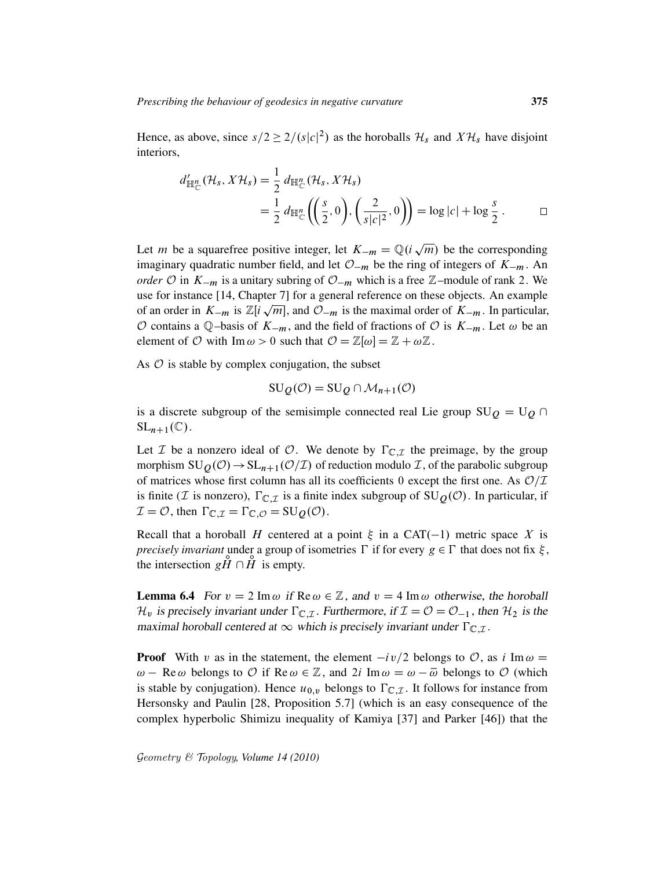Hence, as above, since  $s/2 \ge 2/(s|c|^2)$  as the horoballs  $\mathcal{H}_s$  and  $X\mathcal{H}_s$  have disjoint interiors,

$$
d'_{\mathbb{H}_{\mathbb{C}}^n}(\mathcal{H}_s, X\mathcal{H}_s) = \frac{1}{2} d_{\mathbb{H}_{\mathbb{C}}^n}(\mathcal{H}_s, X\mathcal{H}_s)
$$
  
= 
$$
\frac{1}{2} d_{\mathbb{H}_{\mathbb{C}}^n} \left( \left( \frac{s}{2}, 0 \right), \left( \frac{2}{s|c|^2}, 0 \right) \right) = \log |c| + \log \frac{s}{2} . \qquad \Box
$$

Let *m* be a squarefree positive integer, let  $K_{-m} = \mathbb{Q}(i\sqrt{m})$  be the corresponding p imaginary quadratic number field, and let  $\mathcal{O}_{-m}$  be the ring of integers of  $K_{-m}$ . An *order*  $\mathcal{O}$  in  $K_{-m}$  is a unitary subring of  $\mathcal{O}_{-m}$  which is a free  $\mathbb{Z}$ –module of rank 2. We use for instance [14, Chapter 7] for a general reference on these objects. An example of an order in  $K_{-m}$  is  $\mathbb{Z}[i\sqrt{m}]$ , and  $\mathcal{O}_{-m}$  is the maximal order of  $K_{-m}$ . In particular, O contains a Q-basis of  $K_{-m}$ , and the field of fractions of O is  $K_{-m}$ . Let  $\omega$  be an element of O with Im  $\omega > 0$  such that  $\mathcal{O} = \mathbb{Z}[\omega] = \mathbb{Z} + \omega \mathbb{Z}$ .

As  $\hat{O}$  is stable by complex conjugation, the subset

$$
SU_Q(\mathcal{O}) = SU_Q \cap \mathcal{M}_{n+1}(\mathcal{O})
$$

is a discrete subgroup of the semisimple connected real Lie group  $SU_0 = U_0 \cap$  $SL_{n+1}(\mathbb{C})$ .

Let *I* be a nonzero ideal of *O*. We denote by  $\Gamma_{\mathbb{C},\mathcal{I}}$  the preimage, by the group morphism  $SU_0(\mathcal{O}) \rightarrow SL_{n+1}(\mathcal{O}/\mathcal{I})$  of reduction modulo  $\mathcal{I}$ , of the parabolic subgroup of matrices whose first column has all its coefficients 0 except the first one. As  $\mathcal{O}/\mathcal{I}$ is finite (*I* is nonzero),  $\Gamma_{\mathbb{C},\mathcal{I}}$  is a finite index subgroup of  $SU_0(\mathcal{O})$ . In particular, if  $\mathcal{I} = \mathcal{O}$ , then  $\Gamma_{\mathbb{C},\mathcal{I}} = \Gamma_{\mathbb{C},\mathcal{O}} = \mathrm{SU}_Q(\mathcal{O})$ .

Recall that a horoball H centered at a point  $\xi$  in a CAT(-1) metric space X is *precisely invariant* under a group of isometries  $\Gamma$  if for every  $g \in \Gamma$  that does not fix  $\xi$ , the intersection  $g\breve{H} \cap \breve{H}$  is empty.

**Lemma 6.4** For  $v = 2 \text{ Im } \omega$  if Re  $\omega \in \mathbb{Z}$ , and  $v = 4 \text{ Im } \omega$  otherwise, the horoball  $\mathcal{H}_v$  is precisely invariant under  $\Gamma_{\mathbb{C},\mathcal{I}}$ . Furthermore, if  $\mathcal{I} = \mathcal{O} = \mathcal{O}_{-1}$ , then  $\mathcal{H}_2$  is the maximal horoball centered at  $\infty$  which is precisely invariant under  $\Gamma_{\mathbb{C},\mathcal{I}}$ .

**Proof** With v as in the statement, the element  $-i\nu/2$  belongs to  $\mathcal{O}$ , as i Im  $\omega$  =  $\omega$  – Re  $\omega$  belongs to  $\mathcal O$  if Re  $\omega \in \mathbb Z$ , and  $2i \text{Im } \omega = \omega - \overline{\omega}$  belongs to  $\mathcal O$  (which is stable by conjugation). Hence  $u_{0,y}$  belongs to  $\Gamma_{\mathbb{C},\mathcal{I}}$ . It follows for instance from Hersonsky and Paulin [28, Proposition 5.7] (which is an easy consequence of the complex hyperbolic Shimizu inequality of Kamiya [37] and Parker [46]) that the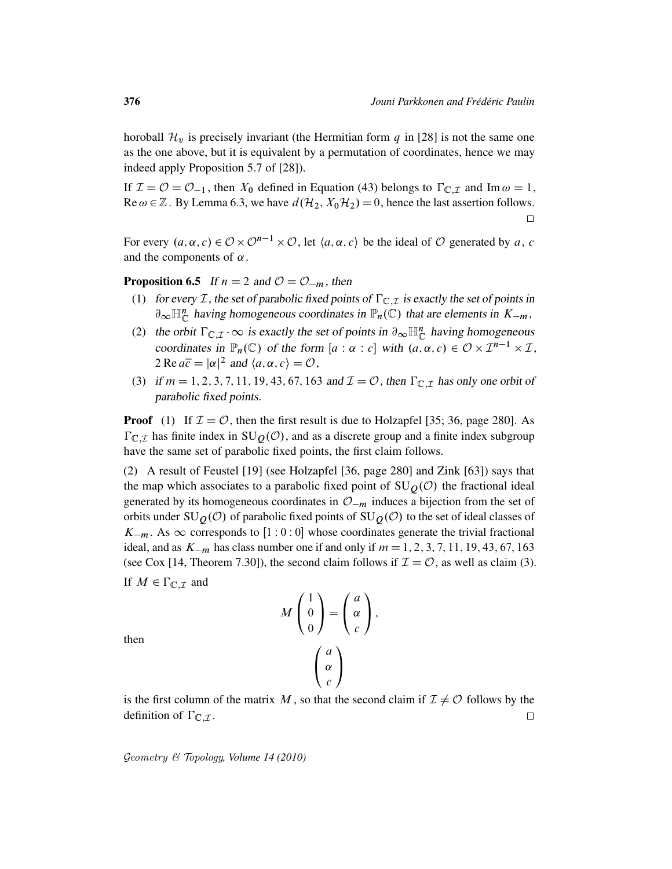horoball  $\mathcal{H}_v$  is precisely invariant (the Hermitian form q in [28] is not the same one as the one above, but it is equivalent by a permutation of coordinates, hence we may indeed apply Proposition 5.7 of [28]).

If  $\mathcal{I} = \mathcal{O} = \mathcal{O}_{-1}$ , then  $X_0$  defined in Equation (43) belongs to  $\Gamma_{\mathbb{C},\mathcal{I}}$  and Im  $\omega = 1$ , Re  $\omega \in \mathbb{Z}$ . By Lemma 6.3, we have  $d(\mathcal{H}_2, X_0\mathcal{H}_2) = 0$ , hence the last assertion follows.  $\Box$ 

For every  $(a, \alpha, c) \in \mathcal{O} \times \mathcal{O}^{n-1} \times \mathcal{O}$ , let  $\langle a, \alpha, c \rangle$  be the ideal of  $\mathcal O$  generated by a, c and the components of  $\alpha$ .

**Proposition 6.5** If  $n = 2$  and  $\mathcal{O} = \mathcal{O}_{-m}$ , then

- (1) for every  $\mathcal I$ , the set of parabolic fixed points of  $\Gamma_{\mathbb C,\mathcal I}$  is exactly the set of points in  $\partial_{\infty} \mathbb{H}_{\mathbb{C}}^n$  having homogeneous coordinates in  $\mathbb{P}_n(\mathbb{C})$  that are elements in  $K_{-m}$ ,
- (2) the orbit  $\Gamma_{\mathbb{C},\mathcal{I}} \cdot \infty$  is exactly the set of points in  $\partial_{\infty} \mathbb{H}_{\mathbb{C}}^n$  having homogeneous coordinates in  $\mathbb{P}_n(\mathbb{C})$  of the form  $[a : \alpha : c]$  with  $(a, \alpha, c) \in \mathcal{O} \times \mathcal{I}^{n-1} \times \mathcal{I}$ , 2 Re  $a\overline{c} = |\alpha|^2$  and  $\langle a, \alpha, c \rangle = \mathcal{O}$ ,
- (3) if  $m = 1, 2, 3, 7, 11, 19, 43, 67, 163$  and  $\mathcal{I} = \mathcal{O}$ , then  $\Gamma_{\mathbb{C},\mathcal{I}}$  has only one orbit of parabolic fixed points.

**Proof** (1) If  $\mathcal{I} = \mathcal{O}$ , then the first result is due to Holzapfel [35; 36, page 280]. As  $\Gamma_{\mathbb{C},\mathcal{I}}$  has finite index in  $SU_0(\mathcal{O})$ , and as a discrete group and a finite index subgroup have the same set of parabolic fixed points, the first claim follows.

(2) A result of Feustel [19] (see Holzapfel [36, page 280] and Zink [63]) says that the map which associates to a parabolic fixed point of  $SU<sub>Q</sub>(O)$  the fractional ideal generated by its homogeneous coordinates in  $\mathcal{O}_{-m}$  induces a bijection from the set of orbits under  $SU_0(\mathcal{O})$  of parabolic fixed points of  $SU_0(\mathcal{O})$  to the set of ideal classes of  $K_{-m}$ . As  $\infty$  corresponds to [1 : 0 : 0] whose coordinates generate the trivial fractional ideal, and as  $K_{-m}$  has class number one if and only if  $m = 1, 2, 3, 7, 11, 19, 43, 67, 163$ (see Cox [14, Theorem 7.30]), the second claim follows if  $\mathcal{I} = \mathcal{O}$ , as well as claim (3). If  $M \in \Gamma_{\mathbb{C},\mathcal{I}}$  and

$$
M\begin{pmatrix} 1\\0\\0 \end{pmatrix} = \begin{pmatrix} a\\ \alpha\\c \end{pmatrix},
$$

$$
\begin{pmatrix} a\\ \alpha\\c \end{pmatrix}
$$

then

is the first column of the matrix M, so that the second claim if  $\mathcal{I} \neq \mathcal{O}$  follows by the definition of  $\Gamma_{\mathbb{C},\mathcal{I}}$ .  $\Box$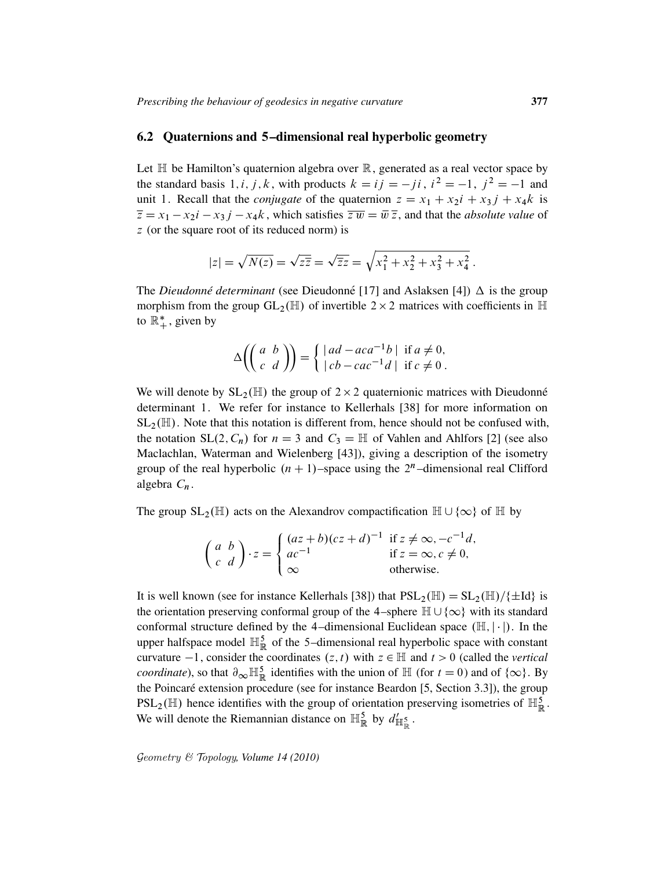### 6.2 Quaternions and 5–dimensional real hyperbolic geometry

Let  $\mathbb H$  be Hamilton's quaternion algebra over  $\mathbb R$ , generated as a real vector space by the standard basis 1, *i*, *j*, *k*, with products  $k = ij = -ji$ ,  $i^2 = -1$ ,  $j^2 = -1$  and unit 1. Recall that the *conjugate* of the quaternion  $z = x_1 + x_2i + x_3j + x_4k$  is  $\overline{z} = x_1 - x_2i - x_3j - x_4k$ , which satisfies  $\overline{zw} = \overline{w}\,\overline{z}$ , and that the *absolute value* of z (or the square root of its reduced norm) is

$$
|z| = \sqrt{N(z)} = \sqrt{z\overline{z}} = \sqrt{\overline{z}z} = \sqrt{x_1^2 + x_2^2 + x_3^2 + x_4^2}
$$
.

The *Dieudonné determinant* (see Dieudonné [17] and Aslaksen [4])  $\Delta$  is the group morphism from the group  $GL_2(\mathbb{H})$  of invertible  $2 \times 2$  matrices with coefficients in  $\mathbb{H}$ to  $\mathbb{R}^*_+$ , given by

$$
\Delta\left(\left(\begin{array}{cc} a & b \\ c & d \end{array}\right)\right) = \begin{cases} |ad - aca^{-1}b| & \text{if } a \neq 0, \\ |cb - cac^{-1}d| & \text{if } c \neq 0. \end{cases}
$$

We will denote by  $SL_2(\mathbb{H})$  the group of  $2 \times 2$  quaternionic matrices with Dieudonné determinant 1. We refer for instance to Kellerhals [38] for more information on  $SL_2(\mathbb{H})$ . Note that this notation is different from, hence should not be confused with, the notation  $SL(2, C_n)$  for  $n = 3$  and  $C_3 = H$  of Vahlen and Ahlfors [2] (see also Maclachlan, Waterman and Wielenberg [43]), giving a description of the isometry group of the real hyperbolic  $(n + 1)$ –space using the  $2<sup>n</sup>$ –dimensional real Clifford algebra  $C_n$ .

The group  $SL_2(\mathbb{H})$  acts on the Alexandrov compactification  $\mathbb{H} \cup \{\infty\}$  of  $\mathbb{H}$  by

$$
\begin{pmatrix} a & b \\ c & d \end{pmatrix} \cdot z = \begin{cases} (az+b)(cz+d)^{-1} & \text{if } z \neq \infty, -c^{-1}d, \\ ac^{-1} & \text{if } z = \infty, c \neq 0, \\ \infty & \text{otherwise.} \end{cases}
$$

It is well known (see for instance Kellerhals [38]) that  $PSL_2(\mathbb{H}) = SL_2(\mathbb{H})/\{\pm Id\}$  is the orientation preserving conformal group of the 4–sphere  $\mathbb{H} \cup {\infty}$  with its standard conformal structure defined by the 4-dimensional Euclidean space  $(\mathbb{H}, |\cdot|)$ . In the upper halfspace model  $\mathbb{H}_{\mathbb{R}}^5$  of the 5-dimensional real hyperbolic space with constant curvature  $-1$ , consider the coordinates  $(z, t)$  with  $z \in \mathbb{H}$  and  $t > 0$  (called the *vertical coordinate*), so that  $\partial_{\infty} \mathbb{H}_{\mathbb{R}}^5$  identifies with the union of  $\mathbb{H}$  (for  $t = 0$ ) and of  $\{\infty\}$ . By the Poincaré extension procedure (see for instance Beardon [5, Section 3.3]), the group  $PSL_2(\mathbb{H})$  hence identifies with the group of orientation preserving isometries of  $\mathbb{H}^5_{\mathbb{R}}$ . We will denote the Riemannian distance on  $\mathbb{H}_{\mathbb{R}}^5$  by  $d'_{\mathbb{H}_{\mathbb{R}}^5}$ .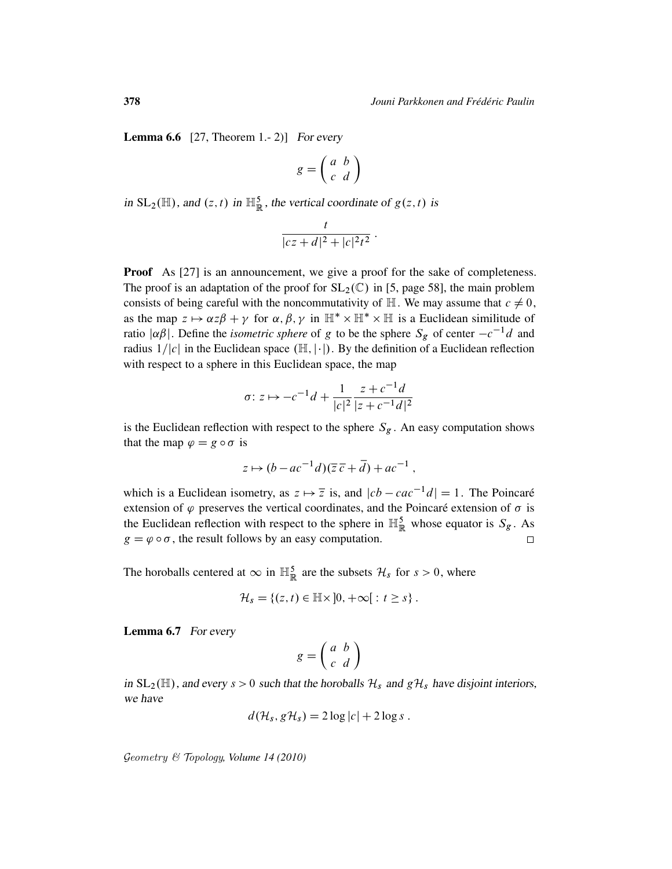**Lemma 6.6** [27, Theorem 1.-2)] For every

$$
g = \left(\begin{array}{cc} a & b \\ c & d \end{array}\right)
$$

in  $SL_2(\mathbb{H})$ , and  $(z, t)$  in  $\mathbb{H}^5_{\mathbb{R}}$ , the vertical coordinate of  $g(z, t)$  is

$$
\frac{t}{|cz+d|^2+|c|^2t^2}.
$$

**Proof** As [27] is an announcement, we give a proof for the sake of completeness. The proof is an adaptation of the proof for  $SL_2(\mathbb{C})$  in [5, page 58], the main problem consists of being careful with the noncommutativity of  $\mathbb{H}$ . We may assume that  $c \neq 0$ , as the map  $z \mapsto \alpha z \beta + \gamma$  for  $\alpha, \beta, \gamma$  in  $\mathbb{H}^* \times \mathbb{H}^* \times \mathbb{H}$  is a Euclidean similitude of ratio  $|\alpha\beta|$ . Define the *isometric sphere* of g to be the sphere  $S_g$  of center  $-c^{-1}d$  and radius  $1/|c|$  in the Euclidean space  $(\mathbb{H}, |\cdot|)$ . By the definition of a Euclidean reflection with respect to a sphere in this Euclidean space, the map

$$
\sigma: z \mapsto -c^{-1}d + \frac{1}{|c|^2} \frac{z + c^{-1}d}{|z + c^{-1}d|^2}
$$

is the Euclidean reflection with respect to the sphere  $S_g$ . An easy computation shows that the map  $\varphi = g \circ \sigma$  is

$$
z \mapsto (b - ac^{-1}d)(\overline{z}\,\overline{c} + \overline{d}) + ac^{-1},
$$

which is a Euclidean isometry, as  $z \mapsto \overline{z}$  is, and  $|cb - cac^{-1}d| = 1$ . The Poincaré extension of  $\varphi$  preserves the vertical coordinates, and the Poincaré extension of  $\sigma$  is the Euclidean reflection with respect to the sphere in  $\mathbb{H}_{\mathbb{R}}^5$  whose equator is  $S_g$ . As  $g = \varphi \circ \sigma$ , the result follows by an easy computation.

The horoballs centered at  $\infty$  in  $\mathbb{H}^5_{\mathbb{R}}$  are the subsets  $\mathcal{H}_s$  for  $s > 0$ , where

$$
\mathcal{H}_s = \{(z,t) \in \mathbb{H} \times ]0, +\infty[ : t \geq s \}.
$$

Lemma 6.7 For every

$$
g = \left(\begin{array}{cc} a & b \\ c & d \end{array}\right)
$$

in  $SL_2(\mathbb{H})$ , and every  $s > 0$  such that the horoballs  $\mathcal{H}_s$  and  $g\mathcal{H}_s$  have disjoint interiors, we have

$$
d(\mathcal{H}_s, g\mathcal{H}_s) = 2\log|c| + 2\log s.
$$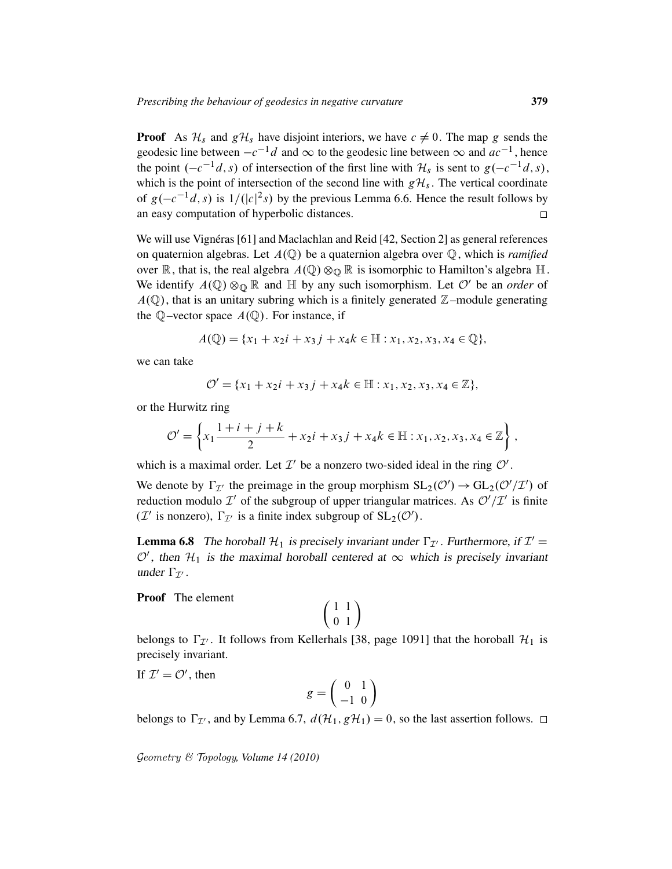**Proof** As  $\mathcal{H}_s$  and  $g\mathcal{H}_s$  have disjoint interiors, we have  $c \neq 0$ . The map g sends the geodesic line between  $-c^{-1}d$  and  $\infty$  to the geodesic line between  $\infty$  and  $ac^{-1}$ , hence the point  $(-c^{-1}d, s)$  of intersection of the first line with  $\mathcal{H}_s$  is sent to  $g(-c^{-1}d, s)$ , which is the point of intersection of the second line with  $g\mathcal{H}_s$ . The vertical coordinate of  $g(-c^{-1}d, s)$  is  $1/(|c|^2s)$  by the previous Lemma 6.6. Hence the result follows by an easy computation of hyperbolic distances.  $\Box$ 

We will use Vignéras [61] and Maclachlan and Reid [42, Section 2] as general references on quaternion algebras. Let  $A(\mathbb{Q})$  be a quaternion algebra over  $\mathbb{Q}$ , which is *ramified* over  $\mathbb R$ , that is, the real algebra  $A(\mathbb Q)\otimes_{\mathbb Q}\mathbb R$  is isomorphic to Hamilton's algebra  $\mathbb H$ . We identify  $A(\mathbb{Q}) \otimes_{\mathbb{Q}} \mathbb{R}$  and  $\mathbb{H}$  by any such isomorphism. Let  $\mathcal{O}'$  be an *order* of  $A(\mathbb{Q})$ , that is an unitary subring which is a finitely generated  $\mathbb{Z}$ –module generating the  $\mathbb{Q}$ -vector space  $A(\mathbb{Q})$ . For instance, if

$$
A(\mathbb{Q}) = \{x_1 + x_2i + x_3j + x_4k \in \mathbb{H} : x_1, x_2, x_3, x_4 \in \mathbb{Q}\},\
$$

we can take

$$
\mathcal{O}' = \{x_1 + x_2i + x_3j + x_4k \in \mathbb{H} : x_1, x_2, x_3, x_4 \in \mathbb{Z}\},\
$$

or the Hurwitz ring

$$
\mathcal{O}' = \left\{ x_1 \frac{1+i+j+k}{2} + x_2 i + x_3 j + x_4 k \in \mathbb{H} : x_1, x_2, x_3, x_4 \in \mathbb{Z} \right\},\
$$

which is a maximal order. Let  $\mathcal{I}'$  be a nonzero two-sided ideal in the ring  $\mathcal{O}'$ .

We denote by  $\Gamma_{\mathcal{I}}$  the preimage in the group morphism  $SL_2(\mathcal{O}') \to GL_2(\mathcal{O}'/\mathcal{I}')$  of reduction modulo  $\mathcal{I}'$  of the subgroup of upper triangular matrices. As  $\mathcal{O}'/\mathcal{I}'$  is finite ( $\mathcal{I}'$  is nonzero),  $\Gamma_{\mathcal{I}'}$  is a finite index subgroup of  $SL_2(\mathcal{O}')$ .

**Lemma 6.8** The horoball  $\mathcal{H}_1$  is precisely invariant under  $\Gamma_{\mathcal{I}}$ . Furthermore, if  $\mathcal{I}' =$  $\mathcal{O}'$ , then  $\mathcal{H}_1$  is the maximal horoball centered at  $\infty$  which is precisely invariant under  $\Gamma_{\mathcal{I}'}$ .

Proof The element

$$
\left(\begin{array}{cc} 1 & 1 \\ 0 & 1 \end{array}\right)
$$

belongs to  $\Gamma_{\mathcal{I}}$ . It follows from Kellerhals [38, page 1091] that the horoball  $\mathcal{H}_1$  is precisely invariant.

If  $\mathcal{I}' = \mathcal{O}'$ , then

$$
g = \left(\begin{array}{cc} 0 & 1 \\ -1 & 0 \end{array}\right)
$$

belongs to  $\Gamma_{\mathcal{I}}$ , and by Lemma 6.7,  $d(\mathcal{H}_1, g\mathcal{H}_1) = 0$ , so the last assertion follows.  $\Box$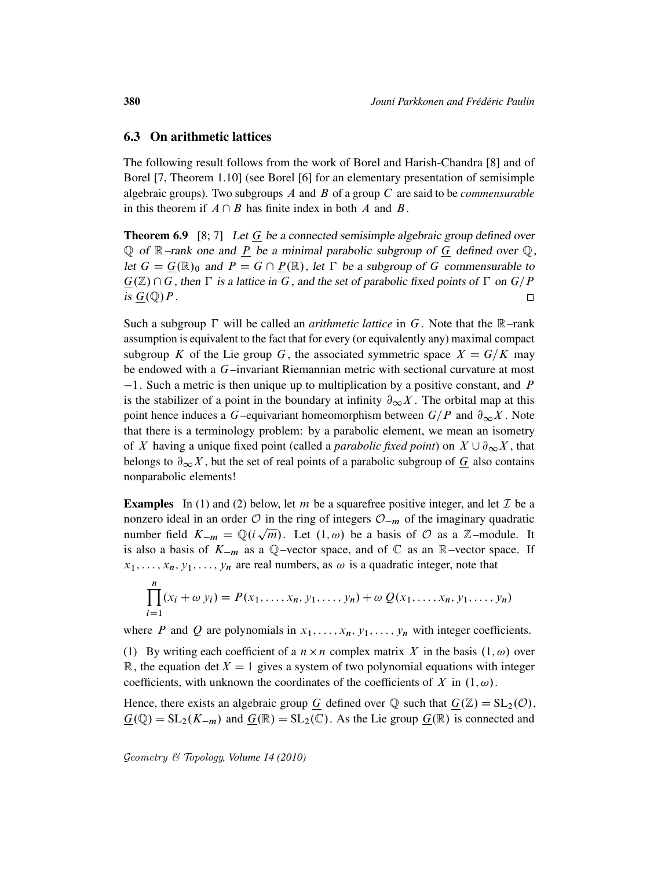### 6.3 On arithmetic lattices

The following result follows from the work of Borel and Harish-Chandra [8] and of Borel [7, Theorem 1.10] (see Borel [6] for an elementary presentation of semisimple algebraic groups). Two subgroups A and B of a group C are said to be *commensurable* in this theorem if  $A \cap B$  has finite index in both A and B.

**Theorem 6.9** [8; 7] Let  $G$  be a connected semisimple algebraic group defined over  $\mathbb Q$  of  $\mathbb R$ –rank one and P be a minimal parabolic subgroup of G defined over  $\mathbb Q$ , let  $G = \underline{G}(\mathbb{R})_0$  and  $P = G \cap \underline{P}(\mathbb{R})$ , let  $\Gamma$  be a subgroup of G commensurable to  $G(\mathbb{Z}) \cap G$ , then  $\Gamma$  is a lattice in G, and the set of parabolic fixed points of  $\Gamma$  on  $G/P$ is  $G(\mathbb{Q})P$ .  $\Box$ 

Such a subgroup  $\Gamma$  will be called an *arithmetic lattice* in G. Note that the  $\mathbb{R}$ -rank assumption is equivalent to the fact that for every (or equivalently any) maximal compact subgroup K of the Lie group G, the associated symmetric space  $X = G/K$  may be endowed with a G–invariant Riemannian metric with sectional curvature at most  $-1$ . Such a metric is then unique up to multiplication by a positive constant, and P is the stabilizer of a point in the boundary at infinity  $\partial_{\infty}X$ . The orbital map at this point hence induces a G–equivariant homeomorphism between  $G/P$  and  $\partial_{\infty}X$ . Note that there is a terminology problem: by a parabolic element, we mean an isometry of X having a unique fixed point (called a *parabolic fixed point*) on  $X \cup \partial_{\infty} X$ , that belongs to  $\partial_{\infty} X$ , but the set of real points of a parabolic subgroup of  $G$  also contains nonparabolic elements!

**Examples** In (1) and (2) below, let m be a squarefree positive integer, and let  $\mathcal{I}$  be a nonzero ideal in an order  $\mathcal{O}$  in the ring of integers  $\mathcal{O}_{-m}$  of the imaginary quadratic number field  $K_{-m} = \mathbb{Q}(i\sqrt{m})$ . Let  $(1, \omega)$  be a basis of  $\mathcal O$  as a Z-module. It is also a basis of  $K_{-m}$  as a Q–vector space, and of  $\mathbb C$  as an R–vector space. If  $x_1, \ldots, x_n, y_1, \ldots, y_n$  are real numbers, as  $\omega$  is a quadratic integer, note that

$$
\prod_{i=1}^{n} (x_i + \omega y_i) = P(x_1, ..., x_n, y_1, ..., y_n) + \omega Q(x_1, ..., x_n, y_1, ..., y_n)
$$

where P and Q are polynomials in  $x_1, \ldots, x_n, y_1, \ldots, y_n$  with integer coefficients.

(1) By writing each coefficient of a  $n \times n$  complex matrix X in the basis  $(1, \omega)$  over R, the equation det  $X = 1$  gives a system of two polynomial equations with integer coefficients, with unknown the coordinates of the coefficients of X in  $(1, \omega)$ .

Hence, there exists an algebraic group G defined over  $\mathbb Q$  such that  $G(\mathbb Z) = SL_2(\mathcal O)$ ,  $\underline{G}(\mathbb{Q}) = SL_2(K_{-m})$  and  $\underline{G}(\mathbb{R}) = SL_2(\mathbb{C})$ . As the Lie group  $\underline{G}(\mathbb{R})$  is connected and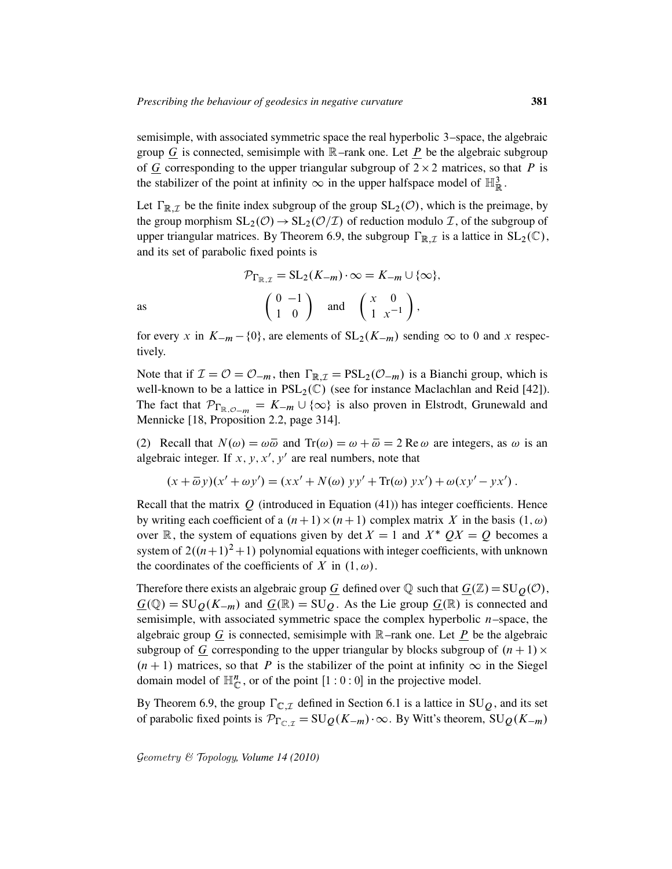semisimple, with associated symmetric space the real hyperbolic 3–space, the algebraic group G is connected, semisimple with  $\mathbb{R}$ –rank one. Let P be the algebraic subgroup of  $G$  corresponding to the upper triangular subgroup of  $2 \times 2$  matrices, so that P is the stabilizer of the point at infinity  $\infty$  in the upper halfspace model of  $\mathbb{H}^3_{\mathbb{R}}$ .

Let  $\Gamma_{\mathbb{R},\mathcal{I}}$  be the finite index subgroup of the group  $SL_2(\mathcal{O})$ , which is the preimage, by the group morphism  $SL_2(\mathcal{O}) \to SL_2(\mathcal{O}/\mathcal{I})$  of reduction modulo  $\mathcal{I}$ , of the subgroup of upper triangular matrices. By Theorem 6.9, the subgroup  $\Gamma_{\mathbb{R},\mathcal{I}}$  is a lattice in  $SL_2(\mathbb{C})$ , and its set of parabolic fixed points is

$$
\mathcal{P}_{\Gamma_{\mathbb{R},\mathcal{I}}} = \text{SL}_2(K_{-m}) \cdot \infty = K_{-m} \cup \{\infty\},\
$$
as
$$
\begin{pmatrix} 0 & -1 \\ 1 & 0 \end{pmatrix} \text{ and } \begin{pmatrix} x & 0 \\ 1 & x^{-1} \end{pmatrix},
$$

for every x in  $K_{-m} - \{0\}$ , are elements of  $SL_2(K_{-m})$  sending  $\infty$  to 0 and x respectively.

Note that if  $\mathcal{I} = \mathcal{O} = \mathcal{O}_{-m}$ , then  $\Gamma_{\mathbb{R},\mathcal{I}} = \text{PSL}_2(\mathcal{O}_{-m})$  is a Bianchi group, which is well-known to be a lattice in  $PSL_2(\mathbb{C})$  (see for instance Maclachlan and Reid [42]). The fact that  $\mathcal{P}_{\Gamma_{\mathbb{R},\mathcal{O}-m}} = K_{-m} \cup \{\infty\}$  is also proven in Elstrodt, Grunewald and Mennicke [18, Proposition 2.2, page 314].

(2) Recall that  $N(\omega) = \omega \overline{\omega}$  and  $Tr(\omega) = \omega + \overline{\omega} = 2$  Re  $\omega$  are integers, as  $\omega$  is an algebraic integer. If  $x, y, x', y'$  are real numbers, note that

$$
(x + \overline{\omega}y)(x' + \omega y') = (xx' + N(\omega)yy' + \text{Tr}(\omega)yx') + \omega(xy' - yx').
$$

Recall that the matrix  $Q$  (introduced in Equation (41)) has integer coefficients. Hence by writing each coefficient of a  $(n + 1) \times (n + 1)$  complex matrix X in the basis  $(1, \omega)$ over  $\mathbb R$ , the system of equations given by det  $X = 1$  and  $X^*$   $\mathcal{O}X = \mathcal{O}$  becomes a system of  $2((n+1)^2+1)$  polynomial equations with integer coefficients, with unknown the coordinates of the coefficients of X in  $(1, \omega)$ .

Therefore there exists an algebraic group G defined over  $\mathbb Q$  such that  $G(\mathbb Z) = SU_0(\mathcal{O}),$  $G(\mathbb{Q}) = SU_0(K_{-m})$  and  $G(\mathbb{R}) = SU_0$ . As the Lie group  $G(\mathbb{R})$  is connected and semisimple, with associated symmetric space the complex hyperbolic  $n$ –space, the algebraic group  $G$  is connected, semisimple with  $\mathbb{R}$ -rank one. Let P be the algebraic subgroup of  $G$  corresponding to the upper triangular by blocks subgroup of  $(n + 1) \times$  $(n + 1)$  matrices, so that P is the stabilizer of the point at infinity  $\infty$  in the Siegel domain model of  $\mathbb{H}_{\mathbb{C}}^n$ , or of the point  $[1:0:0]$  in the projective model.

By Theorem 6.9, the group  $\Gamma_{\mathbb{C},\mathcal{I}}$  defined in Section 6.1 is a lattice in SU $\varrho$ , and its set of parabolic fixed points is  $\mathcal{P}_{\Gamma_{\mathbb{C}\times\mathbb{Z}}} = SU_Q(K_{-m})\cdot\infty$ . By Witt's theorem,  $SU_Q(K_{-m})$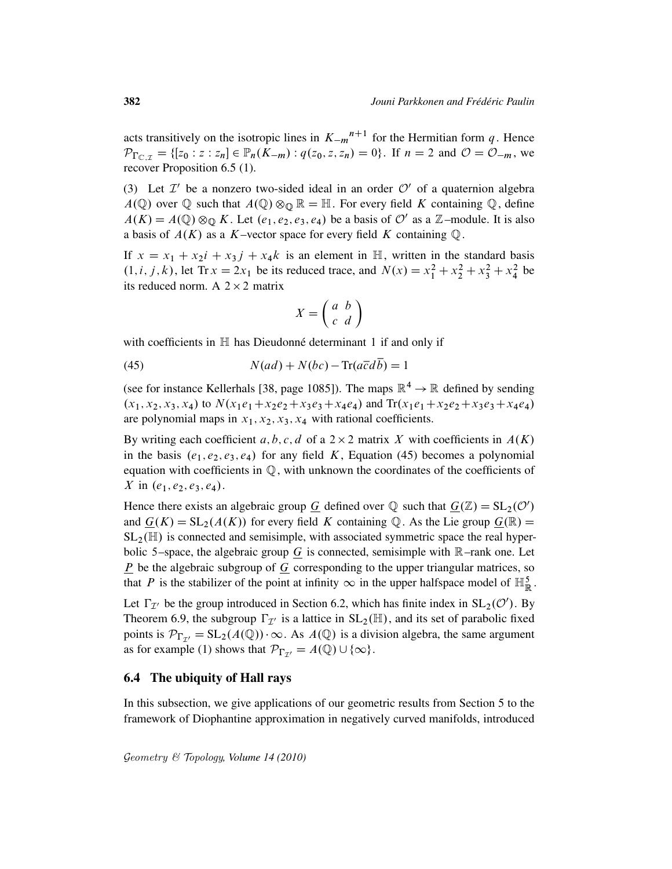acts transitively on the isotropic lines in  $K_{-m}^{n+1}$  for the Hermitian form q. Hence  $\mathcal{P}_{\Gamma_{\mathbb{C},\mathcal{I}}} = \{ [z_0 : z : z_n] \in \mathbb{P}_n(K_{-m}) : q(z_0, z, z_n) = 0 \}.$  If  $n = 2$  and  $\mathcal{O} = \mathcal{O}_{-m}$ , we recover Proposition 6.5 (1).

(3) Let  $\mathcal{I}'$  be a nonzero two-sided ideal in an order  $\mathcal{O}'$  of a quaternion algebra  $A(\mathbb{Q})$  over  $\mathbb Q$  such that  $A(\mathbb{Q}) \otimes_{\mathbb Q} \mathbb{R} = \mathbb{H}$ . For every field K containing  $\mathbb Q$ , define  $A(K) = A(\mathbb{Q}) \otimes_{\mathbb{Q}} K$ . Let  $(e_1, e_2, e_3, e_4)$  be a basis of  $\mathcal{O}'$  as a Z-module. It is also a basis of  $A(K)$  as a K–vector space for every field K containing Q.

If  $x = x_1 + x_2i + x_3j + x_4k$  is an element in H, written in the standard basis  $(1, i, j, k)$ , let Tr  $x = 2x_1$  be its reduced trace, and  $N(x) = x_1^2 + x_2^2 + x_3^2 + x_4^2$  be its reduced norm. A  $2 \times 2$  matrix

$$
X = \left(\begin{array}{cc} a & b \\ c & d \end{array}\right)
$$

with coefficients in  $\mathbb H$  has Dieudonné determinant 1 if and only if

(45) 
$$
N(ad) + N(bc) - \text{Tr}(a\overline{c}d\overline{b}) = 1
$$

(see for instance Kellerhals [38, page 1085]). The maps  $\mathbb{R}^4 \to \mathbb{R}$  defined by sending  $(x_1, x_2, x_3, x_4)$  to  $N(x_1e_1+x_2e_2+x_3e_3+x_4e_4)$  and  $Tr(x_1e_1+x_2e_2+x_3e_3+x_4e_4)$ are polynomial maps in  $x_1, x_2, x_3, x_4$  with rational coefficients.

By writing each coefficient a, b, c, d of a  $2 \times 2$  matrix X with coefficients in  $A(K)$ in the basis  $(e_1, e_2, e_3, e_4)$  for any field K, Equation (45) becomes a polynomial equation with coefficients in Q, with unknown the coordinates of the coefficients of X in  $(e_1, e_2, e_3, e_4)$ .

Hence there exists an algebraic group  $\underline{G}$  defined over  $\mathbb Q$  such that  $\underline{G}(\mathbb Z) = \mathrm{SL}_2(\mathcal O')$ and  $G(K) = SL_2(A(K))$  for every field K containing Q. As the Lie group  $G(\mathbb{R}) =$  $SL_2(\mathbb{H})$  is connected and semisimple, with associated symmetric space the real hyperbolic 5–space, the algebraic group  $\overline{G}$  is connected, semisimple with R–rank one. Let  $\underline{P}$  be the algebraic subgroup of  $\underline{G}$  corresponding to the upper triangular matrices, so that P is the stabilizer of the point at infinity  $\infty$  in the upper halfspace model of  $\mathbb{H}^5_{\mathbb{R}}$ .

Let  $\Gamma_{\mathcal{I}}$  be the group introduced in Section 6.2, which has finite index in  $SL_2(\mathcal{O}')$ . By Theorem 6.9, the subgroup  $\Gamma_{\mathcal{I}'}$  is a lattice in  $SL_2(\mathbb{H})$ , and its set of parabolic fixed points is  $\mathcal{P}_{\Gamma_{\tau'}} = SL_2(A(\mathbb{Q})) \cdot \infty$ . As  $A(\mathbb{Q})$  is a division algebra, the same argument as for example (1) shows that  $\mathcal{P}_{\Gamma_{\tau'}} = A(\mathbb{Q}) \cup \{\infty\}.$ 

### 6.4 The ubiquity of Hall rays

In this subsection, we give applications of our geometric results from Section 5 to the framework of Diophantine approximation in negatively curved manifolds, introduced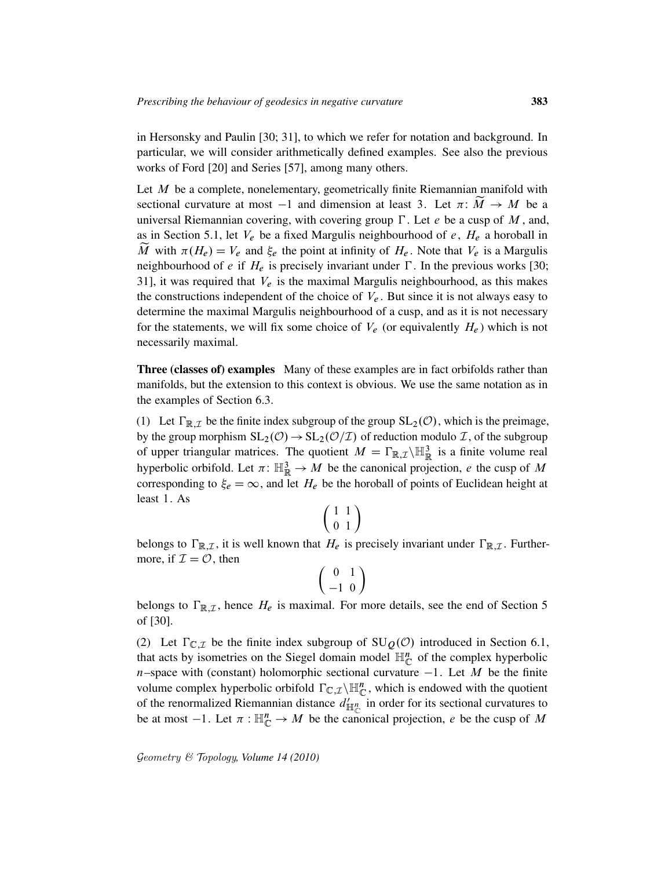in Hersonsky and Paulin [30; 31], to which we refer for notation and background. In particular, we will consider arithmetically defined examples. See also the previous works of Ford [20] and Series [57], among many others.

Let  $M$  be a complete, nonelementary, geometrically finite Riemannian manifold with sectional curvature at most  $-1$  and dimension at least 3. Let  $\pi: \widetilde{M} \to M$  be a universal Riemannian covering, with covering group  $\Gamma$ . Let e be a cusp of M, and, as in Section 5.1, let  $V_e$  be a fixed Margulis neighbourhood of e,  $H_e$  a horoball in M with  $\pi(H_e) = V_e$  and  $\xi_e$  the point at infinity of  $H_e$ . Note that  $V_e$  is a Margulis neighbourhood of e if  $H_e$  is precisely invariant under  $\Gamma$ . In the previous works [30; 31], it was required that  $V_e$  is the maximal Margulis neighbourhood, as this makes the constructions independent of the choice of  $V_e$ . But since it is not always easy to determine the maximal Margulis neighbourhood of a cusp, and as it is not necessary for the statements, we will fix some choice of  $V_e$  (or equivalently  $H_e$ ) which is not necessarily maximal.

Three (classes of) examples Many of these examples are in fact orbifolds rather than manifolds, but the extension to this context is obvious. We use the same notation as in the examples of Section 6.3.

(1) Let  $\Gamma_{\mathbb{R},\mathcal{I}}$  be the finite index subgroup of the group  $SL_2(\mathcal{O})$ , which is the preimage, by the group morphism  $SL_2(\mathcal{O}) \to SL_2(\mathcal{O}/\mathcal{I})$  of reduction modulo  $\mathcal{I}$ , of the subgroup of upper triangular matrices. The quotient  $M = \Gamma_{\mathbb{R}, \mathcal{I}} \setminus \mathbb{H}_{\mathbb{R}}^3$  is a finite volume real hyperbolic orbifold. Let  $\pi: \mathbb{H}^3_{\mathbb{R}} \to M$  be the canonical projection, e the cusp of M corresponding to  $\xi_e = \infty$ , and let  $H_e$  be the horoball of points of Euclidean height at least 1. As

$$
\left(\begin{array}{cc} 1 & 1 \\ 0 & 1 \end{array}\right)
$$

belongs to  $\Gamma_{\mathbb{R},\mathcal{I}}$ , it is well known that  $H_e$  is precisely invariant under  $\Gamma_{\mathbb{R},\mathcal{I}}$ . Furthermore, if  $\mathcal{I} = \mathcal{O}$ , then

$$
\left(\begin{array}{cc} 0 & 1 \\ -1 & 0 \end{array}\right)
$$

belongs to  $\Gamma_{\mathbb{R},\mathcal{I}}$ , hence  $H_e$  is maximal. For more details, see the end of Section 5 of [30].

(2) Let  $\Gamma_{\mathbb{C},\mathcal{I}}$  be the finite index subgroup of  $SU_{\mathcal{Q}}(\mathcal{O})$  introduced in Section 6.1, that acts by isometries on the Siegel domain model  $\mathbb{H}_{\mathbb{C}}^{n}$  of the complex hyperbolic n–space with (constant) holomorphic sectional curvature  $-1$ . Let M be the finite volume complex hyperbolic orbifold  $\Gamma_{\mathbb{C},\mathcal{I}}\backslash\mathbb{H}_{\mathbb{C}}^n$ , which is endowed with the quotient of the renormalized Riemannian distance  $d'_{\mathbb{H}_{\mathbb{C}}^n}$  in order for its sectional curvatures to be at most  $-1$ . Let  $\pi : \mathbb{H}_{\mathbb{C}}^n \to M$  be the canonical projection, e be the cusp of M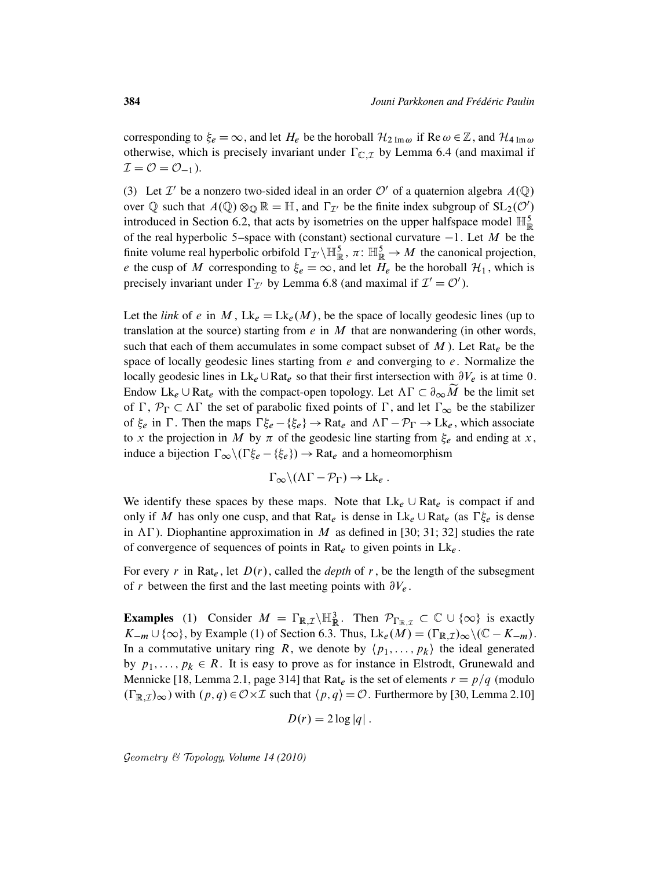corresponding to  $\xi_e = \infty$ , and let  $H_e$  be the horoball  $\mathcal{H}_{2 \text{ Im }\omega}$  if Re  $\omega \in \mathbb{Z}$ , and  $\mathcal{H}_{4 \text{ Im }\omega}$ otherwise, which is precisely invariant under  $\Gamma_{\mathbb{C},\mathcal{I}}$  by Lemma 6.4 (and maximal if  $\mathcal{I} = \mathcal{O} = \mathcal{O}_{-1}$ ).

(3) Let  $\mathcal{I}'$  be a nonzero two-sided ideal in an order  $\mathcal{O}'$  of a quaternion algebra  $A(\mathbb{Q})$ over Q such that  $A(\mathbb{Q}) \otimes_{\mathbb{Q}} \mathbb{R} = \mathbb{H}$ , and  $\Gamma_{\mathcal{I}}$  be the finite index subgroup of  $SL_2(\mathcal{O}')$ introduced in Section 6.2, that acts by isometries on the upper halfspace model  $\mathbb{H}^5_{\mathbb{R}}$ of the real hyperbolic 5–space with (constant) sectional curvature  $-1$ . Let M be the finite volume real hyperbolic orbifold  $\Gamma_{\mathcal{I}} \setminus \mathbb{H}_{\mathbb{R}}^5$ ,  $\pi \colon \mathbb{H}_{\mathbb{R}}^5 \to M$  the canonical projection, e the cusp of M corresponding to  $\xi_e = \infty$ , and let  $H_e$  be the horoball  $\mathcal{H}_1$ , which is precisely invariant under  $\Gamma_{\mathcal{I}}$  by Lemma 6.8 (and maximal if  $\mathcal{I}' = \mathcal{O}'$ ).

Let the *link* of e in M,  $Lk_e = Lk_e(M)$ , be the space of locally geodesic lines (up to translation at the source) starting from  $e$  in  $M$  that are nonwandering (in other words, such that each of them accumulates in some compact subset of  $M$ ). Let Rat<sub>e</sub> be the space of locally geodesic lines starting from  $e$  and converging to  $e$ . Normalize the locally geodesic lines in  $Lk_e \cup Rat_e$  so that their first intersection with  $\partial V_e$  is at time 0. Endow Lk<sub>e</sub>  $\cup$  Rat<sub>e</sub> with the compact-open topology. Let  $\Lambda \Gamma \subset \partial_{\infty} \widetilde{M}$  be the limit set of  $\Gamma$ ,  $\mathcal{P}_{\Gamma} \subset \Lambda \Gamma$  the set of parabolic fixed points of  $\Gamma$ , and let  $\Gamma_{\infty}$  be the stabilizer of  $\xi_e$  in  $\Gamma$ . Then the maps  $\Gamma \xi_e - \{\xi_e\} \to \text{Rat}_e$  and  $\Lambda \Gamma - \mathcal{P}_\Gamma \to \text{Lk}_e$ , which associate to x the projection in M by  $\pi$  of the geodesic line starting from  $\xi_e$  and ending at x, induce a bijection  $\Gamma_{\infty} \setminus (\Gamma \xi_{e} - \{\xi_{e}\}) \rightarrow \text{Rat}_{e}$  and a homeomorphism

$$
\Gamma_{\infty} \backslash (\Lambda \Gamma - \mathcal{P}_{\Gamma}) \to Lk_e.
$$

We identify these spaces by these maps. Note that  $Lk_e \cup Rat_e$  is compact if and only if M has only one cusp, and that Rat<sub>e</sub> is dense in  $Lk_e \cup Rat_e$  (as  $\Gamma \xi_e$  is dense in  $\Lambda \Gamma$ ). Diophantine approximation in M as defined in [30; 31; 32] studies the rate of convergence of sequences of points in Rat<sub>e</sub> to given points in  $Lk_e$ .

For every r in Rat<sub>e</sub>, let  $D(r)$ , called the *depth* of r, be the length of the subsegment of r between the first and the last meeting points with  $\partial V_e$ .

**Examples** (1) Consider  $M = \Gamma_{\mathbb{R}, \mathcal{I}} \setminus \mathbb{H}_{\mathbb{R}}^3$ . Then  $\mathcal{P}_{\Gamma_{\mathbb{R}, \mathcal{I}}} \subset \mathbb{C} \cup \{\infty\}$  is exactly  $K_{-m} \cup \{\infty\}$ , by Example (1) of Section 6.3. Thus,  $Lk_e(M) = (\Gamma_{\mathbb{R},\mathcal{I}})_{\infty} \setminus (\mathbb{C} - K_{-m}).$ In a commutative unitary ring R, we denote by  $\langle p_1, \ldots, p_k \rangle$  the ideal generated by  $p_1, \ldots, p_k \in R$ . It is easy to prove as for instance in Elstrodt, Grunewald and Mennicke [18, Lemma 2.1, page 314] that Rat<sub>e</sub> is the set of elements  $r = p/q$  (modulo  $(\Gamma_{\mathbb{R},\mathcal{I}})_{\infty}$  with  $(p,q) \in \mathcal{O} \times \mathcal{I}$  such that  $\langle p,q \rangle = \mathcal{O}$ . Furthermore by [30, Lemma 2.10]

$$
D(r) = 2\log|q|.
$$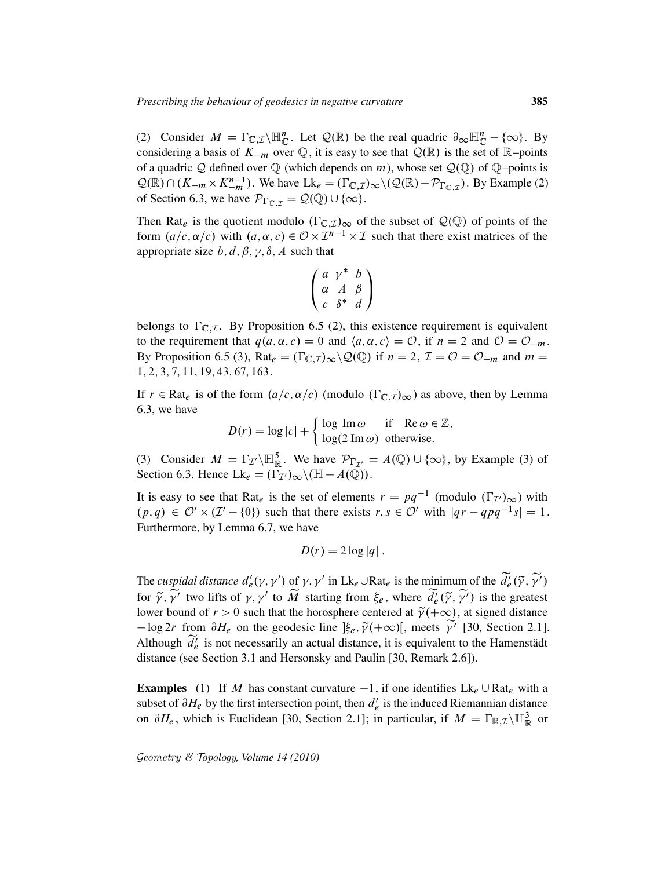(2) Consider  $M = \Gamma_{\mathbb{C},\mathcal{I}}\backslash \mathbb{H}_{\mathbb{C}}^n$ . Let  $\mathcal{Q}(\mathbb{R})$  be the real quadric  $\partial_{\infty} \mathbb{H}_{\mathbb{C}}^n - \{\infty\}$ . By considering a basis of  $K_{-m}$  over  $\mathbb{Q}$ , it is easy to see that  $\mathcal{Q}(\mathbb{R})$  is the set of  $\mathbb{R}$ –points of a quadric Q defined over  $\mathbb Q$  (which depends on m), whose set  $\mathcal Q(\mathbb Q)$  of  $\mathbb Q$ –points is  $\mathcal{Q}(\mathbb{R}) \cap (K_{-m} \times K_{-m}^{n-1})$ . We have  $Lk_e = (\Gamma_{\mathbb{C},\mathcal{I}})_{\infty} \setminus (\mathcal{Q}(\mathbb{R}) - \mathcal{P}_{\Gamma_{\mathbb{C},\mathcal{I}}})$ . By Example (2) of Section 6.3, we have  $\mathcal{P}_{\Gamma_{\mathbb{C}}|\tau} = \mathcal{Q}(\mathbb{Q}) \cup \{\infty\}.$ 

Then Rat<sub>e</sub> is the quotient modulo  $(\Gamma_{\mathbb{C},\mathcal{I}})_{\infty}$  of the subset of  $\mathcal{Q}(\mathbb{Q})$  of points of the form  $(a/c, \alpha/c)$  with  $(a, \alpha, c) \in \mathcal{O} \times \mathcal{I}^{n-1} \times \mathcal{I}$  such that there exist matrices of the appropriate size  $b, d, \beta, \gamma, \delta, A$  such that

$$
\left(\begin{array}{ccc}a&\gamma^*&b\\ \alpha&A&\beta\\ c&\delta^*&d\end{array}\right)
$$

belongs to  $\Gamma_{\mathbb{C} \mathcal{I}}$ . By Proposition 6.5 (2), this existence requirement is equivalent to the requirement that  $q(a, \alpha, c) = 0$  and  $\langle a, \alpha, c \rangle = \mathcal{O}$ , if  $n = 2$  and  $\mathcal{O} = \mathcal{O}_{-m}$ . By Proposition 6.5 (3), Rat<sub>e</sub> =  $(\Gamma_{\mathbb{C},\mathcal{I}})_{\infty} \setminus \mathcal{Q}(\mathbb{Q})$  if  $n = 2$ ,  $\mathcal{I} = \mathcal{O} = \mathcal{O}_{-m}$  and  $m =$ 1; 2; 3; 7; 11; 19; 43; 67; 163.

If  $r \in \text{Rat}_e$  is of the form  $(a/c, \alpha/c)$  (modulo  $(\Gamma_{\mathbb{C}, \mathcal{I}})_{\infty}$ ) as above, then by Lemma 6.3, we have

$$
D(r) = \log |c| + \begin{cases} \log \text{Im} \, \omega & \text{if } \mathbb{Re} \, \omega \in \mathbb{Z}, \\ \log(2 \text{Im} \, \omega) & \text{otherwise.} \end{cases}
$$

(3) Consider  $M = \Gamma_{\mathcal{I}} \setminus \mathbb{H}_{\mathbb{R}}^5$ . We have  $\mathcal{P}_{\Gamma_{\mathcal{I}'}} = A(\mathbb{Q}) \cup \{\infty\}$ , by Example (3) of Section 6.3. Hence  $Lk_e = (\Gamma_{\mathcal{I}'})_{\infty} \setminus (\mathbb{H} - A(\mathbb{Q}))$ .

It is easy to see that Rat<sub>e</sub> is the set of elements  $r = pq^{-1}$  (modulo  $(\Gamma_{\mathcal{I}}')_{\infty}$ ) with  $(p,q) \in \mathcal{O}' \times (\mathcal{I}' - \{0\})$  such that there exists  $r, s \in \mathcal{O}'$  with  $|qr - qpq^{-1}s| = 1$ . Furthermore, by Lemma 6.7, we have

$$
D(r) = 2\log|q|.
$$

The *cuspidal distance*  $d'_{e}$  $\overline{e}(\gamma, \gamma')$  of  $\gamma, \gamma'$  in  $Lk_e \cup Rat_e$  is the minimum of the  $\widetilde{d}_e^{\gamma}(\widetilde{\gamma}, \widetilde{\gamma'})$ for  $\tilde{\gamma}$ ,  $\tilde{\gamma}'$  two lifts of  $\gamma$ ,  $\gamma'$  to  $\tilde{M}$  starting from  $\xi_e$ , where  $\tilde{d}_e^{\prime}(\tilde{\gamma}, \tilde{\gamma}')$  is the greatest lower bound of  $r > 0$  such that the horosphere centered at  $\tilde{\gamma}(+\infty)$ , at signed distance  $-\log 2r$  from  $\partial H_e$  on the geodesic line  $|\xi_e, \tilde{\gamma}(+\infty)|$ , meets  $\tilde{\gamma}'$  [30, Section 2.1]. Although  $\widetilde{d}_e^i$  is not necessarily an actual distance, it is equivalent to the Hamenstädt distance (see Section 3.1 and Hersonsky and Paulin [30, Remark 2.6]).

**Examples** (1) If M has constant curvature  $-1$ , if one identifies  $Lk_e \cup Rat_e$  with a subset of  $\partial H_e$  by the first intersection point, then  $d'_e$  $\ell$  is the induced Riemannian distance on  $\partial H_e$ , which is Euclidean [30, Section 2.1]; in particular, if  $M = \Gamma_{\mathbb{R},\mathcal{I}}\setminus \mathbb{H}^3_{\mathbb{R}}$  or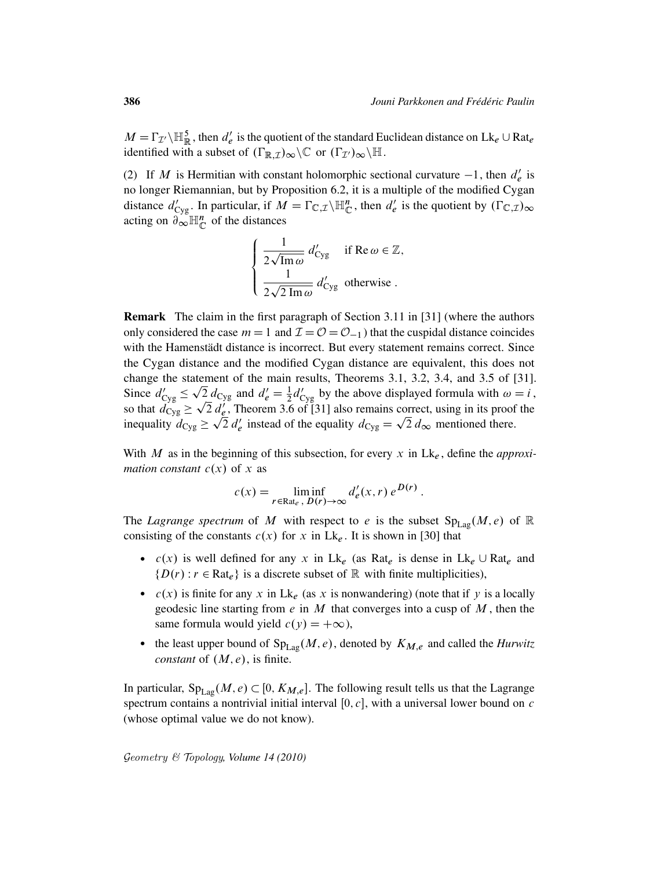$M = \Gamma_{\mathcal{I}} / \mathbb{H}_{\mathbb{R}}^5$ , then  $d_e'$  $e'$  is the quotient of the standard Euclidean distance on  $Lk_e \cup Rat_e$ identified with a subset of  $(\Gamma_{\mathbb{R},\mathcal{I}})_{\infty}\backslash\mathbb{C}$  or  $(\Gamma_{\mathcal{I}})_{\infty}\backslash\mathbb{H}$ .

(2) If M is Hermitian with constant holomorphic sectional curvature  $-1$ , then  $d'_{e}$  $e'$  is no longer Riemannian, but by Proposition 6.2, it is a multiple of the modified Cygan distance  $d'_{\text{Cyg}}$ . In particular, if  $M = \Gamma_{\mathbb{C}, \mathcal{I}} \setminus \mathbb{H}_{\mathbb{C}}^n$ , then  $d'_{e}$  $e'$  is the quotient by  $(\Gamma_{\mathbb{C},\mathcal{I}})_{\infty}$ acting on  $\partial_{\infty} \mathbb{H}_{\mathbb{C}}^n$  of the distances

$$
\begin{cases}\n\frac{1}{2\sqrt{\text{Im}\,\omega}} d'_{\text{Cyg}} & \text{if } \text{Re}\,\omega \in \mathbb{Z}, \\
\frac{1}{2\sqrt{2\text{Im}\,\omega}} d'_{\text{Cyg}} & \text{otherwise}.\n\end{cases}
$$

Remark The claim in the first paragraph of Section 3.11 in [31] (where the authors only considered the case  $m = 1$  and  $\mathcal{I} = \mathcal{O} = \mathcal{O}_{-1}$  that the cuspidal distance coincides with the Hamenstädt distance is incorrect. But every statement remains correct. Since the Cygan distance and the modified Cygan distance are equivalent, this does not change the statement of the main results, Theorems 3.1, 3.2, 3.4, and 3.5 of [31]. Since  $d'_{\text{Cyg}} \le \sqrt{2} d_{\text{Cyg}}$  and  $d'_e = \frac{1}{2} d'_{\text{Cyg}}$  by the above displayed formula with  $\omega = i$ , so that  $\ddot{d}_{\text{Cyg}}$   $\geq$  $\sqrt{2}$  $\overline{2} d_{\ell}^{\prime}$ , Theorem 3.6 of [31] also remains correct, using in its proof the inequality  $d_{\text{Cyg}} \ge \sqrt{2} d'_e$  instead of the equality  $d_{\text{Cyg}} = \sqrt{2} d_{\infty}$  mentioned there.

With M as in the beginning of this subsection, for every x in  $Lk_e$ , define the *approximation constant*  $c(x)$  of x as

$$
c(x) = \liminf_{r \in \text{Rat}_e, D(r) \to \infty} d'_e(x, r) e^{D(r)}.
$$

The *Lagrange spectrum* of M with respect to e is the subset  $Sp_{Lag}(M,e)$  of R consisting of the constants  $c(x)$  for x in Lk<sub>e</sub>. It is shown in [30] that

- $c(x)$  is well defined for any x in Lk<sub>e</sub> (as Rat<sub>e</sub> is dense in Lk<sub>e</sub>  $\cup$  Rat<sub>e</sub> and  $\{D(r) : r \in \text{Rat}_e\}$  is a discrete subset of R with finite multiplicities),
- $c(x)$  is finite for any x in Lk<sub>e</sub> (as x is nonwandering) (note that if y is a locally geodesic line starting from  $e$  in  $M$  that converges into a cusp of  $M$ , then the same formula would yield  $c(y) = +\infty$ ),
- the least upper bound of  $Sp_{Lag}(M, e)$ , denoted by  $K_{M,e}$  and called the *Hurwitz constant* of  $(M, e)$ , is finite.

In particular,  $Sp_{Lag}(M, e) \subset [0, K_{M,e}]$ . The following result tells us that the Lagrange spectrum contains a nontrivial initial interval  $[0, c]$ , with a universal lower bound on c (whose optimal value we do not know).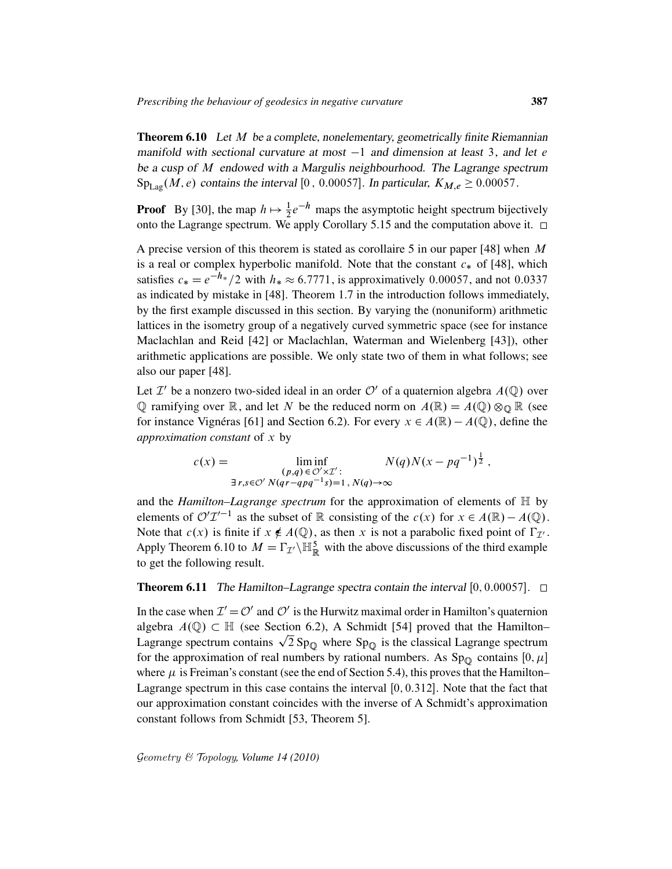**Theorem 6.10** Let M be a complete, nonelementary, geometrically finite Riemannian manifold with sectional curvature at most  $-1$  and dimension at least 3, and let e be a cusp of M endowed with a Margulis neighbourhood. The Lagrange spectrum  $Sp_{Lag}(M, e)$  contains the interval [0, 0.00057]. In particular,  $K_{M,e} \ge 0.00057$ .

**Proof** By [30], the map  $h \mapsto \frac{1}{2}e^{-h}$  maps the asymptotic height spectrum bijectively onto the Lagrange spectrum. We apply Corollary 5.15 and the computation above it.  $\Box$ 

A precise version of this theorem is stated as corollaire 5 in our paper [48] when  $M$ is a real or complex hyperbolic manifold. Note that the constant  $c_*$  of [48], which satisfies  $c_* = e^{-h_*}/2$  with  $h_* \approx 6.7771$ , is approximatively 0.00057, and not 0.0337 as indicated by mistake in [48]. Theorem 1.7 in the introduction follows immediately, by the first example discussed in this section. By varying the (nonuniform) arithmetic lattices in the isometry group of a negatively curved symmetric space (see for instance Maclachlan and Reid [42] or Maclachlan, Waterman and Wielenberg [43]), other arithmetic applications are possible. We only state two of them in what follows; see also our paper [48].

Let  $\mathcal{I}'$  be a nonzero two-sided ideal in an order  $\mathcal{O}'$  of a quaternion algebra  $A(\mathbb{Q})$  over  $\mathbb Q$  ramifying over  $\mathbb R$ , and let N be the reduced norm on  $A(\mathbb R) = A(\mathbb Q) \otimes_{\mathbb Q} \mathbb R$  (see for instance Vignéras [61] and Section 6.2). For every  $x \in A(\mathbb{R}) - A(\mathbb{Q})$ , define the *approximation constant* of x by

$$
c(x) = \liminf_{\substack{(p,q)\in \mathcal{O}'\times\mathcal{I}':\\ \exists r,s\in \mathcal{O}'} N(qr - qpq^{-1}s) = 1, N(q)\to\infty}} N(q)N(x - pq^{-1})^{\frac{1}{2}},
$$

and the *Hamilton–Lagrange spectrum* for the approximation of elements of H by elements of  $\mathcal{O}'\mathcal{I}'^{-1}$  as the subset of R consisting of the  $c(x)$  for  $x \in A(\mathbb{R}) - A(\mathbb{Q})$ . Note that  $c(x)$  is finite if  $x \notin A(\mathbb{Q})$ , as then x is not a parabolic fixed point of  $\Gamma_{\mathcal{I}}$ . Apply Theorem 6.10 to  $M = \Gamma_{\mathcal{I}} \setminus \mathbb{H}_{\mathbb{R}}^5$  with the above discussions of the third example to get the following result.

## **Theorem 6.11** The Hamilton–Lagrange spectra contain the interval [0, 0.00057].  $\Box$

In the case when  $\mathcal{I}' = \mathcal{O}'$  and  $\mathcal{O}'$  is the Hurwitz maximal order in Hamilton's quaternion algebra  $A(\mathbb{Q}) \subset \mathbb{H}$  (see Section 6.2), A Schmidt [54] proved that the Hamilton– algebra  $A(\mathbb{Q}) \subset \mathbb{H}$  (see Section 6.2), A Schmidt [54] proved that the Hamilton-<br>Lagrange spectrum contains  $\sqrt{2}$  Sp<sub>Q</sub> where Sp<sub>Q</sub> is the classical Lagrange spectrum for the approximation of real numbers by rational numbers. As  $Sp_{\mathbb{Q}}$  contains  $[0, \mu]$ where  $\mu$  is Freiman's constant (see the end of Section 5.4), this proves that the Hamilton– Lagrange spectrum in this case contains the interval  $[0, 0.312]$ . Note that the fact that our approximation constant coincides with the inverse of A Schmidt's approximation constant follows from Schmidt [53, Theorem 5].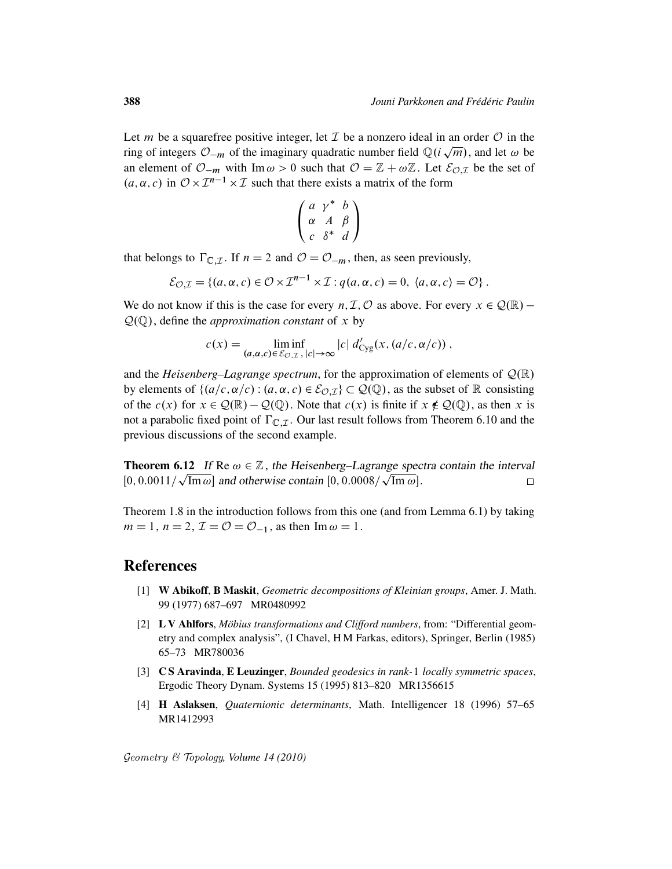Let *m* be a squarefree positive integer, let  $\mathcal I$  be a nonzero ideal in an order  $\mathcal O$  in the ring of integers  $\mathcal{O}_{-m}$  of the imaginary quadratic number field  $\mathbb{Q}(i\sqrt{m})$ , and let  $\omega$  be an element of  $\mathcal{O}_{-m}$  with Im  $\omega > 0$  such that  $\mathcal{O} = \mathbb{Z} + \omega \mathbb{Z}$ . Let  $\mathcal{E}_{\mathcal{O},\mathcal{I}}$  be the set of  $(a, \alpha, c)$  in  $\mathcal{O} \times \mathcal{I}^{n-1} \times \mathcal{I}$  such that there exists a matrix of the form

$$
\left(\begin{array}{ccc}a&\gamma^*&b\\ \alpha&A&\beta\\ c&\delta^*&d\end{array}\right)
$$

that belongs to  $\Gamma_{\mathbb{C},\mathcal{I}}$ . If  $n = 2$  and  $\mathcal{O} = \mathcal{O}_{-m}$ , then, as seen previously,

$$
\mathcal{E}_{\mathcal{O},\mathcal{I}} = \{ (a,\alpha,c) \in \mathcal{O} \times \mathcal{I}^{n-1} \times \mathcal{I} : q(a,\alpha,c) = 0, \langle a,\alpha,c \rangle = \mathcal{O} \}.
$$

We do not know if this is the case for every  $n, \mathcal{I}, \mathcal{O}$  as above. For every  $x \in \mathcal{Q}(\mathbb{R})$  –  $\mathcal{Q}(\mathbb{Q})$ , define the *approximation constant* of x by

$$
c(x) = \liminf_{(a,\alpha,c) \in \mathcal{E}_{\mathcal{O},\mathcal{I}}, |c| \to \infty} |c| d'_{\text{Cyg}}(x, (a/c, \alpha/c))
$$

and the *Heisenberg–Lagrange spectrum*, for the approximation of elements of  $\mathcal{Q}(\mathbb{R})$ by elements of  $\{(a/c, \alpha/c) : (a, \alpha, c) \in \mathcal{E}_{\mathcal{O},\mathcal{I}}\}\subset \mathcal{Q}(\mathbb{Q})$ , as the subset of R consisting of the  $c(x)$  for  $x \in Q(\mathbb{R}) - Q(\mathbb{Q})$ . Note that  $c(x)$  is finite if  $x \notin Q(\mathbb{Q})$ , as then x is not a parabolic fixed point of  $\Gamma_{\mathbb{C},\mathcal{I}}$ . Our last result follows from Theorem 6.10 and the previous discussions of the second example.

**Theorem 6.12** If Re  $\omega \in \mathbb{Z}$ , the Heisenberg–Lagrange spectra contain the interval [0, 0.0011/ $\sqrt{\text{Im}\,\omega}$ ] and otherwise contain [0, 0.0008/ $\sqrt{\text{Im}\,\omega}$ ].  $\Box$ 

Theorem 1.8 in the introduction follows from this one (and from Lemma 6.1) by taking  $m = 1$ ,  $n = 2$ ,  $\mathcal{I} = \mathcal{O} = \mathcal{O}_{-1}$ , as then Im  $\omega = 1$ .

## References

- [1] W Abikoff, B Maskit, *Geometric decompositions of Kleinian groups*, Amer. J. Math. 99 (1977) 687–697 MR0480992
- [2] L V Ahlfors, *Möbius transformations and Clifford numbers*, from: "Differential geometry and complex analysis", (I Chavel, H M Farkas, editors), Springer, Berlin (1985) 65–73 MR780036
- [3] C S Aravinda, E Leuzinger, *Bounded geodesics in rank-*1 *locally symmetric spaces*, Ergodic Theory Dynam. Systems 15 (1995) 813–820 MR1356615
- [4] H Aslaksen, *Quaternionic determinants*, Math. Intelligencer 18 (1996) 57–65 MR1412993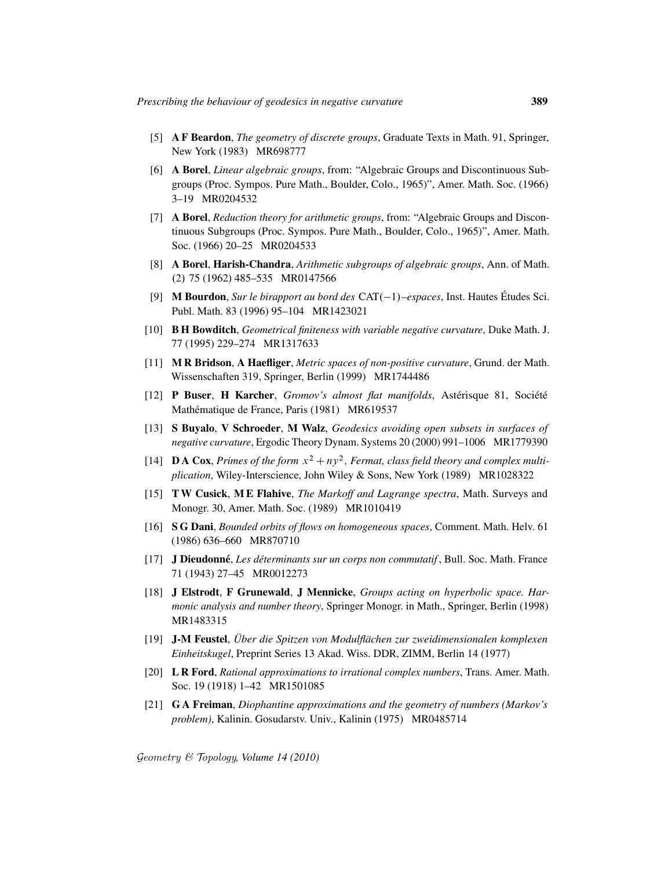- [5] A F Beardon, *The geometry of discrete groups*, Graduate Texts in Math. 91, Springer, New York (1983) MR698777
- [6] A Borel, *Linear algebraic groups*, from: "Algebraic Groups and Discontinuous Subgroups (Proc. Sympos. Pure Math., Boulder, Colo., 1965)", Amer. Math. Soc. (1966) 3–19 MR0204532
- [7] A Borel, *Reduction theory for arithmetic groups*, from: "Algebraic Groups and Discontinuous Subgroups (Proc. Sympos. Pure Math., Boulder, Colo., 1965)", Amer. Math. Soc. (1966) 20–25 MR0204533
- [8] A Borel, Harish-Chandra, *Arithmetic subgroups of algebraic groups*, Ann. of Math. .2/ 75 (1962) 485–535 MR0147566
- [9] **M Bourdon**, *Sur le birapport au bord des*  $CAT(-1)$ *–espaces*, Inst. Hautes Études Sci. Publ. Math. 83 (1996) 95–104 MR1423021
- [10] B H Bowditch, *Geometrical finiteness with variable negative curvature*, Duke Math. J. 77 (1995) 229–274 MR1317633
- [11] M R Bridson, A Haefliger, *Metric spaces of non-positive curvature*, Grund. der Math. Wissenschaften 319, Springer, Berlin (1999) MR1744486
- [12] P Buser, H Karcher, *Gromov's almost flat manifolds*, Astérisque 81, Société Mathématique de France, Paris (1981) MR619537
- [13] S Buyalo, V Schroeder, M Walz, *Geodesics avoiding open subsets in surfaces of negative curvature*, Ergodic Theory Dynam. Systems 20 (2000) 991–1006 MR1779390
- [14] **DA Cox**, *Primes of the form*  $x^2 + ny^2$ , *Fermat, class field theory and complex multiplication*, Wiley-Interscience, John Wiley & Sons, New York (1989) MR1028322
- [15] T W Cusick, M E Flahive, *The Markoff and Lagrange spectra*, Math. Surveys and Monogr. 30, Amer. Math. Soc. (1989) MR1010419
- [16] S G Dani, *Bounded orbits of flows on homogeneous spaces*, Comment. Math. Helv. 61 (1986) 636–660 MR870710
- [17] J Dieudonne´, *Les determinants sur un corps non commutatif ´* , Bull. Soc. Math. France 71 (1943) 27–45 MR0012273
- [18] J Elstrodt, F Grunewald, J Mennicke, *Groups acting on hyperbolic space. Harmonic analysis and number theory*, Springer Monogr. in Math., Springer, Berlin (1998) MR1483315
- [19] J-M Feustel, *Uber die Spitzen von Modulfl ¨ achen zur zweidimensionalen komplexen ¨ Einheitskugel*, Preprint Series 13 Akad. Wiss. DDR, ZIMM, Berlin 14 (1977)
- [20] L R Ford, *Rational approximations to irrational complex numbers*, Trans. Amer. Math. Soc. 19 (1918) 1–42 MR1501085
- [21] G A Freiman, *Diophantine approximations and the geometry of numbers (Markov's problem)*, Kalinin. Gosudarstv. Univ., Kalinin (1975) MR0485714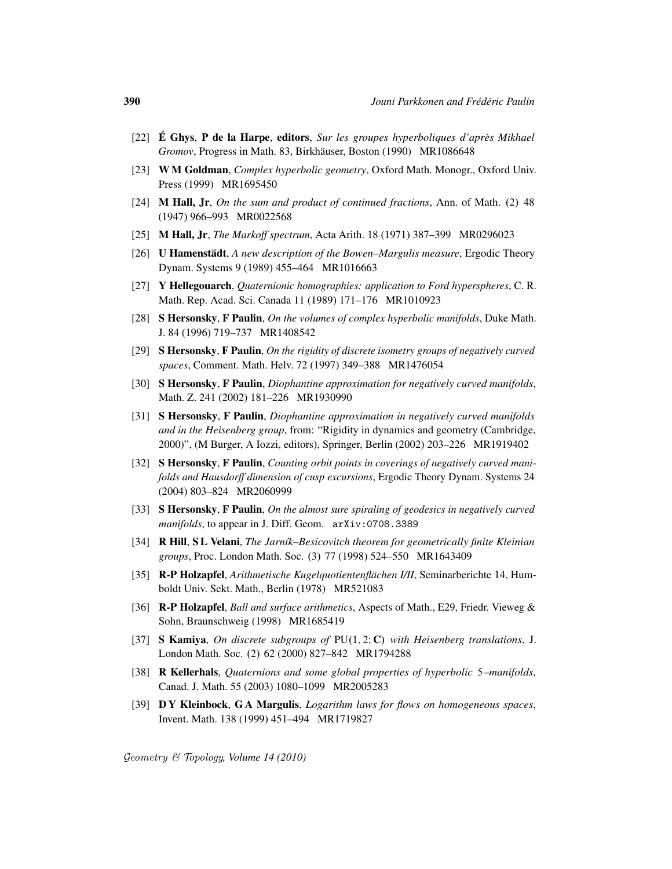- [22] **É Ghys, P de la Harpe, editors,** *Sur les groupes hyperboliques d'après Mikhael Gromov*, Progress in Math. 83, Birkhäuser, Boston (1990) MR1086648
- [23] W M Goldman, *Complex hyperbolic geometry*, Oxford Math. Monogr., Oxford Univ. Press (1999) MR1695450
- [24] **M Hall, Jr,** *On the sum and product of continued fractions*, Ann. of Math.  $(2)$  48 (1947) 966–993 MR0022568
- [25] M Hall, Jr, *The Markoff spectrum*, Acta Arith. 18 (1971) 387–399 MR0296023
- [26] **U Hamenstädt**, *A new description of the Bowen–Margulis measure*, Ergodic Theory Dynam. Systems 9 (1989) 455–464 MR1016663
- [27] Y Hellegouarch, *Quaternionic homographies: application to Ford hyperspheres*, C. R. Math. Rep. Acad. Sci. Canada 11 (1989) 171–176 MR1010923
- [28] S Hersonsky, F Paulin, *On the volumes of complex hyperbolic manifolds*, Duke Math. J. 84 (1996) 719–737 MR1408542
- [29] S Hersonsky, F Paulin, *On the rigidity of discrete isometry groups of negatively curved spaces*, Comment. Math. Helv. 72 (1997) 349–388 MR1476054
- [30] S Hersonsky, F Paulin, *Diophantine approximation for negatively curved manifolds*, Math. Z. 241 (2002) 181–226 MR1930990
- [31] S Hersonsky, F Paulin, *Diophantine approximation in negatively curved manifolds and in the Heisenberg group*, from: "Rigidity in dynamics and geometry (Cambridge, 2000)", (M Burger, A Iozzi, editors), Springer, Berlin (2002) 203–226 MR1919402
- [32] S Hersonsky, F Paulin, *Counting orbit points in coverings of negatively curved manifolds and Hausdorff dimension of cusp excursions*, Ergodic Theory Dynam. Systems 24 (2004) 803–824 MR2060999
- [33] S Hersonsky, F Paulin, *On the almost sure spiraling of geodesics in negatively curved manifolds*, to appear in J. Diff. Geom. arXiv:0708.3389
- [34] R Hill, S L Velani, *The Jarn´ık–Besicovitch theorem for geometrically finite Kleinian groups*, Proc. London Math. Soc. (3) 77 (1998) 524–550 MR1643409
- [35] **R-P Holzapfel**, *Arithmetische Kugelquotientenflächen I/II*, Seminarberichte 14, Humboldt Univ. Sekt. Math., Berlin (1978) MR521083
- [36] R-P Holzapfel, *Ball and surface arithmetics*, Aspects of Math., E29, Friedr. Vieweg & Sohn, Braunschweig (1998) MR1685419
- [37] S Kamiya, *On discrete subgroups of* PU(1, 2; C) *with Heisenberg translations*, J. London Math. Soc. (2) 62 (2000) 827-842 MR1794288
- [38] R Kellerhals, *Quaternions and some global properties of hyperbolic* 5*–manifolds*, Canad. J. Math. 55 (2003) 1080–1099 MR2005283
- [39] D Y Kleinbock, G A Margulis, *Logarithm laws for flows on homogeneous spaces*, Invent. Math. 138 (1999) 451–494 MR1719827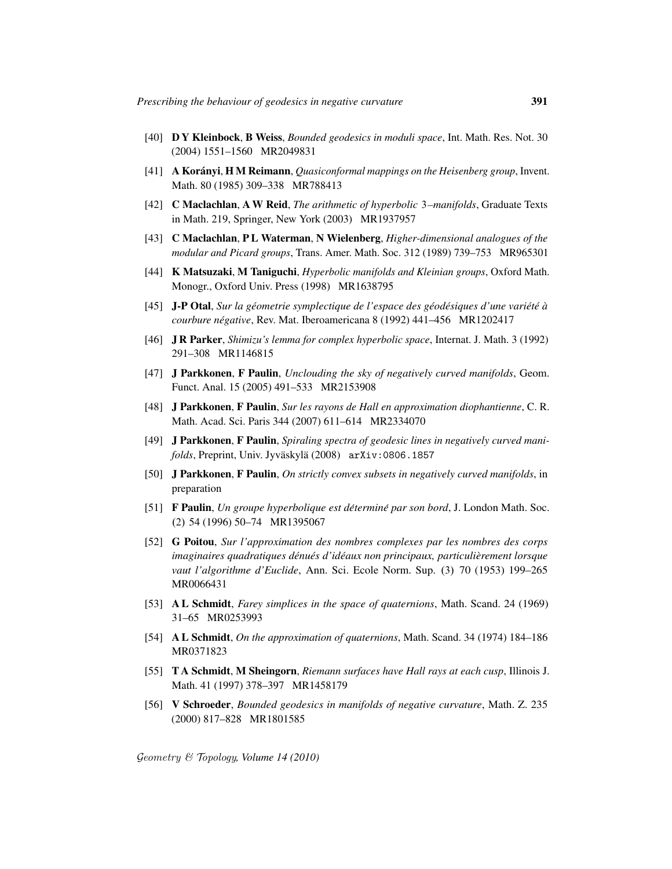- [40] D Y Kleinbock, B Weiss, *Bounded geodesics in moduli space*, Int. Math. Res. Not. 30 (2004) 1551–1560 MR2049831
- [41] A Korányi, H M Reimann, *Quasiconformal mappings on the Heisenberg group*, Invent. Math. 80 (1985) 309–338 MR788413
- [42] C Maclachlan, A W Reid, *The arithmetic of hyperbolic* 3*–manifolds*, Graduate Texts in Math. 219, Springer, New York (2003) MR1937957
- [43] C Maclachlan, P L Waterman, N Wielenberg, *Higher-dimensional analogues of the modular and Picard groups*, Trans. Amer. Math. Soc. 312 (1989) 739–753 MR965301
- [44] K Matsuzaki, M Taniguchi, *Hyperbolic manifolds and Kleinian groups*, Oxford Math. Monogr., Oxford Univ. Press (1998) MR1638795
- [45] J-P Otal, *Sur la geometrie symplectique de l'espace des g ´ eod ´ esiques d'une vari ´ et´ e´ a` courbure négative*, Rev. Mat. Iberoamericana 8 (1992) 441–456 MR1202417
- [46] J R Parker, *Shimizu's lemma for complex hyperbolic space*, Internat. J. Math. 3 (1992) 291–308 MR1146815
- [47] J Parkkonen, F Paulin, *Unclouding the sky of negatively curved manifolds*, Geom. Funct. Anal. 15 (2005) 491–533 MR2153908
- [48] J Parkkonen, F Paulin, *Sur les rayons de Hall en approximation diophantienne*, C. R. Math. Acad. Sci. Paris 344 (2007) 611–614 MR2334070
- [49] J Parkkonen, F Paulin, *Spiraling spectra of geodesic lines in negatively curved manifolds*, Preprint, Univ. Jyväskylä (2008) arXiv:0806.1857
- [50] J Parkkonen, F Paulin, *On strictly convex subsets in negatively curved manifolds*, in preparation
- [51] F Paulin, *Un groupe hyperbolique est determin ´ e par son bord ´* , J. London Math. Soc. .2/ 54 (1996) 50–74 MR1395067
- [52] G Poitou, *Sur l'approximation des nombres complexes par les nombres des corps imaginaires quadratiques dénués d'idéaux non principaux, particulièrement lorsque vaut l'algorithme d'Euclide*, Ann. Sci. Ecole Norm. Sup. (3) 70 (1953) 199–265 MR0066431
- [53] A L Schmidt, *Farey simplices in the space of quaternions*, Math. Scand. 24 (1969) 31–65 MR0253993
- [54] A L Schmidt, *On the approximation of quaternions*, Math. Scand. 34 (1974) 184–186 MR0371823
- [55] T A Schmidt, M Sheingorn, *Riemann surfaces have Hall rays at each cusp*, Illinois J. Math. 41 (1997) 378–397 MR1458179
- [56] V Schroeder, *Bounded geodesics in manifolds of negative curvature*, Math. Z. 235 (2000) 817–828 MR1801585